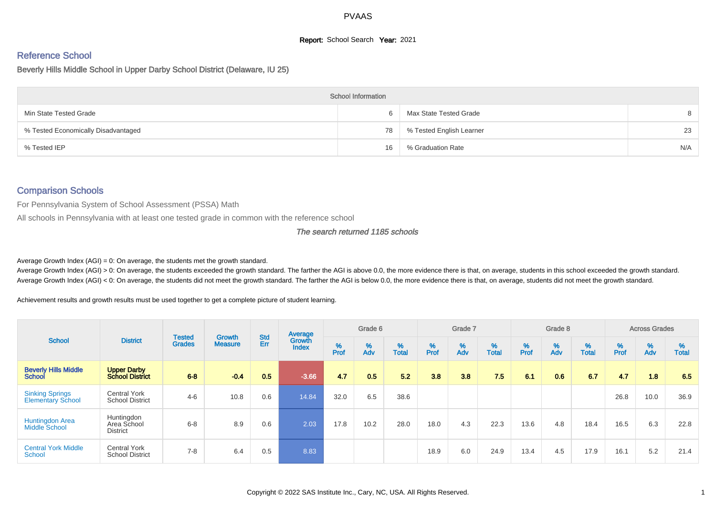# **Report:** School Search **Year:** 2021

# Reference School

# Beverly Hills Middle School in Upper Darby School District (Delaware, IU 25)

|                                     | <b>School Information</b> |                          |     |
|-------------------------------------|---------------------------|--------------------------|-----|
| Min State Tested Grade              |                           | Max State Tested Grade   | 8   |
| % Tested Economically Disadvantaged | 78                        | % Tested English Learner | 23  |
| % Tested IEP                        | 16                        | % Graduation Rate        | N/A |

# Comparison Schools

For Pennsylvania System of School Assessment (PSSA) Math

All schools in Pennsylvania with at least one tested grade in common with the reference school

#### The search returned 1185 schools

Average Growth Index  $(AGI) = 0$ : On average, the students met the growth standard.

Average Growth Index (AGI) > 0: On average, the students exceeded the growth standard. The farther the AGI is above 0.0, the more evidence there is that, on average, students in this school exceeded the growth standard. Average Growth Index (AGI) < 0: On average, the students did not meet the growth standard. The farther the AGI is below 0.0, the more evidence there is that, on average, students did not meet the growth standard.

Achievement results and growth results must be used together to get a complete picture of student learning.

|                                                    |                                               |                                | <b>Growth</b>  | <b>Std</b> | Average                |           | Grade 6  |                   |           | Grade 7  |                   |           | Grade 8  |                   |           | <b>Across Grades</b> |                   |
|----------------------------------------------------|-----------------------------------------------|--------------------------------|----------------|------------|------------------------|-----------|----------|-------------------|-----------|----------|-------------------|-----------|----------|-------------------|-----------|----------------------|-------------------|
| <b>School</b>                                      | <b>District</b>                               | <b>Tested</b><br><b>Grades</b> | <b>Measure</b> | Err        | Growth<br><b>Index</b> | %<br>Prof | %<br>Adv | %<br><b>Total</b> | %<br>Prof | %<br>Adv | %<br><b>Total</b> | %<br>Prof | %<br>Adv | %<br><b>Total</b> | %<br>Prof | %<br>Adv             | %<br><b>Total</b> |
| <b>Beverly Hills Middle</b><br><b>School</b>       | <b>Upper Darby</b><br><b>School District</b>  | $6 - 8$                        | $-0.4$         | 0.5        | $-3.66$                | 4.7       | 0.5      | 5.2               | 3.8       | 3.8      | 7.5               | 6.1       | 0.6      | 67                | 4.7       | 1.8                  | 6.5               |
| <b>Sinking Springs</b><br><b>Elementary School</b> | <b>Central York</b><br><b>School District</b> | $4 - 6$                        | 10.8           | 0.6        | 14.84                  | 32.0      | 6.5      | 38.6              |           |          |                   |           |          |                   | 26.8      | 10.0                 | 36.9              |
| Huntingdon Area<br>Middle School                   | Huntingdon<br>Area School<br><b>District</b>  | $6 - 8$                        | 8.9            | 0.6        | 2.03                   | 17.8      | 10.2     | 28.0              | 18.0      | 4.3      | 22.3              | 13.6      | 4.8      | 18.4              | 16.5      | 6.3                  | 22.8              |
| <b>Central York Middle</b><br><b>School</b>        | <b>Central York</b><br><b>School District</b> | $7 - 8$                        | 6.4            | 0.5        | 8.83                   |           |          |                   | 18.9      | 6.0      | 24.9              | 13.4      | 4.5      | 17.9              | 16.1      | 5.2                  | 21.4              |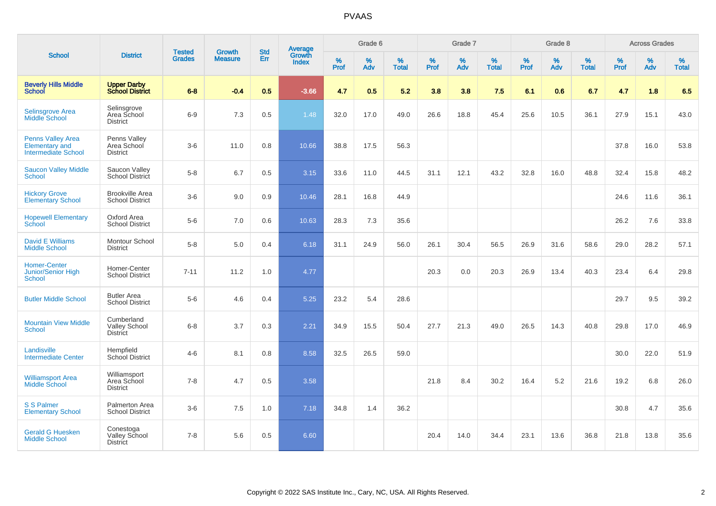|                                                                          |                                                       |                                |                                 | <b>Std</b> |                                          |                  | Grade 6  |                   |           | Grade 7  |                   |           | Grade 8  |                   |           | <b>Across Grades</b> |                   |
|--------------------------------------------------------------------------|-------------------------------------------------------|--------------------------------|---------------------------------|------------|------------------------------------------|------------------|----------|-------------------|-----------|----------|-------------------|-----------|----------|-------------------|-----------|----------------------|-------------------|
| <b>School</b>                                                            | <b>District</b>                                       | <b>Tested</b><br><b>Grades</b> | <b>Growth</b><br><b>Measure</b> | Err        | <b>Average</b><br>Growth<br><b>Index</b> | %<br><b>Prof</b> | %<br>Adv | %<br><b>Total</b> | %<br>Prof | %<br>Adv | %<br><b>Total</b> | %<br>Prof | %<br>Adv | %<br><b>Total</b> | %<br>Prof | $\%$<br>Adv          | %<br><b>Total</b> |
| <b>Beverly Hills Middle</b><br><b>School</b>                             | <b>Upper Darby</b><br><b>School District</b>          | $6 - 8$                        | $-0.4$                          | 0.5        | $-3.66$                                  | 4.7              | 0.5      | 5.2               | 3.8       | 3.8      | 7.5               | 6.1       | 0.6      | 6.7               | 4.7       | 1.8                  | 6.5               |
| Selinsgrove Area<br>Middle School                                        | Selinsgrove<br>Area School<br><b>District</b>         | $6-9$                          | 7.3                             | 0.5        | 1.48                                     | 32.0             | 17.0     | 49.0              | 26.6      | 18.8     | 45.4              | 25.6      | 10.5     | 36.1              | 27.9      | 15.1                 | 43.0              |
| <b>Penns Valley Area</b><br>Elementary and<br><b>Intermediate School</b> | Penns Valley<br>Area School<br><b>District</b>        | $3-6$                          | 11.0                            | 0.8        | 10.66                                    | 38.8             | 17.5     | 56.3              |           |          |                   |           |          |                   | 37.8      | 16.0                 | 53.8              |
| <b>Saucon Valley Middle</b><br>School                                    | Saucon Valley<br>School District                      | $5-8$                          | 6.7                             | 0.5        | 3.15                                     | 33.6             | 11.0     | 44.5              | 31.1      | 12.1     | 43.2              | 32.8      | 16.0     | 48.8              | 32.4      | 15.8                 | 48.2              |
| <b>Hickory Grove</b><br><b>Elementary School</b>                         | <b>Brookville Area</b><br><b>School District</b>      | $3-6$                          | 9.0                             | 0.9        | 10.46                                    | 28.1             | 16.8     | 44.9              |           |          |                   |           |          |                   | 24.6      | 11.6                 | 36.1              |
| <b>Hopewell Elementary</b><br>School                                     | Oxford Area<br><b>School District</b>                 | $5-6$                          | 7.0                             | 0.6        | 10.63                                    | 28.3             | 7.3      | 35.6              |           |          |                   |           |          |                   | 26.2      | 7.6                  | 33.8              |
| <b>David E Williams</b><br><b>Middle School</b>                          | Montour School<br><b>District</b>                     | $5-8$                          | 5.0                             | 0.4        | 6.18                                     | 31.1             | 24.9     | 56.0              | 26.1      | 30.4     | 56.5              | 26.9      | 31.6     | 58.6              | 29.0      | 28.2                 | 57.1              |
| <b>Homer-Center</b><br>Junior/Senior High<br>School                      | Homer-Center<br><b>School District</b>                | $7 - 11$                       | 11.2                            | 1.0        | 4.77                                     |                  |          |                   | 20.3      | 0.0      | 20.3              | 26.9      | 13.4     | 40.3              | 23.4      | 6.4                  | 29.8              |
| <b>Butler Middle School</b>                                              | <b>Butler Area</b><br><b>School District</b>          | $5-6$                          | 4.6                             | 0.4        | 5.25                                     | 23.2             | 5.4      | 28.6              |           |          |                   |           |          |                   | 29.7      | 9.5                  | 39.2              |
| <b>Mountain View Middle</b><br><b>School</b>                             | Cumberland<br><b>Valley School</b><br><b>District</b> | $6 - 8$                        | 3.7                             | 0.3        | 2.21                                     | 34.9             | 15.5     | 50.4              | 27.7      | 21.3     | 49.0              | 26.5      | 14.3     | 40.8              | 29.8      | 17.0                 | 46.9              |
| Landisville<br><b>Intermediate Center</b>                                | Hempfield<br>School District                          | $4 - 6$                        | 8.1                             | 0.8        | 8.58                                     | 32.5             | 26.5     | 59.0              |           |          |                   |           |          |                   | 30.0      | 22.0                 | 51.9              |
| <b>Williamsport Area</b><br><b>Middle School</b>                         | Williamsport<br>Area School<br><b>District</b>        | $7 - 8$                        | 4.7                             | 0.5        | 3.58                                     |                  |          |                   | 21.8      | 8.4      | 30.2              | 16.4      | 5.2      | 21.6              | 19.2      | 6.8                  | 26.0              |
| <b>S S Palmer</b><br><b>Elementary School</b>                            | Palmerton Area<br><b>School District</b>              | $3-6$                          | 7.5                             | 1.0        | 7.18                                     | 34.8             | 1.4      | 36.2              |           |          |                   |           |          |                   | 30.8      | 4.7                  | 35.6              |
| <b>Gerald G Huesken</b><br><b>Middle School</b>                          | Conestoga<br><b>Valley School</b><br><b>District</b>  | $7 - 8$                        | 5.6                             | 0.5        | 6.60                                     |                  |          |                   | 20.4      | 14.0     | 34.4              | 23.1      | 13.6     | 36.8              | 21.8      | 13.8                 | 35.6              |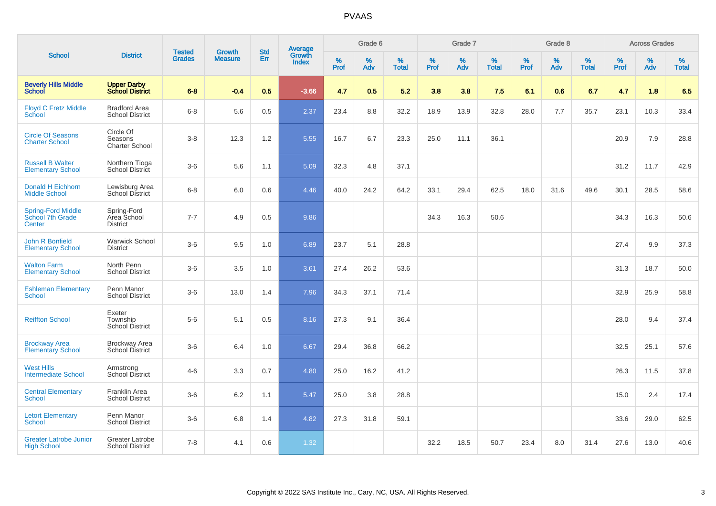|                                                         |                                                  |                                |                                 | <b>Std</b> |                                          |           | Grade 6  |                   |           | Grade 7  |                   |           | Grade 8  |                   |              | <b>Across Grades</b> |                   |
|---------------------------------------------------------|--------------------------------------------------|--------------------------------|---------------------------------|------------|------------------------------------------|-----------|----------|-------------------|-----------|----------|-------------------|-----------|----------|-------------------|--------------|----------------------|-------------------|
| <b>School</b>                                           | <b>District</b>                                  | <b>Tested</b><br><b>Grades</b> | <b>Growth</b><br><b>Measure</b> | Err        | <b>Average</b><br>Growth<br><b>Index</b> | %<br>Prof | %<br>Adv | %<br><b>Total</b> | %<br>Prof | %<br>Adv | %<br><b>Total</b> | %<br>Prof | %<br>Adv | %<br><b>Total</b> | $\%$<br>Prof | %<br>Adv             | %<br><b>Total</b> |
| <b>Beverly Hills Middle</b><br>School                   | <b>Upper Darby<br/>School District</b>           | $6 - 8$                        | $-0.4$                          | 0.5        | $-3.66$                                  | 4.7       | 0.5      | 5.2               | 3.8       | 3.8      | 7.5               | 6.1       | 0.6      | 6.7               | 4.7          | 1.8                  | 6.5               |
| <b>Floyd C Fretz Middle</b><br>School                   | <b>Bradford Area</b><br><b>School District</b>   | $6 - 8$                        | 5.6                             | 0.5        | 2.37                                     | 23.4      | 8.8      | 32.2              | 18.9      | 13.9     | 32.8              | 28.0      | 7.7      | 35.7              | 23.1         | 10.3                 | 33.4              |
| <b>Circle Of Seasons</b><br><b>Charter School</b>       | Circle Of<br>Seasons<br><b>Charter School</b>    | $3-8$                          | 12.3                            | 1.2        | 5.55                                     | 16.7      | 6.7      | 23.3              | 25.0      | 11.1     | 36.1              |           |          |                   | 20.9         | 7.9                  | 28.8              |
| <b>Russell B Walter</b><br><b>Elementary School</b>     | Northern Tioga<br><b>School District</b>         | $3-6$                          | 5.6                             | 1.1        | 5.09                                     | 32.3      | 4.8      | 37.1              |           |          |                   |           |          |                   | 31.2         | 11.7                 | 42.9              |
| <b>Donald H Eichhorn</b><br><b>Middle School</b>        | Lewisburg Area<br>School District                | $6 - 8$                        | 6.0                             | 0.6        | 4.46                                     | 40.0      | 24.2     | 64.2              | 33.1      | 29.4     | 62.5              | 18.0      | 31.6     | 49.6              | 30.1         | 28.5                 | 58.6              |
| <b>Spring-Ford Middle</b><br>School 7th Grade<br>Center | Spring-Ford<br>Area School<br><b>District</b>    | $7 - 7$                        | 4.9                             | 0.5        | 9.86                                     |           |          |                   | 34.3      | 16.3     | 50.6              |           |          |                   | 34.3         | 16.3                 | 50.6              |
| John R Bonfield<br><b>Elementary School</b>             | <b>Warwick School</b><br><b>District</b>         | $3-6$                          | 9.5                             | 1.0        | 6.89                                     | 23.7      | 5.1      | 28.8              |           |          |                   |           |          |                   | 27.4         | 9.9                  | 37.3              |
| <b>Walton Farm</b><br><b>Elementary School</b>          | North Penn<br><b>School District</b>             | $3-6$                          | 3.5                             | 1.0        | 3.61                                     | 27.4      | 26.2     | 53.6              |           |          |                   |           |          |                   | 31.3         | 18.7                 | 50.0              |
| <b>Eshleman Elementary</b><br><b>School</b>             | Penn Manor<br><b>School District</b>             | $3-6$                          | 13.0                            | 1.4        | 7.96                                     | 34.3      | 37.1     | 71.4              |           |          |                   |           |          |                   | 32.9         | 25.9                 | 58.8              |
| <b>Reiffton School</b>                                  | Exeter<br>Township<br>School District            | $5-6$                          | 5.1                             | 0.5        | 8.16                                     | 27.3      | 9.1      | 36.4              |           |          |                   |           |          |                   | 28.0         | 9.4                  | 37.4              |
| <b>Brockway Area</b><br><b>Elementary School</b>        | <b>Brockway Area</b><br><b>School District</b>   | $3-6$                          | 6.4                             | 1.0        | 6.67                                     | 29.4      | 36.8     | 66.2              |           |          |                   |           |          |                   | 32.5         | 25.1                 | 57.6              |
| <b>West Hills</b><br><b>Intermediate School</b>         | Armstrong<br><b>School District</b>              | $4 - 6$                        | 3.3                             | 0.7        | 4.80                                     | 25.0      | 16.2     | 41.2              |           |          |                   |           |          |                   | 26.3         | 11.5                 | 37.8              |
| <b>Central Elementary</b><br><b>School</b>              | Franklin Area<br><b>School District</b>          | $3-6$                          | 6.2                             | 1.1        | 5.47                                     | 25.0      | 3.8      | 28.8              |           |          |                   |           |          |                   | 15.0         | 2.4                  | 17.4              |
| <b>Letort Elementary</b><br><b>School</b>               | Penn Manor<br><b>School District</b>             | $3-6$                          | 6.8                             | 1.4        | 4.82                                     | 27.3      | 31.8     | 59.1              |           |          |                   |           |          |                   | 33.6         | 29.0                 | 62.5              |
| <b>Greater Latrobe Junior</b><br><b>High School</b>     | <b>Greater Latrobe</b><br><b>School District</b> | $7 - 8$                        | 4.1                             | 0.6        | 1.32                                     |           |          |                   | 32.2      | 18.5     | 50.7              | 23.4      | 8.0      | 31.4              | 27.6         | 13.0                 | 40.6              |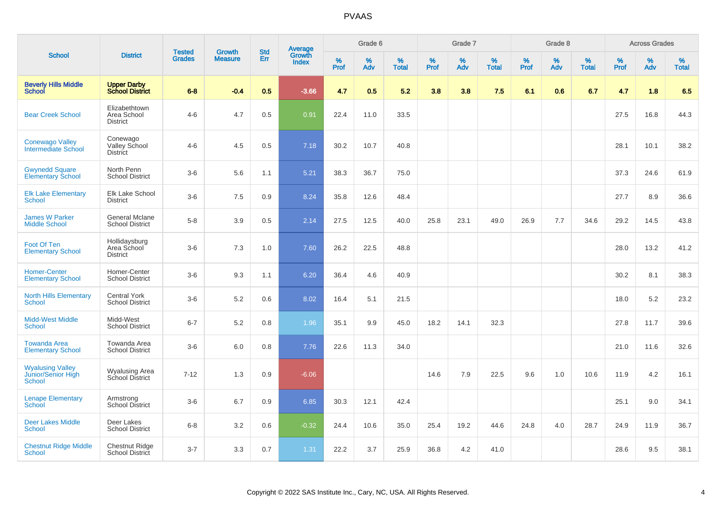|                                                         |                                                 |                                | <b>Growth</b>  | <b>Std</b> |                                          |                  | Grade 6     |                   |                  | Grade 7     |                   |           | Grade 8  |                   |                  | <b>Across Grades</b> |                   |
|---------------------------------------------------------|-------------------------------------------------|--------------------------------|----------------|------------|------------------------------------------|------------------|-------------|-------------------|------------------|-------------|-------------------|-----------|----------|-------------------|------------------|----------------------|-------------------|
| <b>School</b>                                           | <b>District</b>                                 | <b>Tested</b><br><b>Grades</b> | <b>Measure</b> | Err        | <b>Average</b><br>Growth<br><b>Index</b> | %<br><b>Prof</b> | $\%$<br>Adv | %<br><b>Total</b> | %<br><b>Prof</b> | $\%$<br>Adv | %<br><b>Total</b> | %<br>Prof | %<br>Adv | %<br><b>Total</b> | %<br><b>Prof</b> | $\%$<br>Adv          | %<br><b>Total</b> |
| <b>Beverly Hills Middle</b><br><b>School</b>            | <b>Upper Darby</b><br><b>School District</b>    | $6 - 8$                        | $-0.4$         | 0.5        | $-3.66$                                  | 4.7              | 0.5         | 5.2               | 3.8              | 3.8         | 7.5               | 6.1       | 0.6      | 6.7               | 4.7              | 1.8                  | 6.5               |
| <b>Bear Creek School</b>                                | Elizabethtown<br>Area School<br><b>District</b> | $4 - 6$                        | 4.7            | 0.5        | 0.91                                     | 22.4             | 11.0        | 33.5              |                  |             |                   |           |          |                   | 27.5             | 16.8                 | 44.3              |
| <b>Conewago Valley</b><br>Intermediate School           | Conewago<br>Valley School<br><b>District</b>    | $4-6$                          | 4.5            | 0.5        | 7.18                                     | 30.2             | 10.7        | 40.8              |                  |             |                   |           |          |                   | 28.1             | 10.1                 | 38.2              |
| <b>Gwynedd Square</b><br><b>Elementary School</b>       | North Penn<br><b>School District</b>            | $3-6$                          | 5.6            | 1.1        | 5.21                                     | 38.3             | 36.7        | 75.0              |                  |             |                   |           |          |                   | 37.3             | 24.6                 | 61.9              |
| <b>Elk Lake Elementary</b><br><b>School</b>             | Elk Lake School<br><b>District</b>              | $3-6$                          | 7.5            | 0.9        | 8.24                                     | 35.8             | 12.6        | 48.4              |                  |             |                   |           |          |                   | 27.7             | 8.9                  | 36.6              |
| <b>James W Parker</b><br><b>Middle School</b>           | <b>General Mclane</b><br><b>School District</b> | $5 - 8$                        | 3.9            | 0.5        | 2.14                                     | 27.5             | 12.5        | 40.0              | 25.8             | 23.1        | 49.0              | 26.9      | 7.7      | 34.6              | 29.2             | 14.5                 | 43.8              |
| Foot Of Ten<br><b>Elementary School</b>                 | Hollidaysburg<br>Area School<br><b>District</b> | $3-6$                          | 7.3            | 1.0        | 7.60                                     | 26.2             | 22.5        | 48.8              |                  |             |                   |           |          |                   | 28.0             | 13.2                 | 41.2              |
| <b>Homer-Center</b><br><b>Elementary School</b>         | Homer-Center<br><b>School District</b>          | $3-6$                          | 9.3            | 1.1        | 6.20                                     | 36.4             | 4.6         | 40.9              |                  |             |                   |           |          |                   | 30.2             | 8.1                  | 38.3              |
| <b>North Hills Elementary</b><br><b>School</b>          | <b>Central York</b><br><b>School District</b>   | $3-6$                          | 5.2            | 0.6        | 8.02                                     | 16.4             | 5.1         | 21.5              |                  |             |                   |           |          |                   | 18.0             | 5.2                  | 23.2              |
| <b>Midd-West Middle</b><br><b>School</b>                | Midd-West<br><b>School District</b>             | $6 - 7$                        | 5.2            | 0.8        | 1.96                                     | 35.1             | 9.9         | 45.0              | 18.2             | 14.1        | 32.3              |           |          |                   | 27.8             | 11.7                 | 39.6              |
| <b>Towanda Area</b><br><b>Elementary School</b>         | Towanda Area<br><b>School District</b>          | $3-6$                          | 6.0            | 0.8        | 7.76                                     | 22.6             | 11.3        | 34.0              |                  |             |                   |           |          |                   | 21.0             | 11.6                 | 32.6              |
| <b>Wyalusing Valley</b><br>Junior/Senior High<br>School | Wyalusing Area<br>School District               | $7 - 12$                       | 1.3            | 0.9        | $-6.06$                                  |                  |             |                   | 14.6             | 7.9         | 22.5              | 9.6       | 1.0      | 10.6              | 11.9             | 4.2                  | 16.1              |
| <b>Lenape Elementary</b><br><b>School</b>               | Armstrong<br>School District                    | $3-6$                          | 6.7            | 0.9        | 6.85                                     | 30.3             | 12.1        | 42.4              |                  |             |                   |           |          |                   | 25.1             | 9.0                  | 34.1              |
| <b>Deer Lakes Middle</b><br>School                      | Deer Lakes<br><b>School District</b>            | $6 - 8$                        | 3.2            | 0.6        | $-0.32$                                  | 24.4             | 10.6        | 35.0              | 25.4             | 19.2        | 44.6              | 24.8      | 4.0      | 28.7              | 24.9             | 11.9                 | 36.7              |
| <b>Chestnut Ridge Middle</b><br><b>School</b>           | <b>Chestnut Ridge</b><br>School District        | $3 - 7$                        | 3.3            | 0.7        | 1.31                                     | 22.2             | 3.7         | 25.9              | 36.8             | 4.2         | 41.0              |           |          |                   | 28.6             | 9.5                  | 38.1              |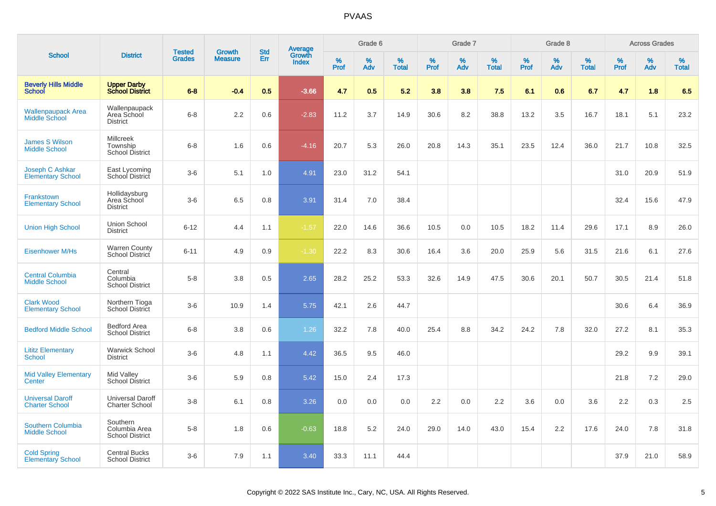|                                                  |                                                        |                                |                                 | <b>Std</b> |                                          |                  | Grade 6  |                   |           | Grade 7  |                   |           | Grade 8  |                   |           | <b>Across Grades</b> |                   |
|--------------------------------------------------|--------------------------------------------------------|--------------------------------|---------------------------------|------------|------------------------------------------|------------------|----------|-------------------|-----------|----------|-------------------|-----------|----------|-------------------|-----------|----------------------|-------------------|
| <b>School</b>                                    | <b>District</b>                                        | <b>Tested</b><br><b>Grades</b> | <b>Growth</b><br><b>Measure</b> | Err        | <b>Average</b><br>Growth<br><b>Index</b> | %<br><b>Prof</b> | %<br>Adv | %<br><b>Total</b> | %<br>Prof | %<br>Adv | %<br><b>Total</b> | %<br>Prof | %<br>Adv | %<br><b>Total</b> | %<br>Prof | %<br>Adv             | %<br><b>Total</b> |
| <b>Beverly Hills Middle</b><br>School            | <b>Upper Darby</b><br><b>School District</b>           | $6 - 8$                        | $-0.4$                          | 0.5        | $-3.66$                                  | 4.7              | 0.5      | 5.2               | 3.8       | 3.8      | 7.5               | 6.1       | 0.6      | 6.7               | 4.7       | 1.8                  | 6.5               |
| <b>Wallenpaupack Area</b><br>Middle School       | Wallenpaupack<br>Area School<br><b>District</b>        | $6 - 8$                        | 2.2                             | 0.6        | $-2.83$                                  | 11.2             | 3.7      | 14.9              | 30.6      | 8.2      | 38.8              | 13.2      | 3.5      | 16.7              | 18.1      | 5.1                  | 23.2              |
| <b>James S Wilson</b><br><b>Middle School</b>    | <b>Millcreek</b><br>Township<br><b>School District</b> | $6 - 8$                        | 1.6                             | 0.6        | $-4.16$                                  | 20.7             | 5.3      | 26.0              | 20.8      | 14.3     | 35.1              | 23.5      | 12.4     | 36.0              | 21.7      | 10.8                 | 32.5              |
| Joseph C Ashkar<br><b>Elementary School</b>      | East Lycoming<br>School District                       | $3-6$                          | 5.1                             | 1.0        | 4.91                                     | 23.0             | 31.2     | 54.1              |           |          |                   |           |          |                   | 31.0      | 20.9                 | 51.9              |
| Frankstown<br><b>Elementary School</b>           | Hollidaysburg<br>Area School<br><b>District</b>        | $3-6$                          | 6.5                             | 0.8        | 3.91                                     | 31.4             | 7.0      | 38.4              |           |          |                   |           |          |                   | 32.4      | 15.6                 | 47.9              |
| <b>Union High School</b>                         | <b>Union School</b><br><b>District</b>                 | $6 - 12$                       | 4.4                             | 1.1        | $-1.57$                                  | 22.0             | 14.6     | 36.6              | 10.5      | 0.0      | 10.5              | 18.2      | 11.4     | 29.6              | 17.1      | 8.9                  | 26.0              |
| <b>Eisenhower M/Hs</b>                           | <b>Warren County</b><br>School District                | $6 - 11$                       | 4.9                             | 0.9        | $-1.30$                                  | 22.2             | 8.3      | 30.6              | 16.4      | 3.6      | 20.0              | 25.9      | 5.6      | 31.5              | 21.6      | 6.1                  | 27.6              |
| <b>Central Columbia</b><br><b>Middle School</b>  | Central<br>Columbia<br><b>School District</b>          | $5-8$                          | 3.8                             | 0.5        | 2.65                                     | 28.2             | 25.2     | 53.3              | 32.6      | 14.9     | 47.5              | 30.6      | 20.1     | 50.7              | 30.5      | 21.4                 | 51.8              |
| <b>Clark Wood</b><br><b>Elementary School</b>    | Northern Tioga<br>School District                      | $3-6$                          | 10.9                            | 1.4        | 5.75                                     | 42.1             | 2.6      | 44.7              |           |          |                   |           |          |                   | 30.6      | 6.4                  | 36.9              |
| <b>Bedford Middle School</b>                     | Bedford Area<br><b>School District</b>                 | $6 - 8$                        | 3.8                             | 0.6        | 1.26                                     | 32.2             | 7.8      | 40.0              | 25.4      | 8.8      | 34.2              | 24.2      | 7.8      | 32.0              | 27.2      | 8.1                  | 35.3              |
| <b>Lititz Elementary</b><br>School               | Warwick School<br><b>District</b>                      | $3-6$                          | 4.8                             | 1.1        | 4.42                                     | 36.5             | 9.5      | 46.0              |           |          |                   |           |          |                   | 29.2      | 9.9                  | 39.1              |
| <b>Mid Valley Elementary</b><br>Center           | Mid Valley<br><b>School District</b>                   | $3-6$                          | 5.9                             | 0.8        | 5.42                                     | 15.0             | 2.4      | 17.3              |           |          |                   |           |          |                   | 21.8      | 7.2                  | 29.0              |
| <b>Universal Daroff</b><br><b>Charter School</b> | <b>Universal Daroff</b><br><b>Charter School</b>       | $3-8$                          | 6.1                             | 0.8        | 3.26                                     | 0.0              | 0.0      | 0.0               | 2.2       | 0.0      | 2.2               | 3.6       | 0.0      | 3.6               | 2.2       | 0.3                  | 2.5               |
| Southern Columbia<br><b>Middle School</b>        | Southern<br>Columbia Area<br><b>School District</b>    | $5-8$                          | 1.8                             | 0.6        | $-0.63$                                  | 18.8             | 5.2      | 24.0              | 29.0      | 14.0     | 43.0              | 15.4      | 2.2      | 17.6              | 24.0      | 7.8                  | 31.8              |
| <b>Cold Spring</b><br><b>Elementary School</b>   | <b>Central Bucks</b><br><b>School District</b>         | $3-6$                          | 7.9                             | 1.1        | 3.40                                     | 33.3             | 11.1     | 44.4              |           |          |                   |           |          |                   | 37.9      | 21.0                 | 58.9              |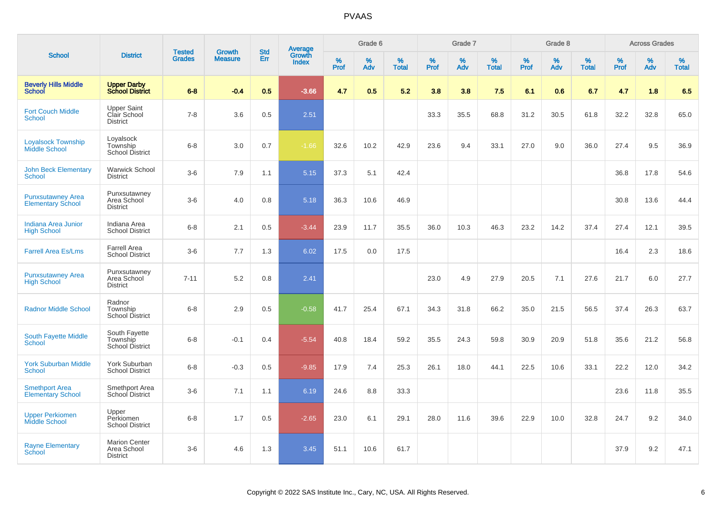|                                                      |                                                        |                                | <b>Growth</b>  | <b>Std</b> |                                          |                  | Grade 6     |                   |           | Grade 7     |                   |              | Grade 8  |                   |              | <b>Across Grades</b> |                   |
|------------------------------------------------------|--------------------------------------------------------|--------------------------------|----------------|------------|------------------------------------------|------------------|-------------|-------------------|-----------|-------------|-------------------|--------------|----------|-------------------|--------------|----------------------|-------------------|
| <b>School</b>                                        | <b>District</b>                                        | <b>Tested</b><br><b>Grades</b> | <b>Measure</b> | Err        | <b>Average</b><br>Growth<br><b>Index</b> | %<br><b>Prof</b> | $\%$<br>Adv | %<br><b>Total</b> | %<br>Prof | $\%$<br>Adv | %<br><b>Total</b> | $\%$<br>Prof | %<br>Adv | %<br><b>Total</b> | $\%$<br>Prof | $\%$<br>Adv          | %<br><b>Total</b> |
| <b>Beverly Hills Middle</b><br>School                | <b>Upper Darby</b><br><b>School District</b>           | $6 - 8$                        | $-0.4$         | 0.5        | $-3.66$                                  | 4.7              | 0.5         | 5.2               | 3.8       | 3.8         | 7.5               | 6.1          | 0.6      | 6.7               | 4.7          | 1.8                  | 6.5               |
| <b>Fort Couch Middle</b><br><b>School</b>            | <b>Upper Saint</b><br>Clair School<br><b>District</b>  | $7 - 8$                        | 3.6            | 0.5        | 2.51                                     |                  |             |                   | 33.3      | 35.5        | 68.8              | 31.2         | 30.5     | 61.8              | 32.2         | 32.8                 | 65.0              |
| <b>Loyalsock Township</b><br><b>Middle School</b>    | Loyalsock<br>Township<br>School District               | $6 - 8$                        | 3.0            | 0.7        | $-1.66$                                  | 32.6             | 10.2        | 42.9              | 23.6      | 9.4         | 33.1              | 27.0         | 9.0      | 36.0              | 27.4         | 9.5                  | 36.9              |
| <b>John Beck Elementary</b><br>School                | <b>Warwick School</b><br><b>District</b>               | $3-6$                          | 7.9            | 1.1        | 5.15                                     | 37.3             | 5.1         | 42.4              |           |             |                   |              |          |                   | 36.8         | 17.8                 | 54.6              |
| <b>Punxsutawney Area</b><br><b>Elementary School</b> | Punxsutawney<br>Area School<br><b>District</b>         | $3-6$                          | 4.0            | 0.8        | 5.18                                     | 36.3             | 10.6        | 46.9              |           |             |                   |              |          |                   | 30.8         | 13.6                 | 44.4              |
| Indiana Area Junior<br><b>High School</b>            | Indiana Area<br><b>School District</b>                 | $6 - 8$                        | 2.1            | 0.5        | $-3.44$                                  | 23.9             | 11.7        | 35.5              | 36.0      | 10.3        | 46.3              | 23.2         | 14.2     | 37.4              | 27.4         | 12.1                 | 39.5              |
| <b>Farrell Area Es/Lms</b>                           | <b>Farrell Area</b><br><b>School District</b>          | $3-6$                          | 7.7            | 1.3        | 6.02                                     | 17.5             | 0.0         | 17.5              |           |             |                   |              |          |                   | 16.4         | 2.3                  | 18.6              |
| <b>Punxsutawney Area</b><br><b>High School</b>       | Punxsutawney<br>Area School<br><b>District</b>         | $7 - 11$                       | 5.2            | 0.8        | 2.41                                     |                  |             |                   | 23.0      | 4.9         | 27.9              | 20.5         | 7.1      | 27.6              | 21.7         | 6.0                  | 27.7              |
| <b>Radnor Middle School</b>                          | Radnor<br>Township<br><b>School District</b>           | $6-8$                          | 2.9            | 0.5        | $-0.58$                                  | 41.7             | 25.4        | 67.1              | 34.3      | 31.8        | 66.2              | 35.0         | 21.5     | 56.5              | 37.4         | 26.3                 | 63.7              |
| South Fayette Middle<br><b>School</b>                | South Fayette<br>Township<br>School District           | $6 - 8$                        | $-0.1$         | 0.4        | $-5.54$                                  | 40.8             | 18.4        | 59.2              | 35.5      | 24.3        | 59.8              | 30.9         | 20.9     | 51.8              | 35.6         | 21.2                 | 56.8              |
| <b>York Suburban Middle</b><br><b>School</b>         | York Suburban<br><b>School District</b>                | $6 - 8$                        | $-0.3$         | 0.5        | $-9.85$                                  | 17.9             | 7.4         | 25.3              | 26.1      | 18.0        | 44.1              | 22.5         | 10.6     | 33.1              | 22.2         | 12.0                 | 34.2              |
| <b>Smethport Area</b><br><b>Elementary School</b>    | Smethport Area<br>School District                      | $3-6$                          | 7.1            | 1.1        | 6.19                                     | 24.6             | 8.8         | 33.3              |           |             |                   |              |          |                   | 23.6         | 11.8                 | 35.5              |
| <b>Upper Perkiomen</b><br>Middle School              | Upper<br>Perkiomen<br><b>School District</b>           | $6 - 8$                        | 1.7            | 0.5        | $-2.65$                                  | 23.0             | 6.1         | 29.1              | 28.0      | 11.6        | 39.6              | 22.9         | 10.0     | 32.8              | 24.7         | 9.2                  | 34.0              |
| <b>Rayne Elementary</b><br><b>School</b>             | <b>Marion Center</b><br>Area School<br><b>District</b> | $3-6$                          | 4.6            | 1.3        | 3.45                                     | 51.1             | 10.6        | 61.7              |           |             |                   |              |          |                   | 37.9         | 9.2                  | 47.1              |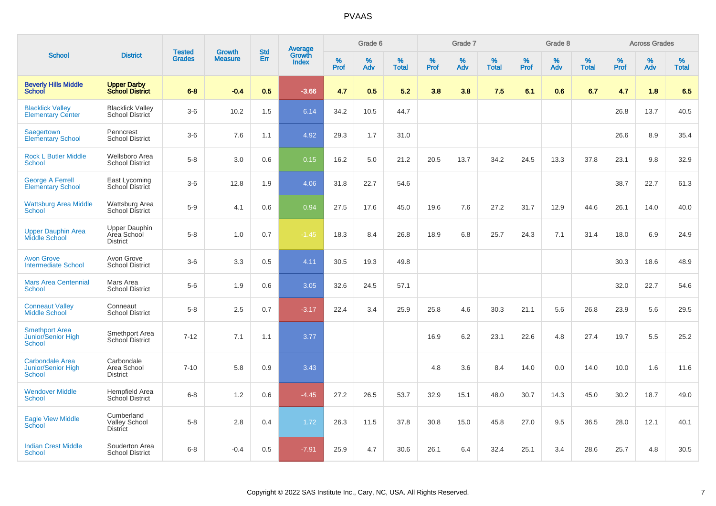|                                                               |                                                        | <b>Tested</b> | <b>Growth</b>  | <b>Std</b> |                                          |                  | Grade 6  |                   |              | Grade 7  |                   |                  | Grade 8  |                   |                     | <b>Across Grades</b> |                   |
|---------------------------------------------------------------|--------------------------------------------------------|---------------|----------------|------------|------------------------------------------|------------------|----------|-------------------|--------------|----------|-------------------|------------------|----------|-------------------|---------------------|----------------------|-------------------|
| <b>School</b>                                                 | <b>District</b>                                        | <b>Grades</b> | <b>Measure</b> | Err        | <b>Average</b><br>Growth<br><b>Index</b> | %<br><b>Prof</b> | %<br>Adv | %<br><b>Total</b> | $\%$<br>Prof | %<br>Adv | %<br><b>Total</b> | %<br><b>Prof</b> | %<br>Adv | %<br><b>Total</b> | $\%$<br><b>Prof</b> | $\%$<br>Adv          | %<br><b>Total</b> |
| <b>Beverly Hills Middle</b><br><b>School</b>                  | <b>Upper Darby</b><br><b>School District</b>           | $6 - 8$       | $-0.4$         | 0.5        | $-3.66$                                  | 4.7              | 0.5      | 5.2               | 3.8          | 3.8      | 7.5               | 6.1              | 0.6      | 6.7               | 4.7                 | 1.8                  | 6.5               |
| <b>Blacklick Valley</b><br><b>Elementary Center</b>           | <b>Blacklick Valley</b><br>School District             | $3-6$         | 10.2           | 1.5        | 6.14                                     | 34.2             | 10.5     | 44.7              |              |          |                   |                  |          |                   | 26.8                | 13.7                 | 40.5              |
| Saegertown<br><b>Elementary School</b>                        | Penncrest<br><b>School District</b>                    | $3-6$         | 7.6            | 1.1        | 4.92                                     | 29.3             | 1.7      | 31.0              |              |          |                   |                  |          |                   | 26.6                | 8.9                  | 35.4              |
| <b>Rock L Butler Middle</b><br><b>School</b>                  | Wellsboro Area<br><b>School District</b>               | $5-8$         | 3.0            | 0.6        | 0.15                                     | 16.2             | 5.0      | 21.2              | 20.5         | 13.7     | 34.2              | 24.5             | 13.3     | 37.8              | 23.1                | 9.8                  | 32.9              |
| <b>George A Ferrell</b><br><b>Elementary School</b>           | East Lycoming<br>School District                       | $3 - 6$       | 12.8           | 1.9        | 4.06                                     | 31.8             | 22.7     | 54.6              |              |          |                   |                  |          |                   | 38.7                | 22.7                 | 61.3              |
| <b>Wattsburg Area Middle</b><br>School                        | Wattsburg Area<br>School District                      | $5-9$         | 4.1            | 0.6        | 0.94                                     | 27.5             | 17.6     | 45.0              | 19.6         | 7.6      | 27.2              | 31.7             | 12.9     | 44.6              | 26.1                | 14.0                 | 40.0              |
| <b>Upper Dauphin Area</b><br><b>Middle School</b>             | <b>Upper Dauphin</b><br>Area School<br><b>District</b> | $5-8$         | 1.0            | 0.7        | $-1.45$                                  | 18.3             | 8.4      | 26.8              | 18.9         | 6.8      | 25.7              | 24.3             | 7.1      | 31.4              | 18.0                | 6.9                  | 24.9              |
| <b>Avon Grove</b><br><b>Intermediate School</b>               | Avon Grove<br><b>School District</b>                   | $3-6$         | 3.3            | 0.5        | 4.11                                     | 30.5             | 19.3     | 49.8              |              |          |                   |                  |          |                   | 30.3                | 18.6                 | 48.9              |
| <b>Mars Area Centennial</b><br><b>School</b>                  | Mars Area<br><b>School District</b>                    | $5-6$         | 1.9            | 0.6        | 3.05                                     | 32.6             | 24.5     | 57.1              |              |          |                   |                  |          |                   | 32.0                | 22.7                 | 54.6              |
| <b>Conneaut Valley</b><br><b>Middle School</b>                | Conneaut<br><b>School District</b>                     | $5-8$         | 2.5            | 0.7        | $-3.17$                                  | 22.4             | 3.4      | 25.9              | 25.8         | 4.6      | 30.3              | 21.1             | 5.6      | 26.8              | 23.9                | 5.6                  | 29.5              |
| <b>Smethport Area</b><br>Junior/Senior High<br>School         | Smethport Area<br>School District                      | $7 - 12$      | 7.1            | 1.1        | 3.77                                     |                  |          |                   | 16.9         | 6.2      | 23.1              | 22.6             | 4.8      | 27.4              | 19.7                | 5.5                  | 25.2              |
| <b>Carbondale Area</b><br>Junior/Senior High<br><b>School</b> | Carbondale<br>Area School<br><b>District</b>           | $7 - 10$      | 5.8            | 0.9        | 3.43                                     |                  |          |                   | 4.8          | 3.6      | 8.4               | 14.0             | 0.0      | 14.0              | 10.0                | 1.6                  | 11.6              |
| <b>Wendover Middle</b><br><b>School</b>                       | Hempfield Area<br><b>School District</b>               | $6 - 8$       | 1.2            | 0.6        | $-4.45$                                  | 27.2             | 26.5     | 53.7              | 32.9         | 15.1     | 48.0              | 30.7             | 14.3     | 45.0              | 30.2                | 18.7                 | 49.0              |
| <b>Eagle View Middle</b><br>School                            | Cumberland<br><b>Valley School</b><br><b>District</b>  | $5 - 8$       | 2.8            | 0.4        | 1.72                                     | 26.3             | 11.5     | 37.8              | 30.8         | 15.0     | 45.8              | 27.0             | 9.5      | 36.5              | 28.0                | 12.1                 | 40.1              |
| <b>Indian Crest Middle</b><br><b>School</b>                   | Souderton Area<br><b>School District</b>               | $6 - 8$       | $-0.4$         | 0.5        | $-7.91$                                  | 25.9             | 4.7      | 30.6              | 26.1         | 6.4      | 32.4              | 25.1             | 3.4      | 28.6              | 25.7                | 4.8                  | 30.5              |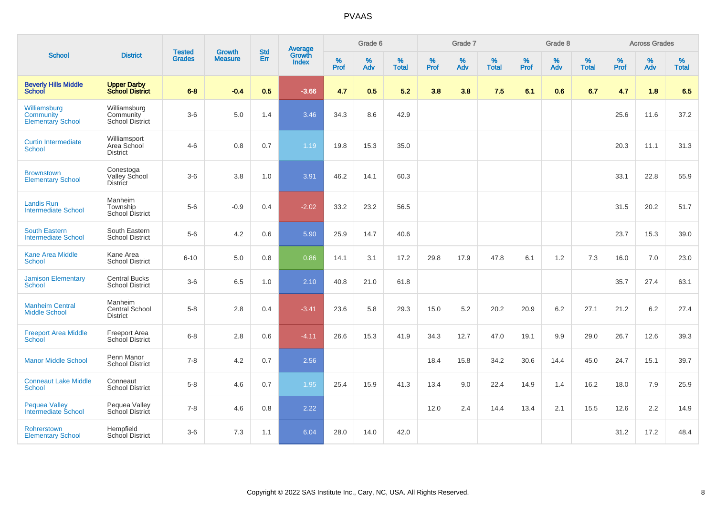|                                                       |                                                      | <b>Tested</b> | <b>Growth</b>  | <b>Std</b> |                                          |                     | Grade 6     |                   |                     | Grade 7     |                   |                     | Grade 8     |                   |              | <b>Across Grades</b> |                   |
|-------------------------------------------------------|------------------------------------------------------|---------------|----------------|------------|------------------------------------------|---------------------|-------------|-------------------|---------------------|-------------|-------------------|---------------------|-------------|-------------------|--------------|----------------------|-------------------|
| <b>School</b>                                         | <b>District</b>                                      | <b>Grades</b> | <b>Measure</b> | Err        | <b>Average</b><br>Growth<br><b>Index</b> | $\%$<br><b>Prof</b> | $\%$<br>Adv | %<br><b>Total</b> | $\%$<br><b>Prof</b> | $\%$<br>Adv | %<br><b>Total</b> | $\%$<br><b>Prof</b> | $\%$<br>Adv | %<br><b>Total</b> | $\%$<br>Prof | $\%$<br>Adv          | %<br><b>Total</b> |
| <b>Beverly Hills Middle</b><br><b>School</b>          | <b>Upper Darby<br/>School District</b>               | $6 - 8$       | $-0.4$         | 0.5        | $-3.66$                                  | 4.7                 | 0.5         | 5.2               | 3.8                 | 3.8         | 7.5               | 6.1                 | 0.6         | 6.7               | 4.7          | 1.8                  | 6.5               |
| Williamsburg<br>Community<br><b>Elementary School</b> | Williamsburg<br>Community<br><b>School District</b>  | $3-6$         | 5.0            | 1.4        | 3.46                                     | 34.3                | 8.6         | 42.9              |                     |             |                   |                     |             |                   | 25.6         | 11.6                 | 37.2              |
| <b>Curtin Intermediate</b><br><b>School</b>           | Williamsport<br>Area School<br><b>District</b>       | $4-6$         | 0.8            | 0.7        | 1.19                                     | 19.8                | 15.3        | 35.0              |                     |             |                   |                     |             |                   | 20.3         | 11.1                 | 31.3              |
| <b>Brownstown</b><br><b>Elementary School</b>         | Conestoga<br><b>Valley School</b><br><b>District</b> | $3-6$         | 3.8            | 1.0        | 3.91                                     | 46.2                | 14.1        | 60.3              |                     |             |                   |                     |             |                   | 33.1         | 22.8                 | 55.9              |
| <b>Landis Run</b><br><b>Intermediate School</b>       | Manheim<br>Township<br><b>School District</b>        | $5-6$         | $-0.9$         | 0.4        | $-2.02$                                  | 33.2                | 23.2        | 56.5              |                     |             |                   |                     |             |                   | 31.5         | 20.2                 | 51.7              |
| <b>South Eastern</b><br><b>Intermediate School</b>    | South Eastern<br><b>School District</b>              | $5-6$         | 4.2            | 0.6        | 5.90                                     | 25.9                | 14.7        | 40.6              |                     |             |                   |                     |             |                   | 23.7         | 15.3                 | 39.0              |
| <b>Kane Area Middle</b><br><b>School</b>              | Kane Area<br><b>School District</b>                  | $6 - 10$      | 5.0            | 0.8        | 0.86                                     | 14.1                | 3.1         | 17.2              | 29.8                | 17.9        | 47.8              | 6.1                 | 1.2         | 7.3               | 16.0         | 7.0                  | 23.0              |
| <b>Jamison Elementary</b><br><b>School</b>            | <b>Central Bucks</b><br><b>School District</b>       | $3-6$         | 6.5            | 1.0        | 2.10                                     | 40.8                | 21.0        | 61.8              |                     |             |                   |                     |             |                   | 35.7         | 27.4                 | 63.1              |
| <b>Manheim Central</b><br><b>Middle School</b>        | Manheim<br>Central School<br><b>District</b>         | $5-8$         | 2.8            | 0.4        | $-3.41$                                  | 23.6                | 5.8         | 29.3              | 15.0                | 5.2         | 20.2              | 20.9                | 6.2         | 27.1              | 21.2         | 6.2                  | 27.4              |
| <b>Freeport Area Middle</b><br><b>School</b>          | <b>Freeport Area</b><br>School District              | $6 - 8$       | 2.8            | 0.6        | $-4.11$                                  | 26.6                | 15.3        | 41.9              | 34.3                | 12.7        | 47.0              | 19.1                | 9.9         | 29.0              | 26.7         | 12.6                 | 39.3              |
| <b>Manor Middle School</b>                            | Penn Manor<br><b>School District</b>                 | $7 - 8$       | $4.2\,$        | 0.7        | 2.56                                     |                     |             |                   | 18.4                | 15.8        | 34.2              | 30.6                | 14.4        | 45.0              | 24.7         | 15.1                 | 39.7              |
| <b>Conneaut Lake Middle</b><br><b>School</b>          | Conneaut<br><b>School District</b>                   | $5-8$         | 4.6            | 0.7        | 1.95                                     | 25.4                | 15.9        | 41.3              | 13.4                | 9.0         | 22.4              | 14.9                | 1.4         | 16.2              | 18.0         | 7.9                  | 25.9              |
| <b>Pequea Valley</b><br>Intermediate School           | Pequea Valley<br>School District                     | $7 - 8$       | 4.6            | 0.8        | 2.22                                     |                     |             |                   | 12.0                | 2.4         | 14.4              | 13.4                | 2.1         | 15.5              | 12.6         | 2.2                  | 14.9              |
| Rohrerstown<br><b>Elementary School</b>               | Hempfield<br><b>School District</b>                  | $3-6$         | 7.3            | 1.1        | 6.04                                     | 28.0                | 14.0        | 42.0              |                     |             |                   |                     |             |                   | 31.2         | 17.2                 | 48.4              |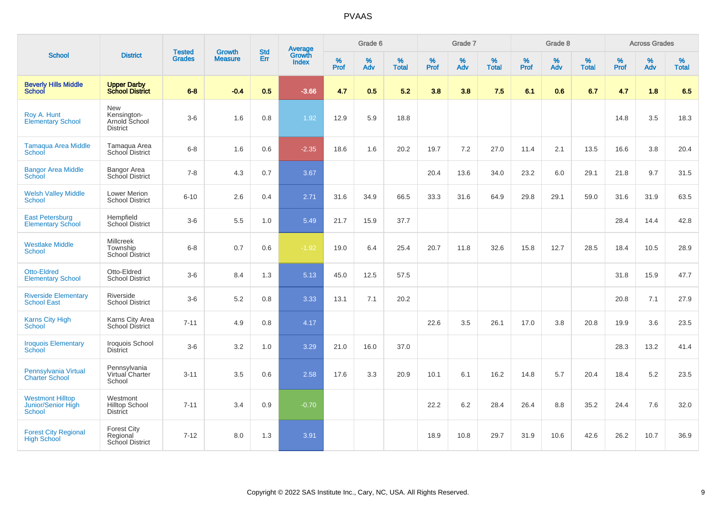|                                                                |                                                          | <b>Tested</b> | <b>Growth</b>  | <b>Std</b> | <b>Average</b><br>Growth |           | Grade 6     |                   |           | Grade 7  |                   |           | Grade 8  |                   |              | <b>Across Grades</b> |                   |
|----------------------------------------------------------------|----------------------------------------------------------|---------------|----------------|------------|--------------------------|-----------|-------------|-------------------|-----------|----------|-------------------|-----------|----------|-------------------|--------------|----------------------|-------------------|
| <b>School</b>                                                  | <b>District</b>                                          | <b>Grades</b> | <b>Measure</b> | Err        | <b>Index</b>             | %<br>Prof | $\%$<br>Adv | %<br><b>Total</b> | %<br>Prof | %<br>Adv | %<br><b>Total</b> | %<br>Prof | %<br>Adv | %<br><b>Total</b> | $\%$<br>Prof | $\%$<br>Adv          | %<br><b>Total</b> |
| <b>Beverly Hills Middle</b><br><b>School</b>                   | <b>Upper Darby<br/>School District</b>                   | $6 - 8$       | $-0.4$         | 0.5        | $-3.66$                  | 4.7       | 0.5         | 5.2               | 3.8       | 3.8      | 7.5               | 6.1       | 0.6      | 6.7               | 4.7          | 1.8                  | 6.5               |
| Roy A. Hunt<br><b>Elementary School</b>                        | New<br>Kensington-<br>Arnold School<br><b>District</b>   | $3-6$         | 1.6            | 0.8        | 1.92                     | 12.9      | 5.9         | 18.8              |           |          |                   |           |          |                   | 14.8         | 3.5                  | 18.3              |
| <b>Tamaqua Area Middle</b><br>School                           | Tamagua Area<br>School District                          | $6 - 8$       | 1.6            | 0.6        | $-2.35$                  | 18.6      | 1.6         | 20.2              | 19.7      | 7.2      | 27.0              | 11.4      | 2.1      | 13.5              | 16.6         | 3.8                  | 20.4              |
| <b>Bangor Area Middle</b><br>School                            | Bangor Area<br>School District                           | $7 - 8$       | 4.3            | 0.7        | 3.67                     |           |             |                   | 20.4      | 13.6     | 34.0              | 23.2      | 6.0      | 29.1              | 21.8         | 9.7                  | 31.5              |
| <b>Welsh Valley Middle</b><br>School                           | <b>Lower Merion</b><br><b>School District</b>            | $6 - 10$      | 2.6            | 0.4        | 2.71                     | 31.6      | 34.9        | 66.5              | 33.3      | 31.6     | 64.9              | 29.8      | 29.1     | 59.0              | 31.6         | 31.9                 | 63.5              |
| <b>East Petersburg</b><br><b>Elementary School</b>             | Hempfield<br>School District                             | $3-6$         | 5.5            | 1.0        | 5.49                     | 21.7      | 15.9        | 37.7              |           |          |                   |           |          |                   | 28.4         | 14.4                 | 42.8              |
| <b>Westlake Middle</b><br><b>School</b>                        | <b>Millcreek</b><br>Township<br>School District          | $6 - 8$       | 0.7            | 0.6        | $-1.92$                  | 19.0      | 6.4         | 25.4              | 20.7      | 11.8     | 32.6              | 15.8      | 12.7     | 28.5              | 18.4         | 10.5                 | 28.9              |
| <b>Otto-Eldred</b><br><b>Elementary School</b>                 | Otto-Eldred<br><b>School District</b>                    | $3-6$         | 8.4            | 1.3        | 5.13                     | 45.0      | 12.5        | 57.5              |           |          |                   |           |          |                   | 31.8         | 15.9                 | 47.7              |
| <b>Riverside Elementary</b><br><b>School East</b>              | Riverside<br><b>School District</b>                      | $3-6$         | 5.2            | 0.8        | 3.33                     | 13.1      | 7.1         | 20.2              |           |          |                   |           |          |                   | 20.8         | 7.1                  | 27.9              |
| <b>Karns City High</b><br><b>School</b>                        | Karns City Area<br>School District                       | $7 - 11$      | 4.9            | 0.8        | 4.17                     |           |             |                   | 22.6      | 3.5      | 26.1              | 17.0      | 3.8      | 20.8              | 19.9         | 3.6                  | 23.5              |
| <b>Iroquois Elementary</b><br><b>School</b>                    | Iroquois School<br><b>District</b>                       | $3-6$         | 3.2            | 1.0        | 3.29                     | 21.0      | 16.0        | 37.0              |           |          |                   |           |          |                   | 28.3         | 13.2                 | 41.4              |
| Pennsylvania Virtual<br><b>Charter School</b>                  | Pennsylvania<br>Virtual Charter<br>School                | $3 - 11$      | 3.5            | 0.6        | 2.58                     | 17.6      | 3.3         | 20.9              | 10.1      | 6.1      | 16.2              | 14.8      | 5.7      | 20.4              | 18.4         | 5.2                  | 23.5              |
| <b>Westmont Hilltop</b><br>Junior/Senior High<br><b>School</b> | Westmont<br><b>Hilltop School</b><br><b>District</b>     | $7 - 11$      | 3.4            | 0.9        | $-0.70$                  |           |             |                   | 22.2      | 6.2      | 28.4              | 26.4      | 8.8      | 35.2              | 24.4         | 7.6                  | 32.0              |
| <b>Forest City Regional</b><br><b>High School</b>              | <b>Forest City</b><br>Regional<br><b>School District</b> | $7 - 12$      | 8.0            | 1.3        | 3.91                     |           |             |                   | 18.9      | 10.8     | 29.7              | 31.9      | 10.6     | 42.6              | 26.2         | 10.7                 | 36.9              |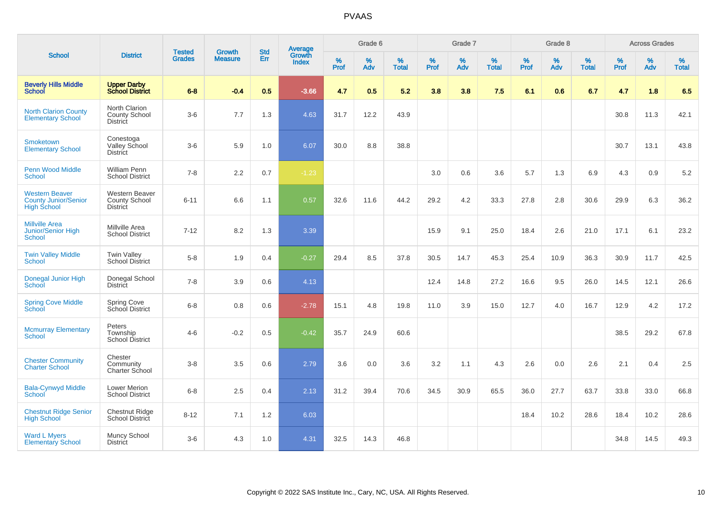|                                                                            |                                                           |                                | <b>Growth</b>  | <b>Std</b> |                                          |           | Grade 6  |                   |           | Grade 7     |                   |           | Grade 8  |                   |           | <b>Across Grades</b> |                   |
|----------------------------------------------------------------------------|-----------------------------------------------------------|--------------------------------|----------------|------------|------------------------------------------|-----------|----------|-------------------|-----------|-------------|-------------------|-----------|----------|-------------------|-----------|----------------------|-------------------|
| <b>School</b>                                                              | <b>District</b>                                           | <b>Tested</b><br><b>Grades</b> | <b>Measure</b> | <b>Err</b> | <b>Average</b><br>Growth<br><b>Index</b> | %<br>Prof | %<br>Adv | %<br><b>Total</b> | %<br>Prof | $\%$<br>Adv | %<br><b>Total</b> | %<br>Prof | %<br>Adv | %<br><b>Total</b> | %<br>Prof | $\%$<br>Adv          | %<br><b>Total</b> |
| <b>Beverly Hills Middle</b><br><b>School</b>                               | <b>Upper Darby<br/>School District</b>                    | $6-8$                          | $-0.4$         | 0.5        | $-3.66$                                  | 4.7       | 0.5      | 5.2               | 3.8       | 3.8         | 7.5               | 6.1       | 0.6      | 6.7               | 4.7       | 1.8                  | 6.5               |
| <b>North Clarion County</b><br><b>Elementary School</b>                    | North Clarion<br>County School<br><b>District</b>         | $3-6$                          | 7.7            | 1.3        | 4.63                                     | 31.7      | 12.2     | 43.9              |           |             |                   |           |          |                   | 30.8      | 11.3                 | 42.1              |
| <b>Smoketown</b><br><b>Elementary School</b>                               | Conestoga<br>Valley School<br><b>District</b>             | $3-6$                          | 5.9            | 1.0        | 6.07                                     | 30.0      | 8.8      | 38.8              |           |             |                   |           |          |                   | 30.7      | 13.1                 | 43.8              |
| Penn Wood Middle<br><b>School</b>                                          | <b>William Penn</b><br><b>School District</b>             | $7 - 8$                        | 2.2            | 0.7        | $-1.23$                                  |           |          |                   | 3.0       | 0.6         | 3.6               | 5.7       | 1.3      | 6.9               | 4.3       | 0.9                  | $5.2\,$           |
| <b>Western Beaver</b><br><b>County Junior/Senior</b><br><b>High School</b> | <b>Western Beaver</b><br>County School<br><b>District</b> | $6 - 11$                       | 6.6            | 1.1        | 0.57                                     | 32.6      | 11.6     | 44.2              | 29.2      | 4.2         | 33.3              | 27.8      | 2.8      | 30.6              | 29.9      | 6.3                  | 36.2              |
| <b>Millville Area</b><br><b>Junior/Senior High</b><br><b>School</b>        | Millville Area<br><b>School District</b>                  | $7 - 12$                       | 8.2            | 1.3        | 3.39                                     |           |          |                   | 15.9      | 9.1         | 25.0              | 18.4      | 2.6      | 21.0              | 17.1      | 6.1                  | 23.2              |
| <b>Twin Valley Middle</b><br><b>School</b>                                 | <b>Twin Valley</b><br><b>School District</b>              | $5-8$                          | 1.9            | 0.4        | $-0.27$                                  | 29.4      | 8.5      | 37.8              | 30.5      | 14.7        | 45.3              | 25.4      | 10.9     | 36.3              | 30.9      | 11.7                 | 42.5              |
| Donegal Junior High<br>School                                              | Donegal School<br><b>District</b>                         | $7 - 8$                        | 3.9            | 0.6        | 4.13                                     |           |          |                   | 12.4      | 14.8        | 27.2              | 16.6      | 9.5      | 26.0              | 14.5      | 12.1                 | 26.6              |
| <b>Spring Cove Middle</b><br>School                                        | <b>Spring Cove</b><br>School District                     | $6 - 8$                        | 0.8            | 0.6        | $-2.78$                                  | 15.1      | 4.8      | 19.8              | 11.0      | 3.9         | 15.0              | 12.7      | 4.0      | 16.7              | 12.9      | 4.2                  | 17.2              |
| <b>Mcmurray Elementary</b><br>School                                       | Peters<br>Township<br><b>School District</b>              | $4-6$                          | $-0.2$         | 0.5        | $-0.42$                                  | 35.7      | 24.9     | 60.6              |           |             |                   |           |          |                   | 38.5      | 29.2                 | 67.8              |
| <b>Chester Community</b><br><b>Charter School</b>                          | Chester<br>Community<br>Charter School                    | $3-8$                          | 3.5            | 0.6        | 2.79                                     | 3.6       | 0.0      | 3.6               | 3.2       | 1.1         | 4.3               | 2.6       | 0.0      | 2.6               | 2.1       | 0.4                  | 2.5               |
| <b>Bala-Cynwyd Middle</b><br>School                                        | Lower Merion<br><b>School District</b>                    | $6 - 8$                        | 2.5            | 0.4        | 2.13                                     | 31.2      | 39.4     | 70.6              | 34.5      | 30.9        | 65.5              | 36.0      | 27.7     | 63.7              | 33.8      | 33.0                 | 66.8              |
| <b>Chestnut Ridge Senior</b><br><b>High School</b>                         | Chestnut Ridge<br>School District                         | $8 - 12$                       | 7.1            | 1.2        | 6.03                                     |           |          |                   |           |             |                   | 18.4      | 10.2     | 28.6              | 18.4      | 10.2                 | 28.6              |
| <b>Ward L Myers</b><br><b>Elementary School</b>                            | Muncy School<br><b>District</b>                           | $3-6$                          | 4.3            | 1.0        | 4.31                                     | 32.5      | 14.3     | 46.8              |           |             |                   |           |          |                   | 34.8      | 14.5                 | 49.3              |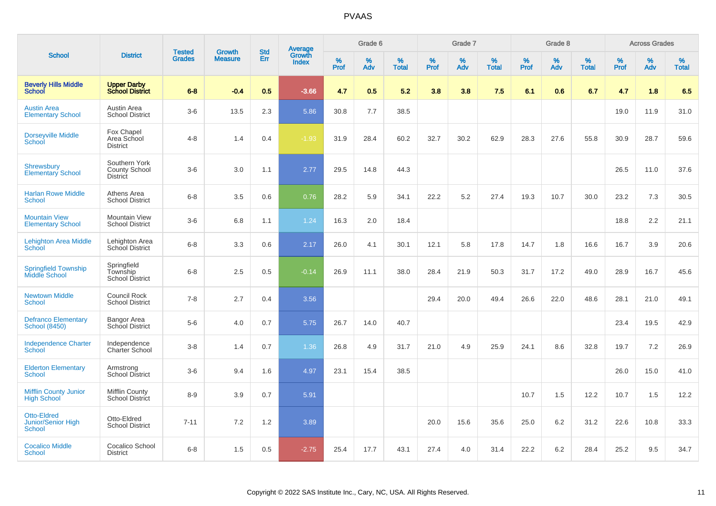|                                                           |                                                   |                                | <b>Growth</b>  | <b>Std</b> |                                          |                  | Grade 6  |                   |              | Grade 7     |                   |           | Grade 8  |                   |           | <b>Across Grades</b> |                   |
|-----------------------------------------------------------|---------------------------------------------------|--------------------------------|----------------|------------|------------------------------------------|------------------|----------|-------------------|--------------|-------------|-------------------|-----------|----------|-------------------|-----------|----------------------|-------------------|
| <b>School</b>                                             | <b>District</b>                                   | <b>Tested</b><br><b>Grades</b> | <b>Measure</b> | Err        | <b>Average</b><br>Growth<br><b>Index</b> | %<br><b>Prof</b> | %<br>Adv | %<br><b>Total</b> | $\%$<br>Prof | $\%$<br>Adv | %<br><b>Total</b> | %<br>Prof | %<br>Adv | %<br><b>Total</b> | %<br>Prof | $\%$<br>Adv          | %<br><b>Total</b> |
| <b>Beverly Hills Middle</b><br>School                     | <b>Upper Darby</b><br><b>School District</b>      | $6 - 8$                        | $-0.4$         | 0.5        | $-3.66$                                  | 4.7              | 0.5      | 5.2               | 3.8          | 3.8         | 7.5               | 6.1       | 0.6      | 6.7               | 4.7       | 1.8                  | 6.5               |
| <b>Austin Area</b><br><b>Elementary School</b>            | Austin Area<br><b>School District</b>             | $3-6$                          | 13.5           | 2.3        | 5.86                                     | 30.8             | 7.7      | 38.5              |              |             |                   |           |          |                   | 19.0      | 11.9                 | 31.0              |
| <b>Dorseyville Middle</b><br>School                       | Fox Chapel<br>Area School<br><b>District</b>      | $4 - 8$                        | 1.4            | 0.4        | $-1.93$                                  | 31.9             | 28.4     | 60.2              | 32.7         | 30.2        | 62.9              | 28.3      | 27.6     | 55.8              | 30.9      | 28.7                 | 59.6              |
| <b>Shrewsbury</b><br><b>Elementary School</b>             | Southern York<br>County School<br><b>District</b> | $3-6$                          | 3.0            | 1.1        | 2.77                                     | 29.5             | 14.8     | 44.3              |              |             |                   |           |          |                   | 26.5      | 11.0                 | 37.6              |
| <b>Harlan Rowe Middle</b><br><b>School</b>                | Athens Area<br><b>School District</b>             | $6 - 8$                        | 3.5            | 0.6        | 0.76                                     | 28.2             | 5.9      | 34.1              | 22.2         | 5.2         | 27.4              | 19.3      | 10.7     | 30.0              | 23.2      | 7.3                  | 30.5              |
| <b>Mountain View</b><br><b>Elementary School</b>          | <b>Mountain View</b><br><b>School District</b>    | $3-6$                          | 6.8            | 1.1        | 1.24                                     | 16.3             | 2.0      | 18.4              |              |             |                   |           |          |                   | 18.8      | 2.2                  | 21.1              |
| <b>Lehighton Area Middle</b><br>School                    | Lehighton Area<br>School District                 | $6 - 8$                        | 3.3            | 0.6        | 2.17                                     | 26.0             | 4.1      | 30.1              | 12.1         | 5.8         | 17.8              | 14.7      | 1.8      | 16.6              | 16.7      | 3.9                  | 20.6              |
| <b>Springfield Township</b><br>Middle School              | Springfield<br>Township<br><b>School District</b> | $6 - 8$                        | 2.5            | 0.5        | $-0.14$                                  | 26.9             | 11.1     | 38.0              | 28.4         | 21.9        | 50.3              | 31.7      | 17.2     | 49.0              | 28.9      | 16.7                 | 45.6              |
| <b>Newtown Middle</b><br><b>School</b>                    | Council Rock<br><b>School District</b>            | $7 - 8$                        | 2.7            | 0.4        | 3.56                                     |                  |          |                   | 29.4         | 20.0        | 49.4              | 26.6      | 22.0     | 48.6              | 28.1      | 21.0                 | 49.1              |
| <b>Defranco Elementary</b><br><b>School (8450)</b>        | Bangor Area<br>School District                    | $5-6$                          | 4.0            | 0.7        | 5.75                                     | 26.7             | 14.0     | 40.7              |              |             |                   |           |          |                   | 23.4      | 19.5                 | 42.9              |
| <b>Independence Charter</b><br>School                     | Independence<br>Charter School                    | $3 - 8$                        | 1.4            | 0.7        | 1.36                                     | 26.8             | 4.9      | 31.7              | 21.0         | 4.9         | 25.9              | 24.1      | 8.6      | 32.8              | 19.7      | 7.2                  | 26.9              |
| <b>Elderton Elementary</b><br><b>School</b>               | Armstrong<br>School District                      | $3-6$                          | 9.4            | 1.6        | 4.97                                     | 23.1             | 15.4     | 38.5              |              |             |                   |           |          |                   | 26.0      | 15.0                 | 41.0              |
| <b>Mifflin County Junior</b><br><b>High School</b>        | <b>Mifflin County</b><br><b>School District</b>   | $8 - 9$                        | 3.9            | 0.7        | 5.91                                     |                  |          |                   |              |             |                   | 10.7      | 1.5      | 12.2              | 10.7      | 1.5                  | 12.2              |
| <b>Otto-Eldred</b><br>Junior/Senior High<br><b>School</b> | Otto-Eldred<br><b>School District</b>             | $7 - 11$                       | 7.2            | 1.2        | 3.89                                     |                  |          |                   | 20.0         | 15.6        | 35.6              | 25.0      | 6.2      | 31.2              | 22.6      | 10.8                 | 33.3              |
| <b>Cocalico Middle</b><br><b>School</b>                   | Cocalico School<br><b>District</b>                | $6 - 8$                        | 1.5            | 0.5        | $-2.75$                                  | 25.4             | 17.7     | 43.1              | 27.4         | 4.0         | 31.4              | 22.2      | 6.2      | 28.4              | 25.2      | 9.5                  | 34.7              |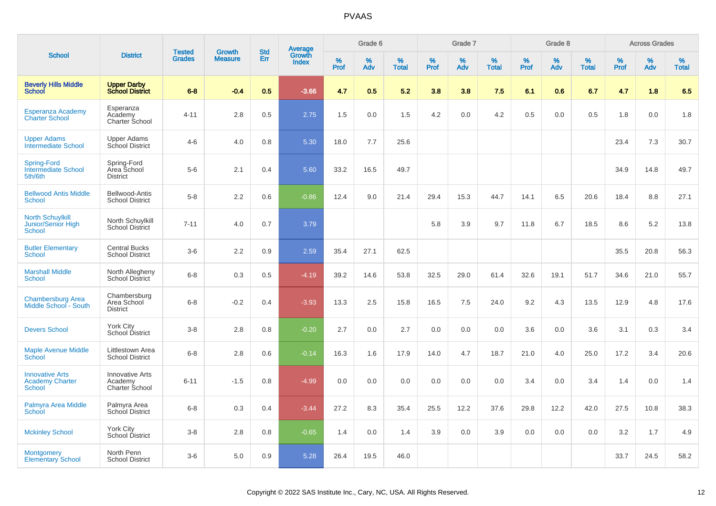|                                                                       |                                                     |                                |                                 |                   |                                          |           | Grade 6  |                   |           | Grade 7     |                   |           | Grade 8  |                   |           | <b>Across Grades</b> |                   |
|-----------------------------------------------------------------------|-----------------------------------------------------|--------------------------------|---------------------------------|-------------------|------------------------------------------|-----------|----------|-------------------|-----------|-------------|-------------------|-----------|----------|-------------------|-----------|----------------------|-------------------|
| <b>School</b>                                                         | <b>District</b>                                     | <b>Tested</b><br><b>Grades</b> | <b>Growth</b><br><b>Measure</b> | <b>Std</b><br>Err | <b>Average</b><br>Growth<br><b>Index</b> | %<br>Prof | %<br>Adv | %<br><b>Total</b> | %<br>Prof | $\%$<br>Adv | %<br><b>Total</b> | %<br>Prof | %<br>Adv | %<br><b>Total</b> | %<br>Prof | %<br>Adv             | %<br><b>Total</b> |
| <b>Beverly Hills Middle</b><br><b>School</b>                          | <b>Upper Darby</b><br><b>School District</b>        | $6 - 8$                        | $-0.4$                          | 0.5               | $-3.66$                                  | 4.7       | 0.5      | 5.2               | 3.8       | 3.8         | 7.5               | 6.1       | 0.6      | 6.7               | 4.7       | 1.8                  | 6.5               |
| Esperanza Academy<br><b>Charter School</b>                            | Esperanza<br>Academy<br>Charter School              | $4 - 11$                       | 2.8                             | 0.5               | 2.75                                     | 1.5       | 0.0      | 1.5               | 4.2       | 0.0         | 4.2               | 0.5       | 0.0      | 0.5               | 1.8       | 0.0                  | 1.8               |
| <b>Upper Adams</b><br><b>Intermediate School</b>                      | <b>Upper Adams</b><br>School District               | $4 - 6$                        | 4.0                             | 0.8               | 5.30                                     | 18.0      | 7.7      | 25.6              |           |             |                   |           |          |                   | 23.4      | 7.3                  | 30.7              |
| <b>Spring-Ford</b><br><b>Intermediate School</b><br>5th/6th           | Spring-Ford<br>Area School<br><b>District</b>       | $5-6$                          | 2.1                             | 0.4               | 5.60                                     | 33.2      | 16.5     | 49.7              |           |             |                   |           |          |                   | 34.9      | 14.8                 | 49.7              |
| <b>Bellwood Antis Middle</b><br>School                                | Bellwood-Antis<br><b>School District</b>            | $5 - 8$                        | 2.2                             | 0.6               | $-0.86$                                  | 12.4      | 9.0      | 21.4              | 29.4      | 15.3        | 44.7              | 14.1      | 6.5      | 20.6              | 18.4      | 8.8                  | 27.1              |
| <b>North Schuylkill</b><br><b>Junior/Senior High</b><br><b>School</b> | North Schuylkill<br>School District                 | $7 - 11$                       | 4.0                             | 0.7               | 3.79                                     |           |          |                   | 5.8       | 3.9         | 9.7               | 11.8      | 6.7      | 18.5              | 8.6       | 5.2                  | 13.8              |
| <b>Butler Elementary</b><br><b>School</b>                             | <b>Central Bucks</b><br><b>School District</b>      | $3-6$                          | 2.2                             | 0.9               | 2.59                                     | 35.4      | 27.1     | 62.5              |           |             |                   |           |          |                   | 35.5      | 20.8                 | 56.3              |
| <b>Marshall Middle</b><br>School                                      | North Allegheny<br>School District                  | $6 - 8$                        | 0.3                             | 0.5               | $-4.19$                                  | 39.2      | 14.6     | 53.8              | 32.5      | 29.0        | 61.4              | 32.6      | 19.1     | 51.7              | 34.6      | 21.0                 | 55.7              |
| <b>Chambersburg Area</b><br>Middle School - South                     | Chambersburg<br>Area School<br><b>District</b>      | $6 - 8$                        | $-0.2$                          | 0.4               | $-3.93$                                  | 13.3      | 2.5      | 15.8              | 16.5      | 7.5         | 24.0              | 9.2       | 4.3      | 13.5              | 12.9      | 4.8                  | 17.6              |
| <b>Devers School</b>                                                  | York City<br>School District                        | $3 - 8$                        | 2.8                             | 0.8               | $-0.20$                                  | 2.7       | 0.0      | 2.7               | 0.0       | 0.0         | 0.0               | 3.6       | 0.0      | 3.6               | 3.1       | 0.3                  | 3.4               |
| <b>Maple Avenue Middle</b><br><b>School</b>                           | Littlestown Area<br><b>School District</b>          | $6 - 8$                        | 2.8                             | 0.6               | $-0.14$                                  | 16.3      | 1.6      | 17.9              | 14.0      | 4.7         | 18.7              | 21.0      | 4.0      | 25.0              | 17.2      | 3.4                  | 20.6              |
| <b>Innovative Arts</b><br><b>Academy Charter</b><br><b>School</b>     | <b>Innovative Arts</b><br>Academy<br>Charter School | $6 - 11$                       | $-1.5$                          | 0.8               | $-4.99$                                  | 0.0       | 0.0      | 0.0               | 0.0       | 0.0         | 0.0               | 3.4       | 0.0      | 3.4               | 1.4       | 0.0                  | 1.4               |
| Palmyra Area Middle<br>School                                         | Palmyra Area<br>School District                     | $6 - 8$                        | 0.3                             | 0.4               | $-3.44$                                  | 27.2      | 8.3      | 35.4              | 25.5      | 12.2        | 37.6              | 29.8      | 12.2     | 42.0              | 27.5      | 10.8                 | 38.3              |
| <b>Mckinley School</b>                                                | York City<br>School District                        | $3 - 8$                        | 2.8                             | 0.8               | $-0.65$                                  | 1.4       | 0.0      | 1.4               | 3.9       | 0.0         | 3.9               | 0.0       | 0.0      | 0.0               | 3.2       | 1.7                  | 4.9               |
| <b>Montgomery</b><br><b>Elementary School</b>                         | North Penn<br><b>School District</b>                | $3-6$                          | 5.0                             | 0.9               | 5.28                                     | 26.4      | 19.5     | 46.0              |           |             |                   |           |          |                   | 33.7      | 24.5                 | 58.2              |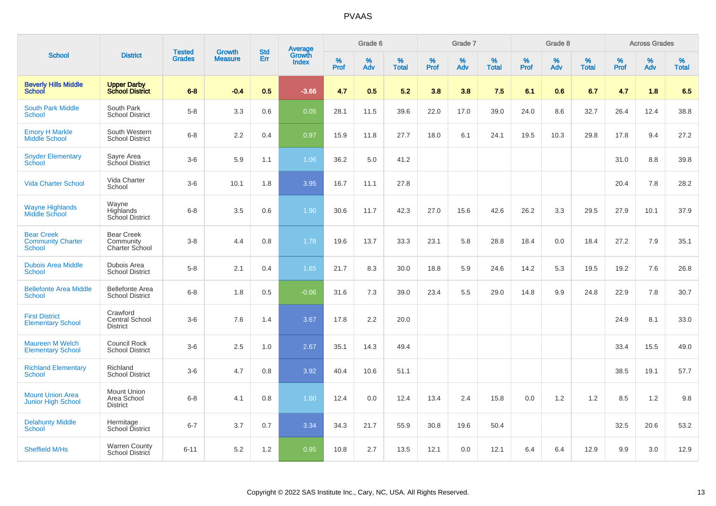|                                                                |                                                      |                                | <b>Growth</b>  | <b>Std</b> |                                          |                  | Grade 6     |                   |              | Grade 7     |                   |              | Grade 8  |                   |              | <b>Across Grades</b> |                   |
|----------------------------------------------------------------|------------------------------------------------------|--------------------------------|----------------|------------|------------------------------------------|------------------|-------------|-------------------|--------------|-------------|-------------------|--------------|----------|-------------------|--------------|----------------------|-------------------|
| <b>School</b>                                                  | <b>District</b>                                      | <b>Tested</b><br><b>Grades</b> | <b>Measure</b> | Err        | <b>Average</b><br>Growth<br><b>Index</b> | %<br><b>Prof</b> | $\%$<br>Adv | %<br><b>Total</b> | $\%$<br>Prof | $\%$<br>Adv | %<br><b>Total</b> | $\%$<br>Prof | %<br>Adv | %<br><b>Total</b> | $\%$<br>Prof | $\%$<br>Adv          | %<br><b>Total</b> |
| <b>Beverly Hills Middle</b><br><b>School</b>                   | <b>Upper Darby</b><br><b>School District</b>         | $6-8$                          | $-0.4$         | 0.5        | $-3.66$                                  | 4.7              | 0.5         | 5.2               | 3.8          | 3.8         | 7.5               | 6.1          | 0.6      | 6.7               | 4.7          | 1.8                  | 6.5               |
| <b>South Park Middle</b><br>School                             | South Park<br><b>School District</b>                 | $5-8$                          | 3.3            | 0.6        | 0.05                                     | 28.1             | 11.5        | 39.6              | 22.0         | 17.0        | 39.0              | 24.0         | 8.6      | 32.7              | 26.4         | 12.4                 | 38.8              |
| <b>Emory H Markle</b><br>Middle School                         | South Western<br><b>School District</b>              | $6 - 8$                        | 2.2            | 0.4        | 0.97                                     | 15.9             | 11.8        | 27.7              | 18.0         | 6.1         | 24.1              | 19.5         | 10.3     | 29.8              | 17.8         | 9.4                  | 27.2              |
| <b>Snyder Elementary</b><br>School                             | Sayre Area<br>School District                        | $3-6$                          | 5.9            | 1.1        | 1.06                                     | 36.2             | 5.0         | 41.2              |              |             |                   |              |          |                   | 31.0         | 8.8                  | 39.8              |
| <b>Vida Charter School</b>                                     | Vida Charter<br>School                               | $3-6$                          | 10.1           | 1.8        | 3.95                                     | 16.7             | 11.1        | 27.8              |              |             |                   |              |          |                   | 20.4         | 7.8                  | 28.2              |
| <b>Wayne Highlands</b><br>Middle School                        | Wayne<br>Highlands<br>School District                | $6 - 8$                        | 3.5            | 0.6        | 1.90                                     | 30.6             | 11.7        | 42.3              | 27.0         | 15.6        | 42.6              | 26.2         | 3.3      | 29.5              | 27.9         | 10.1                 | 37.9              |
| <b>Bear Creek</b><br><b>Community Charter</b><br><b>School</b> | <b>Bear Creek</b><br>Community<br>Charter School     | $3 - 8$                        | 4.4            | 0.8        | 1.78                                     | 19.6             | 13.7        | 33.3              | 23.1         | 5.8         | 28.8              | 18.4         | 0.0      | 18.4              | 27.2         | 7.9                  | 35.1              |
| <b>Dubois Area Middle</b><br><b>School</b>                     | Dubois Area<br><b>School District</b>                | $5-8$                          | 2.1            | 0.4        | 1.65                                     | 21.7             | 8.3         | 30.0              | 18.8         | 5.9         | 24.6              | 14.2         | 5.3      | 19.5              | 19.2         | 7.6                  | 26.8              |
| <b>Bellefonte Area Middle</b><br>School                        | <b>Bellefonte Area</b><br><b>School District</b>     | $6-8$                          | 1.8            | 0.5        | $-0.06$                                  | 31.6             | 7.3         | 39.0              | 23.4         | 5.5         | 29.0              | 14.8         | 9.9      | 24.8              | 22.9         | 7.8                  | 30.7              |
| <b>First District</b><br><b>Elementary School</b>              | Crawford<br><b>Central School</b><br><b>District</b> | $3-6$                          | 7.6            | 1.4        | 3.67                                     | 17.8             | 2.2         | 20.0              |              |             |                   |              |          |                   | 24.9         | 8.1                  | 33.0              |
| <b>Maureen M Welch</b><br><b>Elementary School</b>             | <b>Council Rock</b><br><b>School District</b>        | $3-6$                          | 2.5            | 1.0        | 2.67                                     | 35.1             | 14.3        | 49.4              |              |             |                   |              |          |                   | 33.4         | 15.5                 | 49.0              |
| <b>Richland Elementary</b><br><b>School</b>                    | Richland<br><b>School District</b>                   | $3-6$                          | 4.7            | 0.8        | 3.92                                     | 40.4             | 10.6        | 51.1              |              |             |                   |              |          |                   | 38.5         | 19.1                 | 57.7              |
| <b>Mount Union Area</b><br><b>Junior High School</b>           | <b>Mount Union</b><br>Area School<br><b>District</b> | $6 - 8$                        | 4.1            | 0.8        | 1.60                                     | 12.4             | 0.0         | 12.4              | 13.4         | 2.4         | 15.8              | 0.0          | 1.2      | 1.2               | 8.5          | 1.2                  | 9.8               |
| <b>Delahunty Middle</b><br><b>School</b>                       | Hermitage<br>School District                         | $6 - 7$                        | 3.7            | 0.7        | 3.34                                     | 34.3             | 21.7        | 55.9              | 30.8         | 19.6        | 50.4              |              |          |                   | 32.5         | 20.6                 | 53.2              |
| <b>Sheffield M/Hs</b>                                          | <b>Warren County</b><br>School District              | $6 - 11$                       | 5.2            | 1.2        | 0.95                                     | 10.8             | 2.7         | 13.5              | 12.1         | 0.0         | 12.1              | 6.4          | 6.4      | 12.9              | 9.9          | 3.0                  | 12.9              |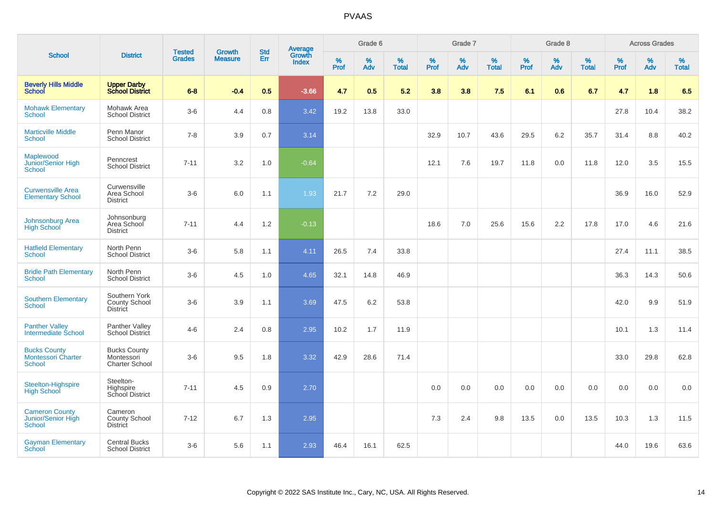|                                                                   |                                                            |                                |                          | <b>Std</b> |                                          |           | Grade 6     |                   |           | Grade 7  |                   |           | Grade 8  |                   |              | <b>Across Grades</b> |            |
|-------------------------------------------------------------------|------------------------------------------------------------|--------------------------------|--------------------------|------------|------------------------------------------|-----------|-------------|-------------------|-----------|----------|-------------------|-----------|----------|-------------------|--------------|----------------------|------------|
| <b>School</b>                                                     | <b>District</b>                                            | <b>Tested</b><br><b>Grades</b> | Growth<br><b>Measure</b> | Err        | <b>Average</b><br>Growth<br><b>Index</b> | %<br>Prof | $\%$<br>Adv | %<br><b>Total</b> | %<br>Prof | %<br>Adv | %<br><b>Total</b> | %<br>Prof | %<br>Adv | %<br><b>Total</b> | $\%$<br>Prof | %<br>Adv             | %<br>Total |
| <b>Beverly Hills Middle</b><br><b>School</b>                      | <b>Upper Darby<br/>School District</b>                     | $6 - 8$                        | $-0.4$                   | 0.5        | $-3.66$                                  | 4.7       | 0.5         | 5.2               | 3.8       | 3.8      | 7.5               | 6.1       | 0.6      | 6.7               | 4.7          | 1.8                  | 6.5        |
| <b>Mohawk Elementary</b><br>School                                | Mohawk Area<br><b>School District</b>                      | $3-6$                          | 4.4                      | 0.8        | 3.42                                     | 19.2      | 13.8        | 33.0              |           |          |                   |           |          |                   | 27.8         | 10.4                 | 38.2       |
| <b>Marticville Middle</b><br><b>School</b>                        | Penn Manor<br><b>School District</b>                       | $7 - 8$                        | 3.9                      | 0.7        | 3.14                                     |           |             |                   | 32.9      | 10.7     | 43.6              | 29.5      | 6.2      | 35.7              | 31.4         | 8.8                  | 40.2       |
| Maplewood<br>Junior/Senior High<br><b>School</b>                  | Penncrest<br><b>School District</b>                        | $7 - 11$                       | 3.2                      | 1.0        | $-0.64$                                  |           |             |                   | 12.1      | 7.6      | 19.7              | 11.8      | 0.0      | 11.8              | 12.0         | 3.5                  | 15.5       |
| <b>Curwensville Area</b><br><b>Elementary School</b>              | Curwensville<br>Area School<br><b>District</b>             | $3-6$                          | 6.0                      | 1.1        | 1.93                                     | 21.7      | 7.2         | 29.0              |           |          |                   |           |          |                   | 36.9         | 16.0                 | 52.9       |
| <b>Johnsonburg Area</b><br><b>High School</b>                     | Johnsonburg<br>Area School<br><b>District</b>              | $7 - 11$                       | 4.4                      | 1.2        | $-0.13$                                  |           |             |                   | 18.6      | 7.0      | 25.6              | 15.6      | 2.2      | 17.8              | 17.0         | 4.6                  | 21.6       |
| <b>Hatfield Elementary</b><br>School                              | North Penn<br><b>School District</b>                       | $3-6$                          | 5.8                      | 1.1        | 4.11                                     | 26.5      | 7.4         | 33.8              |           |          |                   |           |          |                   | 27.4         | 11.1                 | 38.5       |
| <b>Bridle Path Elementary</b><br>School                           | North Penn<br><b>School District</b>                       | $3-6$                          | 4.5                      | 1.0        | 4.65                                     | 32.1      | 14.8        | 46.9              |           |          |                   |           |          |                   | 36.3         | 14.3                 | 50.6       |
| <b>Southern Elementary</b><br><b>School</b>                       | Southern York<br>County School<br><b>District</b>          | $3-6$                          | 3.9                      | 1.1        | 3.69                                     | 47.5      | 6.2         | 53.8              |           |          |                   |           |          |                   | 42.0         | 9.9                  | 51.9       |
| <b>Panther Valley</b><br>Intermediate School                      | Panther Valley<br><b>School District</b>                   | $4 - 6$                        | 2.4                      | 0.8        | 2.95                                     | 10.2      | 1.7         | 11.9              |           |          |                   |           |          |                   | 10.1         | 1.3                  | 11.4       |
| <b>Bucks County</b><br><b>Montessori Charter</b><br><b>School</b> | <b>Bucks County</b><br>Montessori<br><b>Charter School</b> | $3-6$                          | 9.5                      | 1.8        | 3.32                                     | 42.9      | 28.6        | 71.4              |           |          |                   |           |          |                   | 33.0         | 29.8                 | 62.8       |
| <b>Steelton-Highspire</b><br><b>High School</b>                   | Steelton-<br>Highspire<br>School District                  | $7 - 11$                       | 4.5                      | 0.9        | 2.70                                     |           |             |                   | 0.0       | 0.0      | 0.0               | 0.0       | 0.0      | 0.0               | 0.0          | 0.0                  | 0.0        |
| <b>Cameron County</b><br>Junior/Senior High<br>School             | Cameron<br>County School<br><b>District</b>                | $7 - 12$                       | 6.7                      | 1.3        | 2.95                                     |           |             |                   | 7.3       | 2.4      | 9.8               | 13.5      | 0.0      | 13.5              | 10.3         | 1.3                  | 11.5       |
| <b>Gayman Elementary</b><br>School                                | <b>Central Bucks</b><br><b>School District</b>             | $3-6$                          | 5.6                      | 1.1        | 2.93                                     | 46.4      | 16.1        | 62.5              |           |          |                   |           |          |                   | 44.0         | 19.6                 | 63.6       |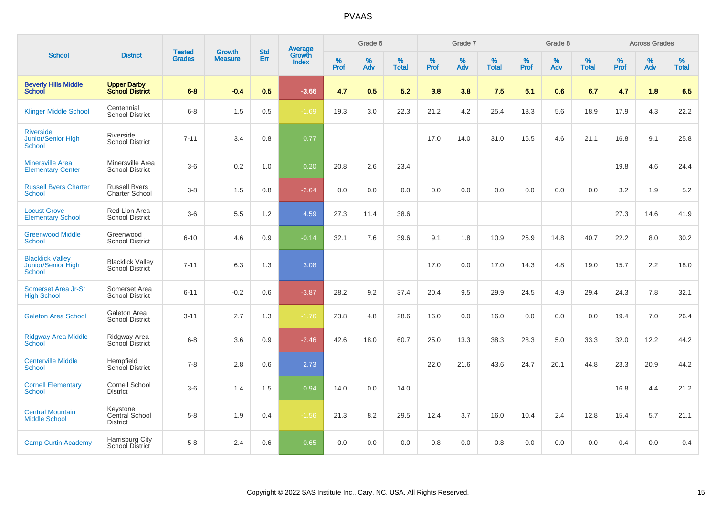|                                                         |                                               |                                | <b>Growth</b>  | <b>Std</b> |                                          |                  | Grade 6  |                   |           | Grade 7     |                   |           | Grade 8  |                   |              | <b>Across Grades</b> |                   |
|---------------------------------------------------------|-----------------------------------------------|--------------------------------|----------------|------------|------------------------------------------|------------------|----------|-------------------|-----------|-------------|-------------------|-----------|----------|-------------------|--------------|----------------------|-------------------|
| <b>School</b>                                           | <b>District</b>                               | <b>Tested</b><br><b>Grades</b> | <b>Measure</b> | Err        | <b>Average</b><br>Growth<br><b>Index</b> | %<br><b>Prof</b> | %<br>Adv | %<br><b>Total</b> | %<br>Prof | $\%$<br>Adv | %<br><b>Total</b> | %<br>Prof | %<br>Adv | %<br><b>Total</b> | $\%$<br>Prof | $\%$<br>Adv          | %<br><b>Total</b> |
| <b>Beverly Hills Middle</b><br><b>School</b>            | <b>Upper Darby</b><br><b>School District</b>  | $6 - 8$                        | $-0.4$         | 0.5        | $-3.66$                                  | 4.7              | 0.5      | 5.2               | 3.8       | 3.8         | 7.5               | 6.1       | 0.6      | 6.7               | 4.7          | 1.8                  | 6.5               |
| <b>Klinger Middle School</b>                            | Centennial<br><b>School District</b>          | $6 - 8$                        | 1.5            | 0.5        | $-1.69$                                  | 19.3             | 3.0      | 22.3              | 21.2      | 4.2         | 25.4              | 13.3      | 5.6      | 18.9              | 17.9         | 4.3                  | 22.2              |
| <b>Riverside</b><br>Junior/Senior High<br><b>School</b> | Riverside<br><b>School District</b>           | $7 - 11$                       | 3.4            | 0.8        | 0.77                                     |                  |          |                   | 17.0      | 14.0        | 31.0              | 16.5      | 4.6      | 21.1              | 16.8         | 9.1                  | 25.8              |
| <b>Minersville Area</b><br><b>Elementary Center</b>     | Minersville Area<br><b>School District</b>    | $3-6$                          | 0.2            | 1.0        | 0.20                                     | 20.8             | 2.6      | 23.4              |           |             |                   |           |          |                   | 19.8         | 4.6                  | 24.4              |
| <b>Russell Byers Charter</b><br><b>School</b>           | <b>Russell Byers</b><br>Charter School        | $3 - 8$                        | 1.5            | 0.8        | $-2.64$                                  | 0.0              | 0.0      | 0.0               | 0.0       | 0.0         | 0.0               | 0.0       | 0.0      | 0.0               | 3.2          | 1.9                  | 5.2               |
| <b>Locust Grove</b><br><b>Elementary School</b>         | Red Lion Area<br><b>School District</b>       | $3-6$                          | 5.5            | 1.2        | 4.59                                     | 27.3             | 11.4     | 38.6              |           |             |                   |           |          |                   | 27.3         | 14.6                 | 41.9              |
| <b>Greenwood Middle</b><br><b>School</b>                | Greenwood<br><b>School District</b>           | $6 - 10$                       | 4.6            | 0.9        | $-0.14$                                  | 32.1             | 7.6      | 39.6              | 9.1       | 1.8         | 10.9              | 25.9      | 14.8     | 40.7              | 22.2         | 8.0                  | 30.2              |
| <b>Blacklick Valley</b><br>Junior/Senior High<br>School | <b>Blacklick Valley</b><br>School District    | $7 - 11$                       | 6.3            | 1.3        | 3.08                                     |                  |          |                   | 17.0      | 0.0         | 17.0              | 14.3      | 4.8      | 19.0              | 15.7         | 2.2                  | 18.0              |
| Somerset Area Jr-Sr<br><b>High School</b>               | Somerset Area<br><b>School District</b>       | $6 - 11$                       | $-0.2$         | 0.6        | $-3.87$                                  | 28.2             | 9.2      | 37.4              | 20.4      | 9.5         | 29.9              | 24.5      | 4.9      | 29.4              | 24.3         | 7.8                  | 32.1              |
| <b>Galeton Area School</b>                              | Galeton Area<br><b>School District</b>        | $3 - 11$                       | 2.7            | 1.3        | $-1.76$                                  | 23.8             | 4.8      | 28.6              | 16.0      | 0.0         | 16.0              | 0.0       | 0.0      | 0.0               | 19.4         | 7.0                  | 26.4              |
| <b>Ridgway Area Middle</b><br><b>School</b>             | Ridgway Area<br>School District               | $6 - 8$                        | 3.6            | 0.9        | $-2.46$                                  | 42.6             | 18.0     | 60.7              | 25.0      | 13.3        | 38.3              | 28.3      | 5.0      | 33.3              | 32.0         | 12.2                 | 44.2              |
| <b>Centerville Middle</b><br>School                     | Hempfield<br><b>School District</b>           | $7 - 8$                        | 2.8            | 0.6        | 2.73                                     |                  |          |                   | 22.0      | 21.6        | 43.6              | 24.7      | 20.1     | 44.8              | 23.3         | 20.9                 | 44.2              |
| <b>Cornell Elementary</b><br><b>School</b>              | Cornell School<br><b>District</b>             | $3-6$                          | 1.4            | 1.5        | 0.94                                     | 14.0             | 0.0      | 14.0              |           |             |                   |           |          |                   | 16.8         | 4.4                  | 21.2              |
| <b>Central Mountain</b><br><b>Middle School</b>         | Keystone<br>Central School<br><b>District</b> | $5-8$                          | 1.9            | 0.4        | $-1.56$                                  | 21.3             | 8.2      | 29.5              | 12.4      | 3.7         | 16.0              | 10.4      | 2.4      | 12.8              | 15.4         | 5.7                  | 21.1              |
| <b>Camp Curtin Academy</b>                              | Harrisburg City<br>School District            | $5-8$                          | 2.4            | 0.6        | 0.65                                     | 0.0              | 0.0      | 0.0               | 0.8       | 0.0         | 0.8               | 0.0       | 0.0      | 0.0               | 0.4          | 0.0                  | 0.4               |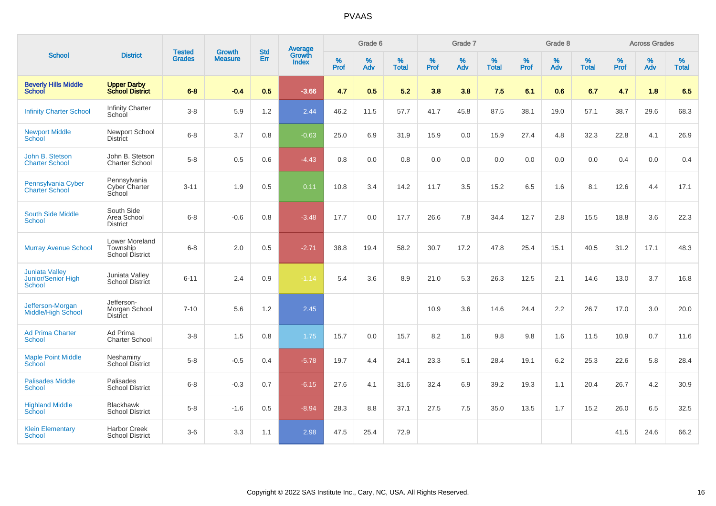|                                                              |                                                             |                                |                                 | <b>Std</b> | Average                |                  | Grade 6  |                   |                  | Grade 7  |                   |                  | Grade 8  |                   |                  | <b>Across Grades</b> |                   |
|--------------------------------------------------------------|-------------------------------------------------------------|--------------------------------|---------------------------------|------------|------------------------|------------------|----------|-------------------|------------------|----------|-------------------|------------------|----------|-------------------|------------------|----------------------|-------------------|
| <b>School</b>                                                | <b>District</b>                                             | <b>Tested</b><br><b>Grades</b> | <b>Growth</b><br><b>Measure</b> | Err        | Growth<br><b>Index</b> | %<br><b>Prof</b> | %<br>Adv | %<br><b>Total</b> | %<br><b>Prof</b> | %<br>Adv | %<br><b>Total</b> | %<br><b>Prof</b> | %<br>Adv | %<br><b>Total</b> | %<br><b>Prof</b> | %<br>Adv             | %<br><b>Total</b> |
| <b>Beverly Hills Middle</b><br><b>School</b>                 | <b>Upper Darby</b><br><b>School District</b>                | $6 - 8$                        | $-0.4$                          | 0.5        | $-3.66$                | 4.7              | 0.5      | 5.2               | 3.8              | 3.8      | 7.5               | 6.1              | 0.6      | 6.7               | 4.7              | 1.8                  | 6.5               |
| <b>Infinity Charter School</b>                               | <b>Infinity Charter</b><br>School                           | $3-8$                          | 5.9                             | 1.2        | 2.44                   | 46.2             | 11.5     | 57.7              | 41.7             | 45.8     | 87.5              | 38.1             | 19.0     | 57.1              | 38.7             | 29.6                 | 68.3              |
| <b>Newport Middle</b><br><b>School</b>                       | Newport School<br><b>District</b>                           | $6 - 8$                        | 3.7                             | 0.8        | $-0.63$                | 25.0             | 6.9      | 31.9              | 15.9             | 0.0      | 15.9              | 27.4             | 4.8      | 32.3              | 22.8             | 4.1                  | 26.9              |
| John B. Stetson<br><b>Charter School</b>                     | John B. Stetson<br><b>Charter School</b>                    | $5-8$                          | 0.5                             | 0.6        | $-4.43$                | 0.8              | 0.0      | 0.8               | 0.0              | 0.0      | 0.0               | 0.0              | 0.0      | 0.0               | 0.4              | 0.0                  | 0.4               |
| Pennsylvania Cyber<br><b>Charter School</b>                  | Pennsylvania<br>Cyber Charter<br>School                     | $3 - 11$                       | 1.9                             | 0.5        | 0.11                   | 10.8             | 3.4      | 14.2              | 11.7             | 3.5      | 15.2              | 6.5              | 1.6      | 8.1               | 12.6             | 4.4                  | 17.1              |
| <b>South Side Middle</b><br><b>School</b>                    | South Side<br>Area School<br><b>District</b>                | $6 - 8$                        | $-0.6$                          | 0.8        | $-3.48$                | 17.7             | 0.0      | 17.7              | 26.6             | 7.8      | 34.4              | 12.7             | 2.8      | 15.5              | 18.8             | 3.6                  | 22.3              |
| <b>Murray Avenue School</b>                                  | <b>Lower Moreland</b><br>Township<br><b>School District</b> | $6 - 8$                        | 2.0                             | 0.5        | $-2.71$                | 38.8             | 19.4     | 58.2              | 30.7             | 17.2     | 47.8              | 25.4             | 15.1     | 40.5              | 31.2             | 17.1                 | 48.3              |
| <b>Juniata Valley</b><br>Junior/Senior High<br><b>School</b> | Juniata Valley<br><b>School District</b>                    | $6 - 11$                       | 2.4                             | 0.9        | $-1.14$                | 5.4              | 3.6      | 8.9               | 21.0             | 5.3      | 26.3              | 12.5             | 2.1      | 14.6              | 13.0             | 3.7                  | 16.8              |
| Jefferson-Morgan<br><b>Middle/High School</b>                | Jefferson-<br>Morgan School<br><b>District</b>              | $7 - 10$                       | 5.6                             | 1.2        | 2.45                   |                  |          |                   | 10.9             | 3.6      | 14.6              | 24.4             | 2.2      | 26.7              | 17.0             | 3.0                  | 20.0              |
| <b>Ad Prima Charter</b><br><b>School</b>                     | Ad Prima<br><b>Charter School</b>                           | $3-8$                          | 1.5                             | 0.8        | 1.75                   | 15.7             | 0.0      | 15.7              | 8.2              | 1.6      | 9.8               | 9.8              | 1.6      | 11.5              | 10.9             | 0.7                  | 11.6              |
| <b>Maple Point Middle</b><br>School                          | Neshaminy<br><b>School District</b>                         | $5 - 8$                        | $-0.5$                          | 0.4        | $-5.78$                | 19.7             | 4.4      | 24.1              | 23.3             | 5.1      | 28.4              | 19.1             | 6.2      | 25.3              | 22.6             | 5.8                  | 28.4              |
| <b>Palisades Middle</b><br><b>School</b>                     | Palisades<br><b>School District</b>                         | $6 - 8$                        | $-0.3$                          | 0.7        | $-6.15$                | 27.6             | 4.1      | 31.6              | 32.4             | 6.9      | 39.2              | 19.3             | 1.1      | 20.4              | 26.7             | 4.2                  | 30.9              |
| <b>Highland Middle</b><br>School                             | <b>Blackhawk</b><br><b>School District</b>                  | $5 - 8$                        | $-1.6$                          | 0.5        | $-8.94$                | 28.3             | 8.8      | 37.1              | 27.5             | 7.5      | 35.0              | 13.5             | 1.7      | 15.2              | 26.0             | 6.5                  | 32.5              |
| <b>Klein Elementary</b><br>School                            | <b>Harbor Creek</b><br><b>School District</b>               | $3-6$                          | 3.3                             | 1.1        | 2.98                   | 47.5             | 25.4     | 72.9              |                  |          |                   |                  |          |                   | 41.5             | 24.6                 | 66.2              |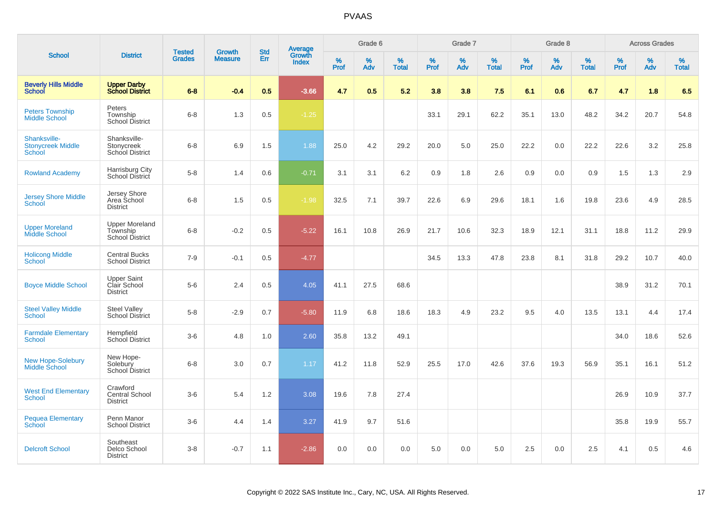|                                                    |                                                             | <b>Tested</b> | <b>Growth</b>  | <b>Std</b> |                                          |                  | Grade 6  |                   |           | Grade 7     |                   |              | Grade 8  |                   |              | <b>Across Grades</b> |                   |
|----------------------------------------------------|-------------------------------------------------------------|---------------|----------------|------------|------------------------------------------|------------------|----------|-------------------|-----------|-------------|-------------------|--------------|----------|-------------------|--------------|----------------------|-------------------|
| <b>School</b>                                      | <b>District</b>                                             | <b>Grades</b> | <b>Measure</b> | Err        | <b>Average</b><br>Growth<br><b>Index</b> | %<br><b>Prof</b> | %<br>Adv | %<br><b>Total</b> | %<br>Prof | $\%$<br>Adv | %<br><b>Total</b> | $\%$<br>Prof | %<br>Adv | %<br><b>Total</b> | $\%$<br>Prof | $\%$<br>Adv          | %<br><b>Total</b> |
| <b>Beverly Hills Middle</b><br><b>School</b>       | <b>Upper Darby</b><br><b>School District</b>                | $6-8$         | $-0.4$         | 0.5        | $-3.66$                                  | 4.7              | 0.5      | 5.2               | 3.8       | 3.8         | 7.5               | 6.1          | 0.6      | 6.7               | 4.7          | 1.8                  | 6.5               |
| <b>Peters Township</b><br><b>Middle School</b>     | Peters<br>Township<br><b>School District</b>                | $6 - 8$       | 1.3            | 0.5        | $-1.25$                                  |                  |          |                   | 33.1      | 29.1        | 62.2              | 35.1         | 13.0     | 48.2              | 34.2         | 20.7                 | 54.8              |
| Shanksville-<br><b>Stonycreek Middle</b><br>School | Shanksville-<br>Stonycreek<br>School District               | $6 - 8$       | 6.9            | 1.5        | 1.88                                     | 25.0             | 4.2      | 29.2              | 20.0      | 5.0         | 25.0              | 22.2         | 0.0      | 22.2              | 22.6         | 3.2                  | 25.8              |
| <b>Rowland Academy</b>                             | Harrisburg City<br>School District                          | $5-8$         | 1.4            | 0.6        | $-0.71$                                  | 3.1              | 3.1      | 6.2               | 0.9       | 1.8         | 2.6               | 0.9          | 0.0      | 0.9               | 1.5          | 1.3                  | 2.9               |
| <b>Jersey Shore Middle</b><br>School               | Jersey Shore<br>Area School<br><b>District</b>              | $6 - 8$       | 1.5            | 0.5        | $-1.98$                                  | 32.5             | 7.1      | 39.7              | 22.6      | 6.9         | 29.6              | 18.1         | 1.6      | 19.8              | 23.6         | 4.9                  | 28.5              |
| <b>Upper Moreland</b><br><b>Middle School</b>      | <b>Upper Moreland</b><br>Township<br><b>School District</b> | $6 - 8$       | $-0.2$         | 0.5        | $-5.22$                                  | 16.1             | 10.8     | 26.9              | 21.7      | 10.6        | 32.3              | 18.9         | 12.1     | 31.1              | 18.8         | 11.2                 | 29.9              |
| <b>Holicong Middle</b><br><b>School</b>            | <b>Central Bucks</b><br><b>School District</b>              | $7 - 9$       | $-0.1$         | 0.5        | $-4.77$                                  |                  |          |                   | 34.5      | 13.3        | 47.8              | 23.8         | 8.1      | 31.8              | 29.2         | 10.7                 | 40.0              |
| <b>Boyce Middle School</b>                         | <b>Upper Saint</b><br>Clair School<br><b>District</b>       | $5-6$         | 2.4            | 0.5        | 4.05                                     | 41.1             | 27.5     | 68.6              |           |             |                   |              |          |                   | 38.9         | 31.2                 | 70.1              |
| <b>Steel Valley Middle</b><br>School               | <b>Steel Valley</b><br><b>School District</b>               | $5-8$         | $-2.9$         | 0.7        | $-5.80$                                  | 11.9             | 6.8      | 18.6              | 18.3      | 4.9         | 23.2              | 9.5          | 4.0      | 13.5              | 13.1         | 4.4                  | 17.4              |
| <b>Farmdale Elementary</b><br>School               | Hempfield<br><b>School District</b>                         | $3-6$         | 4.8            | 1.0        | 2.60                                     | 35.8             | 13.2     | 49.1              |           |             |                   |              |          |                   | 34.0         | 18.6                 | 52.6              |
| <b>New Hope-Solebury</b><br><b>Middle School</b>   | New Hope-<br>Solebury<br><b>School District</b>             | $6 - 8$       | 3.0            | 0.7        | 1.17                                     | 41.2             | 11.8     | 52.9              | 25.5      | 17.0        | 42.6              | 37.6         | 19.3     | 56.9              | 35.1         | 16.1                 | 51.2              |
| <b>West End Elementary</b><br><b>School</b>        | Crawford<br><b>Central School</b><br><b>District</b>        | $3-6$         | 5.4            | 1.2        | 3.08                                     | 19.6             | 7.8      | 27.4              |           |             |                   |              |          |                   | 26.9         | 10.9                 | 37.7              |
| <b>Pequea Elementary</b><br>School                 | Penn Manor<br><b>School District</b>                        | $3-6$         | 4.4            | 1.4        | 3.27                                     | 41.9             | 9.7      | 51.6              |           |             |                   |              |          |                   | 35.8         | 19.9                 | 55.7              |
| <b>Delcroft School</b>                             | Southeast<br>Delco School<br><b>District</b>                | $3 - 8$       | $-0.7$         | 1.1        | $-2.86$                                  | 0.0              | 0.0      | 0.0               | 5.0       | 0.0         | 5.0               | 2.5          | 0.0      | 2.5               | 4.1          | 0.5                  | 4.6               |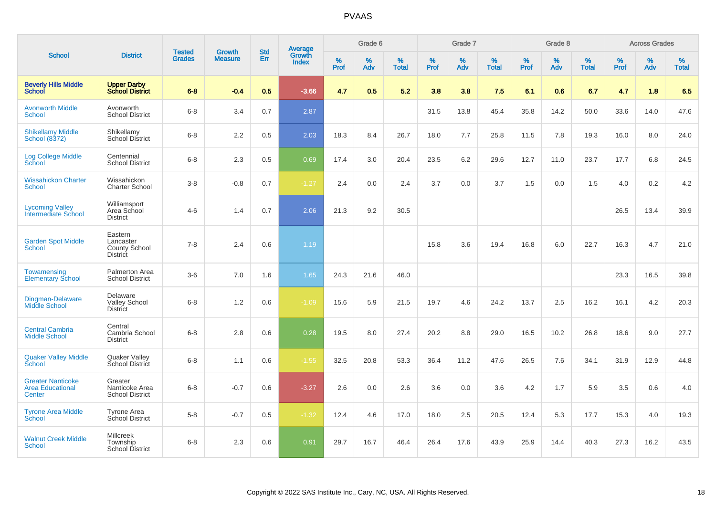| <b>School</b>                                                 |                                                          |                                |                                 |                   |                                          |                  | Grade 6  |                   |           | Grade 7  |                   |           | Grade 8  |                   |              | <b>Across Grades</b> |                   |
|---------------------------------------------------------------|----------------------------------------------------------|--------------------------------|---------------------------------|-------------------|------------------------------------------|------------------|----------|-------------------|-----------|----------|-------------------|-----------|----------|-------------------|--------------|----------------------|-------------------|
|                                                               | <b>District</b>                                          | <b>Tested</b><br><b>Grades</b> | <b>Growth</b><br><b>Measure</b> | <b>Std</b><br>Err | <b>Average</b><br>Growth<br><b>Index</b> | %<br><b>Prof</b> | %<br>Adv | %<br><b>Total</b> | %<br>Prof | %<br>Adv | %<br><b>Total</b> | %<br>Prof | %<br>Adv | %<br><b>Total</b> | $\%$<br>Prof | $\%$<br>Adv          | %<br><b>Total</b> |
| <b>Beverly Hills Middle</b><br><b>School</b>                  | <b>Upper Darby</b><br><b>School District</b>             | $6 - 8$                        | $-0.4$                          | 0.5               | $-3.66$                                  | 4.7              | 0.5      | 5.2               | 3.8       | 3.8      | 7.5               | 6.1       | 0.6      | 6.7               | 4.7          | 1.8                  | 6.5               |
| <b>Avonworth Middle</b><br><b>School</b>                      | Avonworth<br><b>School District</b>                      | $6 - 8$                        | 3.4                             | 0.7               | 2.87                                     |                  |          |                   | 31.5      | 13.8     | 45.4              | 35.8      | 14.2     | 50.0              | 33.6         | 14.0                 | 47.6              |
| <b>Shikellamy Middle</b><br>School (8372)                     | Shikellamy<br><b>School District</b>                     | $6 - 8$                        | 2.2                             | 0.5               | 2.03                                     | 18.3             | 8.4      | 26.7              | 18.0      | 7.7      | 25.8              | 11.5      | 7.8      | 19.3              | 16.0         | 8.0                  | 24.0              |
| <b>Log College Middle</b><br>School                           | Centennial<br><b>School District</b>                     | $6 - 8$                        | 2.3                             | 0.5               | 0.69                                     | 17.4             | 3.0      | 20.4              | 23.5      | 6.2      | 29.6              | 12.7      | 11.0     | 23.7              | 17.7         | 6.8                  | 24.5              |
| <b>Wissahickon Charter</b><br>School                          | Wissahickon<br><b>Charter School</b>                     | $3 - 8$                        | $-0.8$                          | 0.7               | $-1.27$                                  | 2.4              | 0.0      | 2.4               | 3.7       | 0.0      | 3.7               | 1.5       | 0.0      | 1.5               | 4.0          | 0.2                  | 4.2               |
| <b>Lycoming Valley</b><br><b>Intermediate School</b>          | Williamsport<br>Area School<br><b>District</b>           | $4 - 6$                        | 1.4                             | 0.7               | 2.06                                     | 21.3             | 9.2      | 30.5              |           |          |                   |           |          |                   | 26.5         | 13.4                 | 39.9              |
| <b>Garden Spot Middle</b><br><b>School</b>                    | Eastern<br>Lancaster<br>County School<br><b>District</b> | $7 - 8$                        | 2.4                             | 0.6               | 1.19                                     |                  |          |                   | 15.8      | 3.6      | 19.4              | 16.8      | 6.0      | 22.7              | 16.3         | 4.7                  | 21.0              |
| Towamensing<br><b>Elementary School</b>                       | <b>Palmerton Area</b><br><b>School District</b>          | $3-6$                          | 7.0                             | 1.6               | 1.65                                     | 24.3             | 21.6     | 46.0              |           |          |                   |           |          |                   | 23.3         | 16.5                 | 39.8              |
| Dingman-Delaware<br><b>Middle School</b>                      | Delaware<br><b>Valley School</b><br><b>District</b>      | $6 - 8$                        | 1.2                             | 0.6               | $-1.09$                                  | 15.6             | 5.9      | 21.5              | 19.7      | 4.6      | 24.2              | 13.7      | 2.5      | 16.2              | 16.1         | 4.2                  | 20.3              |
| <b>Central Cambria</b><br><b>Middle School</b>                | Central<br>Cambria School<br><b>District</b>             | $6 - 8$                        | 2.8                             | 0.6               | 0.28                                     | 19.5             | 8.0      | 27.4              | 20.2      | 8.8      | 29.0              | 16.5      | 10.2     | 26.8              | 18.6         | 9.0                  | 27.7              |
| <b>Quaker Valley Middle</b><br><b>School</b>                  | Quaker Valley<br><b>School District</b>                  | $6 - 8$                        | 1.1                             | 0.6               | $-1.55$                                  | 32.5             | 20.8     | 53.3              | 36.4      | 11.2     | 47.6              | 26.5      | 7.6      | 34.1              | 31.9         | 12.9                 | 44.8              |
| <b>Greater Nanticoke</b><br><b>Area Educational</b><br>Center | Greater<br>Nanticoke Area<br><b>School District</b>      | $6 - 8$                        | $-0.7$                          | 0.6               | $-3.27$                                  | 2.6              | 0.0      | 2.6               | 3.6       | 0.0      | 3.6               | 4.2       | 1.7      | 5.9               | 3.5          | 0.6                  | 4.0               |
| <b>Tyrone Area Middle</b><br>School                           | <b>Tyrone Area</b><br>School District                    | $5 - 8$                        | $-0.7$                          | 0.5               | $-1.32$                                  | 12.4             | 4.6      | 17.0              | 18.0      | 2.5      | 20.5              | 12.4      | 5.3      | 17.7              | 15.3         | 4.0                  | 19.3              |
| <b>Walnut Creek Middle</b><br><b>School</b>                   | <b>Millcreek</b><br>Township<br>School District          | $6 - 8$                        | 2.3                             | 0.6               | 0.91                                     | 29.7             | 16.7     | 46.4              | 26.4      | 17.6     | 43.9              | 25.9      | 14.4     | 40.3              | 27.3         | 16.2                 | 43.5              |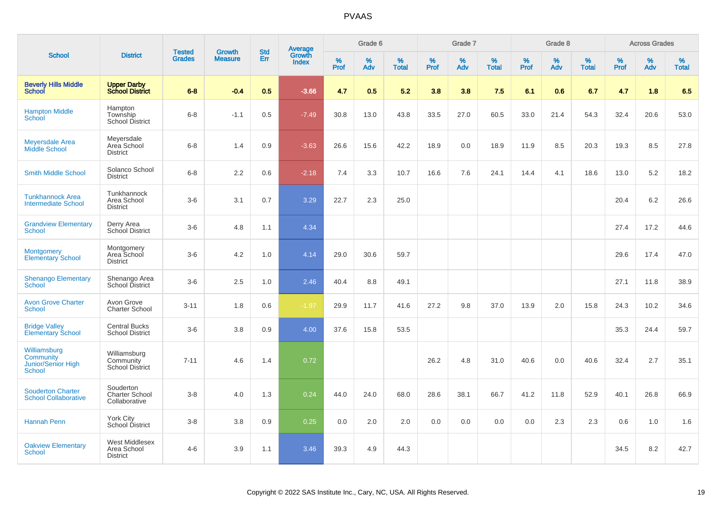|                                                                  |                                                         |                                |                          | <b>Std</b> |                                          |                     | Grade 6     |                   |              | Grade 7     |                      |              | Grade 8  |                      |              | <b>Across Grades</b> |                   |
|------------------------------------------------------------------|---------------------------------------------------------|--------------------------------|--------------------------|------------|------------------------------------------|---------------------|-------------|-------------------|--------------|-------------|----------------------|--------------|----------|----------------------|--------------|----------------------|-------------------|
| <b>School</b>                                                    | <b>District</b>                                         | <b>Tested</b><br><b>Grades</b> | Growth<br><b>Measure</b> | Err        | <b>Average</b><br>Growth<br><b>Index</b> | $\%$<br><b>Prof</b> | $\%$<br>Adv | %<br><b>Total</b> | $\%$<br>Prof | $\%$<br>Adv | $\%$<br><b>Total</b> | $\%$<br>Prof | %<br>Adv | $\%$<br><b>Total</b> | $\%$<br>Prof | $\%$<br>Adv          | %<br><b>Total</b> |
| <b>Beverly Hills Middle</b><br>School                            | <b>Upper Darby</b><br><b>School District</b>            | $6 - 8$                        | $-0.4$                   | 0.5        | $-3.66$                                  | 4.7                 | 0.5         | 5.2               | 3.8          | 3.8         | 7.5                  | 6.1          | 0.6      | 6.7                  | 4.7          | 1.8                  | 6.5               |
| <b>Hampton Middle</b><br><b>School</b>                           | Hampton<br>Township<br><b>School District</b>           | $6-8$                          | $-1.1$                   | 0.5        | $-7.49$                                  | 30.8                | 13.0        | 43.8              | 33.5         | 27.0        | 60.5                 | 33.0         | 21.4     | 54.3                 | 32.4         | 20.6                 | 53.0              |
| <b>Meyersdale Area</b><br>Middle School                          | Meyersdale<br>Area School<br><b>District</b>            | $6 - 8$                        | 1.4                      | 0.9        | $-3.63$                                  | 26.6                | 15.6        | 42.2              | 18.9         | 0.0         | 18.9                 | 11.9         | 8.5      | 20.3                 | 19.3         | 8.5                  | 27.8              |
| <b>Smith Middle School</b>                                       | Solanco School<br><b>District</b>                       | $6 - 8$                        | 2.2                      | 0.6        | $-2.18$                                  | 7.4                 | 3.3         | 10.7              | 16.6         | 7.6         | 24.1                 | 14.4         | 4.1      | 18.6                 | 13.0         | 5.2                  | 18.2              |
| <b>Tunkhannock Area</b><br><b>Intermediate School</b>            | Tunkhannock<br>Area School<br><b>District</b>           | $3-6$                          | 3.1                      | 0.7        | 3.29                                     | 22.7                | 2.3         | 25.0              |              |             |                      |              |          |                      | 20.4         | 6.2                  | 26.6              |
| <b>Grandview Elementary</b><br>School                            | Derry Area<br>School District                           | $3-6$                          | 4.8                      | 1.1        | 4.34                                     |                     |             |                   |              |             |                      |              |          |                      | 27.4         | 17.2                 | 44.6              |
| <b>Montgomery</b><br><b>Elementary School</b>                    | Montgomery<br>Area School<br><b>District</b>            | $3-6$                          | 4.2                      | 1.0        | 4.14                                     | 29.0                | 30.6        | 59.7              |              |             |                      |              |          |                      | 29.6         | 17.4                 | 47.0              |
| <b>Shenango Elementary</b><br>School                             | Shenango Area<br>School District                        | $3-6$                          | 2.5                      | 1.0        | 2.46                                     | 40.4                | 8.8         | 49.1              |              |             |                      |              |          |                      | 27.1         | 11.8                 | 38.9              |
| <b>Avon Grove Charter</b><br><b>School</b>                       | Avon Grove<br><b>Charter School</b>                     | $3 - 11$                       | 1.8                      | 0.6        | $-1.97$                                  | 29.9                | 11.7        | 41.6              | 27.2         | 9.8         | 37.0                 | 13.9         | 2.0      | 15.8                 | 24.3         | 10.2                 | 34.6              |
| <b>Bridge Valley</b><br><b>Elementary School</b>                 | <b>Central Bucks</b><br><b>School District</b>          | $3-6$                          | 3.8                      | 0.9        | 4.00                                     | 37.6                | 15.8        | 53.5              |              |             |                      |              |          |                      | 35.3         | 24.4                 | 59.7              |
| Williamsburg<br><b>Community</b><br>Junior/Senior High<br>School | Williamsburg<br>Community<br><b>School District</b>     | $7 - 11$                       | 4.6                      | 1.4        | 0.72                                     |                     |             |                   | 26.2         | 4.8         | 31.0                 | 40.6         | 0.0      | 40.6                 | 32.4         | 2.7                  | 35.1              |
| <b>Souderton Charter</b><br><b>School Collaborative</b>          | Souderton<br>Charter School<br>Collaborative            | $3-8$                          | 4.0                      | 1.3        | 0.24                                     | 44.0                | 24.0        | 68.0              | 28.6         | 38.1        | 66.7                 | 41.2         | 11.8     | 52.9                 | 40.1         | 26.8                 | 66.9              |
| <b>Hannah Penn</b>                                               | York City<br>School District                            | $3-8$                          | 3.8                      | 0.9        | 0.25                                     | 0.0                 | 2.0         | 2.0               | 0.0          | 0.0         | 0.0                  | 0.0          | 2.3      | 2.3                  | 0.6          | 1.0                  | 1.6               |
| <b>Oakview Elementary</b><br>School                              | <b>West Middlesex</b><br>Area School<br><b>District</b> | $4 - 6$                        | 3.9                      | 1.1        | 3.46                                     | 39.3                | 4.9         | 44.3              |              |             |                      |              |          |                      | 34.5         | 8.2                  | 42.7              |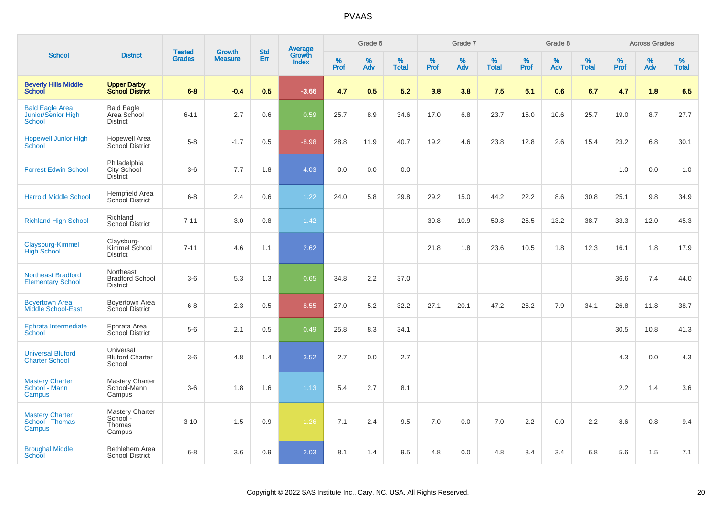|                                                        |                                                        |                                | <b>Growth</b>  |                   |                                          |                  | Grade 6     |                   |              | Grade 7     |                      |              | Grade 8  |                   |              | <b>Across Grades</b> |                   |
|--------------------------------------------------------|--------------------------------------------------------|--------------------------------|----------------|-------------------|------------------------------------------|------------------|-------------|-------------------|--------------|-------------|----------------------|--------------|----------|-------------------|--------------|----------------------|-------------------|
| <b>School</b>                                          | <b>District</b>                                        | <b>Tested</b><br><b>Grades</b> | <b>Measure</b> | <b>Std</b><br>Err | <b>Average</b><br>Growth<br><b>Index</b> | %<br><b>Prof</b> | $\%$<br>Adv | %<br><b>Total</b> | $\%$<br>Prof | $\%$<br>Adv | $\%$<br><b>Total</b> | $\%$<br>Prof | %<br>Adv | %<br><b>Total</b> | $\%$<br>Prof | $\%$<br>Adv          | %<br><b>Total</b> |
| <b>Beverly Hills Middle</b><br><b>School</b>           | <b>Upper Darby</b><br><b>School District</b>           | $6 - 8$                        | $-0.4$         | 0.5               | $-3.66$                                  | 4.7              | 0.5         | 5.2               | 3.8          | 3.8         | 7.5                  | 6.1          | 0.6      | 6.7               | 4.7          | 1.8                  | 6.5               |
| <b>Bald Eagle Area</b><br>Junior/Senior High<br>School | <b>Bald Eagle</b><br>Area School<br><b>District</b>    | $6 - 11$                       | 2.7            | 0.6               | 0.59                                     | 25.7             | 8.9         | 34.6              | 17.0         | 6.8         | 23.7                 | 15.0         | 10.6     | 25.7              | 19.0         | 8.7                  | 27.7              |
| <b>Hopewell Junior High</b><br>School                  | <b>Hopewell Area</b><br>School District                | $5 - 8$                        | $-1.7$         | 0.5               | $-8.98$                                  | 28.8             | 11.9        | 40.7              | 19.2         | 4.6         | 23.8                 | 12.8         | 2.6      | 15.4              | 23.2         | 6.8                  | 30.1              |
| <b>Forrest Edwin School</b>                            | Philadelphia<br>City School<br><b>District</b>         | $3-6$                          | 7.7            | 1.8               | 4.03                                     | 0.0              | 0.0         | 0.0               |              |             |                      |              |          |                   | 1.0          | 0.0                  | 1.0               |
| <b>Harrold Middle School</b>                           | Hempfield Area<br>School District                      | $6 - 8$                        | 2.4            | 0.6               | 1.22                                     | 24.0             | 5.8         | 29.8              | 29.2         | 15.0        | 44.2                 | 22.2         | 8.6      | 30.8              | 25.1         | 9.8                  | 34.9              |
| <b>Richland High School</b>                            | Richland<br><b>School District</b>                     | $7 - 11$                       | 3.0            | 0.8               | 1.42                                     |                  |             |                   | 39.8         | 10.9        | 50.8                 | 25.5         | 13.2     | 38.7              | 33.3         | 12.0                 | 45.3              |
| Claysburg-Kimmel<br><b>High School</b>                 | Claysburg-<br>Kimmel School<br><b>District</b>         | $7 - 11$                       | 4.6            | 1.1               | 2.62                                     |                  |             |                   | 21.8         | 1.8         | 23.6                 | 10.5         | 1.8      | 12.3              | 16.1         | 1.8                  | 17.9              |
| <b>Northeast Bradford</b><br><b>Elementary School</b>  | Northeast<br><b>Bradford School</b><br><b>District</b> | $3-6$                          | 5.3            | 1.3               | 0.65                                     | 34.8             | 2.2         | 37.0              |              |             |                      |              |          |                   | 36.6         | 7.4                  | 44.0              |
| <b>Boyertown Area</b><br><b>Middle School-East</b>     | Boyertown Area<br>School District                      | $6 - 8$                        | $-2.3$         | 0.5               | $-8.55$                                  | 27.0             | 5.2         | 32.2              | 27.1         | 20.1        | 47.2                 | 26.2         | 7.9      | 34.1              | 26.8         | 11.8                 | 38.7              |
| Ephrata Intermediate<br>School                         | Ephrata Area<br>School District                        | $5-6$                          | 2.1            | 0.5               | 0.49                                     | 25.8             | 8.3         | 34.1              |              |             |                      |              |          |                   | 30.5         | 10.8                 | 41.3              |
| <b>Universal Bluford</b><br><b>Charter School</b>      | Universal<br><b>Bluford Charter</b><br>School          | $3-6$                          | 4.8            | 1.4               | 3.52                                     | 2.7              | 0.0         | 2.7               |              |             |                      |              |          |                   | 4.3          | 0.0                  | 4.3               |
| <b>Mastery Charter</b><br>School - Mann<br>Campus      | Mastery Charter<br>School-Mann<br>Campus               | $3-6$                          | 1.8            | 1.6               | 1.13                                     | 5.4              | 2.7         | 8.1               |              |             |                      |              |          |                   | 2.2          | 1.4                  | 3.6               |
| <b>Mastery Charter</b><br>School - Thomas<br>Campus    | <b>Mastery Charter</b><br>School -<br>Thomas<br>Campus | $3 - 10$                       | 1.5            | 0.9               | $-1.26$                                  | 7.1              | 2.4         | 9.5               | 7.0          | 0.0         | 7.0                  | 2.2          | 0.0      | 2.2               | 8.6          | 0.8                  | 9.4               |
| <b>Broughal Middle</b><br>School                       | Bethlehem Area<br><b>School District</b>               | $6 - 8$                        | 3.6            | 0.9               | 2.03                                     | 8.1              | 1.4         | 9.5               | 4.8          | 0.0         | 4.8                  | 3.4          | 3.4      | 6.8               | 5.6          | 1.5                  | 7.1               |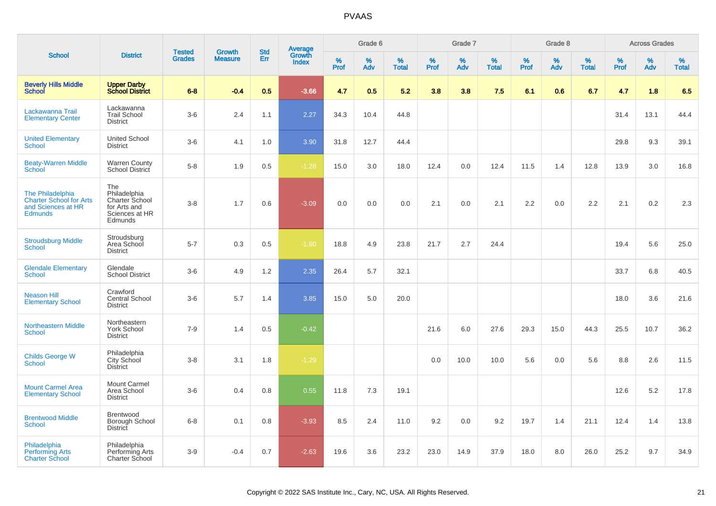|                                                                                            |                                                                                    |                                |                                 | <b>Std</b> |                                          |                  | Grade 6     |                   |           | Grade 7  |                   |           | Grade 8  |                   |              | <b>Across Grades</b> |                   |
|--------------------------------------------------------------------------------------------|------------------------------------------------------------------------------------|--------------------------------|---------------------------------|------------|------------------------------------------|------------------|-------------|-------------------|-----------|----------|-------------------|-----------|----------|-------------------|--------------|----------------------|-------------------|
| <b>School</b>                                                                              | <b>District</b>                                                                    | <b>Tested</b><br><b>Grades</b> | <b>Growth</b><br><b>Measure</b> | Err        | <b>Average</b><br>Growth<br><b>Index</b> | %<br><b>Prof</b> | $\%$<br>Adv | %<br><b>Total</b> | %<br>Prof | %<br>Adv | %<br><b>Total</b> | %<br>Prof | %<br>Adv | %<br><b>Total</b> | $\%$<br>Prof | $\%$<br>Adv          | %<br><b>Total</b> |
| <b>Beverly Hills Middle</b><br><b>School</b>                                               | <b>Upper Darby<br/>School District</b>                                             | $6 - 8$                        | $-0.4$                          | 0.5        | $-3.66$                                  | 4.7              | 0.5         | 5.2               | 3.8       | 3.8      | 7.5               | 6.1       | 0.6      | 6.7               | 4.7          | 1.8                  | 6.5               |
| Lackawanna Trail<br><b>Elementary Center</b>                                               | Lackawanna<br><b>Trail School</b><br><b>District</b>                               | $3-6$                          | 2.4                             | 1.1        | 2.27                                     | 34.3             | 10.4        | 44.8              |           |          |                   |           |          |                   | 31.4         | 13.1                 | 44.4              |
| <b>United Elementary</b><br>School                                                         | <b>United School</b><br><b>District</b>                                            | $3-6$                          | 4.1                             | 1.0        | 3.90                                     | 31.8             | 12.7        | 44.4              |           |          |                   |           |          |                   | 29.8         | 9.3                  | 39.1              |
| <b>Beaty-Warren Middle</b><br>School                                                       | <b>Warren County</b><br>School District                                            | $5-8$                          | 1.9                             | 0.5        | $-1.28$                                  | 15.0             | 3.0         | 18.0              | 12.4      | 0.0      | 12.4              | 11.5      | 1.4      | 12.8              | 13.9         | 3.0                  | 16.8              |
| The Philadelphia<br><b>Charter School for Arts</b><br>and Sciences at HR<br><b>Edmunds</b> | The<br>Philadelphia<br>Charter School<br>for Arts and<br>Sciences at HR<br>Edmunds | $3-8$                          | 1.7                             | 0.6        | $-3.09$                                  | 0.0              | 0.0         | 0.0               | 2.1       | 0.0      | 2.1               | 2.2       | 0.0      | 2.2               | 2.1          | 0.2                  | 2.3               |
| <b>Stroudsburg Middle</b><br><b>School</b>                                                 | Stroudsburg<br>Area School<br><b>District</b>                                      | $5 - 7$                        | 0.3                             | 0.5        | $-1.60$                                  | 18.8             | 4.9         | 23.8              | 21.7      | 2.7      | 24.4              |           |          |                   | 19.4         | 5.6                  | 25.0              |
| <b>Glendale Elementary</b><br><b>School</b>                                                | Glendale<br><b>School District</b>                                                 | $3-6$                          | 4.9                             | 1.2        | 2.35                                     | 26.4             | 5.7         | 32.1              |           |          |                   |           |          |                   | 33.7         | 6.8                  | 40.5              |
| <b>Neason Hill</b><br><b>Elementary School</b>                                             | Crawford<br><b>Central School</b><br><b>District</b>                               | $3-6$                          | 5.7                             | 1.4        | 3.85                                     | 15.0             | 5.0         | 20.0              |           |          |                   |           |          |                   | 18.0         | 3.6                  | 21.6              |
| <b>Northeastern Middle</b><br><b>School</b>                                                | Northeastern<br>York School<br><b>District</b>                                     | $7 - 9$                        | 1.4                             | 0.5        | $-0.42$                                  |                  |             |                   | 21.6      | 6.0      | 27.6              | 29.3      | 15.0     | 44.3              | 25.5         | 10.7                 | 36.2              |
| <b>Childs George W</b><br>School                                                           | Philadelphia<br>City School<br><b>District</b>                                     | $3-8$                          | 3.1                             | 1.8        | $-1.29$                                  |                  |             |                   | 0.0       | 10.0     | 10.0              | 5.6       | 0.0      | 5.6               | 8.8          | 2.6                  | 11.5              |
| <b>Mount Carmel Area</b><br><b>Elementary School</b>                                       | <b>Mount Carmel</b><br>Area School<br><b>District</b>                              | $3-6$                          | 0.4                             | 0.8        | 0.55                                     | 11.8             | 7.3         | 19.1              |           |          |                   |           |          |                   | 12.6         | 5.2                  | 17.8              |
| <b>Brentwood Middle</b><br><b>School</b>                                                   | <b>Brentwood</b><br>Borough School<br>District                                     | $6 - 8$                        | 0.1                             | 0.8        | $-3.93$                                  | 8.5              | 2.4         | 11.0              | 9.2       | 0.0      | 9.2               | 19.7      | 1.4      | 21.1              | 12.4         | 1.4                  | 13.8              |
| Philadelphia<br><b>Performing Arts</b><br><b>Charter School</b>                            | Philadelphia<br>Performing Arts<br><b>Charter School</b>                           | $3-9$                          | $-0.4$                          | 0.7        | $-2.63$                                  | 19.6             | 3.6         | 23.2              | 23.0      | 14.9     | 37.9              | 18.0      | 8.0      | 26.0              | 25.2         | 9.7                  | 34.9              |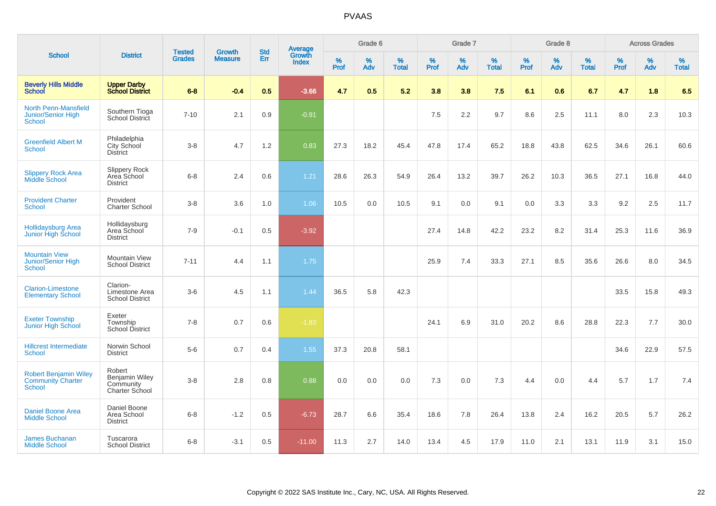|                                                                           |                                                         |                                | <b>Growth</b>  | <b>Std</b> | <b>Average</b><br>Growth |                  | Grade 6  |                   |           | Grade 7  |                   |           | Grade 8  |                   |           | <b>Across Grades</b> |                   |
|---------------------------------------------------------------------------|---------------------------------------------------------|--------------------------------|----------------|------------|--------------------------|------------------|----------|-------------------|-----------|----------|-------------------|-----------|----------|-------------------|-----------|----------------------|-------------------|
| <b>School</b>                                                             | <b>District</b>                                         | <b>Tested</b><br><b>Grades</b> | <b>Measure</b> | Err        | <b>Index</b>             | %<br><b>Prof</b> | %<br>Adv | %<br><b>Total</b> | %<br>Prof | %<br>Adv | %<br><b>Total</b> | %<br>Prof | %<br>Adv | %<br><b>Total</b> | %<br>Prof | $\%$<br>Adv          | %<br><b>Total</b> |
| <b>Beverly Hills Middle</b><br><b>School</b>                              | <b>Upper Darby</b><br><b>School District</b>            | $6 - 8$                        | $-0.4$         | 0.5        | $-3.66$                  | 4.7              | 0.5      | 5.2               | 3.8       | 3.8      | 7.5               | 6.1       | 0.6      | 6.7               | 4.7       | 1.8                  | 6.5               |
| <b>North Penn-Mansfield</b><br><b>Junior/Senior High</b><br>School        | Southern Tioga<br>School District                       | $7 - 10$                       | 2.1            | 0.9        | $-0.91$                  |                  |          |                   | 7.5       | 2.2      | 9.7               | 8.6       | 2.5      | 11.1              | 8.0       | 2.3                  | 10.3              |
| <b>Greenfield Albert M</b><br><b>School</b>                               | Philadelphia<br>City School<br><b>District</b>          | $3-8$                          | 4.7            | 1.2        | 0.83                     | 27.3             | 18.2     | 45.4              | 47.8      | 17.4     | 65.2              | 18.8      | 43.8     | 62.5              | 34.6      | 26.1                 | 60.6              |
| <b>Slippery Rock Area</b><br><b>Middle School</b>                         | Slippery Rock<br>Area School<br><b>District</b>         | $6 - 8$                        | 2.4            | 0.6        | 1.21                     | 28.6             | 26.3     | 54.9              | 26.4      | 13.2     | 39.7              | 26.2      | 10.3     | 36.5              | 27.1      | 16.8                 | 44.0              |
| <b>Provident Charter</b><br><b>School</b>                                 | Provident<br><b>Charter School</b>                      | $3-8$                          | 3.6            | 1.0        | 1.06                     | 10.5             | 0.0      | 10.5              | 9.1       | 0.0      | 9.1               | 0.0       | 3.3      | 3.3               | 9.2       | 2.5                  | 11.7              |
| Hollidaysburg Area<br>Junior High School                                  | Hollidaysburg<br>Area School<br><b>District</b>         | $7 - 9$                        | $-0.1$         | 0.5        | $-3.92$                  |                  |          |                   | 27.4      | 14.8     | 42.2              | 23.2      | 8.2      | 31.4              | 25.3      | 11.6                 | 36.9              |
| <b>Mountain View</b><br>Junior/Senior High<br><b>School</b>               | Mountain View<br><b>School District</b>                 | $7 - 11$                       | 4.4            | 1.1        | 1.75                     |                  |          |                   | 25.9      | 7.4      | 33.3              | 27.1      | 8.5      | 35.6              | 26.6      | 8.0                  | 34.5              |
| <b>Clarion-Limestone</b><br><b>Elementary School</b>                      | Clarion-<br>Limestone Area<br><b>School District</b>    | $3-6$                          | 4.5            | 1.1        | 1.44                     | 36.5             | 5.8      | 42.3              |           |          |                   |           |          |                   | 33.5      | 15.8                 | 49.3              |
| <b>Exeter Township</b><br>Junior High School                              | Exeter<br>Township<br><b>School District</b>            | $7 - 8$                        | 0.7            | 0.6        | $-1.83$                  |                  |          |                   | 24.1      | 6.9      | 31.0              | 20.2      | 8.6      | 28.8              | 22.3      | 7.7                  | 30.0              |
| <b>Hillcrest Intermediate</b><br>School                                   | Norwin School<br><b>District</b>                        | $5-6$                          | 0.7            | 0.4        | 1.55                     | 37.3             | 20.8     | 58.1              |           |          |                   |           |          |                   | 34.6      | 22.9                 | 57.5              |
| <b>Robert Benjamin Wiley</b><br><b>Community Charter</b><br><b>School</b> | Robert<br>Benjamin Wiley<br>Community<br>Charter School | $3-8$                          | 2.8            | 0.8        | 0.88                     | 0.0              | 0.0      | 0.0               | 7.3       | 0.0      | 7.3               | 4.4       | 0.0      | 4.4               | 5.7       | 1.7                  | 7.4               |
| <b>Daniel Boone Area</b><br><b>Middle School</b>                          | Daniel Boone<br>Area School<br><b>District</b>          | $6 - 8$                        | $-1.2$         | 0.5        | $-6.73$                  | 28.7             | 6.6      | 35.4              | 18.6      | 7.8      | 26.4              | 13.8      | 2.4      | 16.2              | 20.5      | 5.7                  | 26.2              |
| <b>James Buchanan</b><br><b>Middle School</b>                             | Tuscarora<br><b>School District</b>                     | $6 - 8$                        | $-3.1$         | 0.5        | $-11.00$                 | 11.3             | 2.7      | 14.0              | 13.4      | 4.5      | 17.9              | 11.0      | 2.1      | 13.1              | 11.9      | 3.1                  | 15.0              |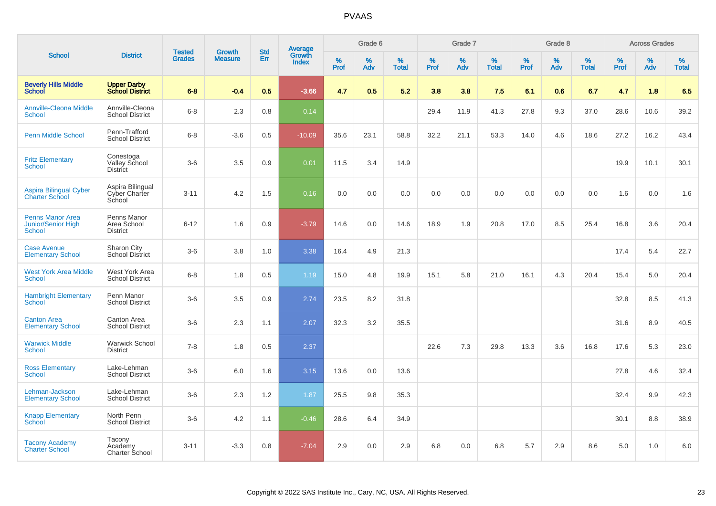|                                                                       |                                               |                                |                                 | <b>Std</b> |                                          |           | Grade 6  |                   |           | Grade 7  |                   |           | Grade 8  |                   |              | <b>Across Grades</b> |                   |
|-----------------------------------------------------------------------|-----------------------------------------------|--------------------------------|---------------------------------|------------|------------------------------------------|-----------|----------|-------------------|-----------|----------|-------------------|-----------|----------|-------------------|--------------|----------------------|-------------------|
| <b>School</b>                                                         | <b>District</b>                               | <b>Tested</b><br><b>Grades</b> | <b>Growth</b><br><b>Measure</b> | Err        | <b>Average</b><br>Growth<br><b>Index</b> | %<br>Prof | %<br>Adv | %<br><b>Total</b> | %<br>Prof | %<br>Adv | %<br><b>Total</b> | %<br>Prof | %<br>Adv | %<br><b>Total</b> | $\%$<br>Prof | $\%$<br>Adv          | %<br><b>Total</b> |
| <b>Beverly Hills Middle</b><br><b>School</b>                          | <b>Upper Darby</b><br><b>School District</b>  | $6 - 8$                        | $-0.4$                          | 0.5        | $-3.66$                                  | 4.7       | 0.5      | 5.2               | 3.8       | 3.8      | 7.5               | 6.1       | 0.6      | 6.7               | 4.7          | 1.8                  | 6.5               |
| <b>Annville-Cleona Middle</b><br>School                               | Annville-Cleona<br><b>School District</b>     | $6-8$                          | 2.3                             | 0.8        | 0.14                                     |           |          |                   | 29.4      | 11.9     | 41.3              | 27.8      | 9.3      | 37.0              | 28.6         | 10.6                 | 39.2              |
| <b>Penn Middle School</b>                                             | Penn-Trafford<br><b>School District</b>       | $6 - 8$                        | $-3.6$                          | 0.5        | $-10.09$                                 | 35.6      | 23.1     | 58.8              | 32.2      | 21.1     | 53.3              | 14.0      | 4.6      | 18.6              | 27.2         | 16.2                 | 43.4              |
| <b>Fritz Elementary</b><br><b>School</b>                              | Conestoga<br>Valley School<br><b>District</b> | $3-6$                          | 3.5                             | 0.9        | 0.01                                     | 11.5      | 3.4      | 14.9              |           |          |                   |           |          |                   | 19.9         | 10.1                 | 30.1              |
| <b>Aspira Bilingual Cyber</b><br><b>Charter School</b>                | Aspira Bilingual<br>Cyber Charter<br>School   | $3 - 11$                       | 4.2                             | 1.5        | 0.16                                     | 0.0       | 0.0      | 0.0               | 0.0       | 0.0      | 0.0               | 0.0       | 0.0      | 0.0               | 1.6          | 0.0                  | 1.6               |
| <b>Penns Manor Area</b><br><b>Junior/Senior High</b><br><b>School</b> | Penns Manor<br>Area School<br><b>District</b> | $6 - 12$                       | 1.6                             | 0.9        | $-3.79$                                  | 14.6      | 0.0      | 14.6              | 18.9      | 1.9      | 20.8              | 17.0      | 8.5      | 25.4              | 16.8         | 3.6                  | 20.4              |
| <b>Case Avenue</b><br><b>Elementary School</b>                        | Sharon City<br><b>School District</b>         | $3-6$                          | 3.8                             | 1.0        | 3.38                                     | 16.4      | 4.9      | 21.3              |           |          |                   |           |          |                   | 17.4         | 5.4                  | 22.7              |
| <b>West York Area Middle</b><br>School                                | West York Area<br><b>School District</b>      | $6 - 8$                        | 1.8                             | 0.5        | 1.19                                     | 15.0      | 4.8      | 19.9              | 15.1      | 5.8      | 21.0              | 16.1      | 4.3      | 20.4              | 15.4         | 5.0                  | 20.4              |
| <b>Hambright Elementary</b><br><b>School</b>                          | Penn Manor<br><b>School District</b>          | $3-6$                          | 3.5                             | 0.9        | 2.74                                     | 23.5      | 8.2      | 31.8              |           |          |                   |           |          |                   | 32.8         | 8.5                  | 41.3              |
| <b>Canton Area</b><br><b>Elementary School</b>                        | Canton Area<br><b>School District</b>         | $3-6$                          | 2.3                             | 1.1        | 2.07                                     | 32.3      | 3.2      | 35.5              |           |          |                   |           |          |                   | 31.6         | 8.9                  | 40.5              |
| <b>Warwick Middle</b><br><b>School</b>                                | <b>Warwick School</b><br><b>District</b>      | $7 - 8$                        | 1.8                             | 0.5        | 2.37                                     |           |          |                   | 22.6      | 7.3      | 29.8              | 13.3      | 3.6      | 16.8              | 17.6         | 5.3                  | 23.0              |
| <b>Ross Elementary</b><br><b>School</b>                               | Lake-Lehman<br><b>School District</b>         | $3-6$                          | 6.0                             | 1.6        | 3.15                                     | 13.6      | 0.0      | 13.6              |           |          |                   |           |          |                   | 27.8         | 4.6                  | 32.4              |
| Lehman-Jackson<br><b>Elementary School</b>                            | Lake-Lehman<br><b>School District</b>         | $3-6$                          | 2.3                             | 1.2        | 1.87                                     | 25.5      | 9.8      | 35.3              |           |          |                   |           |          |                   | 32.4         | 9.9                  | 42.3              |
| <b>Knapp Elementary</b><br><b>School</b>                              | North Penn<br><b>School District</b>          | $3-6$                          | 4.2                             | 1.1        | $-0.46$                                  | 28.6      | 6.4      | 34.9              |           |          |                   |           |          |                   | 30.1         | 8.8                  | 38.9              |
| <b>Tacony Academy</b><br><b>Charter School</b>                        | Tacony<br>Academy<br>Charter School           | $3 - 11$                       | $-3.3$                          | 0.8        | $-7.04$                                  | 2.9       | 0.0      | 2.9               | 6.8       | 0.0      | 6.8               | 5.7       | 2.9      | 8.6               | 5.0          | 1.0                  | 6.0               |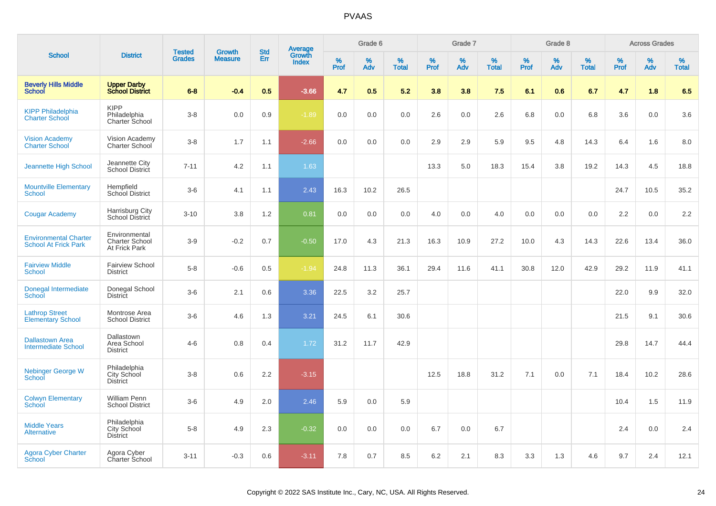|                                                             |                                                         |                                |                                 | <b>Std</b> |                                          |           | Grade 6     |                   |           | Grade 7     |                      |              | Grade 8  |                   |              | <b>Across Grades</b> |                   |
|-------------------------------------------------------------|---------------------------------------------------------|--------------------------------|---------------------------------|------------|------------------------------------------|-----------|-------------|-------------------|-----------|-------------|----------------------|--------------|----------|-------------------|--------------|----------------------|-------------------|
| <b>School</b>                                               | <b>District</b>                                         | <b>Tested</b><br><b>Grades</b> | <b>Growth</b><br><b>Measure</b> | Err        | <b>Average</b><br>Growth<br><b>Index</b> | %<br>Prof | $\%$<br>Adv | %<br><b>Total</b> | %<br>Prof | $\%$<br>Adv | $\%$<br><b>Total</b> | $\%$<br>Prof | %<br>Adv | %<br><b>Total</b> | $\%$<br>Prof | $\%$<br>Adv          | %<br><b>Total</b> |
| <b>Beverly Hills Middle</b><br>School                       | <b>Upper Darby</b><br><b>School District</b>            | $6 - 8$                        | $-0.4$                          | 0.5        | $-3.66$                                  | 4.7       | 0.5         | 5.2               | 3.8       | 3.8         | 7.5                  | 6.1          | 0.6      | 6.7               | 4.7          | 1.8                  | 6.5               |
| <b>KIPP Philadelphia</b><br><b>Charter School</b>           | <b>KIPP</b><br>Philadelphia<br>Charter School           | $3-8$                          | 0.0                             | 0.9        | $-1.89$                                  | 0.0       | 0.0         | 0.0               | 2.6       | 0.0         | 2.6                  | 6.8          | 0.0      | 6.8               | 3.6          | 0.0                  | 3.6               |
| <b>Vision Academy</b><br>Charter School                     | Vision Academy<br>Charter School                        | $3-8$                          | 1.7                             | 1.1        | $-2.66$                                  | 0.0       | 0.0         | 0.0               | 2.9       | 2.9         | 5.9                  | 9.5          | 4.8      | 14.3              | 6.4          | 1.6                  | 8.0               |
| Jeannette High School                                       | Jeannette City<br>School District                       | $7 - 11$                       | 4.2                             | 1.1        | 1.63                                     |           |             |                   | 13.3      | 5.0         | 18.3                 | 15.4         | 3.8      | 19.2              | 14.3         | 4.5                  | 18.8              |
| <b>Mountville Elementary</b><br><b>School</b>               | Hempfield<br>School District                            | $3-6$                          | 4.1                             | 1.1        | 2.43                                     | 16.3      | 10.2        | 26.5              |           |             |                      |              |          |                   | 24.7         | 10.5                 | 35.2              |
| <b>Cougar Academy</b>                                       | <b>Harrisburg City</b><br>School District               | $3 - 10$                       | 3.8                             | 1.2        | 0.81                                     | 0.0       | 0.0         | 0.0               | 4.0       | 0.0         | 4.0                  | 0.0          | 0.0      | 0.0               | 2.2          | 0.0                  | 2.2               |
| <b>Environmental Charter</b><br><b>School At Frick Park</b> | Environmental<br><b>Charter School</b><br>At Frick Park | $3-9$                          | $-0.2$                          | 0.7        | $-0.50$                                  | 17.0      | 4.3         | 21.3              | 16.3      | 10.9        | 27.2                 | 10.0         | 4.3      | 14.3              | 22.6         | 13.4                 | 36.0              |
| <b>Fairview Middle</b><br><b>School</b>                     | <b>Fairview School</b><br><b>District</b>               | $5-8$                          | $-0.6$                          | 0.5        | $-1.94$                                  | 24.8      | 11.3        | 36.1              | 29.4      | 11.6        | 41.1                 | 30.8         | 12.0     | 42.9              | 29.2         | 11.9                 | 41.1              |
| Donegal Intermediate<br>School                              | Donegal School<br><b>District</b>                       | $3-6$                          | 2.1                             | 0.6        | 3.36                                     | 22.5      | 3.2         | 25.7              |           |             |                      |              |          |                   | 22.0         | 9.9                  | 32.0              |
| <b>Lathrop Street</b><br><b>Elementary School</b>           | Montrose Area<br><b>School District</b>                 | $3-6$                          | 4.6                             | 1.3        | 3.21                                     | 24.5      | 6.1         | 30.6              |           |             |                      |              |          |                   | 21.5         | 9.1                  | 30.6              |
| <b>Dallastown Area</b><br><b>Intermediate School</b>        | Dallastown<br>Area School<br><b>District</b>            | $4 - 6$                        | 0.8                             | 0.4        | 1.72                                     | 31.2      | 11.7        | 42.9              |           |             |                      |              |          |                   | 29.8         | 14.7                 | 44.4              |
| Nebinger George W<br>School                                 | Philadelphia<br>City School<br><b>District</b>          | $3-8$                          | 0.6                             | 2.2        | $-3.15$                                  |           |             |                   | 12.5      | 18.8        | 31.2                 | 7.1          | 0.0      | 7.1               | 18.4         | 10.2                 | 28.6              |
| <b>Colwyn Elementary</b><br>School                          | <b>William Penn</b><br><b>School District</b>           | $3-6$                          | 4.9                             | 2.0        | 2.46                                     | 5.9       | 0.0         | 5.9               |           |             |                      |              |          |                   | 10.4         | 1.5                  | 11.9              |
| <b>Middle Years</b><br><b>Alternative</b>                   | Philadelphia<br>City School<br><b>District</b>          | $5-8$                          | 4.9                             | 2.3        | $-0.32$                                  | 0.0       | 0.0         | 0.0               | 6.7       | 0.0         | 6.7                  |              |          |                   | 2.4          | 0.0                  | 2.4               |
| <b>Agora Cyber Charter</b><br>School                        | Agora Cyber<br>Charter School                           | $3 - 11$                       | $-0.3$                          | 0.6        | $-3.11$                                  | 7.8       | 0.7         | 8.5               | 6.2       | 2.1         | 8.3                  | 3.3          | 1.3      | 4.6               | 9.7          | 2.4                  | 12.1              |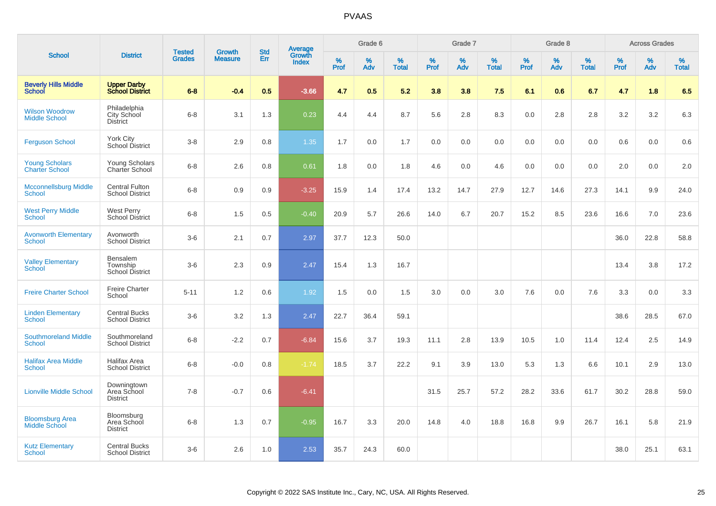|                                                |                                                 |                                |                                 | <b>Std</b> |                                          |           | Grade 6  |                   |           | Grade 7  |                   |           | Grade 8  |                   |              | <b>Across Grades</b> |                   |
|------------------------------------------------|-------------------------------------------------|--------------------------------|---------------------------------|------------|------------------------------------------|-----------|----------|-------------------|-----------|----------|-------------------|-----------|----------|-------------------|--------------|----------------------|-------------------|
| <b>School</b>                                  | <b>District</b>                                 | <b>Tested</b><br><b>Grades</b> | <b>Growth</b><br><b>Measure</b> | Err        | <b>Average</b><br>Growth<br><b>Index</b> | %<br>Prof | %<br>Adv | %<br><b>Total</b> | %<br>Prof | %<br>Adv | %<br><b>Total</b> | %<br>Prof | %<br>Adv | %<br><b>Total</b> | $\%$<br>Prof | $\%$<br>Adv          | %<br><b>Total</b> |
| <b>Beverly Hills Middle</b><br><b>School</b>   | <b>Upper Darby</b><br><b>School District</b>    | $6 - 8$                        | $-0.4$                          | 0.5        | $-3.66$                                  | 4.7       | 0.5      | 5.2               | 3.8       | 3.8      | 7.5               | 6.1       | 0.6      | 6.7               | 4.7          | 1.8                  | 6.5               |
| <b>Wilson Woodrow</b><br><b>Middle School</b>  | Philadelphia<br>City School<br><b>District</b>  | $6 - 8$                        | 3.1                             | 1.3        | 0.23                                     | 4.4       | 4.4      | 8.7               | 5.6       | 2.8      | 8.3               | 0.0       | 2.8      | 2.8               | 3.2          | 3.2                  | 6.3               |
| <b>Ferguson School</b>                         | York City<br>School District                    | $3-8$                          | 2.9                             | 0.8        | 1.35                                     | 1.7       | 0.0      | 1.7               | 0.0       | 0.0      | 0.0               | 0.0       | 0.0      | 0.0               | 0.6          | 0.0                  | 0.6               |
| <b>Young Scholars</b><br><b>Charter School</b> | Young Scholars<br>Charter School                | $6 - 8$                        | 2.6                             | 0.8        | 0.61                                     | 1.8       | 0.0      | 1.8               | 4.6       | 0.0      | 4.6               | 0.0       | 0.0      | 0.0               | 2.0          | 0.0                  | 2.0               |
| <b>Mcconnellsburg Middle</b><br><b>School</b>  | <b>Central Fulton</b><br><b>School District</b> | $6 - 8$                        | 0.9                             | 0.9        | $-3.25$                                  | 15.9      | 1.4      | 17.4              | 13.2      | 14.7     | 27.9              | 12.7      | 14.6     | 27.3              | 14.1         | 9.9                  | 24.0              |
| <b>West Perry Middle</b><br><b>School</b>      | <b>West Perry</b><br><b>School District</b>     | $6-8$                          | 1.5                             | 0.5        | $-0.40$                                  | 20.9      | 5.7      | 26.6              | 14.0      | 6.7      | 20.7              | 15.2      | 8.5      | 23.6              | 16.6         | 7.0                  | 23.6              |
| <b>Avonworth Elementary</b><br>School          | Avonworth<br><b>School District</b>             | $3-6$                          | 2.1                             | 0.7        | 2.97                                     | 37.7      | 12.3     | 50.0              |           |          |                   |           |          |                   | 36.0         | 22.8                 | 58.8              |
| <b>Valley Elementary</b><br>School             | Bensalem<br>Township<br>School District         | $3-6$                          | 2.3                             | 0.9        | 2.47                                     | 15.4      | 1.3      | 16.7              |           |          |                   |           |          |                   | 13.4         | 3.8                  | 17.2              |
| <b>Freire Charter School</b>                   | <b>Freire Charter</b><br>School                 | $5 - 11$                       | 1.2                             | 0.6        | 1.92                                     | 1.5       | 0.0      | 1.5               | 3.0       | 0.0      | 3.0               | 7.6       | 0.0      | 7.6               | 3.3          | 0.0                  | 3.3               |
| <b>Linden Elementary</b><br><b>School</b>      | <b>Central Bucks</b><br><b>School District</b>  | $3-6$                          | 3.2                             | 1.3        | 2.47                                     | 22.7      | 36.4     | 59.1              |           |          |                   |           |          |                   | 38.6         | 28.5                 | 67.0              |
| <b>Southmoreland Middle</b><br><b>School</b>   | Southmoreland<br><b>School District</b>         | $6 - 8$                        | $-2.2$                          | 0.7        | $-6.84$                                  | 15.6      | 3.7      | 19.3              | 11.1      | 2.8      | 13.9              | 10.5      | 1.0      | 11.4              | 12.4         | 2.5                  | 14.9              |
| <b>Halifax Area Middle</b><br><b>School</b>    | Halifax Area<br><b>School District</b>          | $6 - 8$                        | $-0.0$                          | 0.8        | $-1.74$                                  | 18.5      | 3.7      | 22.2              | 9.1       | 3.9      | 13.0              | 5.3       | 1.3      | 6.6               | 10.1         | 2.9                  | 13.0              |
| <b>Lionville Middle School</b>                 | Downingtown<br>Area School<br><b>District</b>   | $7 - 8$                        | $-0.7$                          | 0.6        | $-6.41$                                  |           |          |                   | 31.5      | 25.7     | 57.2              | 28.2      | 33.6     | 61.7              | 30.2         | 28.8                 | 59.0              |
| <b>Bloomsburg Area</b><br><b>Middle School</b> | Bloomsburg<br>Area School<br><b>District</b>    | $6 - 8$                        | 1.3                             | 0.7        | $-0.95$                                  | 16.7      | 3.3      | 20.0              | 14.8      | 4.0      | 18.8              | 16.8      | 9.9      | 26.7              | 16.1         | 5.8                  | 21.9              |
| <b>Kutz Elementary</b><br><b>School</b>        | <b>Central Bucks</b><br><b>School District</b>  | $3-6$                          | 2.6                             | 1.0        | 2.53                                     | 35.7      | 24.3     | 60.0              |           |          |                   |           |          |                   | 38.0         | 25.1                 | 63.1              |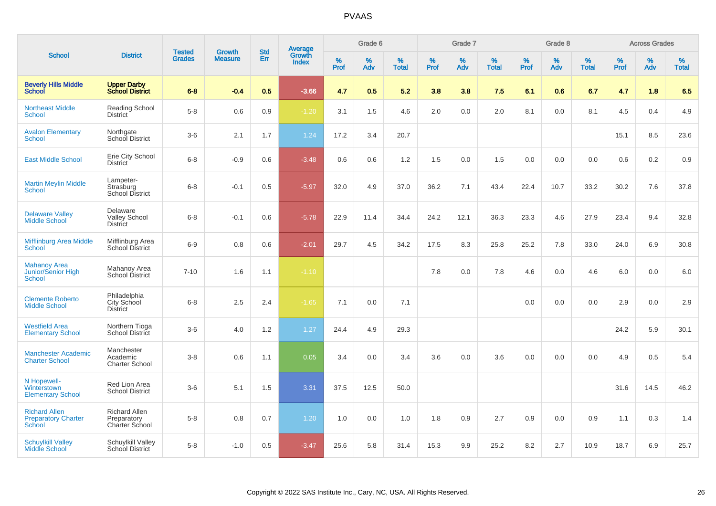| <b>School</b>                                                       |                                                       |                                | <b>Growth</b>  |                   |                                          |              | Grade 6     |                   |              | Grade 7     |                   |              | Grade 8     |                   |              | <b>Across Grades</b> |                      |
|---------------------------------------------------------------------|-------------------------------------------------------|--------------------------------|----------------|-------------------|------------------------------------------|--------------|-------------|-------------------|--------------|-------------|-------------------|--------------|-------------|-------------------|--------------|----------------------|----------------------|
|                                                                     | <b>District</b>                                       | <b>Tested</b><br><b>Grades</b> | <b>Measure</b> | <b>Std</b><br>Err | <b>Average</b><br>Growth<br><b>Index</b> | $\%$<br>Prof | $\%$<br>Adv | %<br><b>Total</b> | $\%$<br>Prof | $\%$<br>Adv | %<br><b>Total</b> | $\%$<br>Prof | $\%$<br>Adv | %<br><b>Total</b> | $\%$<br>Prof | $\%$<br>Adv          | $\%$<br><b>Total</b> |
| <b>Beverly Hills Middle</b><br>School                               | <b>Upper Darby</b><br><b>School District</b>          | $6 - 8$                        | $-0.4$         | 0.5               | $-3.66$                                  | 4.7          | 0.5         | 5.2               | 3.8          | 3.8         | 7.5               | 6.1          | 0.6         | 6.7               | 4.7          | 1.8                  | 6.5                  |
| <b>Northeast Middle</b><br><b>School</b>                            | <b>Reading School</b><br><b>District</b>              | $5-8$                          | 0.6            | 0.9               | $-1.20$                                  | 3.1          | 1.5         | 4.6               | 2.0          | 0.0         | 2.0               | 8.1          | 0.0         | 8.1               | 4.5          | 0.4                  | 4.9                  |
| <b>Avalon Elementary</b><br><b>School</b>                           | Northgate<br>School District                          | $3-6$                          | 2.1            | 1.7               | 1.24                                     | 17.2         | 3.4         | 20.7              |              |             |                   |              |             |                   | 15.1         | 8.5                  | 23.6                 |
| <b>East Middle School</b>                                           | Erie City School<br><b>District</b>                   | $6 - 8$                        | $-0.9$         | 0.6               | $-3.48$                                  | 0.6          | 0.6         | 1.2               | 1.5          | 0.0         | 1.5               | 0.0          | 0.0         | 0.0               | 0.6          | 0.2                  | 0.9                  |
| <b>Martin Meylin Middle</b><br><b>School</b>                        | Lampeter-<br>Strasburg<br><b>School District</b>      | $6 - 8$                        | $-0.1$         | 0.5               | $-5.97$                                  | 32.0         | 4.9         | 37.0              | 36.2         | 7.1         | 43.4              | 22.4         | 10.7        | 33.2              | 30.2         | 7.6                  | 37.8                 |
| <b>Delaware Valley</b><br><b>Middle School</b>                      | Delaware<br><b>Valley School</b><br><b>District</b>   | $6 - 8$                        | $-0.1$         | 0.6               | $-5.78$                                  | 22.9         | 11.4        | 34.4              | 24.2         | 12.1        | 36.3              | 23.3         | 4.6         | 27.9              | 23.4         | 9.4                  | 32.8                 |
| Mifflinburg Area Middle<br><b>School</b>                            | Mifflinburg Area<br>School District                   | $6-9$                          | 0.8            | 0.6               | $-2.01$                                  | 29.7         | 4.5         | 34.2              | 17.5         | 8.3         | 25.8              | 25.2         | 7.8         | 33.0              | 24.0         | 6.9                  | 30.8                 |
| <b>Mahanoy Area</b><br><b>Junior/Senior High</b><br><b>School</b>   | Mahanoy Area<br>School District                       | $7 - 10$                       | 1.6            | 1.1               | $-1.10$                                  |              |             |                   | 7.8          | 0.0         | 7.8               | 4.6          | 0.0         | 4.6               | 6.0          | 0.0                  | 6.0                  |
| <b>Clemente Roberto</b><br><b>Middle School</b>                     | Philadelphia<br>City School<br><b>District</b>        | $6 - 8$                        | 2.5            | 2.4               | $-1.65$                                  | 7.1          | 0.0         | 7.1               |              |             |                   | 0.0          | 0.0         | 0.0               | 2.9          | 0.0                  | 2.9                  |
| <b>Westfield Area</b><br><b>Elementary School</b>                   | Northern Tioga<br><b>School District</b>              | $3-6$                          | 4.0            | 1.2               | 1.27                                     | 24.4         | 4.9         | 29.3              |              |             |                   |              |             |                   | 24.2         | 5.9                  | 30.1                 |
| <b>Manchester Academic</b><br><b>Charter School</b>                 | Manchester<br>Academic<br><b>Charter School</b>       | $3 - 8$                        | 0.6            | 1.1               | 0.05                                     | 3.4          | 0.0         | 3.4               | 3.6          | 0.0         | 3.6               | 0.0          | 0.0         | 0.0               | 4.9          | 0.5                  | 5.4                  |
| N Hopewell-<br>Winterstown<br><b>Elementary School</b>              | Red Lion Area<br><b>School District</b>               | $3-6$                          | 5.1            | 1.5               | 3.31                                     | 37.5         | 12.5        | 50.0              |              |             |                   |              |             |                   | 31.6         | 14.5                 | 46.2                 |
| <b>Richard Allen</b><br><b>Preparatory Charter</b><br><b>School</b> | <b>Richard Allen</b><br>Preparatory<br>Charter School | $5-8$                          | 0.8            | 0.7               | 1.20                                     | 1.0          | 0.0         | 1.0               | 1.8          | 0.9         | 2.7               | 0.9          | 0.0         | 0.9               | 1.1          | 0.3                  | 1.4                  |
| <b>Schuylkill Valley</b><br><b>Middle School</b>                    | Schuylkill Valley<br>School District                  | $5-8$                          | $-1.0$         | 0.5               | $-3.47$                                  | 25.6         | 5.8         | 31.4              | 15.3         | 9.9         | 25.2              | 8.2          | 2.7         | 10.9              | 18.7         | 6.9                  | 25.7                 |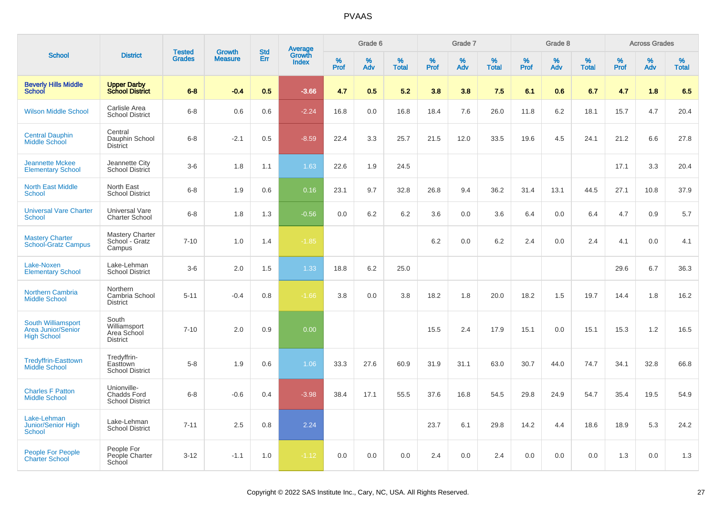|                                                                       |                                                             | <b>Tested</b> | <b>Growth</b>  | <b>Std</b> |                                          |           | Grade 6  |                   |           | Grade 7  |                   |              | Grade 8  |                   |              | <b>Across Grades</b> |                   |
|-----------------------------------------------------------------------|-------------------------------------------------------------|---------------|----------------|------------|------------------------------------------|-----------|----------|-------------------|-----------|----------|-------------------|--------------|----------|-------------------|--------------|----------------------|-------------------|
| <b>School</b>                                                         | <b>District</b>                                             | <b>Grades</b> | <b>Measure</b> | Err        | <b>Average</b><br>Growth<br><b>Index</b> | %<br>Prof | %<br>Adv | %<br><b>Total</b> | %<br>Prof | %<br>Adv | %<br><b>Total</b> | $\%$<br>Prof | %<br>Adv | %<br><b>Total</b> | $\%$<br>Prof | %<br>Adv             | %<br><b>Total</b> |
| <b>Beverly Hills Middle</b><br>School                                 | <b>Upper Darby</b><br><b>School District</b>                | $6 - 8$       | $-0.4$         | 0.5        | $-3.66$                                  | 4.7       | 0.5      | 5.2               | 3.8       | 3.8      | 7.5               | 6.1          | 0.6      | 6.7               | 4.7          | 1.8                  | 6.5               |
| <b>Wilson Middle School</b>                                           | Carlisle Area<br><b>School District</b>                     | $6 - 8$       | 0.6            | 0.6        | $-2.24$                                  | 16.8      | 0.0      | 16.8              | 18.4      | 7.6      | 26.0              | 11.8         | 6.2      | 18.1              | 15.7         | 4.7                  | 20.4              |
| <b>Central Dauphin</b><br><b>Middle School</b>                        | Central<br>Dauphin School<br><b>District</b>                | $6 - 8$       | $-2.1$         | 0.5        | $-8.59$                                  | 22.4      | 3.3      | 25.7              | 21.5      | 12.0     | 33.5              | 19.6         | 4.5      | 24.1              | 21.2         | 6.6                  | 27.8              |
| <b>Jeannette Mckee</b><br><b>Elementary School</b>                    | Jeannette City<br>School District                           | $3-6$         | 1.8            | 1.1        | 1.63                                     | 22.6      | 1.9      | 24.5              |           |          |                   |              |          |                   | 17.1         | 3.3                  | 20.4              |
| <b>North East Middle</b><br>School                                    | North East<br><b>School District</b>                        | $6 - 8$       | 1.9            | 0.6        | 0.16                                     | 23.1      | 9.7      | 32.8              | 26.8      | 9.4      | 36.2              | 31.4         | 13.1     | 44.5              | 27.1         | 10.8                 | 37.9              |
| <b>Universal Vare Charter</b><br><b>School</b>                        | Universal Vare<br><b>Charter School</b>                     | $6 - 8$       | 1.8            | 1.3        | $-0.56$                                  | 0.0       | 6.2      | 6.2               | 3.6       | 0.0      | 3.6               | 6.4          | 0.0      | 6.4               | 4.7          | 0.9                  | 5.7               |
| <b>Mastery Charter</b><br><b>School-Gratz Campus</b>                  | Mastery Charter<br>School - Gratz<br>Campus                 | $7 - 10$      | 1.0            | 1.4        | $-1.85$                                  |           |          |                   | 6.2       | 0.0      | 6.2               | 2.4          | 0.0      | 2.4               | 4.1          | 0.0                  | 4.1               |
| Lake-Noxen<br><b>Elementary School</b>                                | Lake-Lehman<br><b>School District</b>                       | $3-6$         | 2.0            | 1.5        | 1.33                                     | 18.8      | 6.2      | 25.0              |           |          |                   |              |          |                   | 29.6         | 6.7                  | 36.3              |
| <b>Northern Cambria</b><br><b>Middle School</b>                       | Northern<br>Cambria School<br><b>District</b>               | $5 - 11$      | $-0.4$         | 0.8        | $-1.66$                                  | 3.8       | $0.0\,$  | 3.8               | 18.2      | 1.8      | 20.0              | 18.2         | 1.5      | 19.7              | 14.4         | 1.8                  | 16.2              |
| South Williamsport<br><b>Area Junior/Senior</b><br><b>High School</b> | South<br>Williamsport<br>Area School<br><b>District</b>     | $7 - 10$      | 2.0            | 0.9        | 0.00                                     |           |          |                   | 15.5      | 2.4      | 17.9              | 15.1         | 0.0      | 15.1              | 15.3         | 1.2                  | 16.5              |
| <b>Tredyffrin-Easttown</b><br><b>Middle School</b>                    | Tredyffrin-<br>Easttown<br><b>School District</b>           | $5 - 8$       | 1.9            | 0.6        | 1.06                                     | 33.3      | 27.6     | 60.9              | 31.9      | 31.1     | 63.0              | 30.7         | 44.0     | 74.7              | 34.1         | 32.8                 | 66.8              |
| <b>Charles F Patton</b><br><b>Middle School</b>                       | Unionville-<br><b>Chadds Ford</b><br><b>School District</b> | $6 - 8$       | $-0.6$         | 0.4        | $-3.98$                                  | 38.4      | 17.1     | 55.5              | 37.6      | 16.8     | 54.5              | 29.8         | 24.9     | 54.7              | 35.4         | 19.5                 | 54.9              |
| Lake-Lehman<br>Junior/Senior High<br><b>School</b>                    | Lake-Lehman<br><b>School District</b>                       | $7 - 11$      | 2.5            | 0.8        | 2.24                                     |           |          |                   | 23.7      | 6.1      | 29.8              | 14.2         | 4.4      | 18.6              | 18.9         | 5.3                  | 24.2              |
| People For People<br><b>Charter School</b>                            | People For<br>People Charter<br>School                      | $3 - 12$      | $-1.1$         | 1.0        | $-1.12$                                  | 0.0       | 0.0      | 0.0               | 2.4       | 0.0      | 2.4               | 0.0          | 0.0      | 0.0               | 1.3          | 0.0                  | 1.3               |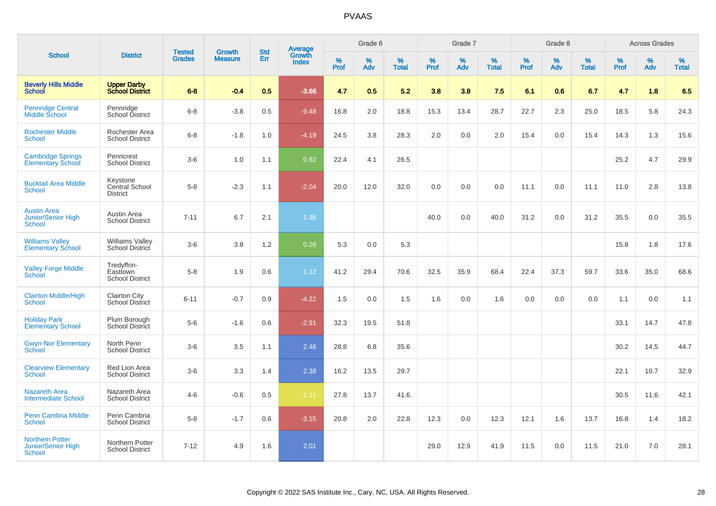| <b>School</b>                                                 |                                                   | <b>Tested</b> | <b>Growth</b>  | <b>Std</b> |                                          |                  | Grade 6     |                   |              | Grade 7  |                   |                  | Grade 8  |                   |                     | <b>Across Grades</b> |                   |
|---------------------------------------------------------------|---------------------------------------------------|---------------|----------------|------------|------------------------------------------|------------------|-------------|-------------------|--------------|----------|-------------------|------------------|----------|-------------------|---------------------|----------------------|-------------------|
|                                                               | <b>District</b>                                   | <b>Grades</b> | <b>Measure</b> | Err        | <b>Average</b><br>Growth<br><b>Index</b> | %<br><b>Prof</b> | $\%$<br>Adv | %<br><b>Total</b> | $\%$<br>Prof | %<br>Adv | %<br><b>Total</b> | %<br><b>Prof</b> | %<br>Adv | %<br><b>Total</b> | $\%$<br><b>Prof</b> | $\%$<br>Adv          | %<br><b>Total</b> |
| <b>Beverly Hills Middle</b><br><b>School</b>                  | <b>Upper Darby</b><br><b>School District</b>      | $6 - 8$       | $-0.4$         | 0.5        | $-3.66$                                  | 4.7              | 0.5         | 5.2               | 3.8          | 3.8      | 7.5               | 6.1              | 0.6      | 6.7               | 4.7                 | 1.8                  | 6.5               |
| <b>Pennridge Central</b><br>Middle School                     | Pennridge<br>School District                      | $6 - 8$       | $-3.8$         | 0.5        | $-9.48$                                  | 16.8             | 2.0         | 18.8              | 15.3         | 13.4     | 28.7              | 22.7             | 2.3      | 25.0              | 18.5                | 5.8                  | 24.3              |
| <b>Rochester Middle</b><br>School                             | Rochester Area<br><b>School District</b>          | $6 - 8$       | $-1.8$         | 1.0        | $-4.19$                                  | 24.5             | 3.8         | 28.3              | 2.0          | 0.0      | 2.0               | 15.4             | 0.0      | 15.4              | 14.3                | 1.3                  | 15.6              |
| <b>Cambridge Springs</b><br><b>Elementary School</b>          | Penncrest<br><b>School District</b>               | $3-6$         | 1.0            | 1.1        | 0.92                                     | 22.4             | 4.1         | 26.5              |              |          |                   |                  |          |                   | 25.2                | 4.7                  | 29.9              |
| <b>Bucktail Area Middle</b><br>School                         | Keystone<br>Central School<br><b>District</b>     | $5 - 8$       | $-2.3$         | 1.1        | $-2.04$                                  | 20.0             | 12.0        | 32.0              | 0.0          | 0.0      | 0.0               | 11.1             | 0.0      | 11.1              | 11.0                | 2.8                  | 13.8              |
| <b>Austin Area</b><br>Junior/Senior High<br>School            | Austin Area<br><b>School District</b>             | $7 - 11$      | 6.7            | 2.1        | 1.98                                     |                  |             |                   | 40.0         | 0.0      | 40.0              | 31.2             | 0.0      | 31.2              | 35.5                | 0.0                  | 35.5              |
| <b>Williams Valley</b><br><b>Elementary School</b>            | <b>Williams Valley</b><br>School District         | $3-6$         | 3.8            | 1.2        | 0.26                                     | 5.3              | 0.0         | 5.3               |              |          |                   |                  |          |                   | 15.8                | 1.8                  | 17.6              |
| <b>Valley Forge Middle</b><br>School                          | Tredyffrin-<br>Easttown<br><b>School District</b> | $5 - 8$       | 1.9            | 0.6        | 1.12                                     | 41.2             | 29.4        | 70.6              | 32.5         | 35.9     | 68.4              | 22.4             | 37.3     | 59.7              | 33.6                | 35.0                 | 68.6              |
| <b>Clairton Middle/High</b><br><b>School</b>                  | <b>Clairton City</b><br><b>School District</b>    | $6 - 11$      | $-0.7$         | 0.9        | $-4.22$                                  | 1.5              | 0.0         | 1.5               | 1.6          | 0.0      | 1.6               | 0.0              | 0.0      | 0.0               | 1.1                 | 0.0                  | 1.1               |
| <b>Holiday Park</b><br><b>Elementary School</b>               | Plum Borough<br>School District                   | $5-6$         | $-1.6$         | 0.6        | $-2.91$                                  | 32.3             | 19.5        | 51.8              |              |          |                   |                  |          |                   | 33.1                | 14.7                 | 47.8              |
| <b>Gwyn-Nor Elementary</b><br><b>School</b>                   | North Penn<br><b>School District</b>              | $3-6$         | 3.5            | 1.1        | 2.46                                     | 28.8             | 6.8         | 35.6              |              |          |                   |                  |          |                   | 30.2                | 14.5                 | 44.7              |
| <b>Clearview Elementary</b><br><b>School</b>                  | Red Lion Area<br><b>School District</b>           | $3-6$         | 3.3            | 1.4        | 2.38                                     | 16.2             | 13.5        | 29.7              |              |          |                   |                  |          |                   | 22.1                | 10.7                 | 32.9              |
| <b>Nazareth Area</b><br><b>Intermediate School</b>            | Nazareth Area<br><b>School District</b>           | $4 - 6$       | $-0.6$         | 0.5        | $-1.11$                                  | 27.8             | 13.7        | 41.6              |              |          |                   |                  |          |                   | 30.5                | 11.6                 | 42.1              |
| <b>Penn Cambria Middle</b><br><b>School</b>                   | Penn Cambria<br><b>School District</b>            | $5 - 8$       | $-1.7$         | 0.6        | $-3.15$                                  | 20.8             | 2.0         | 22.8              | 12.3         | 0.0      | 12.3              | 12.1             | 1.6      | 13.7              | 16.8                | 1.4                  | 18.2              |
| <b>Northern Potter</b><br><b>Junior/Senior High</b><br>School | Northern Potter<br><b>School District</b>         | $7 - 12$      | 4.9            | 1.6        | 2.01                                     |                  |             |                   | 29.0         | 12.9     | 41.9              | 11.5             | 0.0      | 11.5              | 21.0                | 7.0                  | 28.1              |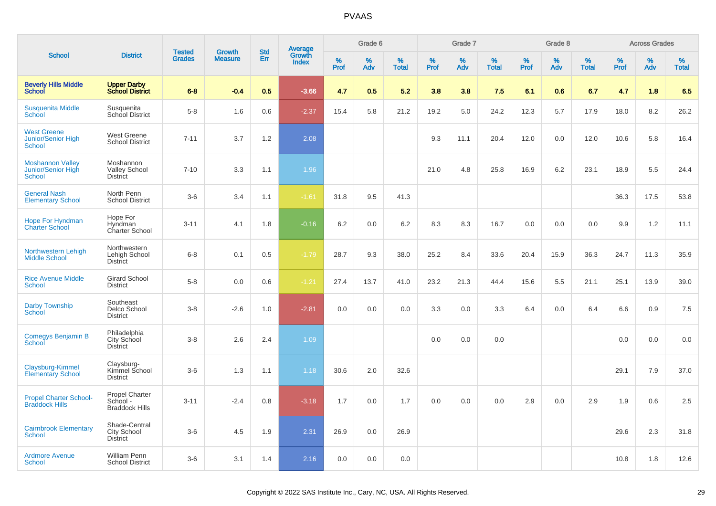|                                                                  |                                                            |                                |                                 | <b>Std</b> |                                          |           | Grade 6  |                   |           | Grade 7  |                   |           | Grade 8  |                   |           | <b>Across Grades</b> |                   |
|------------------------------------------------------------------|------------------------------------------------------------|--------------------------------|---------------------------------|------------|------------------------------------------|-----------|----------|-------------------|-----------|----------|-------------------|-----------|----------|-------------------|-----------|----------------------|-------------------|
| <b>School</b>                                                    | <b>District</b>                                            | <b>Tested</b><br><b>Grades</b> | <b>Growth</b><br><b>Measure</b> | Err        | <b>Average</b><br>Growth<br><b>Index</b> | %<br>Prof | %<br>Adv | %<br><b>Total</b> | %<br>Prof | %<br>Adv | %<br><b>Total</b> | %<br>Prof | %<br>Adv | %<br><b>Total</b> | %<br>Prof | %<br>Adv             | %<br><b>Total</b> |
| <b>Beverly Hills Middle</b><br>School                            | <b>Upper Darby</b><br><b>School District</b>               | $6 - 8$                        | $-0.4$                          | 0.5        | $-3.66$                                  | 4.7       | 0.5      | 5.2               | 3.8       | 3.8      | 7.5               | 6.1       | 0.6      | 6.7               | 4.7       | 1.8                  | 6.5               |
| <b>Susquenita Middle</b><br>School                               | Susquenita<br>School District                              | $5-8$                          | 1.6                             | 0.6        | $-2.37$                                  | 15.4      | 5.8      | 21.2              | 19.2      | 5.0      | 24.2              | 12.3      | 5.7      | 17.9              | 18.0      | 8.2                  | 26.2              |
| <b>West Greene</b><br><b>Junior/Senior High</b><br><b>School</b> | <b>West Greene</b><br><b>School District</b>               | $7 - 11$                       | 3.7                             | 1.2        | 2.08                                     |           |          |                   | 9.3       | 11.1     | 20.4              | 12.0      | 0.0      | 12.0              | 10.6      | 5.8                  | 16.4              |
| <b>Moshannon Valley</b><br>Junior/Senior High<br><b>School</b>   | Moshannon<br><b>Valley School</b><br><b>District</b>       | $7 - 10$                       | 3.3                             | 1.1        | 1.96                                     |           |          |                   | 21.0      | 4.8      | 25.8              | 16.9      | 6.2      | 23.1              | 18.9      | 5.5                  | 24.4              |
| <b>General Nash</b><br><b>Elementary School</b>                  | North Penn<br><b>School District</b>                       | $3-6$                          | 3.4                             | 1.1        | $-1.61$                                  | 31.8      | 9.5      | 41.3              |           |          |                   |           |          |                   | 36.3      | 17.5                 | 53.8              |
| <b>Hope For Hyndman</b><br><b>Charter School</b>                 | Hope For<br>Hyndman<br>Charter School                      | $3 - 11$                       | 4.1                             | 1.8        | $-0.16$                                  | 6.2       | 0.0      | 6.2               | 8.3       | 8.3      | 16.7              | 0.0       | 0.0      | 0.0               | 9.9       | 1.2                  | 11.1              |
| Northwestern Lehigh<br><b>Middle School</b>                      | Northwestern<br>Lehigh School<br><b>District</b>           | $6 - 8$                        | 0.1                             | 0.5        | $-1.79$                                  | 28.7      | 9.3      | 38.0              | 25.2      | 8.4      | 33.6              | 20.4      | 15.9     | 36.3              | 24.7      | 11.3                 | 35.9              |
| <b>Rice Avenue Middle</b><br>School                              | <b>Girard School</b><br><b>District</b>                    | $5 - 8$                        | 0.0                             | 0.6        | $-1.21$                                  | 27.4      | 13.7     | 41.0              | 23.2      | 21.3     | 44.4              | 15.6      | 5.5      | 21.1              | 25.1      | 13.9                 | 39.0              |
| <b>Darby Township</b><br><b>School</b>                           | Southeast<br>Delco School<br><b>District</b>               | $3-8$                          | $-2.6$                          | 1.0        | $-2.81$                                  | 0.0       | 0.0      | 0.0               | 3.3       | 0.0      | 3.3               | 6.4       | 0.0      | 6.4               | 6.6       | 0.9                  | 7.5               |
| Comegys Benjamin B<br>School                                     | Philadelphia<br>City School<br><b>District</b>             | $3 - 8$                        | 2.6                             | 2.4        | 1.09                                     |           |          |                   | 0.0       | 0.0      | 0.0               |           |          |                   | 0.0       | 0.0                  | 0.0               |
| Claysburg-Kimmel<br><b>Elementary School</b>                     | Claysburg-<br>Kimmel School<br><b>District</b>             | $3-6$                          | 1.3                             | 1.1        | 1.18                                     | 30.6      | 2.0      | 32.6              |           |          |                   |           |          |                   | 29.1      | 7.9                  | 37.0              |
| <b>Propel Charter School-</b><br><b>Braddock Hills</b>           | <b>Propel Charter</b><br>School -<br><b>Braddock Hills</b> | $3 - 11$                       | $-2.4$                          | 0.8        | $-3.18$                                  | 1.7       | 0.0      | 1.7               | 0.0       | 0.0      | 0.0               | 2.9       | 0.0      | 2.9               | 1.9       | 0.6                  | 2.5               |
| <b>Cairnbrook Elementary</b><br><b>School</b>                    | Shade-Central<br>City School<br><b>District</b>            | $3-6$                          | 4.5                             | 1.9        | 2.31                                     | 26.9      | 0.0      | 26.9              |           |          |                   |           |          |                   | 29.6      | 2.3                  | 31.8              |
| <b>Ardmore Avenue</b><br><b>School</b>                           | <b>William Penn</b><br><b>School District</b>              | $3-6$                          | 3.1                             | 1.4        | 2.16                                     | 0.0       | 0.0      | 0.0               |           |          |                   |           |          |                   | 10.8      | 1.8                  | 12.6              |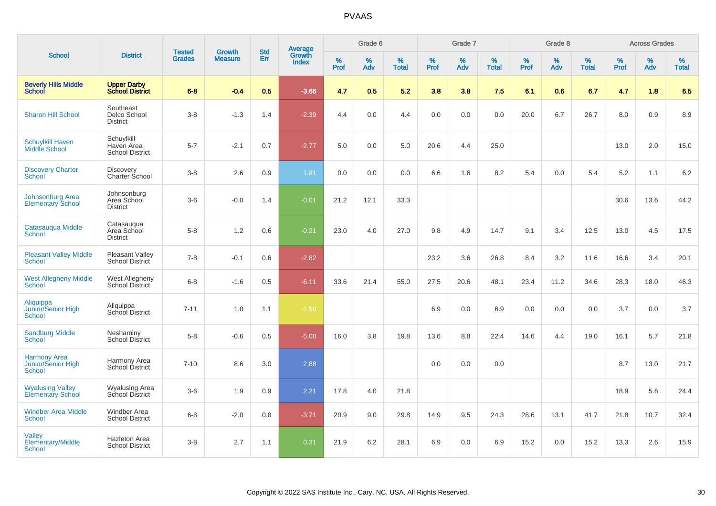|                                                            |                                                    |                                |                                 | <b>Std</b> |                                          |           | Grade 6  |                   |           | Grade 7  |                   |           | Grade 8  |                   |              | <b>Across Grades</b> |                   |
|------------------------------------------------------------|----------------------------------------------------|--------------------------------|---------------------------------|------------|------------------------------------------|-----------|----------|-------------------|-----------|----------|-------------------|-----------|----------|-------------------|--------------|----------------------|-------------------|
| <b>School</b>                                              | <b>District</b>                                    | <b>Tested</b><br><b>Grades</b> | <b>Growth</b><br><b>Measure</b> | Err        | <b>Average</b><br>Growth<br><b>Index</b> | %<br>Prof | %<br>Adv | %<br><b>Total</b> | %<br>Prof | %<br>Adv | %<br><b>Total</b> | %<br>Prof | %<br>Adv | %<br><b>Total</b> | $\%$<br>Prof | %<br>Adv             | %<br><b>Total</b> |
| <b>Beverly Hills Middle</b><br><b>School</b>               | <b>Upper Darby</b><br><b>School District</b>       | $6 - 8$                        | $-0.4$                          | 0.5        | $-3.66$                                  | 4.7       | 0.5      | 5.2               | 3.8       | 3.8      | 7.5               | 6.1       | 0.6      | 6.7               | 4.7          | 1.8                  | 6.5               |
| <b>Sharon Hill School</b>                                  | Southeast<br>Delco School<br><b>District</b>       | $3 - 8$                        | $-1.3$                          | 1.4        | $-2.39$                                  | 4.4       | 0.0      | 4.4               | 0.0       | 0.0      | 0.0               | 20.0      | 6.7      | 26.7              | 8.0          | 0.9                  | 8.9               |
| <b>Schuylkill Haven</b><br>Middle School                   | Schuylkill<br>Haven Area<br><b>School District</b> | $5 - 7$                        | $-2.1$                          | 0.7        | $-2.77$                                  | 5.0       | 0.0      | 5.0               | 20.6      | 4.4      | 25.0              |           |          |                   | 13.0         | 2.0                  | 15.0              |
| <b>Discovery Charter</b><br>School                         | <b>Discovery</b><br><b>Charter School</b>          | $3 - 8$                        | 2.6                             | 0.9        | 1.81                                     | 0.0       | 0.0      | 0.0               | 6.6       | 1.6      | 8.2               | 5.4       | 0.0      | 5.4               | 5.2          | 1.1                  | 6.2               |
| <b>Johnsonburg Area</b><br><b>Elementary School</b>        | Johnsonburg<br>Area School<br><b>District</b>      | $3-6$                          | $-0.0$                          | 1.4        | $-0.01$                                  | 21.2      | 12.1     | 33.3              |           |          |                   |           |          |                   | 30.6         | 13.6                 | 44.2              |
| Catasauqua Middle<br><b>School</b>                         | Catasauqua<br>Area School<br><b>District</b>       | $5-8$                          | 1.2                             | 0.6        | $-0.21$                                  | 23.0      | 4.0      | 27.0              | 9.8       | 4.9      | 14.7              | 9.1       | 3.4      | 12.5              | 13.0         | 4.5                  | 17.5              |
| <b>Pleasant Valley Middle</b><br><b>School</b>             | <b>Pleasant Valley</b><br>School District          | $7 - 8$                        | $-0.1$                          | 0.6        | $-2.82$                                  |           |          |                   | 23.2      | 3.6      | 26.8              | 8.4       | 3.2      | 11.6              | 16.6         | 3.4                  | 20.1              |
| <b>West Allegheny Middle</b><br><b>School</b>              | West Allegheny<br>School District                  | $6 - 8$                        | $-1.6$                          | 0.5        | $-6.11$                                  | 33.6      | 21.4     | 55.0              | 27.5      | 20.6     | 48.1              | 23.4      | 11.2     | 34.6              | 28.3         | 18.0                 | 46.3              |
| Aliquippa<br>Junior/Senior High<br><b>School</b>           | Aliquippa<br>School District                       | $7 - 11$                       | 1.0                             | 1.1        | $-1.50$                                  |           |          |                   | 6.9       | 0.0      | 6.9               | 0.0       | 0.0      | 0.0               | 3.7          | 0.0                  | 3.7               |
| <b>Sandburg Middle</b><br>School                           | Neshaminy<br>School District                       | $5 - 8$                        | $-0.6$                          | 0.5        | $-5.00$                                  | 16.0      | 3.8      | 19.8              | 13.6      | 8.8      | 22.4              | 14.6      | 4.4      | 19.0              | 16.1         | 5.7                  | 21.8              |
| <b>Harmony Area</b><br><b>Junior/Senior High</b><br>School | Harmony Area<br>School District                    | $7 - 10$                       | 8.6                             | 3.0        | 2.88                                     |           |          |                   | 0.0       | 0.0      | 0.0               |           |          |                   | 8.7          | 13.0                 | 21.7              |
| <b>Wyalusing Valley</b><br><b>Elementary School</b>        | <b>Wyalusing Area</b><br>School District           | $3-6$                          | 1.9                             | 0.9        | 2.21                                     | 17.8      | 4.0      | 21.8              |           |          |                   |           |          |                   | 18.9         | 5.6                  | 24.4              |
| <b>Windber Area Middle</b><br><b>School</b>                | Windber Area<br><b>School District</b>             | $6 - 8$                        | $-2.0$                          | 0.8        | $-3.71$                                  | 20.9      | 9.0      | 29.8              | 14.9      | 9.5      | 24.3              | 28.6      | 13.1     | 41.7              | 21.8         | 10.7                 | 32.4              |
| Valley<br><b>Elementary/Middle</b><br>School               | <b>Hazleton Area</b><br><b>School District</b>     | $3 - 8$                        | 2.7                             | 1.1        | 0.31                                     | 21.9      | 6.2      | 28.1              | 6.9       | 0.0      | 6.9               | 15.2      | 0.0      | 15.2              | 13.3         | 2.6                  | 15.9              |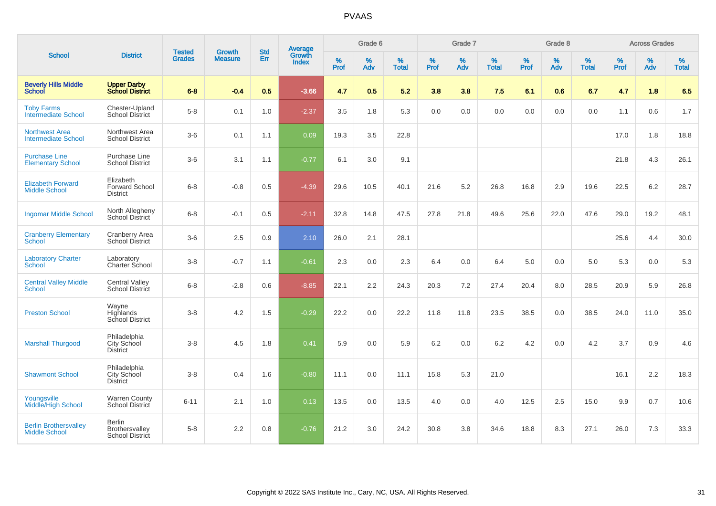| <b>School</b>                                        |                                                           |                                |                                 | <b>Std</b> |                                          |                  | Grade 6  |                   |                  | Grade 7  |                   |                  | Grade 8  |                   |           | <b>Across Grades</b> |                   |
|------------------------------------------------------|-----------------------------------------------------------|--------------------------------|---------------------------------|------------|------------------------------------------|------------------|----------|-------------------|------------------|----------|-------------------|------------------|----------|-------------------|-----------|----------------------|-------------------|
|                                                      | <b>District</b>                                           | <b>Tested</b><br><b>Grades</b> | <b>Growth</b><br><b>Measure</b> | Err        | <b>Average</b><br>Growth<br><b>Index</b> | %<br><b>Prof</b> | %<br>Adv | %<br><b>Total</b> | %<br><b>Prof</b> | %<br>Adv | %<br><b>Total</b> | %<br><b>Prof</b> | %<br>Adv | %<br><b>Total</b> | %<br>Prof | %<br>Adv             | %<br><b>Total</b> |
| <b>Beverly Hills Middle</b><br>School                | <b>Upper Darby<br/>School District</b>                    | $6 - 8$                        | $-0.4$                          | 0.5        | $-3.66$                                  | 4.7              | 0.5      | 5.2               | 3.8              | 3.8      | 7.5               | 6.1              | 0.6      | 6.7               | 4.7       | 1.8                  | 6.5               |
| <b>Toby Farms</b><br><b>Intermediate School</b>      | Chester-Upland<br><b>School District</b>                  | $5-8$                          | 0.1                             | 1.0        | $-2.37$                                  | 3.5              | 1.8      | 5.3               | 0.0              | 0.0      | 0.0               | 0.0              | 0.0      | 0.0               | 1.1       | 0.6                  | 1.7               |
| <b>Northwest Area</b><br><b>Intermediate School</b>  | Northwest Area<br><b>School District</b>                  | $3-6$                          | 0.1                             | 1.1        | 0.09                                     | 19.3             | 3.5      | 22.8              |                  |          |                   |                  |          |                   | 17.0      | 1.8                  | 18.8              |
| <b>Purchase Line</b><br><b>Elementary School</b>     | Purchase Line<br><b>School District</b>                   | $3-6$                          | 3.1                             | 1.1        | $-0.77$                                  | 6.1              | 3.0      | 9.1               |                  |          |                   |                  |          |                   | 21.8      | 4.3                  | 26.1              |
| <b>Elizabeth Forward</b><br><b>Middle School</b>     | Elizabeth<br><b>Forward School</b><br><b>District</b>     | $6 - 8$                        | $-0.8$                          | 0.5        | $-4.39$                                  | 29.6             | 10.5     | 40.1              | 21.6             | 5.2      | 26.8              | 16.8             | 2.9      | 19.6              | 22.5      | 6.2                  | 28.7              |
| <b>Ingomar Middle School</b>                         | North Allegheny<br><b>School District</b>                 | $6 - 8$                        | $-0.1$                          | 0.5        | $-2.11$                                  | 32.8             | 14.8     | 47.5              | 27.8             | 21.8     | 49.6              | 25.6             | 22.0     | 47.6              | 29.0      | 19.2                 | 48.1              |
| <b>Cranberry Elementary</b><br><b>School</b>         | Cranberry Area<br>School District                         | $3-6$                          | 2.5                             | 0.9        | 2.10                                     | 26.0             | 2.1      | 28.1              |                  |          |                   |                  |          |                   | 25.6      | 4.4                  | 30.0              |
| <b>Laboratory Charter</b><br><b>School</b>           | Laboratory<br>Charter School                              | $3-8$                          | $-0.7$                          | 1.1        | $-0.61$                                  | 2.3              | 0.0      | 2.3               | 6.4              | 0.0      | 6.4               | $5.0\,$          | 0.0      | 5.0               | 5.3       | 0.0                  | 5.3               |
| <b>Central Valley Middle</b><br><b>School</b>        | <b>Central Valley</b><br>School District                  | $6 - 8$                        | $-2.8$                          | 0.6        | $-8.85$                                  | 22.1             | 2.2      | 24.3              | 20.3             | 7.2      | 27.4              | 20.4             | 8.0      | 28.5              | 20.9      | 5.9                  | 26.8              |
| <b>Preston School</b>                                | Wayne<br>Highlands<br>School District                     | $3 - 8$                        | 4.2                             | 1.5        | $-0.29$                                  | 22.2             | 0.0      | 22.2              | 11.8             | 11.8     | 23.5              | 38.5             | 0.0      | 38.5              | 24.0      | 11.0                 | 35.0              |
| <b>Marshall Thurgood</b>                             | Philadelphia<br>City School<br><b>District</b>            | $3-8$                          | 4.5                             | 1.8        | 0.41                                     | 5.9              | 0.0      | 5.9               | 6.2              | 0.0      | 6.2               | 4.2              | 0.0      | 4.2               | 3.7       | 0.9                  | 4.6               |
| <b>Shawmont School</b>                               | Philadelphia<br>City School<br><b>District</b>            | $3-8$                          | 0.4                             | 1.6        | $-0.80$                                  | 11.1             | 0.0      | 11.1              | 15.8             | 5.3      | 21.0              |                  |          |                   | 16.1      | 2.2                  | 18.3              |
| Youngsville<br><b>Middle/High School</b>             | <b>Warren County</b><br>School District                   | $6 - 11$                       | 2.1                             | 1.0        | 0.13                                     | 13.5             | 0.0      | 13.5              | 4.0              | 0.0      | 4.0               | 12.5             | 2.5      | 15.0              | 9.9       | 0.7                  | 10.6              |
| <b>Berlin Brothersvalley</b><br><b>Middle School</b> | <b>Berlin</b><br>Brothersvalley<br><b>School District</b> | $5-8$                          | 2.2                             | 0.8        | $-0.76$                                  | 21.2             | 3.0      | 24.2              | 30.8             | 3.8      | 34.6              | 18.8             | 8.3      | 27.1              | 26.0      | 7.3                  | 33.3              |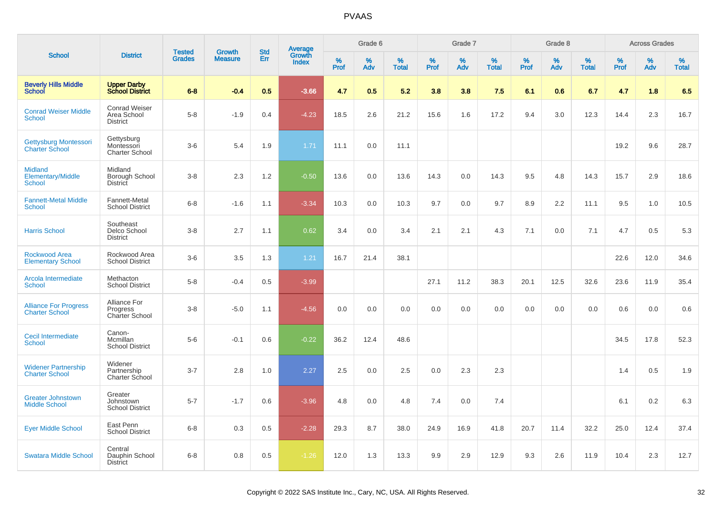|                                                             |                                                        |                                |                                 |                   |                                          |                  | Grade 6     |                   |              | Grade 7  |                   |           | Grade 8  |                   |              | <b>Across Grades</b> |                   |
|-------------------------------------------------------------|--------------------------------------------------------|--------------------------------|---------------------------------|-------------------|------------------------------------------|------------------|-------------|-------------------|--------------|----------|-------------------|-----------|----------|-------------------|--------------|----------------------|-------------------|
| <b>School</b>                                               | <b>District</b>                                        | <b>Tested</b><br><b>Grades</b> | <b>Growth</b><br><b>Measure</b> | <b>Std</b><br>Err | <b>Average</b><br>Growth<br><b>Index</b> | %<br><b>Prof</b> | $\%$<br>Adv | %<br><b>Total</b> | $\%$<br>Prof | %<br>Adv | %<br><b>Total</b> | %<br>Prof | %<br>Adv | %<br><b>Total</b> | $\%$<br>Prof | $\%$<br>Adv          | %<br><b>Total</b> |
| <b>Beverly Hills Middle</b><br>School                       | <b>Upper Darby</b><br><b>School District</b>           | $6 - 8$                        | $-0.4$                          | 0.5               | $-3.66$                                  | 4.7              | 0.5         | 5.2               | 3.8          | 3.8      | 7.5               | 6.1       | 0.6      | 6.7               | 4.7          | 1.8                  | 6.5               |
| <b>Conrad Weiser Middle</b><br><b>School</b>                | <b>Conrad Weiser</b><br>Area School<br><b>District</b> | $5-8$                          | $-1.9$                          | 0.4               | $-4.23$                                  | 18.5             | 2.6         | 21.2              | 15.6         | 1.6      | 17.2              | 9.4       | 3.0      | 12.3              | 14.4         | 2.3                  | 16.7              |
| Gettysburg Montessori<br><b>Charter School</b>              | Gettysburg<br>Montessori<br><b>Charter School</b>      | $3-6$                          | 5.4                             | 1.9               | 1.71                                     | 11.1             | 0.0         | 11.1              |              |          |                   |           |          |                   | 19.2         | 9.6                  | 28.7              |
| <b>Midland</b><br><b>Elementary/Middle</b><br><b>School</b> | Midland<br>Borough School<br>District                  | $3 - 8$                        | 2.3                             | 1.2               | $-0.50$                                  | 13.6             | 0.0         | 13.6              | 14.3         | 0.0      | 14.3              | 9.5       | 4.8      | 14.3              | 15.7         | 2.9                  | 18.6              |
| <b>Fannett-Metal Middle</b><br><b>School</b>                | Fannett-Metal<br><b>School District</b>                | $6 - 8$                        | $-1.6$                          | 1.1               | $-3.34$                                  | 10.3             | 0.0         | 10.3              | 9.7          | 0.0      | 9.7               | 8.9       | 2.2      | 11.1              | 9.5          | 1.0                  | 10.5              |
| <b>Harris School</b>                                        | Southeast<br>Delco School<br><b>District</b>           | $3 - 8$                        | 2.7                             | 1.1               | 0.62                                     | 3.4              | 0.0         | 3.4               | 2.1          | 2.1      | 4.3               | 7.1       | 0.0      | 7.1               | 4.7          | 0.5                  | 5.3               |
| <b>Rockwood Area</b><br><b>Elementary School</b>            | Rockwood Area<br><b>School District</b>                | $3-6$                          | 3.5                             | 1.3               | 1.21                                     | 16.7             | 21.4        | 38.1              |              |          |                   |           |          |                   | 22.6         | 12.0                 | 34.6              |
| Arcola Intermediate<br><b>School</b>                        | Methacton<br><b>School District</b>                    | $5-8$                          | $-0.4$                          | 0.5               | $-3.99$                                  |                  |             |                   | 27.1         | 11.2     | 38.3              | 20.1      | 12.5     | 32.6              | 23.6         | 11.9                 | 35.4              |
| <b>Alliance For Progress</b><br><b>Charter School</b>       | Alliance For<br>Progress<br>Charter School             | $3 - 8$                        | $-5.0$                          | 1.1               | $-4.56$                                  | 0.0              | 0.0         | 0.0               | 0.0          | 0.0      | 0.0               | 0.0       | 0.0      | 0.0               | 0.6          | 0.0                  | 0.6               |
| Cecil Intermediate<br><b>School</b>                         | Canon-<br>Mcmillan<br><b>School District</b>           | $5-6$                          | $-0.1$                          | 0.6               | $-0.22$                                  | 36.2             | 12.4        | 48.6              |              |          |                   |           |          |                   | 34.5         | 17.8                 | 52.3              |
| <b>Widener Partnership</b><br><b>Charter School</b>         | Widener<br>Partnership<br><b>Charter School</b>        | $3 - 7$                        | 2.8                             | 1.0               | 2.27                                     | 2.5              | 0.0         | 2.5               | 0.0          | 2.3      | 2.3               |           |          |                   | 1.4          | 0.5                  | 1.9               |
| <b>Greater Johnstown</b><br><b>Middle School</b>            | Greater<br>Johnstown<br><b>School District</b>         | $5 - 7$                        | $-1.7$                          | 0.6               | $-3.96$                                  | 4.8              | 0.0         | 4.8               | 7.4          | 0.0      | 7.4               |           |          |                   | 6.1          | 0.2                  | 6.3               |
| <b>Eyer Middle School</b>                                   | East Penn<br><b>School District</b>                    | $6 - 8$                        | 0.3                             | 0.5               | $-2.28$                                  | 29.3             | 8.7         | 38.0              | 24.9         | 16.9     | 41.8              | 20.7      | 11.4     | 32.2              | 25.0         | 12.4                 | 37.4              |
| <b>Swatara Middle School</b>                                | Central<br>Dauphin School<br><b>District</b>           | $6 - 8$                        | 0.8                             | 0.5               | $-1.26$                                  | 12.0             | 1.3         | 13.3              | 9.9          | 2.9      | 12.9              | 9.3       | 2.6      | 11.9              | 10.4         | 2.3                  | 12.7              |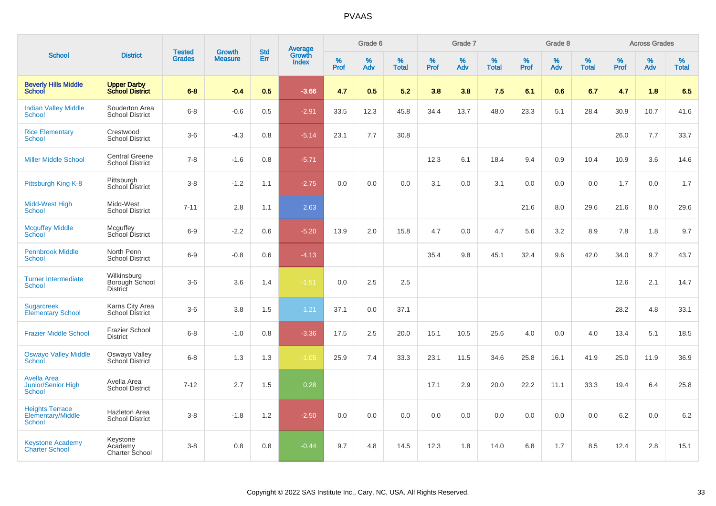| <b>School</b>                                             |                                                  |                                |                                 | <b>Std</b> |                                          |                     | Grade 6     |                   |              | Grade 7     |                   |           | Grade 8  |                   |              | <b>Across Grades</b> |                   |
|-----------------------------------------------------------|--------------------------------------------------|--------------------------------|---------------------------------|------------|------------------------------------------|---------------------|-------------|-------------------|--------------|-------------|-------------------|-----------|----------|-------------------|--------------|----------------------|-------------------|
|                                                           | <b>District</b>                                  | <b>Tested</b><br><b>Grades</b> | <b>Growth</b><br><b>Measure</b> | Err        | <b>Average</b><br>Growth<br><b>Index</b> | $\%$<br><b>Prof</b> | $\%$<br>Adv | %<br><b>Total</b> | $\%$<br>Prof | $\%$<br>Adv | %<br><b>Total</b> | %<br>Prof | %<br>Adv | %<br><b>Total</b> | $\%$<br>Prof | $\%$<br>Adv          | %<br><b>Total</b> |
| <b>Beverly Hills Middle</b><br><b>School</b>              | <b>Upper Darby</b><br><b>School District</b>     | $6 - 8$                        | $-0.4$                          | 0.5        | $-3.66$                                  | 4.7                 | 0.5         | 5.2               | 3.8          | 3.8         | 7.5               | 6.1       | 0.6      | 6.7               | 4.7          | 1.8                  | 6.5               |
| <b>Indian Valley Middle</b><br><b>School</b>              | Souderton Area<br><b>School District</b>         | $6 - 8$                        | $-0.6$                          | 0.5        | $-2.91$                                  | 33.5                | 12.3        | 45.8              | 34.4         | 13.7        | 48.0              | 23.3      | 5.1      | 28.4              | 30.9         | 10.7                 | 41.6              |
| <b>Rice Elementary</b><br><b>School</b>                   | Crestwood<br><b>School District</b>              | $3-6$                          | $-4.3$                          | 0.8        | $-5.14$                                  | 23.1                | 7.7         | 30.8              |              |             |                   |           |          |                   | 26.0         | 7.7                  | 33.7              |
| <b>Miller Middle School</b>                               | <b>Central Greene</b><br><b>School District</b>  | $7 - 8$                        | $-1.6$                          | 0.8        | $-5.71$                                  |                     |             |                   | 12.3         | 6.1         | 18.4              | 9.4       | 0.9      | 10.4              | 10.9         | 3.6                  | 14.6              |
| Pittsburgh King K-8                                       | Pittsburgh<br>School District                    | $3 - 8$                        | $-1.2$                          | 1.1        | $-2.75$                                  | 0.0                 | 0.0         | 0.0               | 3.1          | 0.0         | 3.1               | 0.0       | 0.0      | 0.0               | 1.7          | 0.0                  | 1.7               |
| Midd-West High<br>School                                  | Midd-West<br><b>School District</b>              | $7 - 11$                       | 2.8                             | 1.1        | 2.63                                     |                     |             |                   |              |             |                   | 21.6      | 8.0      | 29.6              | 21.6         | 8.0                  | 29.6              |
| <b>Mcguffey Middle</b><br>School                          | Mcguffey<br>School District                      | $6-9$                          | $-2.2$                          | 0.6        | $-5.20$                                  | 13.9                | 2.0         | 15.8              | 4.7          | 0.0         | 4.7               | 5.6       | 3.2      | 8.9               | 7.8          | 1.8                  | 9.7               |
| <b>Pennbrook Middle</b><br><b>School</b>                  | North Penn<br><b>School District</b>             | $6-9$                          | $-0.8$                          | 0.6        | $-4.13$                                  |                     |             |                   | 35.4         | 9.8         | 45.1              | 32.4      | 9.6      | 42.0              | 34.0         | 9.7                  | 43.7              |
| <b>Turner Intermediate</b><br>School                      | Wilkinsburg<br>Borough School<br><b>District</b> | $3-6$                          | 3.6                             | 1.4        | $-1.51$                                  | 0.0                 | 2.5         | 2.5               |              |             |                   |           |          |                   | 12.6         | 2.1                  | 14.7              |
| <b>Sugarcreek</b><br><b>Elementary School</b>             | Karns City Area<br><b>School District</b>        | $3-6$                          | 3.8                             | 1.5        | 1.21                                     | 37.1                | 0.0         | 37.1              |              |             |                   |           |          |                   | 28.2         | 4.8                  | 33.1              |
| <b>Frazier Middle School</b>                              | <b>Frazier School</b><br><b>District</b>         | $6 - 8$                        | $-1.0$                          | 0.8        | $-3.36$                                  | 17.5                | 2.5         | 20.0              | 15.1         | 10.5        | 25.6              | 4.0       | 0.0      | 4.0               | 13.4         | 5.1                  | 18.5              |
| <b>Oswayo Valley Middle</b><br>School                     | Oswayo Valley<br>School District                 | $6-8$                          | 1.3                             | 1.3        | $-1.05$                                  | 25.9                | 7.4         | 33.3              | 23.1         | 11.5        | 34.6              | 25.8      | 16.1     | 41.9              | 25.0         | 11.9                 | 36.9              |
| <b>Avella Area</b><br>Junior/Senior High<br><b>School</b> | Avella Area<br><b>School District</b>            | $7 - 12$                       | 2.7                             | 1.5        | 0.28                                     |                     |             |                   | 17.1         | 2.9         | 20.0              | 22.2      | 11.1     | 33.3              | 19.4         | 6.4                  | 25.8              |
| <b>Heights Terrace</b><br>Elementary/Middle<br>School     | Hazleton Area<br><b>School District</b>          | $3 - 8$                        | $-1.8$                          | 1.2        | $-2.50$                                  | 0.0                 | 0.0         | 0.0               | 0.0          | 0.0         | 0.0               | 0.0       | 0.0      | 0.0               | 6.2          | 0.0                  | $6.2\,$           |
| <b>Keystone Academy</b><br><b>Charter School</b>          | Keystone<br>Academy<br>Charter School            | $3 - 8$                        | 0.8                             | 0.8        | $-0.44$                                  | 9.7                 | 4.8         | 14.5              | 12.3         | 1.8         | 14.0              | 6.8       | 1.7      | 8.5               | 12.4         | 2.8                  | 15.1              |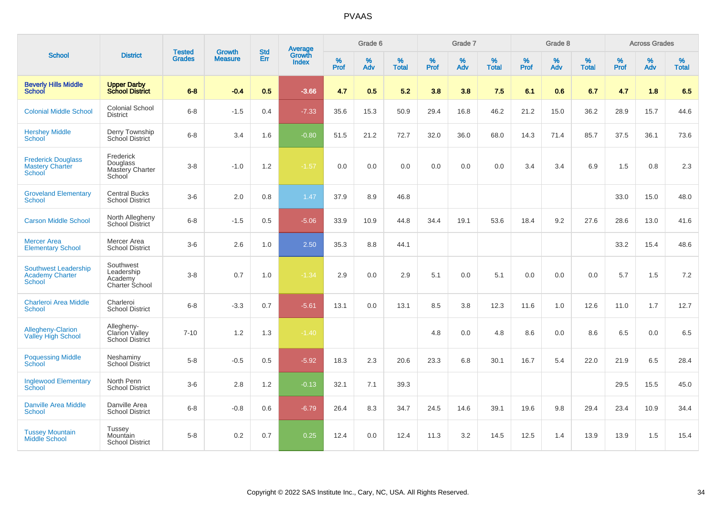|                                                                        |                                                             |                         |                                 |                   |                                          |                  | Grade 6  |                   |           | Grade 7     |                   |           | Grade 8  |                   |           | <b>Across Grades</b> |                   |
|------------------------------------------------------------------------|-------------------------------------------------------------|-------------------------|---------------------------------|-------------------|------------------------------------------|------------------|----------|-------------------|-----------|-------------|-------------------|-----------|----------|-------------------|-----------|----------------------|-------------------|
| <b>School</b>                                                          | <b>District</b>                                             | Tested<br><b>Grades</b> | <b>Growth</b><br><b>Measure</b> | <b>Std</b><br>Err | <b>Average</b><br>Growth<br><b>Index</b> | %<br><b>Prof</b> | %<br>Adv | %<br><b>Total</b> | %<br>Prof | $\%$<br>Adv | %<br><b>Total</b> | %<br>Prof | %<br>Adv | %<br><b>Total</b> | %<br>Prof | $\%$<br>Adv          | %<br><b>Total</b> |
| <b>Beverly Hills Middle</b><br><b>School</b>                           | <b>Upper Darby</b><br><b>School District</b>                | $6 - 8$                 | $-0.4$                          | 0.5               | $-3.66$                                  | 4.7              | 0.5      | 5.2               | 3.8       | 3.8         | 7.5               | 6.1       | 0.6      | 6.7               | 4.7       | 1.8                  | 6.5               |
| <b>Colonial Middle School</b>                                          | Colonial School<br><b>District</b>                          | $6-8$                   | $-1.5$                          | 0.4               | $-7.33$                                  | 35.6             | 15.3     | 50.9              | 29.4      | 16.8        | 46.2              | 21.2      | 15.0     | 36.2              | 28.9      | 15.7                 | 44.6              |
| <b>Hershey Middle</b><br>School                                        | Derry Township<br>School District                           | $6 - 8$                 | 3.4                             | 1.6               | $-0.80$                                  | 51.5             | 21.2     | 72.7              | 32.0      | 36.0        | 68.0              | 14.3      | 71.4     | 85.7              | 37.5      | 36.1                 | 73.6              |
| <b>Frederick Douglass</b><br><b>Mastery Charter</b><br>School          | Frederick<br>Douglass<br>Mastery Charter<br>School          | $3 - 8$                 | $-1.0$                          | 1.2               | $-1.57$                                  | 0.0              | 0.0      | 0.0               | 0.0       | 0.0         | 0.0               | 3.4       | 3.4      | 6.9               | 1.5       | 0.8                  | 2.3               |
| <b>Groveland Elementary</b><br><b>School</b>                           | <b>Central Bucks</b><br><b>School District</b>              | $3-6$                   | 2.0                             | 0.8               | 1.47                                     | 37.9             | 8.9      | 46.8              |           |             |                   |           |          |                   | 33.0      | 15.0                 | 48.0              |
| <b>Carson Middle School</b>                                            | North Allegheny<br>School District                          | $6 - 8$                 | $-1.5$                          | 0.5               | $-5.06$                                  | 33.9             | 10.9     | 44.8              | 34.4      | 19.1        | 53.6              | 18.4      | 9.2      | 27.6              | 28.6      | 13.0                 | 41.6              |
| <b>Mercer Area</b><br><b>Elementary School</b>                         | Mercer Area<br><b>School District</b>                       | $3-6$                   | 2.6                             | 1.0               | 2.50                                     | 35.3             | 8.8      | 44.1              |           |             |                   |           |          |                   | 33.2      | 15.4                 | 48.6              |
| <b>Southwest Leadership</b><br><b>Academy Charter</b><br><b>School</b> | Southwest<br>Leadership<br>Academy<br><b>Charter School</b> | $3-8$                   | 0.7                             | 1.0               | $-1.34$                                  | 2.9              | 0.0      | 2.9               | 5.1       | 0.0         | 5.1               | 0.0       | 0.0      | 0.0               | 5.7       | 1.5                  | $7.2\,$           |
| <b>Charleroi Area Middle</b><br>School                                 | Charleroi<br><b>School District</b>                         | $6 - 8$                 | $-3.3$                          | 0.7               | $-5.61$                                  | 13.1             | 0.0      | 13.1              | 8.5       | 3.8         | 12.3              | 11.6      | 1.0      | 12.6              | 11.0      | 1.7                  | 12.7              |
| <b>Allegheny-Clarion</b><br><b>Valley High School</b>                  | Allegheny-<br>Clarion Valley<br>School District             | $7 - 10$                | 1.2                             | 1.3               | $-1.40$                                  |                  |          |                   | 4.8       | 0.0         | 4.8               | 8.6       | 0.0      | 8.6               | 6.5       | 0.0                  | 6.5               |
| <b>Poquessing Middle</b><br>School                                     | Neshaminy<br><b>School District</b>                         | $5 - 8$                 | $-0.5$                          | 0.5               | $-5.92$                                  | 18.3             | 2.3      | 20.6              | 23.3      | 6.8         | 30.1              | 16.7      | 5.4      | 22.0              | 21.9      | 6.5                  | 28.4              |
| <b>Inglewood Elementary</b><br>School                                  | North Penn<br><b>School District</b>                        | $3-6$                   | 2.8                             | 1.2               | $-0.13$                                  | 32.1             | 7.1      | 39.3              |           |             |                   |           |          |                   | 29.5      | 15.5                 | 45.0              |
| Danville Area Middle<br><b>School</b>                                  | Danville Area<br><b>School District</b>                     | $6 - 8$                 | $-0.8$                          | 0.6               | $-6.79$                                  | 26.4             | 8.3      | 34.7              | 24.5      | 14.6        | 39.1              | 19.6      | 9.8      | 29.4              | 23.4      | 10.9                 | 34.4              |
| <b>Tussey Mountain</b><br><b>Middle School</b>                         | <b>Tussey</b><br>Mountain<br><b>School District</b>         | $5 - 8$                 | 0.2                             | 0.7               | 0.25                                     | 12.4             | 0.0      | 12.4              | 11.3      | 3.2         | 14.5              | 12.5      | 1.4      | 13.9              | 13.9      | 1.5                  | 15.4              |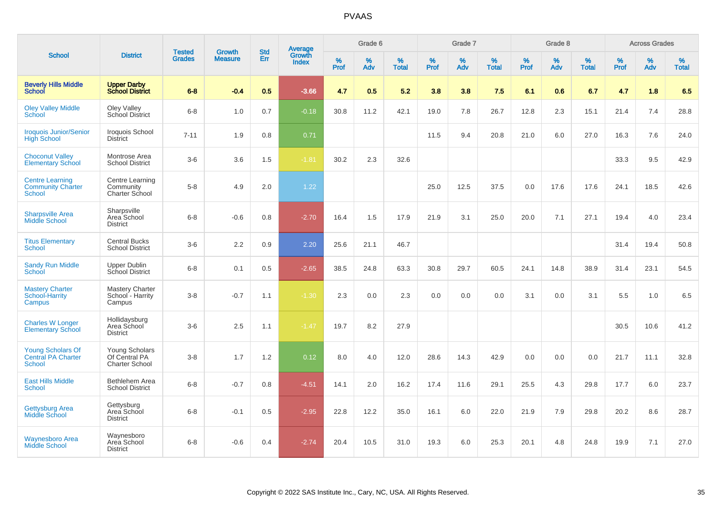| <b>School</b>                                                       |                                                          |                                |                                 |                   |                                          |                     | Grade 6     |                   |              | Grade 7     |                   |              | Grade 8     |                   |              | <b>Across Grades</b> |                   |
|---------------------------------------------------------------------|----------------------------------------------------------|--------------------------------|---------------------------------|-------------------|------------------------------------------|---------------------|-------------|-------------------|--------------|-------------|-------------------|--------------|-------------|-------------------|--------------|----------------------|-------------------|
|                                                                     | <b>District</b>                                          | <b>Tested</b><br><b>Grades</b> | <b>Growth</b><br><b>Measure</b> | <b>Std</b><br>Err | <b>Average</b><br>Growth<br><b>Index</b> | $\%$<br><b>Prof</b> | $\%$<br>Adv | %<br><b>Total</b> | $\%$<br>Prof | $\%$<br>Adv | %<br><b>Total</b> | $\%$<br>Prof | $\%$<br>Adv | %<br><b>Total</b> | $\%$<br>Prof | $\%$<br>Adv          | %<br><b>Total</b> |
| <b>Beverly Hills Middle</b><br>School                               | <b>Upper Darby</b><br><b>School District</b>             | $6 - 8$                        | $-0.4$                          | 0.5               | $-3.66$                                  | 4.7                 | 0.5         | 5.2               | 3.8          | 3.8         | 7.5               | 6.1          | 0.6         | 6.7               | 4.7          | 1.8                  | 6.5               |
| <b>Oley Valley Middle</b><br>School                                 | Oley Valley<br>School District                           | $6 - 8$                        | 1.0                             | 0.7               | $-0.18$                                  | 30.8                | 11.2        | 42.1              | 19.0         | 7.8         | 26.7              | 12.8         | 2.3         | 15.1              | 21.4         | 7.4                  | 28.8              |
| <b>Iroquois Junior/Senior</b><br><b>High School</b>                 | Iroquois School<br><b>District</b>                       | $7 - 11$                       | 1.9                             | 0.8               | 0.71                                     |                     |             |                   | 11.5         | 9.4         | 20.8              | 21.0         | 6.0         | 27.0              | 16.3         | 7.6                  | 24.0              |
| <b>Choconut Valley</b><br><b>Elementary School</b>                  | Montrose Area<br><b>School District</b>                  | $3-6$                          | 3.6                             | 1.5               | $-1.81$                                  | 30.2                | 2.3         | 32.6              |              |             |                   |              |             |                   | 33.3         | 9.5                  | 42.9              |
| <b>Centre Learning</b><br><b>Community Charter</b><br><b>School</b> | Centre Learning<br>Community<br>Charter School           | $5-8$                          | 4.9                             | 2.0               | 1.22                                     |                     |             |                   | 25.0         | 12.5        | 37.5              | 0.0          | 17.6        | 17.6              | 24.1         | 18.5                 | 42.6              |
| <b>Sharpsville Area</b><br><b>Middle School</b>                     | Sharpsville<br>Area School<br><b>District</b>            | $6 - 8$                        | $-0.6$                          | 0.8               | $-2.70$                                  | 16.4                | 1.5         | 17.9              | 21.9         | 3.1         | 25.0              | 20.0         | 7.1         | 27.1              | 19.4         | 4.0                  | 23.4              |
| <b>Titus Elementary</b><br>School                                   | <b>Central Bucks</b><br><b>School District</b>           | $3-6$                          | 2.2                             | 0.9               | 2.20                                     | 25.6                | 21.1        | 46.7              |              |             |                   |              |             |                   | 31.4         | 19.4                 | 50.8              |
| <b>Sandy Run Middle</b><br><b>School</b>                            | Upper Dublin<br><b>School District</b>                   | $6 - 8$                        | 0.1                             | 0.5               | $-2.65$                                  | 38.5                | 24.8        | 63.3              | 30.8         | 29.7        | 60.5              | 24.1         | 14.8        | 38.9              | 31.4         | 23.1                 | 54.5              |
| <b>Mastery Charter</b><br>School-Harrity<br>Campus                  | <b>Mastery Charter</b><br>School - Harrity<br>Campus     | $3-8$                          | $-0.7$                          | 1.1               | $-1.30$                                  | 2.3                 | 0.0         | 2.3               | 0.0          | 0.0         | 0.0               | 3.1          | 0.0         | 3.1               | 5.5          | 1.0                  | 6.5               |
| <b>Charles W Longer</b><br><b>Elementary School</b>                 | Hollidaysburg<br>Area School<br><b>District</b>          | $3-6$                          | 2.5                             | 1.1               | $-1.47$                                  | 19.7                | 8.2         | 27.9              |              |             |                   |              |             |                   | 30.5         | 10.6                 | 41.2              |
| Young Scholars Of<br><b>Central PA Charter</b><br>School            | Young Scholars<br>Of Central PA<br><b>Charter School</b> | $3-8$                          | 1.7                             | 1.2               | 0.12                                     | 8.0                 | 4.0         | 12.0              | 28.6         | 14.3        | 42.9              | 0.0          | 0.0         | 0.0               | 21.7         | 11.1                 | 32.8              |
| <b>East Hills Middle</b><br><b>School</b>                           | Bethlehem Area<br><b>School District</b>                 | $6 - 8$                        | $-0.7$                          | 0.8               | $-4.51$                                  | 14.1                | 2.0         | 16.2              | 17.4         | 11.6        | 29.1              | 25.5         | 4.3         | 29.8              | 17.7         | 6.0                  | 23.7              |
| <b>Gettysburg Area</b><br><b>Middle School</b>                      | Gettysburg<br>Area School<br><b>District</b>             | $6 - 8$                        | $-0.1$                          | 0.5               | $-2.95$                                  | 22.8                | 12.2        | 35.0              | 16.1         | 6.0         | 22.0              | 21.9         | 7.9         | 29.8              | 20.2         | 8.6                  | 28.7              |
| <b>Waynesboro Area</b><br><b>Middle School</b>                      | Waynesboro<br>Area School<br><b>District</b>             | $6 - 8$                        | $-0.6$                          | 0.4               | $-2.74$                                  | 20.4                | 10.5        | 31.0              | 19.3         | 6.0         | 25.3              | 20.1         | 4.8         | 24.8              | 19.9         | 7.1                  | 27.0              |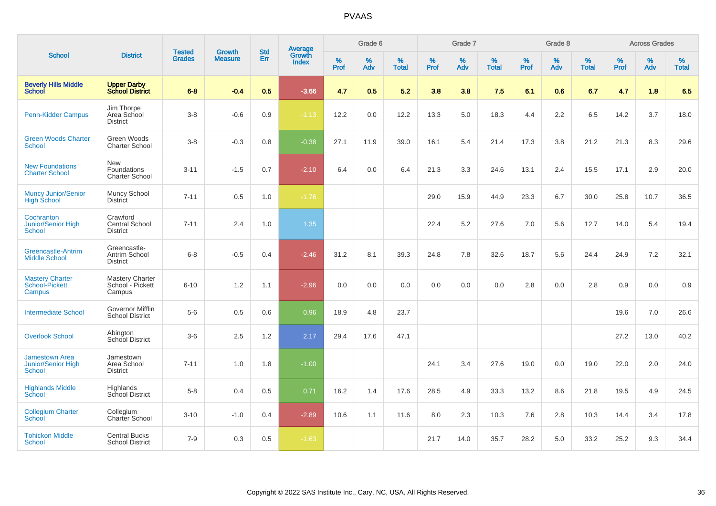| <b>School</b>                                                       | <b>District</b>                                      | <b>Tested</b><br><b>Grades</b> | <b>Growth</b><br><b>Measure</b> | <b>Std</b><br><b>Err</b> | <b>Average</b><br>Growth<br><b>Index</b> | Grade 6          |          |                   | Grade 7          |          |                   | Grade 8          |          |                   | <b>Across Grades</b> |             |                   |
|---------------------------------------------------------------------|------------------------------------------------------|--------------------------------|---------------------------------|--------------------------|------------------------------------------|------------------|----------|-------------------|------------------|----------|-------------------|------------------|----------|-------------------|----------------------|-------------|-------------------|
|                                                                     |                                                      |                                |                                 |                          |                                          | %<br><b>Prof</b> | %<br>Adv | %<br><b>Total</b> | %<br><b>Prof</b> | %<br>Adv | %<br><b>Total</b> | %<br><b>Prof</b> | %<br>Adv | %<br><b>Total</b> | $\%$<br>Prof         | $\%$<br>Adv | %<br><b>Total</b> |
| <b>Beverly Hills Middle</b><br><b>School</b>                        | <b>Upper Darby<br/>School District</b>               | $6 - 8$                        | $-0.4$                          | 0.5                      | $-3.66$                                  | 4.7              | 0.5      | 5.2               | 3.8              | 3.8      | 7.5               | 6.1              | 0.6      | 6.7               | 4.7                  | 1.8         | 6.5               |
| <b>Penn-Kidder Campus</b>                                           | Jim Thorpe<br>Area School<br><b>District</b>         | $3 - 8$                        | $-0.6$                          | 0.9                      | $-1.13$                                  | 12.2             | 0.0      | 12.2              | 13.3             | 5.0      | 18.3              | 4.4              | 2.2      | 6.5               | 14.2                 | 3.7         | 18.0              |
| <b>Green Woods Charter</b><br>School                                | Green Woods<br><b>Charter School</b>                 | $3 - 8$                        | $-0.3$                          | 0.8                      | $-0.38$                                  | 27.1             | 11.9     | 39.0              | 16.1             | 5.4      | 21.4              | 17.3             | 3.8      | 21.2              | 21.3                 | 8.3         | 29.6              |
| <b>New Foundations</b><br><b>Charter School</b>                     | New<br>Foundations<br><b>Charter School</b>          | $3 - 11$                       | $-1.5$                          | 0.7                      | $-2.10$                                  | 6.4              | 0.0      | 6.4               | 21.3             | 3.3      | 24.6              | 13.1             | 2.4      | 15.5              | 17.1                 | 2.9         | 20.0              |
| <b>Muncy Junior/Senior</b><br><b>High School</b>                    | Muncy School<br><b>District</b>                      | $7 - 11$                       | 0.5                             | 1.0                      | $-1.76$                                  |                  |          |                   | 29.0             | 15.9     | 44.9              | 23.3             | 6.7      | 30.0              | 25.8                 | 10.7        | 36.5              |
| Cochranton<br>Junior/Senior High<br>School                          | Crawford<br>Central School<br><b>District</b>        | $7 - 11$                       | 2.4                             | 1.0                      | 1.35                                     |                  |          |                   | 22.4             | 5.2      | 27.6              | 7.0              | 5.6      | 12.7              | 14.0                 | 5.4         | 19.4              |
| <b>Greencastle-Antrim</b><br><b>Middle School</b>                   | Greencastle-<br>Antrim School<br><b>District</b>     | $6 - 8$                        | $-0.5$                          | 0.4                      | $-2.46$                                  | 31.2             | 8.1      | 39.3              | 24.8             | 7.8      | 32.6              | 18.7             | 5.6      | 24.4              | 24.9                 | 7.2         | 32.1              |
| <b>Mastery Charter</b><br>School-Pickett<br>Campus                  | <b>Mastery Charter</b><br>School - Pickett<br>Campus | $6 - 10$                       | 1.2                             | 1.1                      | $-2.96$                                  | 0.0              | 0.0      | 0.0               | 0.0              | 0.0      | 0.0               | 2.8              | 0.0      | 2.8               | 0.9                  | 0.0         | 0.9               |
| <b>Intermediate School</b>                                          | Governor Mifflin<br>School District                  | $5-6$                          | 0.5                             | 0.6                      | 0.96                                     | 18.9             | 4.8      | 23.7              |                  |          |                   |                  |          |                   | 19.6                 | 7.0         | 26.6              |
| <b>Overlook School</b>                                              | Abington<br><b>School District</b>                   | $3-6$                          | 2.5                             | 1.2                      | 2.17                                     | 29.4             | 17.6     | 47.1              |                  |          |                   |                  |          |                   | 27.2                 | 13.0        | 40.2              |
| <b>Jamestown Area</b><br><b>Junior/Senior High</b><br><b>School</b> | Jamestown<br>Area School<br><b>District</b>          | $7 - 11$                       | 1.0                             | 1.8                      | $-1.00$                                  |                  |          |                   | 24.1             | 3.4      | 27.6              | 19.0             | 0.0      | 19.0              | 22.0                 | 2.0         | 24.0              |
| <b>Highlands Middle</b><br>School                                   | Highlands<br>School District                         | $5 - 8$                        | 0.4                             | 0.5                      | 0.71                                     | 16.2             | 1.4      | 17.6              | 28.5             | 4.9      | 33.3              | 13.2             | 8.6      | 21.8              | 19.5                 | 4.9         | 24.5              |
| <b>Collegium Charter</b><br>School                                  | Collegium<br>Charter School                          | $3 - 10$                       | $-1.0$                          | 0.4                      | $-2.89$                                  | 10.6             | 1.1      | 11.6              | 8.0              | 2.3      | 10.3              | 7.6              | 2.8      | 10.3              | 14.4                 | 3.4         | 17.8              |
| <b>Tohickon Middle</b><br><b>School</b>                             | <b>Central Bucks</b><br><b>School District</b>       | $7 - 9$                        | 0.3                             | 0.5                      | $-1.63$                                  |                  |          |                   | 21.7             | 14.0     | 35.7              | 28.2             | 5.0      | 33.2              | 25.2                 | 9.3         | 34.4              |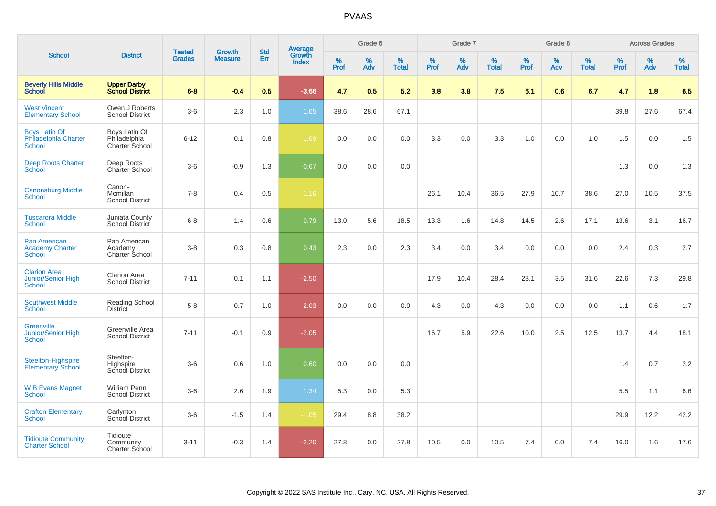|                                                                   |                                                 |                                |                                 |                   |                                          |                  | Grade 6     |                   |           | Grade 7     |                   |           | Grade 8  |                   |           | <b>Across Grades</b> |                   |
|-------------------------------------------------------------------|-------------------------------------------------|--------------------------------|---------------------------------|-------------------|------------------------------------------|------------------|-------------|-------------------|-----------|-------------|-------------------|-----------|----------|-------------------|-----------|----------------------|-------------------|
| <b>School</b>                                                     | <b>District</b>                                 | <b>Tested</b><br><b>Grades</b> | <b>Growth</b><br><b>Measure</b> | <b>Std</b><br>Err | <b>Average</b><br>Growth<br><b>Index</b> | %<br><b>Prof</b> | $\%$<br>Adv | %<br><b>Total</b> | %<br>Prof | $\%$<br>Adv | %<br><b>Total</b> | %<br>Prof | %<br>Adv | %<br><b>Total</b> | %<br>Prof | %<br>Adv             | %<br><b>Total</b> |
| <b>Beverly Hills Middle</b><br>School                             | <b>Upper Darby</b><br><b>School District</b>    | $6 - 8$                        | $-0.4$                          | 0.5               | $-3.66$                                  | 4.7              | 0.5         | 5.2               | 3.8       | 3.8         | 7.5               | 6.1       | 0.6      | 6.7               | 4.7       | 1.8                  | 6.5               |
| <b>West Vincent</b><br><b>Elementary School</b>                   | Owen J Roberts<br><b>School District</b>        | $3-6$                          | 2.3                             | 1.0               | 1.65                                     | 38.6             | 28.6        | 67.1              |           |             |                   |           |          |                   | 39.8      | 27.6                 | 67.4              |
| <b>Boys Latin Of</b><br>Philadelphia Charter<br><b>School</b>     | Boys Latin Of<br>Philadelphia<br>Charter School | $6 - 12$                       | 0.1                             | 0.8               | $-1.69$                                  | 0.0              | 0.0         | 0.0               | 3.3       | 0.0         | 3.3               | 1.0       | 0.0      | 1.0               | 1.5       | 0.0                  | 1.5               |
| <b>Deep Roots Charter</b><br>School                               | Deep Roots<br><b>Charter School</b>             | $3-6$                          | $-0.9$                          | 1.3               | $-0.67$                                  | 0.0              | 0.0         | 0.0               |           |             |                   |           |          |                   | 1.3       | 0.0                  | 1.3               |
| <b>Canonsburg Middle</b><br>School                                | Canon-<br>Mcmillan<br><b>School District</b>    | $7 - 8$                        | 0.4                             | 0.5               | $-1.16$                                  |                  |             |                   | 26.1      | 10.4        | 36.5              | 27.9      | 10.7     | 38.6              | 27.0      | 10.5                 | 37.5              |
| <b>Tuscarora Middle</b><br><b>School</b>                          | Juniata County<br>School District               | $6 - 8$                        | 1.4                             | 0.6               | 0.79                                     | 13.0             | 5.6         | 18.5              | 13.3      | 1.6         | 14.8              | 14.5      | 2.6      | 17.1              | 13.6      | 3.1                  | 16.7              |
| <b>Pan American</b><br><b>Academy Charter</b><br><b>School</b>    | Pan American<br>Academy<br>Charter School       | $3 - 8$                        | 0.3                             | 0.8               | 0.43                                     | 2.3              | $0.0\,$     | 2.3               | 3.4       | 0.0         | 3.4               | 0.0       | 0.0      | 0.0               | 2.4       | 0.3                  | 2.7               |
| <b>Clarion Area</b><br><b>Junior/Senior High</b><br><b>School</b> | <b>Clarion Area</b><br><b>School District</b>   | $7 - 11$                       | 0.1                             | 1.1               | $-2.50$                                  |                  |             |                   | 17.9      | 10.4        | 28.4              | 28.1      | 3.5      | 31.6              | 22.6      | 7.3                  | 29.8              |
| <b>Southwest Middle</b><br><b>School</b>                          | Reading School<br><b>District</b>               | $5-8$                          | $-0.7$                          | 1.0               | $-2.03$                                  | 0.0              | 0.0         | 0.0               | 4.3       | 0.0         | 4.3               | 0.0       | 0.0      | 0.0               | 1.1       | 0.6                  | 1.7               |
| <b>Greenville</b><br><b>Junior/Senior High</b><br>School          | Greenville Area<br><b>School District</b>       | $7 - 11$                       | $-0.1$                          | 0.9               | $-2.05$                                  |                  |             |                   | 16.7      | 5.9         | 22.6              | 10.0      | 2.5      | 12.5              | 13.7      | 4.4                  | 18.1              |
| Steelton-Highspire<br><b>Elementary School</b>                    | Steelton-<br>Highspire<br>School District       | $3-6$                          | 0.6                             | 1.0               | 0.60                                     | 0.0              | 0.0         | 0.0               |           |             |                   |           |          |                   | 1.4       | 0.7                  | 2.2               |
| <b>W B Evans Magnet</b><br><b>School</b>                          | William Penn<br><b>School District</b>          | $3-6$                          | 2.6                             | 1.9               | 1.34                                     | 5.3              | 0.0         | 5.3               |           |             |                   |           |          |                   | 5.5       | 1.1                  | 6.6               |
| <b>Crafton Elementary</b><br><b>School</b>                        | Carlynton<br>School District                    | $3 - 6$                        | $-1.5$                          | 1.4               | $-1.05$                                  | 29.4             | 8.8         | 38.2              |           |             |                   |           |          |                   | 29.9      | 12.2                 | 42.2              |
| <b>Tidioute Community</b><br><b>Charter School</b>                | Tidioute<br>Community<br>Charter School         | $3 - 11$                       | $-0.3$                          | 1.4               | $-2.20$                                  | 27.8             | 0.0         | 27.8              | 10.5      | 0.0         | 10.5              | 7.4       | 0.0      | 7.4               | 16.0      | 1.6                  | 17.6              |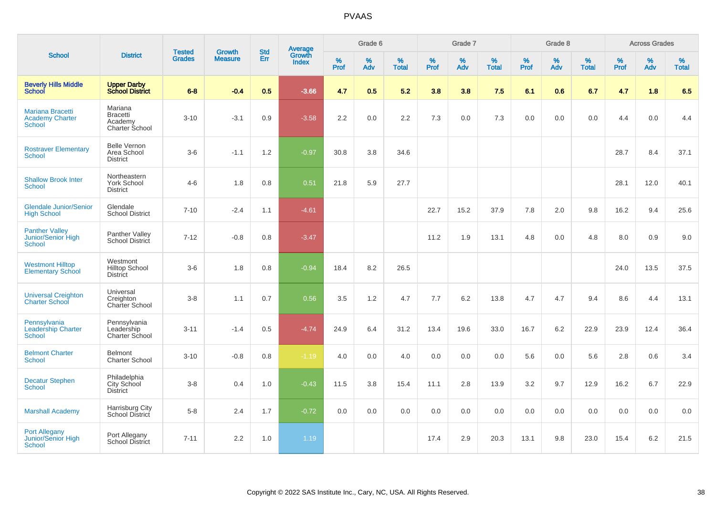|                                                                    |                                                         |                                | <b>Growth</b>  | <b>Std</b> |                                          |           | Grade 6  |                   |           | Grade 7  |                   |           | Grade 8  |                   |           | <b>Across Grades</b> |                   |
|--------------------------------------------------------------------|---------------------------------------------------------|--------------------------------|----------------|------------|------------------------------------------|-----------|----------|-------------------|-----------|----------|-------------------|-----------|----------|-------------------|-----------|----------------------|-------------------|
| <b>School</b>                                                      | <b>District</b>                                         | <b>Tested</b><br><b>Grades</b> | <b>Measure</b> | Err        | <b>Average</b><br>Growth<br><b>Index</b> | %<br>Prof | %<br>Adv | %<br><b>Total</b> | %<br>Prof | %<br>Adv | %<br><b>Total</b> | %<br>Prof | %<br>Adv | %<br><b>Total</b> | %<br>Prof | %<br>Adv             | %<br><b>Total</b> |
| <b>Beverly Hills Middle</b><br><b>School</b>                       | <b>Upper Darby</b><br><b>School District</b>            | $6 - 8$                        | $-0.4$         | 0.5        | $-3.66$                                  | 4.7       | 0.5      | 5.2               | 3.8       | 3.8      | 7.5               | 6.1       | 0.6      | 6.7               | 4.7       | 1.8                  | 6.5               |
| <b>Mariana Bracetti</b><br><b>Academy Charter</b><br><b>School</b> | Mariana<br><b>Bracetti</b><br>Academy<br>Charter School | $3 - 10$                       | $-3.1$         | 0.9        | $-3.58$                                  | 2.2       | 0.0      | 2.2               | 7.3       | 0.0      | 7.3               | 0.0       | 0.0      | 0.0               | 4.4       | 0.0                  | 4.4               |
| <b>Rostraver Elementary</b><br><b>School</b>                       | <b>Belle Vernon</b><br>Area School<br><b>District</b>   | $3-6$                          | $-1.1$         | 1.2        | $-0.97$                                  | 30.8      | 3.8      | 34.6              |           |          |                   |           |          |                   | 28.7      | 8.4                  | 37.1              |
| <b>Shallow Brook Inter</b><br><b>School</b>                        | Northeastern<br><b>York School</b><br><b>District</b>   | $4 - 6$                        | 1.8            | 0.8        | 0.51                                     | 21.8      | 5.9      | 27.7              |           |          |                   |           |          |                   | 28.1      | 12.0                 | 40.1              |
| <b>Glendale Junior/Senior</b><br><b>High School</b>                | Glendale<br><b>School District</b>                      | $7 - 10$                       | $-2.4$         | 1.1        | $-4.61$                                  |           |          |                   | 22.7      | 15.2     | 37.9              | 7.8       | 2.0      | 9.8               | 16.2      | 9.4                  | 25.6              |
| <b>Panther Valley</b><br>Junior/Senior High<br>School              | Panther Valley<br><b>School District</b>                | $7 - 12$                       | $-0.8$         | 0.8        | $-3.47$                                  |           |          |                   | 11.2      | 1.9      | 13.1              | 4.8       | 0.0      | 4.8               | 8.0       | 0.9                  | 9.0               |
| <b>Westmont Hilltop</b><br><b>Elementary School</b>                | Westmont<br><b>Hilltop School</b><br><b>District</b>    | $3-6$                          | 1.8            | 0.8        | $-0.94$                                  | 18.4      | 8.2      | 26.5              |           |          |                   |           |          |                   | 24.0      | 13.5                 | 37.5              |
| <b>Universal Creighton</b><br><b>Charter School</b>                | Universal<br>Creighton<br>Charter School                | $3-8$                          | 1.1            | 0.7        | 0.56                                     | 3.5       | 1.2      | 4.7               | 7.7       | 6.2      | 13.8              | 4.7       | 4.7      | 9.4               | 8.6       | 4.4                  | 13.1              |
| Pennsylvania<br><b>Leadership Charter</b><br><b>School</b>         | Pennsylvania<br>Leadership<br><b>Charter School</b>     | $3 - 11$                       | $-1.4$         | 0.5        | $-4.74$                                  | 24.9      | 6.4      | 31.2              | 13.4      | 19.6     | 33.0              | 16.7      | 6.2      | 22.9              | 23.9      | 12.4                 | 36.4              |
| <b>Belmont Charter</b><br>School                                   | <b>Belmont</b><br><b>Charter School</b>                 | $3 - 10$                       | $-0.8$         | 0.8        | $-1.19$                                  | 4.0       | 0.0      | 4.0               | 0.0       | 0.0      | 0.0               | 5.6       | 0.0      | 5.6               | 2.8       | 0.6                  | 3.4               |
| <b>Decatur Stephen</b><br>School                                   | Philadelphia<br>City School<br><b>District</b>          | $3-8$                          | 0.4            | 1.0        | $-0.43$                                  | 11.5      | 3.8      | 15.4              | 11.1      | 2.8      | 13.9              | 3.2       | 9.7      | 12.9              | 16.2      | 6.7                  | 22.9              |
| <b>Marshall Academy</b>                                            | Harrisburg City<br>School District                      | $5-8$                          | 2.4            | 1.7        | $-0.72$                                  | 0.0       | 0.0      | 0.0               | 0.0       | 0.0      | 0.0               | 0.0       | 0.0      | 0.0               | 0.0       | 0.0                  | 0.0               |
| <b>Port Allegany</b><br><b>Junior/Senior High</b><br>School        | Port Allegany<br><b>School District</b>                 | $7 - 11$                       | 2.2            | 1.0        | 1.19                                     |           |          |                   | 17.4      | 2.9      | 20.3              | 13.1      | 9.8      | 23.0              | 15.4      | 6.2                  | 21.5              |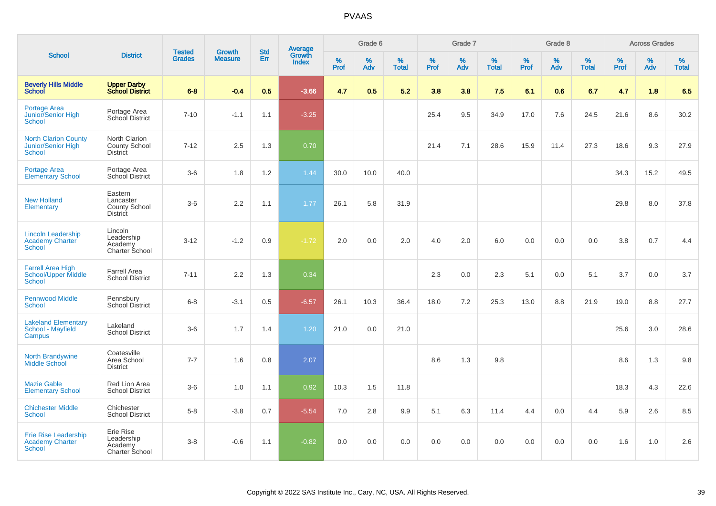|                                                                      |                                                                 |                                | <b>Growth</b>  | <b>Std</b> |                                          |                  | Grade 6  |                   |           | Grade 7  |                   |                  | Grade 8  |                   |              | <b>Across Grades</b> |                   |
|----------------------------------------------------------------------|-----------------------------------------------------------------|--------------------------------|----------------|------------|------------------------------------------|------------------|----------|-------------------|-----------|----------|-------------------|------------------|----------|-------------------|--------------|----------------------|-------------------|
| <b>School</b>                                                        | <b>District</b>                                                 | <b>Tested</b><br><b>Grades</b> | <b>Measure</b> | Err        | <b>Average</b><br>Growth<br><b>Index</b> | %<br><b>Prof</b> | %<br>Adv | %<br><b>Total</b> | %<br>Prof | %<br>Adv | %<br><b>Total</b> | %<br><b>Prof</b> | %<br>Adv | %<br><b>Total</b> | $\%$<br>Prof | %<br>Adv             | %<br><b>Total</b> |
| <b>Beverly Hills Middle</b><br>School                                | <b>Upper Darby</b><br><b>School District</b>                    | $6 - 8$                        | $-0.4$         | 0.5        | $-3.66$                                  | 4.7              | 0.5      | 5.2               | 3.8       | 3.8      | 7.5               | 6.1              | 0.6      | 6.7               | 4.7          | 1.8                  | 6.5               |
| <b>Portage Area</b><br>Junior/Senior High<br><b>School</b>           | Portage Area<br>School District                                 | $7 - 10$                       | $-1.1$         | 1.1        | $-3.25$                                  |                  |          |                   | 25.4      | 9.5      | 34.9              | 17.0             | 7.6      | 24.5              | 21.6         | 8.6                  | 30.2              |
| <b>North Clarion County</b><br>Junior/Senior High<br><b>School</b>   | North Clarion<br>County School<br><b>District</b>               | $7 - 12$                       | 2.5            | 1.3        | 0.70                                     |                  |          |                   | 21.4      | 7.1      | 28.6              | 15.9             | 11.4     | 27.3              | 18.6         | 9.3                  | 27.9              |
| <b>Portage Area</b><br><b>Elementary School</b>                      | Portage Area<br>School District                                 | $3-6$                          | 1.8            | 1.2        | 1.44                                     | 30.0             | 10.0     | 40.0              |           |          |                   |                  |          |                   | 34.3         | 15.2                 | 49.5              |
| <b>New Holland</b><br>Elementary                                     | Eastern<br>Lancaster<br><b>County School</b><br><b>District</b> | $3-6$                          | 2.2            | 1.1        | 1.77                                     | 26.1             | 5.8      | 31.9              |           |          |                   |                  |          |                   | 29.8         | 8.0                  | 37.8              |
| <b>Lincoln Leadership</b><br><b>Academy Charter</b><br><b>School</b> | Lincoln<br>Leadership<br>Academy<br>Charter School              | $3 - 12$                       | $-1.2$         | 0.9        | $-1.72$                                  | 2.0              | 0.0      | 2.0               | 4.0       | 2.0      | 6.0               | 0.0              | 0.0      | 0.0               | 3.8          | 0.7                  | 4.4               |
| <b>Farrell Area High</b><br>School/Upper Middle<br><b>School</b>     | <b>Farrell Area</b><br><b>School District</b>                   | $7 - 11$                       | 2.2            | 1.3        | 0.34                                     |                  |          |                   | 2.3       | 0.0      | 2.3               | 5.1              | 0.0      | 5.1               | 3.7          | 0.0                  | 3.7               |
| <b>Pennwood Middle</b><br><b>School</b>                              | Pennsbury<br><b>School District</b>                             | $6 - 8$                        | $-3.1$         | 0.5        | $-6.57$                                  | 26.1             | 10.3     | 36.4              | 18.0      | 7.2      | 25.3              | 13.0             | 8.8      | 21.9              | 19.0         | 8.8                  | 27.7              |
| <b>Lakeland Elementary</b><br><b>School - Mayfield</b><br>Campus     | Lakeland<br><b>School District</b>                              | $3-6$                          | 1.7            | 1.4        | 1.20                                     | 21.0             | 0.0      | 21.0              |           |          |                   |                  |          |                   | 25.6         | 3.0                  | 28.6              |
| North Brandywine<br><b>Middle School</b>                             | Coatesville<br>Area School<br><b>District</b>                   | $7 - 7$                        | 1.6            | 0.8        | 2.07                                     |                  |          |                   | 8.6       | 1.3      | 9.8               |                  |          |                   | 8.6          | 1.3                  | 9.8               |
| <b>Mazie Gable</b><br><b>Elementary School</b>                       | Red Lion Area<br><b>School District</b>                         | $3-6$                          | 1.0            | 1.1        | 0.92                                     | 10.3             | 1.5      | 11.8              |           |          |                   |                  |          |                   | 18.3         | 4.3                  | 22.6              |
| <b>Chichester Middle</b><br><b>School</b>                            | Chichester<br><b>School District</b>                            | $5 - 8$                        | $-3.8$         | 0.7        | $-5.54$                                  | 7.0              | 2.8      | 9.9               | 5.1       | 6.3      | 11.4              | 4.4              | 0.0      | 4.4               | 5.9          | 2.6                  | 8.5               |
| Erie Rise Leadership<br><b>Academy Charter</b><br><b>School</b>      | Erie Rise<br>Leadership<br>Academy<br>Charter School            | $3 - 8$                        | $-0.6$         | 1.1        | $-0.82$                                  | 0.0              | 0.0      | 0.0               | 0.0       | 0.0      | 0.0               | 0.0              | 0.0      | 0.0               | 1.6          | 1.0                  | 2.6               |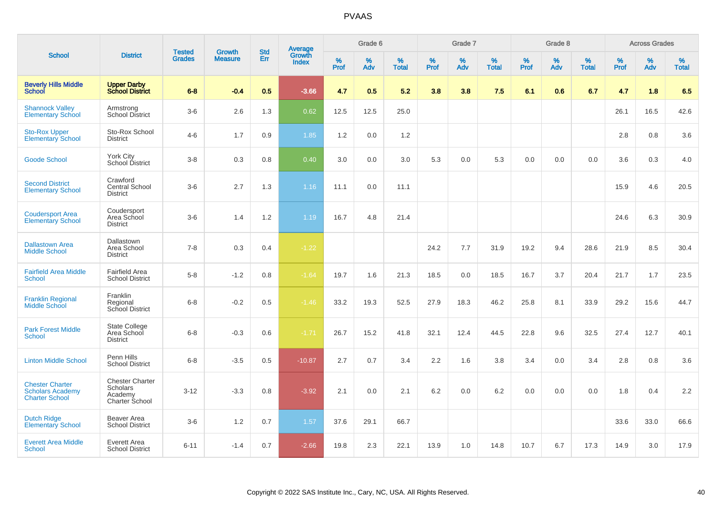|                                                                            |                                                                 |                                | <b>Growth</b>  | <b>Std</b> |                                          |                  | Grade 6  |                   |           | Grade 7  |                   |           | Grade 8  |                      |           | <b>Across Grades</b> |                   |
|----------------------------------------------------------------------------|-----------------------------------------------------------------|--------------------------------|----------------|------------|------------------------------------------|------------------|----------|-------------------|-----------|----------|-------------------|-----------|----------|----------------------|-----------|----------------------|-------------------|
| <b>School</b>                                                              | <b>District</b>                                                 | <b>Tested</b><br><b>Grades</b> | <b>Measure</b> | Err        | <b>Average</b><br>Growth<br><b>Index</b> | %<br><b>Prof</b> | %<br>Adv | %<br><b>Total</b> | %<br>Prof | %<br>Adv | %<br><b>Total</b> | %<br>Prof | %<br>Adv | $\%$<br><b>Total</b> | %<br>Prof | $\%$<br>Adv          | %<br><b>Total</b> |
| <b>Beverly Hills Middle</b><br><b>School</b>                               | <b>Upper Darby</b><br><b>School District</b>                    | $6 - 8$                        | $-0.4$         | 0.5        | $-3.66$                                  | 4.7              | 0.5      | 5.2               | 3.8       | 3.8      | 7.5               | 6.1       | 0.6      | 6.7                  | 4.7       | 1.8                  | 6.5               |
| <b>Shannock Valley</b><br><b>Elementary School</b>                         | Armstrong<br>School District                                    | $3-6$                          | 2.6            | 1.3        | 0.62                                     | 12.5             | 12.5     | 25.0              |           |          |                   |           |          |                      | 26.1      | 16.5                 | 42.6              |
| <b>Sto-Rox Upper</b><br><b>Elementary School</b>                           | Sto-Rox School<br><b>District</b>                               | $4 - 6$                        | 1.7            | 0.9        | 1.85                                     | 1.2              | 0.0      | 1.2               |           |          |                   |           |          |                      | 2.8       | 0.8                  | 3.6               |
| <b>Goode School</b>                                                        | York City<br>School District                                    | $3 - 8$                        | 0.3            | 0.8        | 0.40                                     | 3.0              | 0.0      | 3.0               | 5.3       | 0.0      | 5.3               | 0.0       | 0.0      | 0.0                  | 3.6       | 0.3                  | 4.0               |
| <b>Second District</b><br><b>Elementary School</b>                         | Crawford<br>Central School<br><b>District</b>                   | $3-6$                          | 2.7            | 1.3        | 1.16                                     | 11.1             | 0.0      | 11.1              |           |          |                   |           |          |                      | 15.9      | 4.6                  | 20.5              |
| <b>Coudersport Area</b><br><b>Elementary School</b>                        | Coudersport<br>Area School<br><b>District</b>                   | $3-6$                          | 1.4            | 1.2        | 1.19                                     | 16.7             | 4.8      | 21.4              |           |          |                   |           |          |                      | 24.6      | 6.3                  | 30.9              |
| <b>Dallastown Area</b><br><b>Middle School</b>                             | Dallastown<br>Area School<br><b>District</b>                    | $7 - 8$                        | 0.3            | 0.4        | $-1.22$                                  |                  |          |                   | 24.2      | 7.7      | 31.9              | 19.2      | 9.4      | 28.6                 | 21.9      | 8.5                  | 30.4              |
| <b>Fairfield Area Middle</b><br><b>School</b>                              | <b>Fairfield Area</b><br><b>School District</b>                 | $5-8$                          | $-1.2$         | 0.8        | $-1.64$                                  | 19.7             | 1.6      | 21.3              | 18.5      | 0.0      | 18.5              | 16.7      | 3.7      | 20.4                 | 21.7      | 1.7                  | 23.5              |
| <b>Franklin Regional</b><br><b>Middle School</b>                           | Franklin<br>Regional<br>School District                         | $6 - 8$                        | $-0.2$         | 0.5        | $-1.46$                                  | 33.2             | 19.3     | 52.5              | 27.9      | 18.3     | 46.2              | 25.8      | 8.1      | 33.9                 | 29.2      | 15.6                 | 44.7              |
| <b>Park Forest Middle</b><br>School                                        | State College<br>Area School<br><b>District</b>                 | $6 - 8$                        | $-0.3$         | 0.6        | $-1.71$                                  | 26.7             | 15.2     | 41.8              | 32.1      | 12.4     | 44.5              | 22.8      | 9.6      | 32.5                 | 27.4      | 12.7                 | 40.1              |
| <b>Linton Middle School</b>                                                | Penn Hills<br><b>School District</b>                            | $6 - 8$                        | $-3.5$         | 0.5        | $-10.87$                                 | 2.7              | 0.7      | 3.4               | 2.2       | 1.6      | 3.8               | 3.4       | 0.0      | 3.4                  | 2.8       | 0.8                  | 3.6               |
| <b>Chester Charter</b><br><b>Scholars Academy</b><br><b>Charter School</b> | <b>Chester Charter</b><br>Scholars<br>Academy<br>Charter School | $3 - 12$                       | $-3.3$         | 0.8        | $-3.92$                                  | 2.1              | 0.0      | 2.1               | 6.2       | 0.0      | 6.2               | 0.0       | 0.0      | 0.0                  | 1.8       | 0.4                  | 2.2               |
| <b>Dutch Ridge</b><br><b>Elementary School</b>                             | Beaver Area<br><b>School District</b>                           | $3-6$                          | 1.2            | 0.7        | 1.57                                     | 37.6             | 29.1     | 66.7              |           |          |                   |           |          |                      | 33.6      | 33.0                 | 66.6              |
| <b>Everett Area Middle</b><br><b>School</b>                                | Everett Area<br><b>School District</b>                          | $6 - 11$                       | $-1.4$         | 0.7        | $-2.66$                                  | 19.8             | 2.3      | 22.1              | 13.9      | 1.0      | 14.8              | 10.7      | 6.7      | 17.3                 | 14.9      | 3.0                  | 17.9              |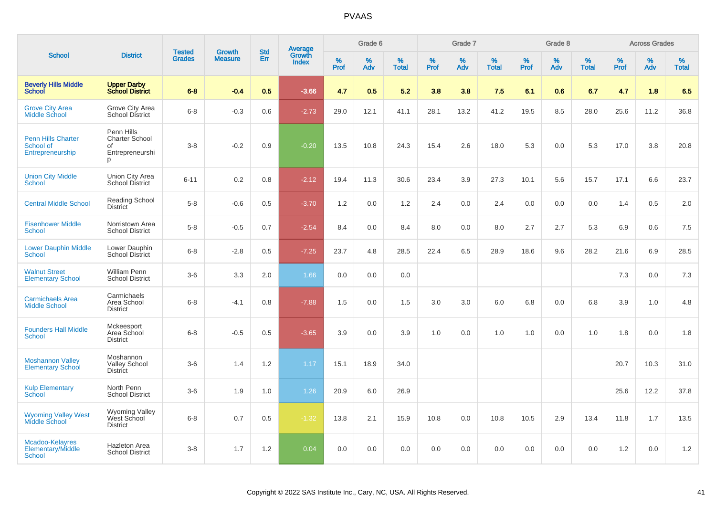|                                                            |                                                                   | <b>Tested</b> | <b>Growth</b>  | <b>Std</b> |                                          |           | Grade 6  |                   |              | Grade 7  |                      |              | Grade 8  |                   |              | <b>Across Grades</b> |                   |
|------------------------------------------------------------|-------------------------------------------------------------------|---------------|----------------|------------|------------------------------------------|-----------|----------|-------------------|--------------|----------|----------------------|--------------|----------|-------------------|--------------|----------------------|-------------------|
| <b>School</b>                                              | <b>District</b>                                                   | <b>Grades</b> | <b>Measure</b> | Err        | <b>Average</b><br>Growth<br><b>Index</b> | %<br>Prof | %<br>Adv | %<br><b>Total</b> | $\%$<br>Prof | %<br>Adv | $\%$<br><b>Total</b> | $\%$<br>Prof | %<br>Adv | %<br><b>Total</b> | $\%$<br>Prof | %<br>Adv             | %<br><b>Total</b> |
| <b>Beverly Hills Middle</b><br>School                      | <b>Upper Darby</b><br><b>School District</b>                      | $6 - 8$       | $-0.4$         | 0.5        | $-3.66$                                  | 4.7       | 0.5      | 5.2               | 3.8          | 3.8      | 7.5                  | 6.1          | 0.6      | 6.7               | 4.7          | 1.8                  | 6.5               |
| <b>Grove City Area</b><br><b>Middle School</b>             | Grove City Area<br><b>School District</b>                         | $6 - 8$       | $-0.3$         | 0.6        | $-2.73$                                  | 29.0      | 12.1     | 41.1              | 28.1         | 13.2     | 41.2                 | 19.5         | 8.5      | 28.0              | 25.6         | 11.2                 | 36.8              |
| <b>Penn Hills Charter</b><br>School of<br>Entrepreneurship | Penn Hills<br><b>Charter School</b><br>οf<br>Entrepreneurshi<br>p | $3 - 8$       | $-0.2$         | 0.9        | $-0.20$                                  | 13.5      | 10.8     | 24.3              | 15.4         | 2.6      | 18.0                 | 5.3          | 0.0      | 5.3               | 17.0         | 3.8                  | 20.8              |
| <b>Union City Middle</b><br><b>School</b>                  | Union City Area<br><b>School District</b>                         | $6 - 11$      | 0.2            | 0.8        | $-2.12$                                  | 19.4      | 11.3     | 30.6              | 23.4         | 3.9      | 27.3                 | 10.1         | 5.6      | 15.7              | 17.1         | 6.6                  | 23.7              |
| <b>Central Middle School</b>                               | <b>Reading School</b><br><b>District</b>                          | $5 - 8$       | $-0.6$         | 0.5        | $-3.70$                                  | 1.2       | 0.0      | 1.2               | 2.4          | 0.0      | 2.4                  | 0.0          | 0.0      | 0.0               | 1.4          | 0.5                  | 2.0               |
| <b>Eisenhower Middle</b><br>School                         | Norristown Area<br><b>School District</b>                         | $5-8$         | $-0.5$         | 0.7        | $-2.54$                                  | 8.4       | 0.0      | 8.4               | 8.0          | 0.0      | 8.0                  | 2.7          | 2.7      | 5.3               | 6.9          | 0.6                  | 7.5               |
| <b>Lower Dauphin Middle</b><br><b>School</b>               | Lower Dauphin<br><b>School District</b>                           | $6 - 8$       | $-2.8$         | 0.5        | $-7.25$                                  | 23.7      | 4.8      | 28.5              | 22.4         | 6.5      | 28.9                 | 18.6         | 9.6      | 28.2              | 21.6         | 6.9                  | 28.5              |
| <b>Walnut Street</b><br><b>Elementary School</b>           | William Penn<br><b>School District</b>                            | $3-6$         | 3.3            | 2.0        | 1.66                                     | 0.0       | 0.0      | 0.0               |              |          |                      |              |          |                   | 7.3          | 0.0                  | 7.3               |
| <b>Carmichaels Area</b><br><b>Middle School</b>            | Carmichaels<br>Area School<br><b>District</b>                     | $6 - 8$       | $-4.1$         | 0.8        | $-7.88$                                  | 1.5       | 0.0      | 1.5               | 3.0          | 3.0      | 6.0                  | 6.8          | 0.0      | 6.8               | 3.9          | 1.0                  | 4.8               |
| <b>Founders Hall Middle</b><br><b>School</b>               | Mckeesport<br>Area School<br><b>District</b>                      | $6 - 8$       | $-0.5$         | 0.5        | $-3.65$                                  | 3.9       | 0.0      | 3.9               | 1.0          | 0.0      | 1.0                  | 1.0          | 0.0      | 1.0               | 1.8          | $0.0\,$              | 1.8               |
| <b>Moshannon Valley</b><br><b>Elementary School</b>        | Moshannon<br><b>Valley School</b><br><b>District</b>              | $3-6$         | 1.4            | 1.2        | 1.17                                     | 15.1      | 18.9     | 34.0              |              |          |                      |              |          |                   | 20.7         | 10.3                 | 31.0              |
| <b>Kulp Elementary</b><br>School                           | North Penn<br><b>School District</b>                              | $3-6$         | 1.9            | 1.0        | 1.26                                     | 20.9      | 6.0      | 26.9              |              |          |                      |              |          |                   | 25.6         | 12.2                 | 37.8              |
| <b>Wyoming Valley West<br/>Middle School</b>               | <b>Wyoming Valley</b><br>West School<br><b>District</b>           | $6 - 8$       | 0.7            | 0.5        | $-1.32$                                  | 13.8      | 2.1      | 15.9              | 10.8         | 0.0      | 10.8                 | 10.5         | 2.9      | 13.4              | 11.8         | 1.7                  | 13.5              |
| Mcadoo-Kelayres<br>Elementary/Middle<br>School             | <b>Hazleton Area</b><br><b>School District</b>                    | $3 - 8$       | 1.7            | 1.2        | 0.04                                     | 0.0       | 0.0      | 0.0               | 0.0          | 0.0      | 0.0                  | 0.0          | 0.0      | 0.0               | 1.2          | 0.0                  | 1.2               |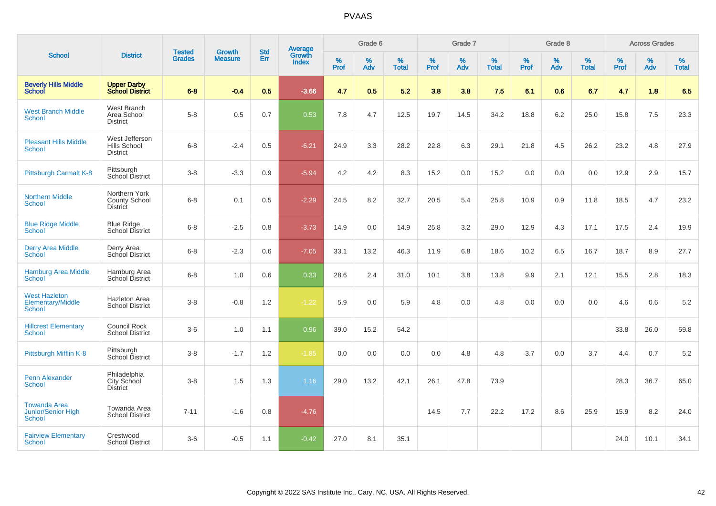|                                                                   |                                                       |                                |                                 | <b>Std</b> |                                          |                  | Grade 6  |                   |           | Grade 7  |                   |           | Grade 8  |                   |           | <b>Across Grades</b> |                   |
|-------------------------------------------------------------------|-------------------------------------------------------|--------------------------------|---------------------------------|------------|------------------------------------------|------------------|----------|-------------------|-----------|----------|-------------------|-----------|----------|-------------------|-----------|----------------------|-------------------|
| <b>School</b>                                                     | <b>District</b>                                       | <b>Tested</b><br><b>Grades</b> | <b>Growth</b><br><b>Measure</b> | Err        | <b>Average</b><br>Growth<br><b>Index</b> | %<br><b>Prof</b> | %<br>Adv | %<br><b>Total</b> | %<br>Prof | %<br>Adv | %<br><b>Total</b> | %<br>Prof | %<br>Adv | %<br><b>Total</b> | %<br>Prof | $\%$<br>Adv          | %<br><b>Total</b> |
| <b>Beverly Hills Middle</b><br><b>School</b>                      | <b>Upper Darby</b><br><b>School District</b>          | $6 - 8$                        | $-0.4$                          | 0.5        | $-3.66$                                  | 4.7              | 0.5      | 5.2               | 3.8       | 3.8      | 7.5               | 6.1       | 0.6      | 6.7               | 4.7       | 1.8                  | 6.5               |
| <b>West Branch Middle</b><br>School                               | West Branch<br>Area School<br><b>District</b>         | $5-8$                          | 0.5                             | 0.7        | 0.53                                     | 7.8              | 4.7      | 12.5              | 19.7      | 14.5     | 34.2              | 18.8      | 6.2      | 25.0              | 15.8      | 7.5                  | 23.3              |
| <b>Pleasant Hills Middle</b><br>School                            | West Jefferson<br>Hills School<br><b>District</b>     | $6 - 8$                        | $-2.4$                          | 0.5        | $-6.21$                                  | 24.9             | 3.3      | 28.2              | 22.8      | 6.3      | 29.1              | 21.8      | 4.5      | 26.2              | 23.2      | 4.8                  | 27.9              |
| Pittsburgh Carmalt K-8                                            | Pittsburgh<br>School District                         | $3 - 8$                        | $-3.3$                          | 0.9        | $-5.94$                                  | 4.2              | 4.2      | 8.3               | 15.2      | 0.0      | 15.2              | 0.0       | 0.0      | 0.0               | 12.9      | 2.9                  | 15.7              |
| <b>Northern Middle</b><br>School                                  | Northern York<br>County School<br><b>District</b>     | $6 - 8$                        | 0.1                             | 0.5        | $-2.29$                                  | 24.5             | 8.2      | 32.7              | 20.5      | 5.4      | 25.8              | 10.9      | 0.9      | 11.8              | 18.5      | 4.7                  | 23.2              |
| <b>Blue Ridge Middle</b><br><b>School</b>                         | <b>Blue Ridge</b><br>School District                  | $6 - 8$                        | $-2.5$                          | 0.8        | $-3.73$                                  | 14.9             | 0.0      | 14.9              | 25.8      | 3.2      | 29.0              | 12.9      | 4.3      | 17.1              | 17.5      | 2.4                  | 19.9              |
| <b>Derry Area Middle</b><br><b>School</b>                         | Derry Area<br>School District                         | $6 - 8$                        | $-2.3$                          | 0.6        | $-7.05$                                  | 33.1             | 13.2     | 46.3              | 11.9      | 6.8      | 18.6              | 10.2      | 6.5      | 16.7              | 18.7      | 8.9                  | 27.7              |
| <b>Hamburg Area Middle</b><br>School                              | Hamburg Area<br>School District                       | $6 - 8$                        | 1.0                             | 0.6        | 0.33                                     | 28.6             | 2.4      | 31.0              | 10.1      | 3.8      | 13.8              | 9.9       | 2.1      | 12.1              | 15.5      | 2.8                  | 18.3              |
| <b>West Hazleton</b><br>Elementary/Middle<br>School               | <b>Hazleton Area</b><br><b>School District</b>        | $3 - 8$                        | $-0.8$                          | 1.2        | $-1.22$                                  | 5.9              | 0.0      | 5.9               | 4.8       | 0.0      | 4.8               | 0.0       | 0.0      | 0.0               | 4.6       | 0.6                  | 5.2               |
| <b>Hillcrest Elementary</b><br><b>School</b>                      | Council Rock<br><b>School District</b>                | $3-6$                          | 1.0                             | 1.1        | 0.96                                     | 39.0             | 15.2     | 54.2              |           |          |                   |           |          |                   | 33.8      | 26.0                 | 59.8              |
| Pittsburgh Mifflin K-8                                            | Pittsburgh<br>School District                         | $3 - 8$                        | $-1.7$                          | 1.2        | $-1.85$                                  | 0.0              | 0.0      | 0.0               | 0.0       | 4.8      | 4.8               | 3.7       | 0.0      | 3.7               | 4.4       | 0.7                  | $5.2\,$           |
| Penn Alexander<br>School                                          | Philadelphia<br><b>City School</b><br><b>District</b> | $3 - 8$                        | 1.5                             | 1.3        | 1.16                                     | 29.0             | 13.2     | 42.1              | 26.1      | 47.8     | 73.9              |           |          |                   | 28.3      | 36.7                 | 65.0              |
| <b>Towanda Area</b><br><b>Junior/Senior High</b><br><b>School</b> | Towanda Area<br><b>School District</b>                | $7 - 11$                       | $-1.6$                          | 0.8        | $-4.76$                                  |                  |          |                   | 14.5      | 7.7      | 22.2              | 17.2      | 8.6      | 25.9              | 15.9      | 8.2                  | 24.0              |
| <b>Fairview Elementary</b><br>School                              | Crestwood<br><b>School District</b>                   | $3-6$                          | $-0.5$                          | 1.1        | $-0.42$                                  | 27.0             | 8.1      | 35.1              |           |          |                   |           |          |                   | 24.0      | 10.1                 | 34.1              |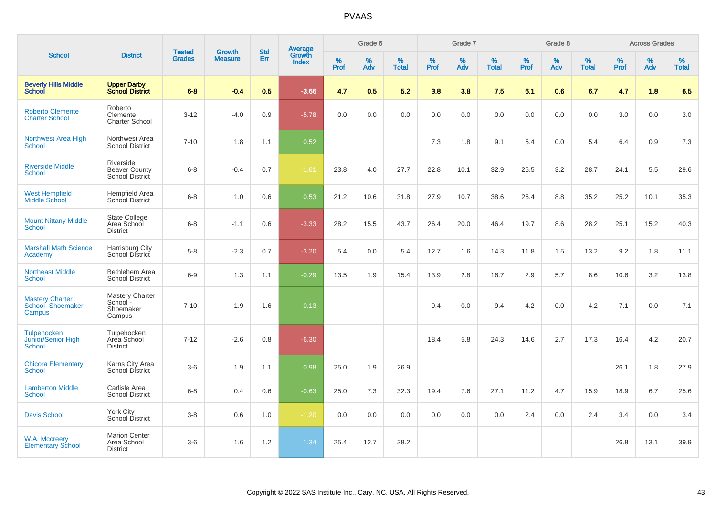|                                                           |                                                        |                                |                          | <b>Std</b> |                                          |           | Grade 6  |                   |           | Grade 7  |                   |           | Grade 8  |                   |              | <b>Across Grades</b> |                   |
|-----------------------------------------------------------|--------------------------------------------------------|--------------------------------|--------------------------|------------|------------------------------------------|-----------|----------|-------------------|-----------|----------|-------------------|-----------|----------|-------------------|--------------|----------------------|-------------------|
| <b>School</b>                                             | <b>District</b>                                        | <b>Tested</b><br><b>Grades</b> | Growth<br><b>Measure</b> | Err        | <b>Average</b><br>Growth<br><b>Index</b> | %<br>Prof | %<br>Adv | %<br><b>Total</b> | %<br>Prof | %<br>Adv | %<br><b>Total</b> | %<br>Prof | %<br>Adv | %<br><b>Total</b> | $\%$<br>Prof | %<br>Adv             | %<br><b>Total</b> |
| <b>Beverly Hills Middle</b><br><b>School</b>              | <b>Upper Darby</b><br><b>School District</b>           | $6 - 8$                        | $-0.4$                   | 0.5        | $-3.66$                                  | 4.7       | 0.5      | 5.2               | 3.8       | 3.8      | 7.5               | 6.1       | 0.6      | 6.7               | 4.7          | 1.8                  | 6.5               |
| <b>Roberto Clemente</b><br><b>Charter School</b>          | Roberto<br>Clemente<br><b>Charter School</b>           | $3 - 12$                       | $-4.0$                   | 0.9        | $-5.78$                                  | 0.0       | 0.0      | 0.0               | 0.0       | 0.0      | 0.0               | 0.0       | 0.0      | 0.0               | 3.0          | 0.0                  | 3.0               |
| Northwest Area High<br><b>School</b>                      | Northwest Area<br><b>School District</b>               | $7 - 10$                       | 1.8                      | 1.1        | 0.52                                     |           |          |                   | 7.3       | 1.8      | 9.1               | 5.4       | 0.0      | 5.4               | 6.4          | 0.9                  | 7.3               |
| <b>Riverside Middle</b><br><b>School</b>                  | Riverside<br><b>Beaver County</b><br>School District   | $6 - 8$                        | $-0.4$                   | 0.7        | $-1.61$                                  | 23.8      | 4.0      | 27.7              | 22.8      | 10.1     | 32.9              | 25.5      | 3.2      | 28.7              | 24.1         | 5.5                  | 29.6              |
| <b>West Hempfield</b><br><b>Middle School</b>             | <b>Hempfield Area</b><br><b>School District</b>        | $6 - 8$                        | 1.0                      | 0.6        | 0.53                                     | 21.2      | 10.6     | 31.8              | 27.9      | 10.7     | 38.6              | 26.4      | 8.8      | 35.2              | 25.2         | 10.1                 | 35.3              |
| <b>Mount Nittany Middle</b><br><b>School</b>              | <b>State College</b><br>Area School<br><b>District</b> | $6 - 8$                        | $-1.1$                   | 0.6        | $-3.33$                                  | 28.2      | 15.5     | 43.7              | 26.4      | 20.0     | 46.4              | 19.7      | 8.6      | 28.2              | 25.1         | 15.2                 | 40.3              |
| <b>Marshall Math Science</b><br>Academy                   | Harrisburg City<br>School District                     | $5-8$                          | $-2.3$                   | 0.7        | $-3.20$                                  | 5.4       | 0.0      | 5.4               | 12.7      | 1.6      | 14.3              | 11.8      | 1.5      | 13.2              | 9.2          | 1.8                  | 11.1              |
| <b>Northeast Middle</b><br><b>School</b>                  | Bethlehem Area<br><b>School District</b>               | $6-9$                          | 1.3                      | 1.1        | $-0.29$                                  | 13.5      | 1.9      | 15.4              | 13.9      | 2.8      | 16.7              | 2.9       | 5.7      | 8.6               | 10.6         | 3.2                  | 13.8              |
| <b>Mastery Charter</b><br>School - Shoemaker<br>Campus    | Mastery Charter<br>School-<br>Shoemaker<br>Campus      | $7 - 10$                       | 1.9                      | 1.6        | 0.13                                     |           |          |                   | 9.4       | 0.0      | 9.4               | 4.2       | 0.0      | 4.2               | 7.1          | 0.0                  | 7.1               |
| <b>Tulpehocken</b><br>Junior/Senior High<br><b>School</b> | Tulpehocken<br>Area School<br><b>District</b>          | $7 - 12$                       | $-2.6$                   | 0.8        | $-6.30$                                  |           |          |                   | 18.4      | 5.8      | 24.3              | 14.6      | 2.7      | 17.3              | 16.4         | 4.2                  | 20.7              |
| <b>Chicora Elementary</b><br><b>School</b>                | Karns City Area<br>School District                     | $3-6$                          | 1.9                      | 1.1        | 0.98                                     | 25.0      | 1.9      | 26.9              |           |          |                   |           |          |                   | 26.1         | 1.8                  | 27.9              |
| <b>Lamberton Middle</b><br><b>School</b>                  | Carlisle Area<br><b>School District</b>                | $6 - 8$                        | 0.4                      | 0.6        | $-0.63$                                  | 25.0      | 7.3      | 32.3              | 19.4      | 7.6      | 27.1              | 11.2      | 4.7      | 15.9              | 18.9         | 6.7                  | 25.6              |
| <b>Davis School</b>                                       | <b>York City</b><br>School District                    | $3 - 8$                        | 0.6                      | 1.0        | $-1.20$                                  | 0.0       | 0.0      | 0.0               | 0.0       | 0.0      | 0.0               | 2.4       | 0.0      | 2.4               | 3.4          | 0.0                  | 3.4               |
| W.A. Mccreery<br><b>Elementary School</b>                 | <b>Marion Center</b><br>Area School<br><b>District</b> | $3-6$                          | 1.6                      | 1.2        | 1.34                                     | 25.4      | 12.7     | 38.2              |           |          |                   |           |          |                   | 26.8         | 13.1                 | 39.9              |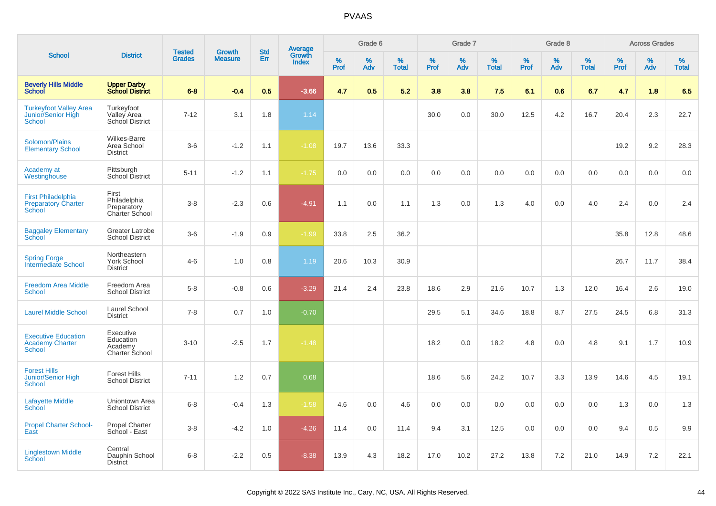|                                                                          |                                                            |                                |                                 | <b>Std</b> |                                          |                  | Grade 6  |                   |           | Grade 7  |                   |           | Grade 8  |                   |           | <b>Across Grades</b> |                   |
|--------------------------------------------------------------------------|------------------------------------------------------------|--------------------------------|---------------------------------|------------|------------------------------------------|------------------|----------|-------------------|-----------|----------|-------------------|-----------|----------|-------------------|-----------|----------------------|-------------------|
| <b>School</b>                                                            | <b>District</b>                                            | <b>Tested</b><br><b>Grades</b> | <b>Growth</b><br><b>Measure</b> | Err        | <b>Average</b><br>Growth<br><b>Index</b> | %<br><b>Prof</b> | %<br>Adv | %<br><b>Total</b> | %<br>Prof | %<br>Adv | %<br><b>Total</b> | %<br>Prof | %<br>Adv | %<br><b>Total</b> | %<br>Prof | %<br>Adv             | %<br><b>Total</b> |
| <b>Beverly Hills Middle</b><br><b>School</b>                             | <b>Upper Darby</b><br><b>School District</b>               | $6 - 8$                        | $-0.4$                          | 0.5        | $-3.66$                                  | 4.7              | 0.5      | 5.2               | 3.8       | 3.8      | 7.5               | 6.1       | 0.6      | 6.7               | 4.7       | 1.8                  | 6.5               |
| <b>Turkeyfoot Valley Area</b><br>Junior/Senior High<br><b>School</b>     | Turkeyfoot<br>Valley Area<br>School District               | $7 - 12$                       | 3.1                             | 1.8        | 1.14                                     |                  |          |                   | 30.0      | 0.0      | 30.0              | 12.5      | 4.2      | 16.7              | 20.4      | 2.3                  | 22.7              |
| Solomon/Plains<br><b>Elementary School</b>                               | <b>Wilkes-Barre</b><br>Area School<br><b>District</b>      | $3-6$                          | $-1.2$                          | 1.1        | $-1.08$                                  | 19.7             | 13.6     | 33.3              |           |          |                   |           |          |                   | 19.2      | 9.2                  | 28.3              |
| Academy at<br>Westinghouse                                               | Pittsburgh<br>School District                              | $5 - 11$                       | $-1.2$                          | 1.1        | $-1.75$                                  | 0.0              | 0.0      | 0.0               | 0.0       | 0.0      | 0.0               | 0.0       | 0.0      | 0.0               | 0.0       | 0.0                  | 0.0               |
| <b>First Philadelphia</b><br><b>Preparatory Charter</b><br><b>School</b> | First<br>Philadelphia<br>Preparatory<br>Charter School     | $3 - 8$                        | $-2.3$                          | 0.6        | $-4.91$                                  | 1.1              | 0.0      | 1.1               | 1.3       | 0.0      | 1.3               | 4.0       | 0.0      | 4.0               | 2.4       | 0.0                  | 2.4               |
| <b>Baggaley Elementary</b><br><b>School</b>                              | Greater Latrobe<br><b>School District</b>                  | $3-6$                          | $-1.9$                          | 0.9        | $-1.99$                                  | 33.8             | 2.5      | 36.2              |           |          |                   |           |          |                   | 35.8      | 12.8                 | 48.6              |
| <b>Spring Forge</b><br>Intermediate School                               | Northeastern<br><b>York School</b><br><b>District</b>      | $4-6$                          | 1.0                             | 0.8        | 1.19                                     | 20.6             | 10.3     | 30.9              |           |          |                   |           |          |                   | 26.7      | 11.7                 | 38.4              |
| <b>Freedom Area Middle</b><br><b>School</b>                              | Freedom Area<br><b>School District</b>                     | $5-8$                          | $-0.8$                          | 0.6        | $-3.29$                                  | 21.4             | 2.4      | 23.8              | 18.6      | 2.9      | 21.6              | 10.7      | 1.3      | 12.0              | 16.4      | 2.6                  | 19.0              |
| <b>Laurel Middle School</b>                                              | <b>Laurel School</b><br><b>District</b>                    | $7 - 8$                        | 0.7                             | 1.0        | $-0.70$                                  |                  |          |                   | 29.5      | 5.1      | 34.6              | 18.8      | 8.7      | 27.5              | 24.5      | 6.8                  | 31.3              |
| <b>Executive Education</b><br><b>Academy Charter</b><br><b>School</b>    | Executive<br>Education<br>Academy<br><b>Charter School</b> | $3 - 10$                       | $-2.5$                          | 1.7        | $-1.48$                                  |                  |          |                   | 18.2      | 0.0      | 18.2              | 4.8       | 0.0      | 4.8               | 9.1       | 1.7                  | 10.9              |
| <b>Forest Hills</b><br><b>Junior/Senior High</b><br><b>School</b>        | <b>Forest Hills</b><br><b>School District</b>              | $7 - 11$                       | 1.2                             | 0.7        | 0.68                                     |                  |          |                   | 18.6      | 5.6      | 24.2              | 10.7      | 3.3      | 13.9              | 14.6      | 4.5                  | 19.1              |
| <b>Lafayette Middle</b><br>School                                        | Uniontown Area<br><b>School District</b>                   | $6 - 8$                        | $-0.4$                          | 1.3        | $-1.58$                                  | 4.6              | 0.0      | 4.6               | 0.0       | 0.0      | 0.0               | 0.0       | 0.0      | 0.0               | 1.3       | 0.0                  | 1.3               |
| <b>Propel Charter School-</b><br>East                                    | <b>Propel Charter</b><br>School - East                     | $3 - 8$                        | $-4.2$                          | 1.0        | $-4.26$                                  | 11.4             | 0.0      | 11.4              | 9.4       | 3.1      | 12.5              | 0.0       | 0.0      | 0.0               | 9.4       | 0.5                  | 9.9               |
| <b>Linglestown Middle</b><br><b>School</b>                               | Central<br>Dauphin School<br><b>District</b>               | $6 - 8$                        | $-2.2$                          | 0.5        | $-8.38$                                  | 13.9             | 4.3      | 18.2              | 17.0      | 10.2     | 27.2              | 13.8      | 7.2      | 21.0              | 14.9      | 7.2                  | 22.1              |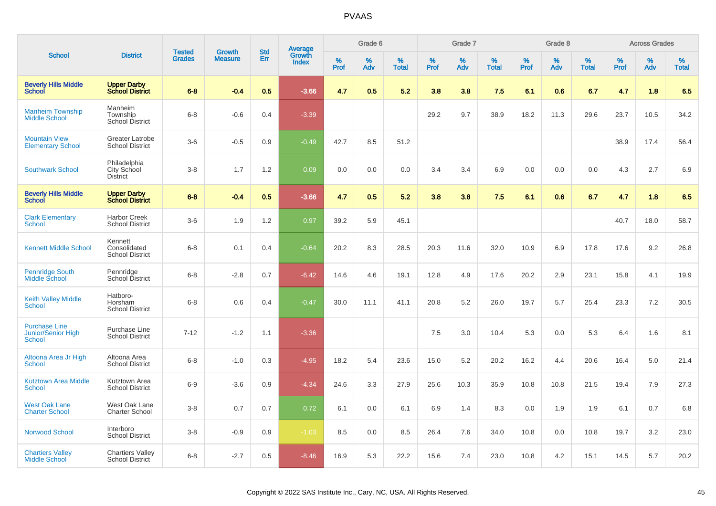|                                                                    |                                                   |                                |                                 | <b>Std</b> |                                          |                  | Grade 6  |                   |           | Grade 7  |                   |           | Grade 8  |                   |           | <b>Across Grades</b> |                   |
|--------------------------------------------------------------------|---------------------------------------------------|--------------------------------|---------------------------------|------------|------------------------------------------|------------------|----------|-------------------|-----------|----------|-------------------|-----------|----------|-------------------|-----------|----------------------|-------------------|
| <b>School</b>                                                      | <b>District</b>                                   | <b>Tested</b><br><b>Grades</b> | <b>Growth</b><br><b>Measure</b> | Err        | <b>Average</b><br>Growth<br><b>Index</b> | %<br><b>Prof</b> | %<br>Adv | %<br><b>Total</b> | %<br>Prof | %<br>Adv | %<br><b>Total</b> | %<br>Prof | %<br>Adv | %<br><b>Total</b> | %<br>Prof | %<br>Adv             | %<br><b>Total</b> |
| <b>Beverly Hills Middle</b><br>School                              | <b>Upper Darby</b><br><b>School District</b>      | $6 - 8$                        | $-0.4$                          | 0.5        | $-3.66$                                  | 4.7              | 0.5      | 5.2               | 3.8       | 3.8      | 7.5               | 6.1       | 0.6      | 6.7               | 4.7       | 1.8                  | 6.5               |
| <b>Manheim Township</b><br><b>Middle School</b>                    | Manheim<br>Township<br>School District            | $6 - 8$                        | $-0.6$                          | 0.4        | $-3.39$                                  |                  |          |                   | 29.2      | 9.7      | 38.9              | 18.2      | 11.3     | 29.6              | 23.7      | 10.5                 | 34.2              |
| <b>Mountain View</b><br><b>Elementary School</b>                   | <b>Greater Latrobe</b><br><b>School District</b>  | $3-6$                          | $-0.5$                          | 0.9        | $-0.49$                                  | 42.7             | 8.5      | 51.2              |           |          |                   |           |          |                   | 38.9      | 17.4                 | 56.4              |
| <b>Southwark School</b>                                            | Philadelphia<br>City School<br><b>District</b>    | $3 - 8$                        | 1.7                             | 1.2        | 0.09                                     | 0.0              | 0.0      | 0.0               | 3.4       | 3.4      | 6.9               | 0.0       | 0.0      | 0.0               | 4.3       | 2.7                  | 6.9               |
| <b>Beverly Hills Middle</b><br><b>School</b>                       | <b>Upper Darby</b><br><b>School District</b>      | $6 - 8$                        | $-0.4$                          | 0.5        | $-3.66$                                  | 4.7              | 0.5      | 5.2               | 3.8       | 3.8      | 7.5               | 6.1       | 0.6      | 6.7               | 4.7       | 1.8                  | 6.5               |
| <b>Clark Elementary</b><br>School                                  | <b>Harbor Creek</b><br><b>School District</b>     | $3-6$                          | 1.9                             | 1.2        | 0.97                                     | 39.2             | 5.9      | 45.1              |           |          |                   |           |          |                   | 40.7      | 18.0                 | 58.7              |
| <b>Kennett Middle School</b>                                       | Kennett<br>Consolidated<br><b>School District</b> | $6 - 8$                        | 0.1                             | 0.4        | $-0.64$                                  | 20.2             | 8.3      | 28.5              | 20.3      | 11.6     | 32.0              | 10.9      | 6.9      | 17.8              | 17.6      | 9.2                  | 26.8              |
| <b>Pennridge South</b><br>Middle School                            | Pennridge<br>School District                      | $6 - 8$                        | $-2.8$                          | 0.7        | $-6.42$                                  | 14.6             | 4.6      | 19.1              | 12.8      | 4.9      | 17.6              | 20.2      | 2.9      | 23.1              | 15.8      | 4.1                  | 19.9              |
| <b>Keith Valley Middle</b><br>School                               | Hatboro-<br>Horsham<br><b>School District</b>     | $6 - 8$                        | 0.6                             | 0.4        | $-0.47$                                  | 30.0             | 11.1     | 41.1              | 20.8      | 5.2      | 26.0              | 19.7      | 5.7      | 25.4              | 23.3      | 7.2                  | 30.5              |
| <b>Purchase Line</b><br><b>Junior/Senior High</b><br><b>School</b> | Purchase Line<br><b>School District</b>           | $7 - 12$                       | $-1.2$                          | 1.1        | $-3.36$                                  |                  |          |                   | 7.5       | 3.0      | 10.4              | 5.3       | 0.0      | 5.3               | 6.4       | 1.6                  | 8.1               |
| Altoona Area Jr High<br><b>School</b>                              | Altoona Area<br><b>School District</b>            | $6 - 8$                        | $-1.0$                          | 0.3        | $-4.95$                                  | 18.2             | 5.4      | 23.6              | 15.0      | 5.2      | 20.2              | 16.2      | 4.4      | 20.6              | 16.4      | 5.0                  | 21.4              |
| <b>Kutztown Area Middle</b><br><b>School</b>                       | Kutztown Area<br><b>School District</b>           | $6-9$                          | $-3.6$                          | 0.9        | $-4.34$                                  | 24.6             | 3.3      | 27.9              | 25.6      | 10.3     | 35.9              | 10.8      | 10.8     | 21.5              | 19.4      | 7.9                  | 27.3              |
| <b>West Oak Lane</b><br><b>Charter School</b>                      | West Oak Lane<br>Charter School                   | $3 - 8$                        | 0.7                             | 0.7        | 0.72                                     | 6.1              | 0.0      | 6.1               | 6.9       | 1.4      | 8.3               | 0.0       | 1.9      | 1.9               | 6.1       | 0.7                  | 6.8               |
| Norwood School                                                     | Interboro<br><b>School District</b>               | $3 - 8$                        | $-0.9$                          | 0.9        | $-1.03$                                  | 8.5              | 0.0      | 8.5               | 26.4      | 7.6      | 34.0              | 10.8      | 0.0      | 10.8              | 19.7      | 3.2                  | 23.0              |
| <b>Chartiers Valley</b><br><b>Middle School</b>                    | <b>Chartiers Valley</b><br><b>School District</b> | $6 - 8$                        | $-2.7$                          | 0.5        | $-8.46$                                  | 16.9             | 5.3      | 22.2              | 15.6      | 7.4      | 23.0              | 10.8      | 4.2      | 15.1              | 14.5      | 5.7                  | 20.2              |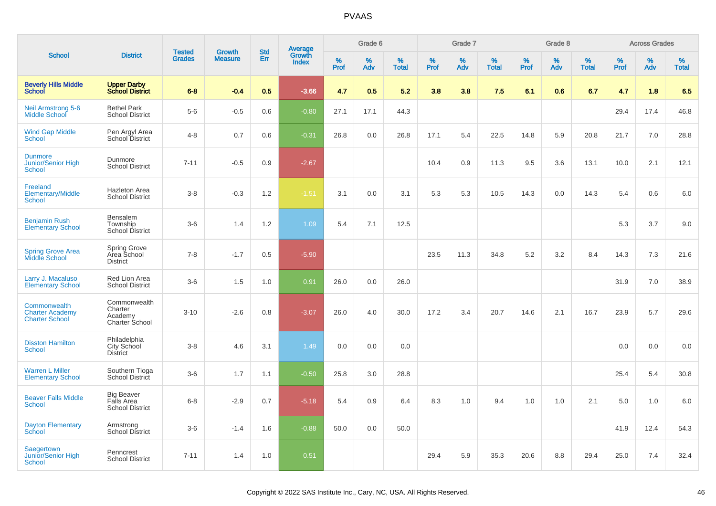|                                                                 |                                                           | <b>Tested</b> | <b>Growth</b>  | <b>Std</b> |                                          |                  | Grade 6  |                   |           | Grade 7  |                   |           | Grade 8  |                   |           | <b>Across Grades</b> |                   |
|-----------------------------------------------------------------|-----------------------------------------------------------|---------------|----------------|------------|------------------------------------------|------------------|----------|-------------------|-----------|----------|-------------------|-----------|----------|-------------------|-----------|----------------------|-------------------|
| <b>School</b>                                                   | <b>District</b>                                           | <b>Grades</b> | <b>Measure</b> | Err        | <b>Average</b><br>Growth<br><b>Index</b> | %<br><b>Prof</b> | %<br>Adv | %<br><b>Total</b> | %<br>Prof | %<br>Adv | %<br><b>Total</b> | %<br>Prof | %<br>Adv | %<br><b>Total</b> | %<br>Prof | %<br>Adv             | %<br><b>Total</b> |
| <b>Beverly Hills Middle</b><br><b>School</b>                    | <b>Upper Darby</b><br><b>School District</b>              | $6 - 8$       | $-0.4$         | 0.5        | $-3.66$                                  | 4.7              | 0.5      | 5.2               | 3.8       | 3.8      | 7.5               | 6.1       | 0.6      | 6.7               | 4.7       | 1.8                  | 6.5               |
| <b>Neil Armstrong 5-6</b><br><b>Middle School</b>               | <b>Bethel Park</b><br><b>School District</b>              | $5-6$         | $-0.5$         | 0.6        | $-0.80$                                  | 27.1             | 17.1     | 44.3              |           |          |                   |           |          |                   | 29.4      | 17.4                 | 46.8              |
| <b>Wind Gap Middle</b><br><b>School</b>                         | Pen Argyl Area<br>School District                         | $4 - 8$       | 0.7            | 0.6        | $-0.31$                                  | 26.8             | 0.0      | 26.8              | 17.1      | 5.4      | 22.5              | 14.8      | 5.9      | 20.8              | 21.7      | 7.0                  | 28.8              |
| <b>Dunmore</b><br>Junior/Senior High<br><b>School</b>           | Dunmore<br><b>School District</b>                         | $7 - 11$      | $-0.5$         | 0.9        | $-2.67$                                  |                  |          |                   | 10.4      | 0.9      | 11.3              | 9.5       | 3.6      | 13.1              | 10.0      | 2.1                  | 12.1              |
| Freeland<br><b>Elementary/Middle</b><br><b>School</b>           | <b>Hazleton Area</b><br><b>School District</b>            | $3 - 8$       | $-0.3$         | 1.2        | $-1.51$                                  | 3.1              | 0.0      | 3.1               | 5.3       | 5.3      | 10.5              | 14.3      | 0.0      | 14.3              | 5.4       | 0.6                  | 6.0               |
| <b>Benjamin Rush</b><br><b>Elementary School</b>                | Bensalem<br>Township<br>School District                   | $3-6$         | 1.4            | 1.2        | 1.09                                     | 5.4              | 7.1      | 12.5              |           |          |                   |           |          |                   | 5.3       | 3.7                  | 9.0               |
| <b>Spring Grove Area</b><br>Middle School                       | Spring Grove<br>Area School<br><b>District</b>            | $7 - 8$       | $-1.7$         | 0.5        | $-5.90$                                  |                  |          |                   | 23.5      | 11.3     | 34.8              | 5.2       | 3.2      | 8.4               | 14.3      | 7.3                  | 21.6              |
| Larry J. Macaluso<br><b>Elementary School</b>                   | Red Lion Area<br><b>School District</b>                   | $3-6$         | 1.5            | 1.0        | 0.91                                     | 26.0             | 0.0      | 26.0              |           |          |                   |           |          |                   | 31.9      | 7.0                  | 38.9              |
| Commonwealth<br><b>Charter Academy</b><br><b>Charter School</b> | Commonwealth<br>Charter<br>Academy<br>Charter School      | $3 - 10$      | $-2.6$         | 0.8        | $-3.07$                                  | 26.0             | 4.0      | 30.0              | 17.2      | 3.4      | 20.7              | 14.6      | 2.1      | 16.7              | 23.9      | 5.7                  | 29.6              |
| <b>Disston Hamilton</b><br><b>School</b>                        | Philadelphia<br>City School<br><b>District</b>            | $3 - 8$       | 4.6            | 3.1        | 1.49                                     | 0.0              | 0.0      | 0.0               |           |          |                   |           |          |                   | 0.0       | 0.0                  | 0.0               |
| <b>Warren L Miller</b><br><b>Elementary School</b>              | Southern Tioga<br>School District                         | $3-6$         | 1.7            | 1.1        | $-0.50$                                  | 25.8             | 3.0      | 28.8              |           |          |                   |           |          |                   | 25.4      | 5.4                  | 30.8              |
| <b>Beaver Falls Middle</b><br><b>School</b>                     | <b>Big Beaver</b><br>Falls Area<br><b>School District</b> | $6 - 8$       | $-2.9$         | 0.7        | $-5.18$                                  | 5.4              | 0.9      | 6.4               | 8.3       | 1.0      | 9.4               | 1.0       | 1.0      | 2.1               | 5.0       | 1.0                  | 6.0               |
| <b>Dayton Elementary</b><br>School                              | Armstrong<br>School District                              | $3-6$         | $-1.4$         | 1.6        | $-0.88$                                  | 50.0             | 0.0      | 50.0              |           |          |                   |           |          |                   | 41.9      | 12.4                 | 54.3              |
| Saegertown<br><b>Junior/Senior High</b><br><b>School</b>        | Penncrest<br><b>School District</b>                       | $7 - 11$      | 1.4            | 1.0        | 0.51                                     |                  |          |                   | 29.4      | 5.9      | 35.3              | 20.6      | 8.8      | 29.4              | 25.0      | 7.4                  | 32.4              |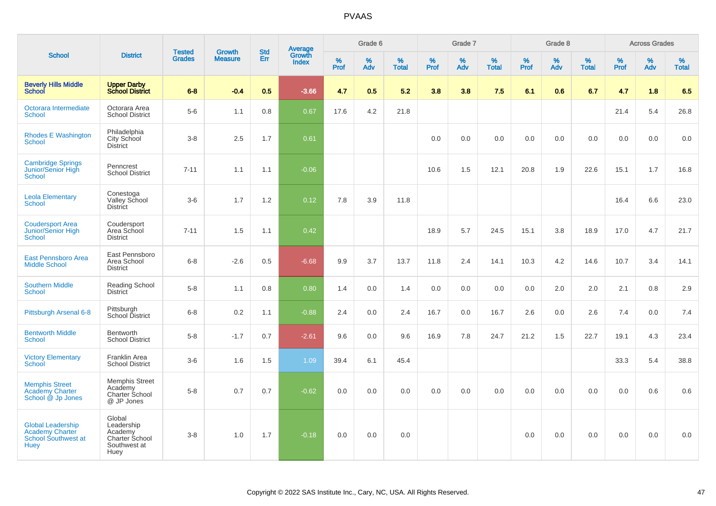|                                                                                   |                                                                           |                                |                                 | <b>Std</b> |                                          |           | Grade 6  |                   |           | Grade 7  |                   |           | Grade 8  |                   |              | <b>Across Grades</b> |                   |
|-----------------------------------------------------------------------------------|---------------------------------------------------------------------------|--------------------------------|---------------------------------|------------|------------------------------------------|-----------|----------|-------------------|-----------|----------|-------------------|-----------|----------|-------------------|--------------|----------------------|-------------------|
| <b>School</b>                                                                     | <b>District</b>                                                           | <b>Tested</b><br><b>Grades</b> | <b>Growth</b><br><b>Measure</b> | Err        | <b>Average</b><br>Growth<br><b>Index</b> | %<br>Prof | %<br>Adv | %<br><b>Total</b> | %<br>Prof | %<br>Adv | %<br><b>Total</b> | %<br>Prof | %<br>Adv | %<br><b>Total</b> | $\%$<br>Prof | %<br>Adv             | %<br><b>Total</b> |
| <b>Beverly Hills Middle</b><br><b>School</b>                                      | <b>Upper Darby</b><br><b>School District</b>                              | $6 - 8$                        | $-0.4$                          | 0.5        | $-3.66$                                  | 4.7       | 0.5      | 5.2               | 3.8       | 3.8      | 7.5               | 6.1       | 0.6      | 6.7               | 4.7          | 1.8                  | 6.5               |
| Octorara Intermediate<br><b>School</b>                                            | Octorara Area<br><b>School District</b>                                   | $5-6$                          | 1.1                             | 0.8        | 0.67                                     | 17.6      | 4.2      | 21.8              |           |          |                   |           |          |                   | 21.4         | 5.4                  | 26.8              |
| <b>Rhodes E Washington</b><br><b>School</b>                                       | Philadelphia<br>City School<br><b>District</b>                            | $3 - 8$                        | 2.5                             | 1.7        | 0.61                                     |           |          |                   | 0.0       | 0.0      | 0.0               | 0.0       | 0.0      | 0.0               | 0.0          | 0.0                  | 0.0               |
| <b>Cambridge Springs</b><br>Junior/Senior High<br>School                          | Penncrest<br><b>School District</b>                                       | $7 - 11$                       | 1.1                             | 1.1        | $-0.06$                                  |           |          |                   | 10.6      | 1.5      | 12.1              | 20.8      | 1.9      | 22.6              | 15.1         | 1.7                  | 16.8              |
| <b>Leola Elementary</b><br><b>School</b>                                          | Conestoga<br><b>Valley School</b><br><b>District</b>                      | $3-6$                          | 1.7                             | 1.2        | 0.12                                     | 7.8       | 3.9      | 11.8              |           |          |                   |           |          |                   | 16.4         | 6.6                  | 23.0              |
| <b>Coudersport Area</b><br>Junior/Senior High<br>School                           | Coudersport<br>Area School<br><b>District</b>                             | $7 - 11$                       | 1.5                             | 1.1        | 0.42                                     |           |          |                   | 18.9      | 5.7      | 24.5              | 15.1      | 3.8      | 18.9              | 17.0         | 4.7                  | 21.7              |
| <b>East Pennsboro Area</b><br><b>Middle School</b>                                | East Pennsboro<br>Area School<br><b>District</b>                          | $6 - 8$                        | $-2.6$                          | 0.5        | $-6.68$                                  | 9.9       | 3.7      | 13.7              | 11.8      | 2.4      | 14.1              | 10.3      | 4.2      | 14.6              | 10.7         | 3.4                  | 14.1              |
| <b>Southern Middle</b><br><b>School</b>                                           | <b>Reading School</b><br>District                                         | $5-8$                          | 1.1                             | 0.8        | 0.80                                     | 1.4       | 0.0      | 1.4               | 0.0       | 0.0      | 0.0               | 0.0       | 2.0      | 2.0               | 2.1          | 0.8                  | 2.9               |
| Pittsburgh Arsenal 6-8                                                            | Pittsburgh<br>School District                                             | $6-8$                          | 0.2                             | 1.1        | $-0.88$                                  | 2.4       | 0.0      | 2.4               | 16.7      | 0.0      | 16.7              | 2.6       | 0.0      | 2.6               | 7.4          | 0.0                  | 7.4               |
| <b>Bentworth Middle</b><br><b>School</b>                                          | Bentworth<br><b>School District</b>                                       | $5-8$                          | $-1.7$                          | 0.7        | $-2.61$                                  | 9.6       | 0.0      | 9.6               | 16.9      | 7.8      | 24.7              | 21.2      | 1.5      | 22.7              | 19.1         | 4.3                  | 23.4              |
| <b>Victory Elementary</b><br>School                                               | <b>Franklin Area</b><br><b>School District</b>                            | $3-6$                          | 1.6                             | 1.5        | 1.09                                     | 39.4      | 6.1      | 45.4              |           |          |                   |           |          |                   | 33.3         | 5.4                  | 38.8              |
| <b>Memphis Street</b><br><b>Academy Charter</b><br>School @ Jp Jones              | <b>Memphis Street</b><br>Academy<br>Charter School<br>@ JP Jones          | $5-8$                          | 0.7                             | 0.7        | $-0.62$                                  | 0.0       | 0.0      | 0.0               | 0.0       | 0.0      | 0.0               | 0.0       | 0.0      | 0.0               | 0.0          | 0.6                  | 0.6               |
| <b>Global Leadership</b><br>Academy Charter<br>School Southwest at<br><b>Huey</b> | Global<br>Leadership<br>Academy<br>Charter School<br>Southwest at<br>Huey | $3 - 8$                        | 1.0                             | 1.7        | $-0.18$                                  | 0.0       | 0.0      | 0.0               |           |          |                   | 0.0       | 0.0      | 0.0               | 0.0          | 0.0                  | 0.0               |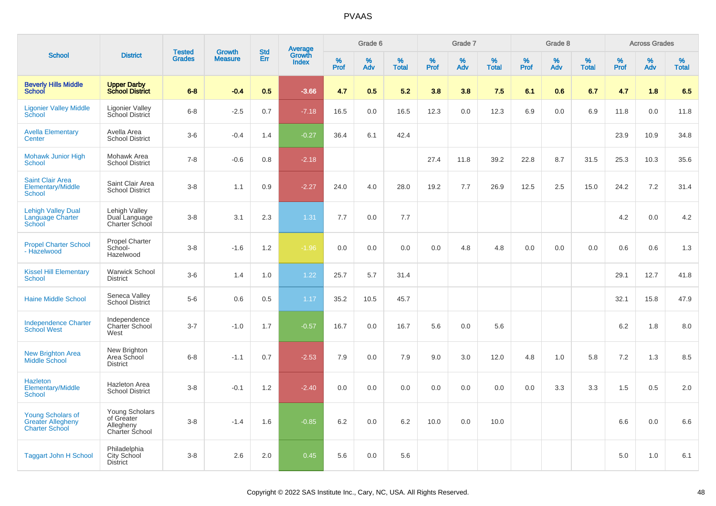|                                                                               |                                                                    | <b>Tested</b> | <b>Growth</b>  | <b>Std</b> |                                          |           | Grade 6  |                   |           | Grade 7  |                   |           | Grade 8  |                   |           | <b>Across Grades</b> |                   |
|-------------------------------------------------------------------------------|--------------------------------------------------------------------|---------------|----------------|------------|------------------------------------------|-----------|----------|-------------------|-----------|----------|-------------------|-----------|----------|-------------------|-----------|----------------------|-------------------|
| <b>School</b>                                                                 | <b>District</b>                                                    | <b>Grades</b> | <b>Measure</b> | <b>Err</b> | <b>Average</b><br>Growth<br><b>Index</b> | %<br>Prof | %<br>Adv | %<br><b>Total</b> | %<br>Prof | %<br>Adv | %<br><b>Total</b> | %<br>Prof | %<br>Adv | %<br><b>Total</b> | %<br>Prof | %<br>Adv             | %<br><b>Total</b> |
| <b>Beverly Hills Middle</b><br>School                                         | <b>Upper Darby</b><br><b>School District</b>                       | $6 - 8$       | $-0.4$         | 0.5        | $-3.66$                                  | 4.7       | 0.5      | 5.2               | 3.8       | 3.8      | 7.5               | 6.1       | 0.6      | 6.7               | 4.7       | 1.8                  | 6.5               |
| <b>Ligonier Valley Middle</b><br>School                                       | <b>Ligonier Valley</b><br>School District                          | $6 - 8$       | $-2.5$         | 0.7        | $-7.18$                                  | 16.5      | 0.0      | 16.5              | 12.3      | 0.0      | 12.3              | 6.9       | 0.0      | 6.9               | 11.8      | 0.0                  | 11.8              |
| <b>Avella Elementary</b><br>Center                                            | Avella Area<br><b>School District</b>                              | $3-6$         | $-0.4$         | 1.4        | $-0.27$                                  | 36.4      | 6.1      | 42.4              |           |          |                   |           |          |                   | 23.9      | 10.9                 | 34.8              |
| <b>Mohawk Junior High</b><br><b>School</b>                                    | Mohawk Area<br><b>School District</b>                              | $7 - 8$       | $-0.6$         | 0.8        | $-2.18$                                  |           |          |                   | 27.4      | 11.8     | 39.2              | 22.8      | 8.7      | 31.5              | 25.3      | 10.3                 | 35.6              |
| <b>Saint Clair Area</b><br>Elementary/Middle<br>School                        | Saint Clair Area<br><b>School District</b>                         | $3-8$         | 1.1            | 0.9        | $-2.27$                                  | 24.0      | 4.0      | 28.0              | 19.2      | 7.7      | 26.9              | 12.5      | 2.5      | 15.0              | 24.2      | 7.2                  | 31.4              |
| <b>Lehigh Valley Dual</b><br>Language Charter<br>School                       | Lehigh Valley<br>Dual Language<br>Charter School                   | $3 - 8$       | 3.1            | 2.3        | 1.31                                     | 7.7       | 0.0      | 7.7               |           |          |                   |           |          |                   | 4.2       | 0.0                  | 4.2               |
| <b>Propel Charter School</b><br>- Hazelwood                                   | Propel Charter<br>School-<br>Hazelwood                             | $3-8$         | $-1.6$         | 1.2        | $-1.96$                                  | 0.0       | 0.0      | 0.0               | 0.0       | 4.8      | 4.8               | 0.0       | 0.0      | 0.0               | 0.6       | 0.6                  | 1.3               |
| <b>Kissel Hill Elementary</b><br><b>School</b>                                | <b>Warwick School</b><br><b>District</b>                           | $3-6$         | 1.4            | 1.0        | 1.22                                     | 25.7      | 5.7      | 31.4              |           |          |                   |           |          |                   | 29.1      | 12.7                 | 41.8              |
| <b>Haine Middle School</b>                                                    | Seneca Valley<br>School District                                   | $5-6$         | 0.6            | 0.5        | 1.17                                     | 35.2      | 10.5     | 45.7              |           |          |                   |           |          |                   | 32.1      | 15.8                 | 47.9              |
| <b>Independence Charter</b><br><b>School West</b>                             | Independence<br><b>Charter School</b><br>West                      | $3 - 7$       | $-1.0$         | 1.7        | $-0.57$                                  | 16.7      | 0.0      | 16.7              | 5.6       | 0.0      | 5.6               |           |          |                   | 6.2       | 1.8                  | 8.0               |
| <b>New Brighton Area</b><br>Middle School                                     | New Brighton<br>Area School<br><b>District</b>                     | $6 - 8$       | $-1.1$         | 0.7        | $-2.53$                                  | 7.9       | 0.0      | 7.9               | 9.0       | 3.0      | 12.0              | 4.8       | 1.0      | 5.8               | 7.2       | 1.3                  | 8.5               |
| <b>Hazleton</b><br><b>Elementary/Middle</b><br><b>School</b>                  | <b>Hazleton Area</b><br><b>School District</b>                     | $3 - 8$       | $-0.1$         | 1.2        | $-2.40$                                  | 0.0       | 0.0      | 0.0               | 0.0       | 0.0      | 0.0               | 0.0       | 3.3      | 3.3               | 1.5       | 0.5                  | 2.0               |
| <b>Young Scholars of</b><br><b>Greater Allegheny</b><br><b>Charter School</b> | Young Scholars<br>of Greater<br>Allegheny<br><b>Charter School</b> | $3-8$         | $-1.4$         | 1.6        | $-0.85$                                  | 6.2       | 0.0      | 6.2               | 10.0      | 0.0      | 10.0              |           |          |                   | 6.6       | 0.0                  | 6.6               |
| <b>Taggart John H School</b>                                                  | Philadelphia<br>City School<br><b>District</b>                     | $3 - 8$       | 2.6            | 2.0        | 0.45                                     | 5.6       | 0.0      | 5.6               |           |          |                   |           |          |                   | 5.0       | 1.0                  | 6.1               |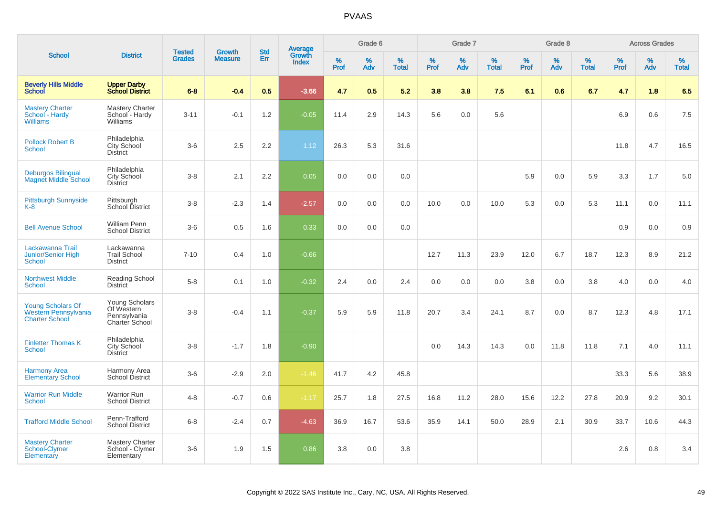|                                                                           |                                                                | <b>Tested</b> | <b>Growth</b>  | <b>Std</b> |                                          |                  | Grade 6     |                   |              | Grade 7  |                   |              | Grade 8  |                   |           | <b>Across Grades</b> |                   |
|---------------------------------------------------------------------------|----------------------------------------------------------------|---------------|----------------|------------|------------------------------------------|------------------|-------------|-------------------|--------------|----------|-------------------|--------------|----------|-------------------|-----------|----------------------|-------------------|
| <b>School</b>                                                             | <b>District</b>                                                | <b>Grades</b> | <b>Measure</b> | Err        | <b>Average</b><br>Growth<br><b>Index</b> | %<br><b>Prof</b> | $\%$<br>Adv | %<br><b>Total</b> | $\%$<br>Prof | %<br>Adv | %<br><b>Total</b> | $\%$<br>Prof | %<br>Adv | %<br><b>Total</b> | %<br>Prof | %<br>Adv             | %<br><b>Total</b> |
| <b>Beverly Hills Middle</b><br><b>School</b>                              | <b>Upper Darby</b><br><b>School District</b>                   | $6 - 8$       | $-0.4$         | 0.5        | $-3.66$                                  | 4.7              | 0.5         | 5.2               | 3.8          | 3.8      | 7.5               | 6.1          | 0.6      | 6.7               | 4.7       | 1.8                  | 6.5               |
| <b>Mastery Charter</b><br>School - Hardy<br><b>Williams</b>               | <b>Mastery Charter</b><br>School - Hardy<br>Williams           | $3 - 11$      | $-0.1$         | 1.2        | $-0.05$                                  | 11.4             | 2.9         | 14.3              | 5.6          | 0.0      | 5.6               |              |          |                   | 6.9       | 0.6                  | 7.5               |
| <b>Pollock Robert B</b><br><b>School</b>                                  | Philadelphia<br><b>City School</b><br><b>District</b>          | $3-6$         | 2.5            | 2.2        | 1.12                                     | 26.3             | 5.3         | 31.6              |              |          |                   |              |          |                   | 11.8      | 4.7                  | 16.5              |
| <b>Deburgos Bilingual</b><br><b>Magnet Middle School</b>                  | Philadelphia<br>City School<br><b>District</b>                 | $3 - 8$       | 2.1            | 2.2        | 0.05                                     | 0.0              | 0.0         | 0.0               |              |          |                   | 5.9          | 0.0      | 5.9               | 3.3       | 1.7                  | 5.0               |
| <b>Pittsburgh Sunnyside</b><br>$K-8$                                      | Pittsburgh<br>School District                                  | $3 - 8$       | $-2.3$         | 1.4        | $-2.57$                                  | 0.0              | 0.0         | 0.0               | 10.0         | 0.0      | 10.0              | 5.3          | 0.0      | 5.3               | 11.1      | 0.0                  | 11.1              |
| <b>Bell Avenue School</b>                                                 | <b>William Penn</b><br><b>School District</b>                  | $3-6$         | 0.5            | 1.6        | 0.33                                     | 0.0              | 0.0         | 0.0               |              |          |                   |              |          |                   | 0.9       | 0.0                  | 0.9               |
| Lackawanna Trail<br>Junior/Senior High<br>School                          | Lackawanna<br><b>Trail School</b><br><b>District</b>           | $7 - 10$      | 0.4            | 1.0        | $-0.66$                                  |                  |             |                   | 12.7         | 11.3     | 23.9              | 12.0         | 6.7      | 18.7              | 12.3      | 8.9                  | 21.2              |
| <b>Northwest Middle</b><br><b>School</b>                                  | Reading School<br><b>District</b>                              | $5 - 8$       | 0.1            | 1.0        | $-0.32$                                  | 2.4              | 0.0         | 2.4               | 0.0          | 0.0      | 0.0               | 3.8          | 0.0      | 3.8               | 4.0       | 0.0                  | 4.0               |
| <b>Young Scholars Of</b><br>Western Pennsylvania<br><b>Charter School</b> | Young Scholars<br>Of Western<br>Pennsylvania<br>Charter School | $3 - 8$       | $-0.4$         | 1.1        | $-0.37$                                  | 5.9              | 5.9         | 11.8              | 20.7         | 3.4      | 24.1              | 8.7          | 0.0      | 8.7               | 12.3      | 4.8                  | 17.1              |
| <b>Finletter Thomas K</b><br><b>School</b>                                | Philadelphia<br><b>City School</b><br><b>District</b>          | $3 - 8$       | $-1.7$         | 1.8        | $-0.90$                                  |                  |             |                   | 0.0          | 14.3     | 14.3              | 0.0          | 11.8     | 11.8              | 7.1       | 4.0                  | 11.1              |
| <b>Harmony Area</b><br><b>Elementary School</b>                           | Harmony Area<br>School District                                | $3-6$         | $-2.9$         | 2.0        | $-1.46$                                  | 41.7             | 4.2         | 45.8              |              |          |                   |              |          |                   | 33.3      | 5.6                  | 38.9              |
| <b>Warrior Run Middle</b><br><b>School</b>                                | <b>Warrior Run</b><br><b>School District</b>                   | $4 - 8$       | $-0.7$         | 0.6        | $-1.17$                                  | 25.7             | 1.8         | 27.5              | 16.8         | 11.2     | 28.0              | 15.6         | 12.2     | 27.8              | 20.9      | 9.2                  | 30.1              |
| <b>Trafford Middle School</b>                                             | Penn-Trafford<br><b>School District</b>                        | $6 - 8$       | $-2.4$         | 0.7        | $-4.63$                                  | 36.9             | 16.7        | 53.6              | 35.9         | 14.1     | 50.0              | 28.9         | 2.1      | 30.9              | 33.7      | 10.6                 | 44.3              |
| <b>Mastery Charter</b><br>School-Clymer<br>Elementary                     | <b>Mastery Charter</b><br>School - Clymer<br>Elementary        | $3-6$         | 1.9            | 1.5        | 0.86                                     | 3.8              | 0.0         | 3.8               |              |          |                   |              |          |                   | 2.6       | 0.8                  | 3.4               |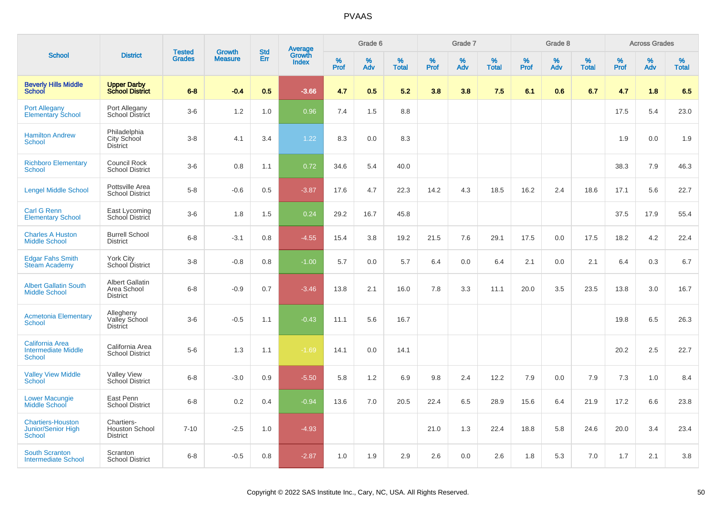|                                                                        |                                                          |                                |                                 | <b>Std</b> |                                          |                  | Grade 6  |                   |           | Grade 7  |                   |           | Grade 8  |                   |           | <b>Across Grades</b> |                   |
|------------------------------------------------------------------------|----------------------------------------------------------|--------------------------------|---------------------------------|------------|------------------------------------------|------------------|----------|-------------------|-----------|----------|-------------------|-----------|----------|-------------------|-----------|----------------------|-------------------|
| <b>School</b>                                                          | <b>District</b>                                          | <b>Tested</b><br><b>Grades</b> | <b>Growth</b><br><b>Measure</b> | Err        | <b>Average</b><br>Growth<br><b>Index</b> | %<br><b>Prof</b> | %<br>Adv | %<br><b>Total</b> | %<br>Prof | %<br>Adv | %<br><b>Total</b> | %<br>Prof | %<br>Adv | %<br><b>Total</b> | %<br>Prof | %<br>Adv             | %<br><b>Total</b> |
| <b>Beverly Hills Middle</b><br>School                                  | <b>Upper Darby</b><br><b>School District</b>             | $6 - 8$                        | $-0.4$                          | 0.5        | $-3.66$                                  | 4.7              | 0.5      | 5.2               | 3.8       | 3.8      | 7.5               | 6.1       | 0.6      | 6.7               | 4.7       | 1.8                  | 6.5               |
| <b>Port Allegany</b><br>Elementary School                              | Port Allegany<br>School District                         | $3-6$                          | 1.2                             | 1.0        | 0.96                                     | 7.4              | 1.5      | 8.8               |           |          |                   |           |          |                   | 17.5      | 5.4                  | 23.0              |
| <b>Hamilton Andrew</b><br><b>School</b>                                | Philadelphia<br>City School<br><b>District</b>           | $3 - 8$                        | 4.1                             | 3.4        | 1.22                                     | 8.3              | 0.0      | 8.3               |           |          |                   |           |          |                   | 1.9       | 0.0                  | 1.9               |
| <b>Richboro Elementary</b><br>School                                   | Council Rock<br><b>School District</b>                   | $3-6$                          | 0.8                             | 1.1        | 0.72                                     | 34.6             | 5.4      | 40.0              |           |          |                   |           |          |                   | 38.3      | 7.9                  | 46.3              |
| <b>Lengel Middle School</b>                                            | Pottsville Area<br><b>School District</b>                | $5-8$                          | $-0.6$                          | 0.5        | $-3.87$                                  | 17.6             | 4.7      | 22.3              | 14.2      | 4.3      | 18.5              | 16.2      | 2.4      | 18.6              | 17.1      | 5.6                  | 22.7              |
| <b>Carl G Renn</b><br><b>Elementary School</b>                         | East Lycoming<br>School District                         | $3-6$                          | 1.8                             | 1.5        | 0.24                                     | 29.2             | 16.7     | 45.8              |           |          |                   |           |          |                   | 37.5      | 17.9                 | 55.4              |
| <b>Charles A Huston</b><br><b>Middle School</b>                        | <b>Burrell School</b><br><b>District</b>                 | $6 - 8$                        | $-3.1$                          | 0.8        | $-4.55$                                  | 15.4             | 3.8      | 19.2              | 21.5      | 7.6      | 29.1              | 17.5      | 0.0      | 17.5              | 18.2      | 4.2                  | 22.4              |
| <b>Edgar Fahs Smith</b><br><b>Steam Academy</b>                        | <b>York City</b><br>School District                      | $3 - 8$                        | $-0.8$                          | 0.8        | $-1.00$                                  | 5.7              | 0.0      | 5.7               | 6.4       | 0.0      | 6.4               | 2.1       | 0.0      | 2.1               | 6.4       | 0.3                  | 6.7               |
| <b>Albert Gallatin South</b><br><b>Middle School</b>                   | <b>Albert Gallatin</b><br>Area School<br><b>District</b> | $6-8$                          | $-0.9$                          | 0.7        | $-3.46$                                  | 13.8             | 2.1      | 16.0              | 7.8       | 3.3      | 11.1              | 20.0      | 3.5      | 23.5              | 13.8      | 3.0                  | 16.7              |
| <b>Acmetonia Elementary</b><br><b>School</b>                           | Allegheny<br>Valley School<br><b>District</b>            | $3-6$                          | $-0.5$                          | 1.1        | $-0.43$                                  | 11.1             | 5.6      | 16.7              |           |          |                   |           |          |                   | 19.8      | 6.5                  | 26.3              |
| <b>California Area</b><br><b>Intermediate Middle</b><br><b>School</b>  | California Area<br><b>School District</b>                | $5-6$                          | 1.3                             | 1.1        | $-1.69$                                  | 14.1             | 0.0      | 14.1              |           |          |                   |           |          |                   | 20.2      | 2.5                  | 22.7              |
| <b>Valley View Middle</b><br>School                                    | <b>Valley View</b><br>School District                    | $6 - 8$                        | $-3.0$                          | 0.9        | $-5.50$                                  | 5.8              | 1.2      | 6.9               | 9.8       | 2.4      | 12.2              | 7.9       | 0.0      | 7.9               | 7.3       | 1.0                  | 8.4               |
| <b>Lower Macungie</b><br>Middle School                                 | East Penn<br><b>School District</b>                      | $6 - 8$                        | 0.2                             | 0.4        | $-0.94$                                  | 13.6             | 7.0      | 20.5              | 22.4      | 6.5      | 28.9              | 15.6      | 6.4      | 21.9              | 17.2      | 6.6                  | 23.8              |
| <b>Chartiers-Houston</b><br><b>Junior/Senior High</b><br><b>School</b> | Chartiers-<br><b>Houston School</b><br><b>District</b>   | $7 - 10$                       | $-2.5$                          | 1.0        | $-4.93$                                  |                  |          |                   | 21.0      | 1.3      | 22.4              | 18.8      | 5.8      | 24.6              | 20.0      | 3.4                  | 23.4              |
| <b>South Scranton</b><br><b>Intermediate School</b>                    | Scranton<br><b>School District</b>                       | $6 - 8$                        | $-0.5$                          | 0.8        | $-2.87$                                  | 1.0              | 1.9      | 2.9               | 2.6       | 0.0      | 2.6               | 1.8       | 5.3      | 7.0               | 1.7       | 2.1                  | 3.8               |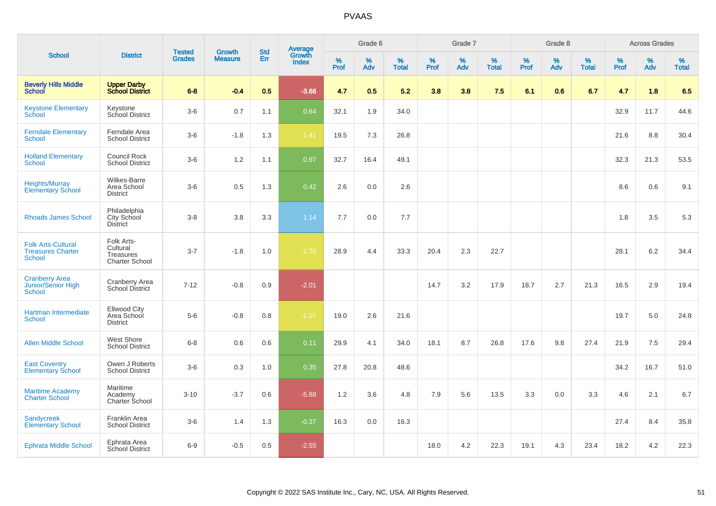| <b>School</b>                                                          |                                                              |                                |                                 | <b>Std</b> |                                          |           | Grade 6  |                   |           | Grade 7  |                   |           | Grade 8  |                   |              | <b>Across Grades</b> |                   |
|------------------------------------------------------------------------|--------------------------------------------------------------|--------------------------------|---------------------------------|------------|------------------------------------------|-----------|----------|-------------------|-----------|----------|-------------------|-----------|----------|-------------------|--------------|----------------------|-------------------|
|                                                                        | <b>District</b>                                              | <b>Tested</b><br><b>Grades</b> | <b>Growth</b><br><b>Measure</b> | Err        | <b>Average</b><br>Growth<br><b>Index</b> | %<br>Prof | %<br>Adv | %<br><b>Total</b> | %<br>Prof | %<br>Adv | %<br><b>Total</b> | %<br>Prof | %<br>Adv | %<br><b>Total</b> | $\%$<br>Prof | $\%$<br>Adv          | %<br><b>Total</b> |
| <b>Beverly Hills Middle</b><br>School                                  | <b>Upper Darby<br/>School District</b>                       | $6 - 8$                        | $-0.4$                          | 0.5        | $-3.66$                                  | 4.7       | 0.5      | 5.2               | 3.8       | 3.8      | 7.5               | 6.1       | 0.6      | 6.7               | 4.7          | 1.8                  | 6.5               |
| <b>Keystone Elementary</b><br>School                                   | Keystone<br>School District                                  | $3-6$                          | 0.7                             | 1.1        | 0.64                                     | 32.1      | 1.9      | 34.0              |           |          |                   |           |          |                   | 32.9         | 11.7                 | 44.6              |
| <b>Ferndale Elementary</b><br><b>School</b>                            | Ferndale Area<br><b>School District</b>                      | $3-6$                          | $-1.8$                          | 1.3        | $-1.41$                                  | 19.5      | 7.3      | 26.8              |           |          |                   |           |          |                   | 21.6         | 8.8                  | 30.4              |
| <b>Holland Elementary</b><br><b>School</b>                             | Council Rock<br><b>School District</b>                       | $3-6$                          | 1.2                             | 1.1        | 0.97                                     | 32.7      | 16.4     | 49.1              |           |          |                   |           |          |                   | 32.3         | 21.3                 | 53.5              |
| <b>Heights/Murray</b><br><b>Elementary School</b>                      | Wilkes-Barre<br>Area School<br><b>District</b>               | $3-6$                          | 0.5                             | 1.3        | 0.42                                     | 2.6       | 0.0      | 2.6               |           |          |                   |           |          |                   | 8.6          | 0.6                  | 9.1               |
| <b>Rhoads James School</b>                                             | Philadelphia<br><b>City School</b><br><b>District</b>        | $3-8$                          | 3.8                             | 3.3        | 1.14                                     | 7.7       | 0.0      | 7.7               |           |          |                   |           |          |                   | 1.8          | 3.5                  | 5.3               |
| <b>Folk Arts-Cultural</b><br><b>Treasures Charter</b><br><b>School</b> | Folk Arts-<br>Cultural<br>Treasures<br><b>Charter School</b> | $3 - 7$                        | $-1.8$                          | 1.0        | $-1.76$                                  | 28.9      | 4.4      | 33.3              | 20.4      | 2.3      | 22.7              |           |          |                   | 28.1         | 6.2                  | 34.4              |
| <b>Cranberry Area</b><br><b>Junior/Senior High</b><br><b>School</b>    | Cranberry Area<br>School District                            | $7 - 12$                       | $-0.8$                          | 0.9        | $-2.01$                                  |           |          |                   | 14.7      | 3.2      | 17.9              | 18.7      | 2.7      | 21.3              | 16.5         | 2.9                  | 19.4              |
| Hartman Intermediate<br><b>School</b>                                  | Ellwood City<br>Area School<br><b>District</b>               | $5-6$                          | $-0.8$                          | 0.8        | $-1.07$                                  | 19.0      | 2.6      | 21.6              |           |          |                   |           |          |                   | 19.7         | 5.0                  | 24.8              |
| <b>Allen Middle School</b>                                             | West Shore<br><b>School District</b>                         | $6-8$                          | 0.6                             | 0.6        | 0.11                                     | 29.9      | 4.1      | 34.0              | 18.1      | 8.7      | 26.8              | 17.6      | 9.8      | 27.4              | 21.9         | 7.5                  | 29.4              |
| <b>East Coventry</b><br><b>Elementary School</b>                       | Owen J Roberts<br><b>School District</b>                     | $3-6$                          | 0.3                             | 1.0        | 0.35                                     | 27.8      | 20.8     | 48.6              |           |          |                   |           |          |                   | 34.2         | 16.7                 | 51.0              |
| <b>Maritime Academy</b><br><b>Charter School</b>                       | Maritime<br>Academy<br>Charter School                        | $3 - 10$                       | $-3.7$                          | 0.6        | $-5.88$                                  | 1.2       | 3.6      | 4.8               | 7.9       | 5.6      | 13.5              | 3.3       | 0.0      | 3.3               | 4.6          | 2.1                  | 6.7               |
| <b>Sandycreek</b><br><b>Elementary School</b>                          | Franklin Area<br><b>School District</b>                      | $3-6$                          | 1.4                             | 1.3        | $-0.37$                                  | 16.3      | 0.0      | 16.3              |           |          |                   |           |          |                   | 27.4         | 8.4                  | 35.8              |
| <b>Ephrata Middle School</b>                                           | Ephrata Area<br><b>School District</b>                       | $6-9$                          | $-0.5$                          | 0.5        | $-2.55$                                  |           |          |                   | 18.0      | 4.2      | 22.3              | 19.1      | 4.3      | 23.4              | 18.2         | 4.2                  | 22.3              |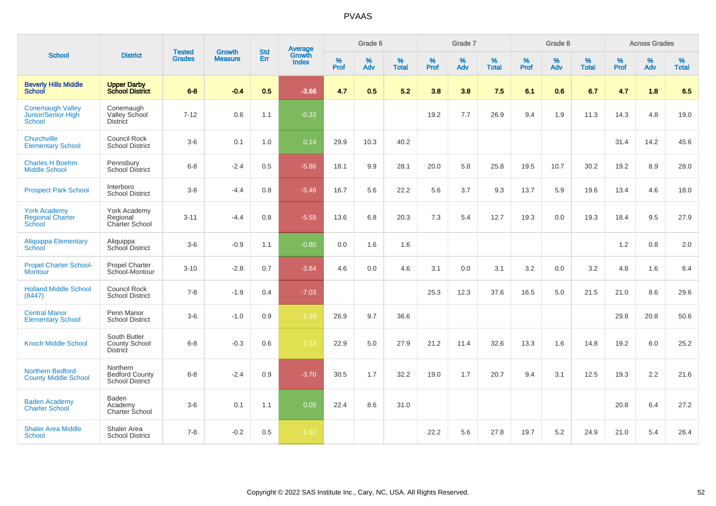| <b>School</b>                                            |                                                         |                                |                                 | <b>Std</b>    |                                          |                  | Grade 6  |                   |                  | Grade 7  |                   |                  | Grade 8  |                   |                  | <b>Across Grades</b> |                   |
|----------------------------------------------------------|---------------------------------------------------------|--------------------------------|---------------------------------|---------------|------------------------------------------|------------------|----------|-------------------|------------------|----------|-------------------|------------------|----------|-------------------|------------------|----------------------|-------------------|
|                                                          | <b>District</b>                                         | <b>Tested</b><br><b>Grades</b> | <b>Growth</b><br><b>Measure</b> | Err           | <b>Average</b><br>Growth<br><b>Index</b> | %<br><b>Prof</b> | %<br>Adv | %<br><b>Total</b> | %<br><b>Prof</b> | %<br>Adv | %<br><b>Total</b> | %<br><b>Prof</b> | %<br>Adv | %<br><b>Total</b> | %<br><b>Prof</b> | %<br>Adv             | %<br><b>Total</b> |
| <b>Beverly Hills Middle</b><br><b>School</b>             | <b>Upper Darby</b><br><b>School District</b>            | $6 - 8$                        | $-0.4$                          | 0.5           | $-3.66$                                  | 4.7              | 0.5      | 5.2               | 3.8              | 3.8      | 7.5               | 6.1              | 0.6      | 6.7               | 4.7              | 1.8                  | 6.5               |
| <b>Conemaugh Valley</b><br>Junior/Senior High<br>School  | Conemaugh<br>Valley School<br><b>District</b>           | $7 - 12$                       | 0.6                             | 1.1           | $-0.33$                                  |                  |          |                   | 19.2             | 7.7      | 26.9              | 9.4              | 1.9      | 11.3              | 14.3             | 4.8                  | 19.0              |
| Churchville<br><b>Elementary School</b>                  | <b>Council Rock</b><br><b>School District</b>           | $3-6$                          | 0.1                             | 1.0           | 0.14                                     | 29.9             | 10.3     | 40.2              |                  |          |                   |                  |          |                   | 31.4             | 14.2                 | 45.6              |
| <b>Charles H Boehm</b><br><b>Middle School</b>           | Pennsbury<br><b>School District</b>                     | $6 - 8$                        | $-2.4$                          | 0.5           | $-5.86$                                  | 18.1             | 9.9      | 28.1              | 20.0             | 5.8      | 25.8              | 19.5             | 10.7     | 30.2              | 19.2             | 8.9                  | 28.0              |
| <b>Prospect Park School</b>                              | Interboro<br><b>School District</b>                     | $3-8$                          | $-4.4$                          | 0.8           | $-5.48$                                  | 16.7             | 5.6      | 22.2              | 5.6              | 3.7      | 9.3               | 13.7             | 5.9      | 19.6              | 13.4             | 4.6                  | 18.0              |
| <b>York Academy</b><br><b>Regional Charter</b><br>School | York Academy<br>Regional<br><b>Charter School</b>       | $3 - 11$                       | $-4.4$                          | 0.8           | $-5.58$                                  | 13.6             | 6.8      | 20.3              | 7.3              | 5.4      | 12.7              | 19.3             | 0.0      | 19.3              | 18.4             | 9.5                  | 27.9              |
| <b>Aliquippa Elementary</b><br>School                    | Aliquippa<br>School District                            | $3-6$                          | $-0.9$                          | 1.1           | $-0.80$                                  | 0.0              | 1.6      | 1.6               |                  |          |                   |                  |          |                   | 1.2              | 0.8                  | 2.0               |
| <b>Propel Charter School-</b><br><b>Montour</b>          | <b>Propel Charter</b><br>School-Montour                 | $3 - 10$                       | $-2.8$                          | 0.7           | $-3.84$                                  | 4.6              | 0.0      | 4.6               | 3.1              | 0.0      | 3.1               | 3.2              | 0.0      | 3.2               | 4.8              | 1.6                  | 6.4               |
| <b>Holland Middle School</b><br>(8447)                   | <b>Council Rock</b><br><b>School District</b>           | $7 - 8$                        | $-1.9$                          | $0.4^{\circ}$ | $-7.03$                                  |                  |          |                   | 25.3             | 12.3     | 37.6              | 16.5             | 5.0      | 21.5              | 21.0             | 8.6                  | 29.6              |
| <b>Central Manor</b><br><b>Elementary School</b>         | Penn Manor<br><b>School District</b>                    | $3-6$                          | $-1.0$                          | 0.9           | $-1.18$                                  | 26.9             | 9.7      | 36.6              |                  |          |                   |                  |          |                   | 29.8             | 20.8                 | 50.6              |
| <b>Knoch Middle School</b>                               | South Butler<br><b>County School</b><br><b>District</b> | $6 - 8$                        | $-0.3$                          | 0.6           | $-1.53$                                  | 22.9             | 5.0      | 27.9              | 21.2             | 11.4     | 32.6              | 13.3             | 1.6      | 14.8              | 19.2             | 6.0                  | 25.2              |
| <b>Northern Bedford</b><br><b>County Middle School</b>   | Northern<br><b>Bedford County</b><br>School District    | $6 - 8$                        | $-2.4$                          | 0.9           | $-3.70$                                  | 30.5             | 1.7      | 32.2              | 19.0             | 1.7      | 20.7              | 9.4              | 3.1      | 12.5              | 19.3             | 2.2                  | 21.6              |
| <b>Baden Academy</b><br><b>Charter School</b>            | <b>Baden</b><br>Academy<br>Charter School               | $3-6$                          | 0.1                             | 1.1           | 0.05                                     | 22.4             | 8.6      | 31.0              |                  |          |                   |                  |          |                   | 20.8             | 6.4                  | 27.2              |
| <b>Shaler Area Middle</b><br>School                      | Shaler Area<br><b>School District</b>                   | $7 - 8$                        | $-0.2$                          | 0.5           | $-1.52$                                  |                  |          |                   | 22.2             | 5.6      | 27.8              | 19.7             | 5.2      | 24.9              | 21.0             | 5.4                  | 26.4              |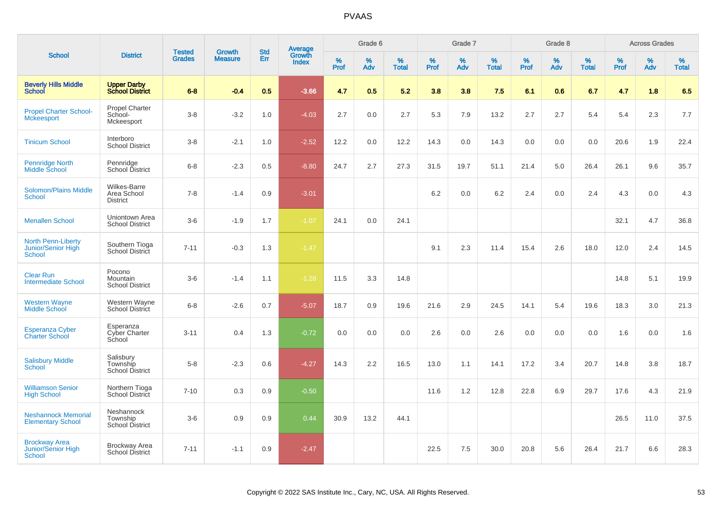|                                                                  |                                                  |                                |                                 | <b>Std</b> |                                          |                  | Grade 6  |                   |           | Grade 7  |                   |           | Grade 8  |                   |           | <b>Across Grades</b> |                   |
|------------------------------------------------------------------|--------------------------------------------------|--------------------------------|---------------------------------|------------|------------------------------------------|------------------|----------|-------------------|-----------|----------|-------------------|-----------|----------|-------------------|-----------|----------------------|-------------------|
| <b>School</b>                                                    | <b>District</b>                                  | <b>Tested</b><br><b>Grades</b> | <b>Growth</b><br><b>Measure</b> | Err        | <b>Average</b><br>Growth<br><b>Index</b> | %<br><b>Prof</b> | %<br>Adv | %<br><b>Total</b> | %<br>Prof | %<br>Adv | %<br><b>Total</b> | %<br>Prof | %<br>Adv | %<br><b>Total</b> | %<br>Prof | %<br>Adv             | %<br><b>Total</b> |
| <b>Beverly Hills Middle</b><br><b>School</b>                     | <b>Upper Darby</b><br><b>School District</b>     | $6 - 8$                        | $-0.4$                          | 0.5        | $-3.66$                                  | 4.7              | 0.5      | 5.2               | 3.8       | 3.8      | 7.5               | 6.1       | 0.6      | 6.7               | 4.7       | 1.8                  | 6.5               |
| <b>Propel Charter School-</b><br><b>Mckeesport</b>               | <b>Propel Charter</b><br>School-<br>Mckeesport   | $3 - 8$                        | $-3.2$                          | 1.0        | $-4.03$                                  | 2.7              | 0.0      | 2.7               | 5.3       | 7.9      | 13.2              | 2.7       | 2.7      | 5.4               | 5.4       | 2.3                  | 7.7               |
| <b>Tinicum School</b>                                            | Interboro<br><b>School District</b>              | $3-8$                          | $-2.1$                          | 1.0        | $-2.52$                                  | 12.2             | 0.0      | 12.2              | 14.3      | 0.0      | 14.3              | 0.0       | 0.0      | 0.0               | 20.6      | 1.9                  | 22.4              |
| Pennridge North<br>Middle School                                 | Pennridge<br>School District                     | $6 - 8$                        | $-2.3$                          | 0.5        | $-8.80$                                  | 24.7             | 2.7      | 27.3              | 31.5      | 19.7     | 51.1              | 21.4      | $5.0\,$  | 26.4              | 26.1      | 9.6                  | 35.7              |
| <b>Solomon/Plains Middle</b><br><b>School</b>                    | Wilkes-Barre<br>Area School<br><b>District</b>   | $7 - 8$                        | $-1.4$                          | 0.9        | $-3.01$                                  |                  |          |                   | 6.2       | 0.0      | 6.2               | 2.4       | 0.0      | 2.4               | 4.3       | 0.0                  | 4.3               |
| <b>Menallen School</b>                                           | Uniontown Area<br><b>School District</b>         | $3-6$                          | $-1.9$                          | 1.7        | $-1.07$                                  | 24.1             | 0.0      | 24.1              |           |          |                   |           |          |                   | 32.1      | 4.7                  | 36.8              |
| <b>North Penn-Liberty</b><br>Junior/Senior High<br><b>School</b> | Southern Tioga<br>School District                | $7 - 11$                       | $-0.3$                          | 1.3        | $-1.47$                                  |                  |          |                   | 9.1       | 2.3      | 11.4              | 15.4      | 2.6      | 18.0              | 12.0      | 2.4                  | 14.5              |
| <b>Clear Run</b><br><b>Intermediate School</b>                   | Pocono<br>Mountain<br><b>School District</b>     | $3-6$                          | $-1.4$                          | 1.1        | $-1.28$                                  | 11.5             | 3.3      | 14.8              |           |          |                   |           |          |                   | 14.8      | 5.1                  | 19.9              |
| <b>Western Wayne</b><br><b>Middle School</b>                     | Western Wayne<br><b>School District</b>          | $6 - 8$                        | $-2.6$                          | 0.7        | $-5.07$                                  | 18.7             | 0.9      | 19.6              | 21.6      | 2.9      | 24.5              | 14.1      | 5.4      | 19.6              | 18.3      | 3.0                  | 21.3              |
| <b>Esperanza Cyber</b><br><b>Charter School</b>                  | Esperanza<br><b>Cyber Charter</b><br>School      | $3 - 11$                       | 0.4                             | 1.3        | $-0.72$                                  | 0.0              | 0.0      | 0.0               | 2.6       | 0.0      | 2.6               | 0.0       | 0.0      | 0.0               | 1.6       | 0.0                  | 1.6               |
| <b>Salisbury Middle</b><br>School                                | Salisbury<br>Township<br><b>School District</b>  | $5 - 8$                        | $-2.3$                          | 0.6        | $-4.27$                                  | 14.3             | 2.2      | 16.5              | 13.0      | 1.1      | 14.1              | 17.2      | 3.4      | 20.7              | 14.8      | 3.8                  | 18.7              |
| <b>Williamson Senior</b><br><b>High School</b>                   | Northern Tioga<br>School District                | $7 - 10$                       | 0.3                             | 0.9        | $-0.50$                                  |                  |          |                   | 11.6      | 1.2      | 12.8              | 22.8      | 6.9      | 29.7              | 17.6      | 4.3                  | 21.9              |
| <b>Neshannock Memorial</b><br><b>Elementary School</b>           | Neshannock<br>Township<br><b>School District</b> | $3-6$                          | 0.9                             | 0.9        | 0.44                                     | 30.9             | 13.2     | 44.1              |           |          |                   |           |          |                   | 26.5      | 11.0                 | 37.5              |
| <b>Brockway Area</b><br>Junior/Senior High<br><b>School</b>      | <b>Brockway Area</b><br><b>School District</b>   | $7 - 11$                       | $-1.1$                          | 0.9        | $-2.47$                                  |                  |          |                   | 22.5      | 7.5      | 30.0              | 20.8      | 5.6      | 26.4              | 21.7      | 6.6                  | 28.3              |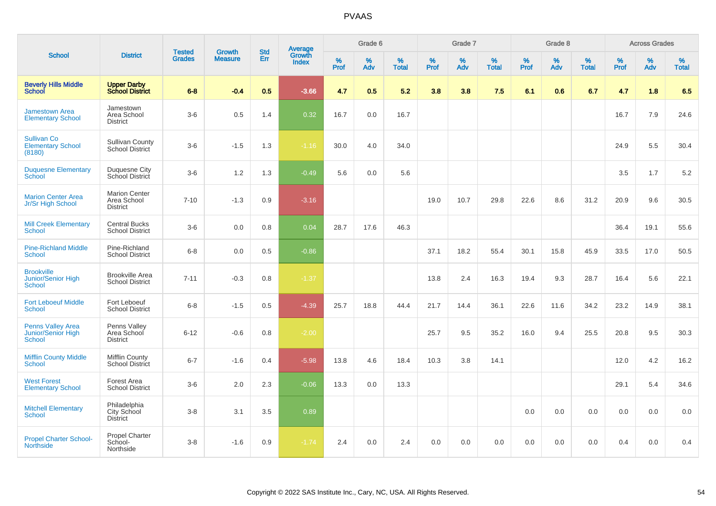|                                                          |                                                        |                                |                                 | <b>Std</b> |                                          |                  | Grade 6     |                   |           | Grade 7     |                   |           | Grade 8  |                   |           | <b>Across Grades</b> |                   |
|----------------------------------------------------------|--------------------------------------------------------|--------------------------------|---------------------------------|------------|------------------------------------------|------------------|-------------|-------------------|-----------|-------------|-------------------|-----------|----------|-------------------|-----------|----------------------|-------------------|
| <b>School</b>                                            | <b>District</b>                                        | <b>Tested</b><br><b>Grades</b> | <b>Growth</b><br><b>Measure</b> | Err        | <b>Average</b><br>Growth<br><b>Index</b> | %<br><b>Prof</b> | $\%$<br>Adv | %<br><b>Total</b> | %<br>Prof | $\%$<br>Adv | %<br><b>Total</b> | %<br>Prof | %<br>Adv | %<br><b>Total</b> | %<br>Prof | %<br>Adv             | %<br><b>Total</b> |
| <b>Beverly Hills Middle</b><br><b>School</b>             | <b>Upper Darby</b><br><b>School District</b>           | $6 - 8$                        | $-0.4$                          | 0.5        | $-3.66$                                  | 4.7              | 0.5         | 5.2               | 3.8       | 3.8         | 7.5               | 6.1       | 0.6      | 6.7               | 4.7       | 1.8                  | 6.5               |
| <b>Jamestown Area</b><br><b>Elementary School</b>        | Jamestown<br>Area School<br><b>District</b>            | $3-6$                          | 0.5                             | 1.4        | 0.32                                     | 16.7             | 0.0         | 16.7              |           |             |                   |           |          |                   | 16.7      | 7.9                  | 24.6              |
| <b>Sullivan Co</b><br><b>Elementary School</b><br>(8180) | <b>Sullivan County</b><br>School District              | $3-6$                          | $-1.5$                          | 1.3        | $-1.16$                                  | 30.0             | 4.0         | 34.0              |           |             |                   |           |          |                   | 24.9      | 5.5                  | 30.4              |
| <b>Duquesne Elementary</b><br>School                     | Duquesne City<br>School District                       | $3-6$                          | 1.2                             | 1.3        | $-0.49$                                  | 5.6              | 0.0         | 5.6               |           |             |                   |           |          |                   | 3.5       | 1.7                  | 5.2               |
| <b>Marion Center Area</b><br>Jr/Sr High School           | <b>Marion Center</b><br>Area School<br><b>District</b> | $7 - 10$                       | $-1.3$                          | 0.9        | $-3.16$                                  |                  |             |                   | 19.0      | 10.7        | 29.8              | 22.6      | 8.6      | 31.2              | 20.9      | 9.6                  | 30.5              |
| <b>Mill Creek Elementary</b><br><b>School</b>            | <b>Central Bucks</b><br><b>School District</b>         | $3-6$                          | 0.0                             | 0.8        | 0.04                                     | 28.7             | 17.6        | 46.3              |           |             |                   |           |          |                   | 36.4      | 19.1                 | 55.6              |
| <b>Pine-Richland Middle</b><br><b>School</b>             | Pine-Richland<br><b>School District</b>                | $6 - 8$                        | 0.0                             | 0.5        | $-0.86$                                  |                  |             |                   | 37.1      | 18.2        | 55.4              | 30.1      | 15.8     | 45.9              | 33.5      | 17.0                 | 50.5              |
| <b>Brookville</b><br>Junior/Senior High<br>School        | <b>Brookville Area</b><br><b>School District</b>       | $7 - 11$                       | $-0.3$                          | 0.8        | $-1.37$                                  |                  |             |                   | 13.8      | 2.4         | 16.3              | 19.4      | 9.3      | 28.7              | 16.4      | 5.6                  | 22.1              |
| <b>Fort Leboeuf Middle</b><br>School                     | Fort Leboeuf<br><b>School District</b>                 | $6 - 8$                        | $-1.5$                          | 0.5        | $-4.39$                                  | 25.7             | 18.8        | 44.4              | 21.7      | 14.4        | 36.1              | 22.6      | 11.6     | 34.2              | 23.2      | 14.9                 | 38.1              |
| <b>Penns Valley Area</b><br>Junior/Senior High<br>School | Penns Valley<br>Area School<br><b>District</b>         | $6 - 12$                       | $-0.6$                          | 0.8        | $-2.00$                                  |                  |             |                   | 25.7      | 9.5         | 35.2              | 16.0      | 9.4      | 25.5              | 20.8      | 9.5                  | 30.3              |
| <b>Mifflin County Middle</b><br>School                   | <b>Mifflin County</b><br><b>School District</b>        | $6 - 7$                        | $-1.6$                          | 0.4        | $-5.98$                                  | 13.8             | 4.6         | 18.4              | 10.3      | 3.8         | 14.1              |           |          |                   | 12.0      | 4.2                  | 16.2              |
| <b>West Forest</b><br><b>Elementary School</b>           | Forest Area<br><b>School District</b>                  | $3-6$                          | 2.0                             | 2.3        | $-0.06$                                  | 13.3             | 0.0         | 13.3              |           |             |                   |           |          |                   | 29.1      | 5.4                  | 34.6              |
| <b>Mitchell Elementary</b><br><b>School</b>              | Philadelphia<br>City School<br><b>District</b>         | $3 - 8$                        | 3.1                             | 3.5        | 0.89                                     |                  |             |                   |           |             |                   | 0.0       | 0.0      | 0.0               | 0.0       | 0.0                  | 0.0               |
| <b>Propel Charter School-</b><br><b>Northside</b>        | Propel Charter<br>School-<br>Northside                 | $3 - 8$                        | $-1.6$                          | 0.9        | $-1.74$                                  | 2.4              | 0.0         | 2.4               | 0.0       | 0.0         | 0.0               | 0.0       | 0.0      | 0.0               | 0.4       | 0.0                  | 0.4               |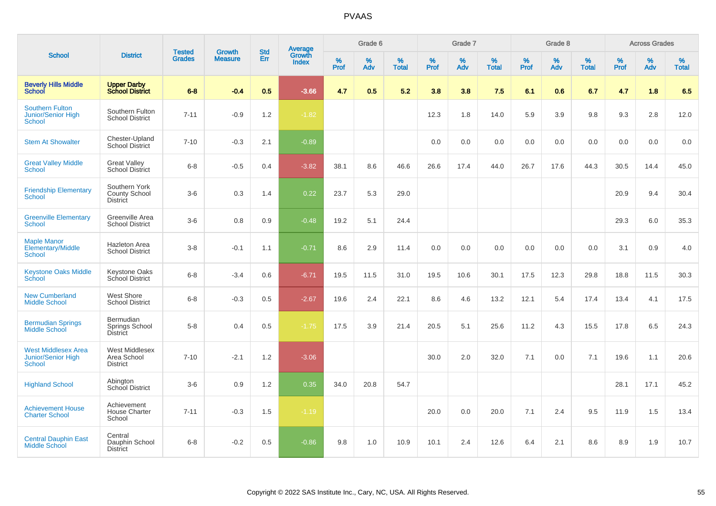| <b>School</b>                                                            |                                                          |                                |                                 | <b>Std</b> |                                          |           | Grade 6  |                   |           | Grade 7  |                   |           | Grade 8  |                   |              | <b>Across Grades</b> |                   |
|--------------------------------------------------------------------------|----------------------------------------------------------|--------------------------------|---------------------------------|------------|------------------------------------------|-----------|----------|-------------------|-----------|----------|-------------------|-----------|----------|-------------------|--------------|----------------------|-------------------|
|                                                                          | <b>District</b>                                          | <b>Tested</b><br><b>Grades</b> | <b>Growth</b><br><b>Measure</b> | Err        | <b>Average</b><br>Growth<br><b>Index</b> | %<br>Prof | %<br>Adv | %<br><b>Total</b> | %<br>Prof | %<br>Adv | %<br><b>Total</b> | %<br>Prof | %<br>Adv | %<br><b>Total</b> | $\%$<br>Prof | %<br>Adv             | %<br><b>Total</b> |
| <b>Beverly Hills Middle</b><br><b>School</b>                             | <b>Upper Darby</b><br><b>School District</b>             | $6 - 8$                        | $-0.4$                          | 0.5        | $-3.66$                                  | 4.7       | 0.5      | 5.2               | 3.8       | 3.8      | 7.5               | 6.1       | 0.6      | 6.7               | 4.7          | 1.8                  | 6.5               |
| <b>Southern Fulton</b><br><b>Junior/Senior High</b><br><b>School</b>     | Southern Fulton<br><b>School District</b>                | $7 - 11$                       | $-0.9$                          | 1.2        | $-1.82$                                  |           |          |                   | 12.3      | 1.8      | 14.0              | 5.9       | 3.9      | 9.8               | 9.3          | 2.8                  | 12.0              |
| <b>Stem At Showalter</b>                                                 | Chester-Upland<br><b>School District</b>                 | $7 - 10$                       | $-0.3$                          | 2.1        | $-0.89$                                  |           |          |                   | 0.0       | 0.0      | 0.0               | 0.0       | 0.0      | 0.0               | 0.0          | 0.0                  | 0.0               |
| <b>Great Valley Middle</b><br>School                                     | <b>Great Valley</b><br><b>School District</b>            | $6 - 8$                        | $-0.5$                          | 0.4        | $-3.82$                                  | 38.1      | 8.6      | 46.6              | 26.6      | 17.4     | 44.0              | 26.7      | 17.6     | 44.3              | 30.5         | 14.4                 | 45.0              |
| <b>Friendship Elementary</b><br><b>School</b>                            | Southern York<br><b>County School</b><br><b>District</b> | $3-6$                          | 0.3                             | 1.4        | 0.22                                     | 23.7      | 5.3      | 29.0              |           |          |                   |           |          |                   | 20.9         | 9.4                  | 30.4              |
| <b>Greenville Elementary</b><br><b>School</b>                            | Greenville Area<br><b>School District</b>                | $3-6$                          | 0.8                             | 0.9        | $-0.48$                                  | 19.2      | 5.1      | 24.4              |           |          |                   |           |          |                   | 29.3         | 6.0                  | 35.3              |
| <b>Maple Manor</b><br><b>Elementary/Middle</b><br><b>School</b>          | <b>Hazleton Area</b><br><b>School District</b>           | $3 - 8$                        | $-0.1$                          | 1.1        | $-0.71$                                  | 8.6       | 2.9      | 11.4              | 0.0       | 0.0      | 0.0               | 0.0       | 0.0      | 0.0               | 3.1          | 0.9                  | 4.0               |
| <b>Keystone Oaks Middle</b><br>School                                    | <b>Keystone Oaks</b><br>School District                  | $6 - 8$                        | $-3.4$                          | 0.6        | $-6.71$                                  | 19.5      | 11.5     | 31.0              | 19.5      | 10.6     | 30.1              | 17.5      | 12.3     | 29.8              | 18.8         | 11.5                 | 30.3              |
| <b>New Cumberland</b><br><b>Middle School</b>                            | West Shore<br><b>School District</b>                     | $6 - 8$                        | $-0.3$                          | 0.5        | $-2.67$                                  | 19.6      | 2.4      | 22.1              | 8.6       | 4.6      | 13.2              | 12.1      | 5.4      | 17.4              | 13.4         | 4.1                  | 17.5              |
| <b>Bermudian Springs</b><br>Middle School                                | Bermudian<br>Springs School<br>District                  | $5-8$                          | 0.4                             | 0.5        | $-1.75$                                  | 17.5      | 3.9      | 21.4              | 20.5      | 5.1      | 25.6              | 11.2      | 4.3      | 15.5              | 17.8         | 6.5                  | 24.3              |
| <b>West Middlesex Area</b><br><b>Junior/Senior High</b><br><b>School</b> | <b>West Middlesex</b><br>Area School<br><b>District</b>  | $7 - 10$                       | $-2.1$                          | 1.2        | $-3.06$                                  |           |          |                   | 30.0      | 2.0      | 32.0              | 7.1       | 0.0      | 7.1               | 19.6         | 1.1                  | 20.6              |
| <b>Highland School</b>                                                   | Abington<br>School District                              | $3-6$                          | 0.9                             | 1.2        | 0.35                                     | 34.0      | 20.8     | 54.7              |           |          |                   |           |          |                   | 28.1         | 17.1                 | 45.2              |
| <b>Achievement House</b><br><b>Charter School</b>                        | Achievement<br><b>House Charter</b><br>School            | $7 - 11$                       | $-0.3$                          | 1.5        | $-1.19$                                  |           |          |                   | 20.0      | 0.0      | 20.0              | 7.1       | 2.4      | 9.5               | 11.9         | 1.5                  | 13.4              |
| <b>Central Dauphin East</b><br><b>Middle School</b>                      | Central<br>Dauphin School<br><b>District</b>             | $6 - 8$                        | $-0.2$                          | 0.5        | $-0.86$                                  | 9.8       | 1.0      | 10.9              | 10.1      | 2.4      | 12.6              | 6.4       | 2.1      | 8.6               | 8.9          | 1.9                  | 10.7              |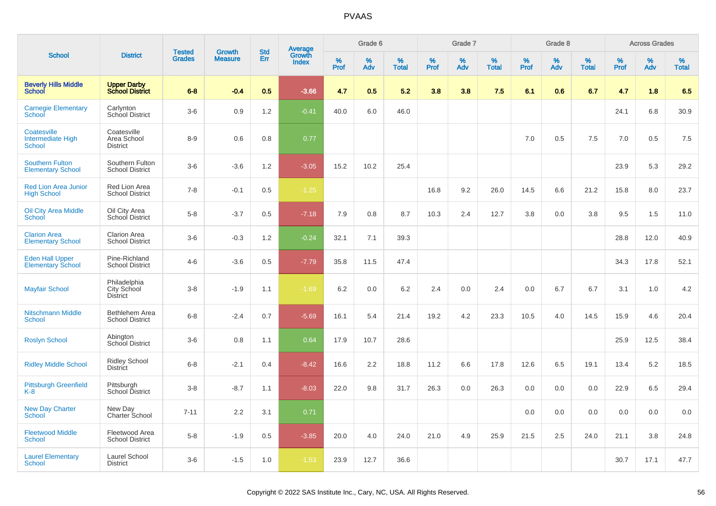|                                                          |                                                |                                |                                 | <b>Std</b> |                                          |                  | Grade 6  |                   |           | Grade 7  |                   |           | Grade 8  |                   |           | <b>Across Grades</b> |                   |
|----------------------------------------------------------|------------------------------------------------|--------------------------------|---------------------------------|------------|------------------------------------------|------------------|----------|-------------------|-----------|----------|-------------------|-----------|----------|-------------------|-----------|----------------------|-------------------|
| <b>School</b>                                            | <b>District</b>                                | <b>Tested</b><br><b>Grades</b> | <b>Growth</b><br><b>Measure</b> | Err        | <b>Average</b><br>Growth<br><b>Index</b> | %<br><b>Prof</b> | %<br>Adv | %<br><b>Total</b> | %<br>Prof | %<br>Adv | %<br><b>Total</b> | %<br>Prof | %<br>Adv | %<br><b>Total</b> | %<br>Prof | %<br>Adv             | %<br><b>Total</b> |
| <b>Beverly Hills Middle</b><br>School                    | <b>Upper Darby</b><br><b>School District</b>   | $6 - 8$                        | $-0.4$                          | 0.5        | $-3.66$                                  | 4.7              | 0.5      | 5.2               | 3.8       | 3.8      | 7.5               | 6.1       | 0.6      | 6.7               | 4.7       | 1.8                  | 6.5               |
| <b>Carnegie Elementary</b><br>School                     | Carlynton<br>School District                   | $3-6$                          | 0.9                             | 1.2        | $-0.41$                                  | 40.0             | 6.0      | 46.0              |           |          |                   |           |          |                   | 24.1      | 6.8                  | 30.9              |
| Coatesville<br><b>Intermediate High</b><br><b>School</b> | Coatesville<br>Area School<br><b>District</b>  | $8 - 9$                        | 0.6                             | 0.8        | 0.77                                     |                  |          |                   |           |          |                   | 7.0       | 0.5      | 7.5               | 7.0       | 0.5                  | 7.5               |
| <b>Southern Fulton</b><br><b>Elementary School</b>       | Southern Fulton<br><b>School District</b>      | $3-6$                          | $-3.6$                          | 1.2        | $-3.05$                                  | 15.2             | 10.2     | 25.4              |           |          |                   |           |          |                   | 23.9      | 5.3                  | 29.2              |
| <b>Red Lion Area Junior</b><br><b>High School</b>        | Red Lion Area<br><b>School District</b>        | $7 - 8$                        | $-0.1$                          | 0.5        | $-1.25$                                  |                  |          |                   | 16.8      | 9.2      | 26.0              | 14.5      | 6.6      | 21.2              | 15.8      | 8.0                  | 23.7              |
| <b>Oil City Area Middle</b><br>School                    | Oil City Area<br>School District               | $5-8$                          | $-3.7$                          | 0.5        | $-7.18$                                  | 7.9              | 0.8      | 8.7               | 10.3      | 2.4      | 12.7              | 3.8       | 0.0      | 3.8               | 9.5       | 1.5                  | 11.0              |
| <b>Clarion Area</b><br><b>Elementary School</b>          | <b>Clarion Area</b><br><b>School District</b>  | $3-6$                          | $-0.3$                          | 1.2        | $-0.24$                                  | 32.1             | 7.1      | 39.3              |           |          |                   |           |          |                   | 28.8      | 12.0                 | 40.9              |
| <b>Eden Hall Upper</b><br><b>Elementary School</b>       | Pine-Richland<br><b>School District</b>        | $4-6$                          | $-3.6$                          | 0.5        | $-7.79$                                  | 35.8             | 11.5     | 47.4              |           |          |                   |           |          |                   | 34.3      | 17.8                 | 52.1              |
| <b>Mayfair School</b>                                    | Philadelphia<br>City School<br><b>District</b> | $3 - 8$                        | $-1.9$                          | 1.1        | $-1.69$                                  | 6.2              | 0.0      | 6.2               | 2.4       | 0.0      | 2.4               | 0.0       | 6.7      | 6.7               | 3.1       | 1.0                  | 4.2               |
| <b>Nitschmann Middle</b><br><b>School</b>                | Bethlehem Area<br><b>School District</b>       | $6 - 8$                        | $-2.4$                          | 0.7        | $-5.69$                                  | 16.1             | 5.4      | 21.4              | 19.2      | 4.2      | 23.3              | 10.5      | 4.0      | 14.5              | 15.9      | 4.6                  | 20.4              |
| <b>Roslyn School</b>                                     | Abington<br><b>School District</b>             | $3-6$                          | 0.8                             | 1.1        | 0.64                                     | 17.9             | 10.7     | 28.6              |           |          |                   |           |          |                   | 25.9      | 12.5                 | 38.4              |
| <b>Ridley Middle School</b>                              | <b>Ridley School</b><br><b>District</b>        | $6 - 8$                        | $-2.1$                          | 0.4        | $-8.42$                                  | 16.6             | 2.2      | 18.8              | 11.2      | 6.6      | 17.8              | 12.6      | 6.5      | 19.1              | 13.4      | 5.2                  | 18.5              |
| <b>Pittsburgh Greenfield</b><br>K-8                      | Pittsburgh<br>School District                  | $3-8$                          | $-8.7$                          | 1.1        | $-8.03$                                  | 22.0             | 9.8      | 31.7              | 26.3      | 0.0      | 26.3              | 0.0       | 0.0      | 0.0               | 22.9      | 6.5                  | 29.4              |
| <b>New Day Charter</b><br><b>School</b>                  | New Day<br>Charter School                      | $7 - 11$                       | 2.2                             | 3.1        | 0.71                                     |                  |          |                   |           |          |                   | 0.0       | 0.0      | 0.0               | 0.0       | 0.0                  | 0.0               |
| <b>Fleetwood Middle</b><br><b>School</b>                 | Fleetwood Area<br><b>School District</b>       | $5 - 8$                        | $-1.9$                          | 0.5        | $-3.85$                                  | 20.0             | 4.0      | 24.0              | 21.0      | 4.9      | 25.9              | 21.5      | 2.5      | 24.0              | 21.1      | 3.8                  | 24.8              |
| <b>Laurel Elementary</b><br>School                       | Laurel School<br><b>District</b>               | $3-6$                          | $-1.5$                          | 1.0        | $-1.53$                                  | 23.9             | 12.7     | 36.6              |           |          |                   |           |          |                   | 30.7      | 17.1                 | 47.7              |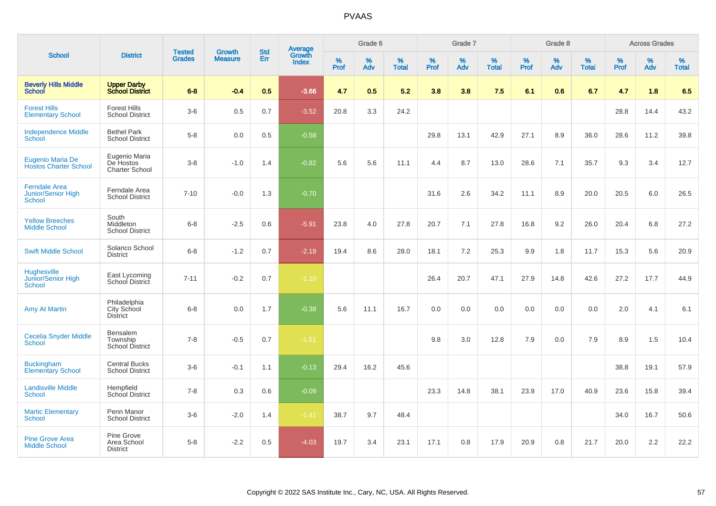|                                                             |                                                     |                                | <b>Growth</b>  | <b>Std</b> |                                          |                     | Grade 6     |                   |              | Grade 7     |                      |              | Grade 8  |                   |              | <b>Across Grades</b> |                   |
|-------------------------------------------------------------|-----------------------------------------------------|--------------------------------|----------------|------------|------------------------------------------|---------------------|-------------|-------------------|--------------|-------------|----------------------|--------------|----------|-------------------|--------------|----------------------|-------------------|
| <b>School</b>                                               | <b>District</b>                                     | <b>Tested</b><br><b>Grades</b> | <b>Measure</b> | <b>Err</b> | <b>Average</b><br>Growth<br><b>Index</b> | $\%$<br><b>Prof</b> | $\%$<br>Adv | %<br><b>Total</b> | $\%$<br>Prof | $\%$<br>Adv | $\%$<br><b>Total</b> | $\%$<br>Prof | %<br>Adv | %<br><b>Total</b> | $\%$<br>Prof | $\%$<br>Adv          | %<br><b>Total</b> |
| <b>Beverly Hills Middle</b><br><b>School</b>                | <b>Upper Darby</b><br><b>School District</b>        | $6 - 8$                        | $-0.4$         | 0.5        | $-3.66$                                  | 4.7                 | 0.5         | 5.2               | 3.8          | 3.8         | 7.5                  | 6.1          | 0.6      | 6.7               | 4.7          | 1.8                  | 6.5               |
| <b>Forest Hills</b><br><b>Elementary School</b>             | <b>Forest Hills</b><br><b>School District</b>       | $3-6$                          | 0.5            | 0.7        | $-3.52$                                  | 20.8                | 3.3         | 24.2              |              |             |                      |              |          |                   | 28.8         | 14.4                 | 43.2              |
| <b>Independence Middle</b><br><b>School</b>                 | <b>Bethel Park</b><br><b>School District</b>        | $5-8$                          | 0.0            | 0.5        | $-0.58$                                  |                     |             |                   | 29.8         | 13.1        | 42.9                 | 27.1         | 8.9      | 36.0              | 28.6         | 11.2                 | 39.8              |
| Eugenio Maria De<br><b>Hostos Charter School</b>            | Eugenio Maria<br>De Hostos<br><b>Charter School</b> | $3-8$                          | $-1.0$         | 1.4        | $-0.82$                                  | 5.6                 | 5.6         | 11.1              | 4.4          | 8.7         | 13.0                 | 28.6         | 7.1      | 35.7              | 9.3          | 3.4                  | 12.7              |
| <b>Ferndale Area</b><br><b>Junior/Senior High</b><br>School | Ferndale Area<br><b>School District</b>             | $7 - 10$                       | $-0.0$         | 1.3        | $-0.70$                                  |                     |             |                   | 31.6         | 2.6         | 34.2                 | 11.1         | 8.9      | 20.0              | 20.5         | 6.0                  | 26.5              |
| <b>Yellow Breeches</b><br><b>Middle School</b>              | South<br>Middleton<br><b>School District</b>        | $6 - 8$                        | $-2.5$         | 0.6        | $-5.91$                                  | 23.8                | 4.0         | 27.8              | 20.7         | 7.1         | 27.8                 | 16.8         | 9.2      | 26.0              | 20.4         | 6.8                  | 27.2              |
| <b>Swift Middle School</b>                                  | Solanco School<br><b>District</b>                   | $6 - 8$                        | $-1.2$         | 0.7        | $-2.19$                                  | 19.4                | 8.6         | 28.0              | 18.1         | 7.2         | 25.3                 | 9.9          | 1.8      | 11.7              | 15.3         | 5.6                  | 20.9              |
| <b>Hughesville</b><br>Junior/Senior High<br><b>School</b>   | East Lycoming<br>School District                    | $7 - 11$                       | $-0.2$         | 0.7        | $-1.10$                                  |                     |             |                   | 26.4         | 20.7        | 47.1                 | 27.9         | 14.8     | 42.6              | 27.2         | 17.7                 | 44.9              |
| <b>Amy At Martin</b>                                        | Philadelphia<br>City School<br>District             | $6-8$                          | 0.0            | 1.7        | $-0.38$                                  | 5.6                 | 11.1        | 16.7              | 0.0          | 0.0         | 0.0                  | 0.0          | 0.0      | 0.0               | 2.0          | 4.1                  | 6.1               |
| <b>Cecelia Snyder Middle</b><br>School                      | Bensalem<br>Township<br><b>School District</b>      | $7 - 8$                        | $-0.5$         | 0.7        | $-1.51$                                  |                     |             |                   | 9.8          | 3.0         | 12.8                 | 7.9          | 0.0      | 7.9               | 8.9          | 1.5                  | 10.4              |
| <b>Buckingham</b><br><b>Elementary School</b>               | <b>Central Bucks</b><br><b>School District</b>      | $3-6$                          | $-0.1$         | 1.1        | $-0.13$                                  | 29.4                | 16.2        | 45.6              |              |             |                      |              |          |                   | 38.8         | 19.1                 | 57.9              |
| <b>Landisville Middle</b><br><b>School</b>                  | Hempfield<br><b>School District</b>                 | $7 - 8$                        | 0.3            | 0.6        | $-0.09$                                  |                     |             |                   | 23.3         | 14.8        | 38.1                 | 23.9         | 17.0     | 40.9              | 23.6         | 15.8                 | 39.4              |
| <b>Martic Elementary</b><br>School                          | Penn Manor<br><b>School District</b>                | $3-6$                          | $-2.0$         | 1.4        | $-1.41$                                  | 38.7                | 9.7         | 48.4              |              |             |                      |              |          |                   | 34.0         | 16.7                 | 50.6              |
| <b>Pine Grove Area</b><br><b>Middle School</b>              | Pine Grove<br>Area School<br><b>District</b>        | $5-8$                          | $-2.2$         | 0.5        | $-4.03$                                  | 19.7                | 3.4         | 23.1              | 17.1         | 0.8         | 17.9                 | 20.9         | 0.8      | 21.7              | 20.0         | 2.2                  | 22.2              |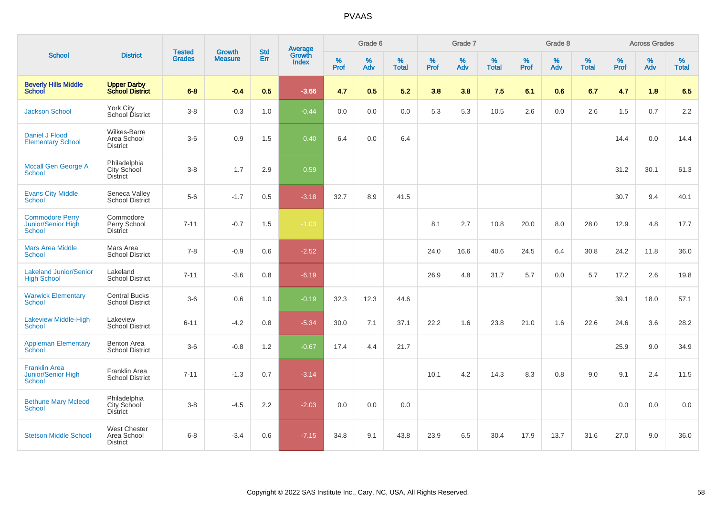| <b>School</b>                                                 |                                                       |                                |                                 | <b>Std</b> |                                          |           | Grade 6     |                   |           | Grade 7  |                   |           | Grade 8  |                   |              | <b>Across Grades</b> |                   |
|---------------------------------------------------------------|-------------------------------------------------------|--------------------------------|---------------------------------|------------|------------------------------------------|-----------|-------------|-------------------|-----------|----------|-------------------|-----------|----------|-------------------|--------------|----------------------|-------------------|
|                                                               | <b>District</b>                                       | <b>Tested</b><br><b>Grades</b> | <b>Growth</b><br><b>Measure</b> | Err        | <b>Average</b><br>Growth<br><b>Index</b> | %<br>Prof | $\%$<br>Adv | %<br><b>Total</b> | %<br>Prof | %<br>Adv | %<br><b>Total</b> | %<br>Prof | %<br>Adv | %<br><b>Total</b> | $\%$<br>Prof | $\%$<br>Adv          | %<br><b>Total</b> |
| <b>Beverly Hills Middle</b><br>School                         | <b>Upper Darby<br/>School District</b>                | $6 - 8$                        | $-0.4$                          | 0.5        | $-3.66$                                  | 4.7       | 0.5         | 5.2               | 3.8       | 3.8      | 7.5               | 6.1       | 0.6      | 6.7               | 4.7          | 1.8                  | 6.5               |
| <b>Jackson School</b>                                         | York City<br>School District                          | $3-8$                          | 0.3                             | 1.0        | $-0.44$                                  | 0.0       | 0.0         | 0.0               | 5.3       | 5.3      | 10.5              | 2.6       | 0.0      | 2.6               | 1.5          | 0.7                  | 2.2               |
| Daniel J Flood<br><b>Elementary School</b>                    | Wilkes-Barre<br>Area School<br><b>District</b>        | $3-6$                          | 0.9                             | 1.5        | 0.40                                     | 6.4       | 0.0         | 6.4               |           |          |                   |           |          |                   | 14.4         | 0.0                  | 14.4              |
| <b>Mccall Gen George A</b><br><b>School</b>                   | Philadelphia<br>City School<br>District               | $3-8$                          | 1.7                             | 2.9        | 0.59                                     |           |             |                   |           |          |                   |           |          |                   | 31.2         | 30.1                 | 61.3              |
| <b>Evans City Middle</b><br><b>School</b>                     | Seneca Valley<br>School District                      | $5-6$                          | $-1.7$                          | 0.5        | $-3.18$                                  | 32.7      | 8.9         | 41.5              |           |          |                   |           |          |                   | 30.7         | 9.4                  | 40.1              |
| <b>Commodore Perry</b><br>Junior/Senior High<br><b>School</b> | Commodore<br>Perry School<br><b>District</b>          | $7 - 11$                       | $-0.7$                          | 1.5        | $-1.03$                                  |           |             |                   | 8.1       | 2.7      | 10.8              | 20.0      | 8.0      | 28.0              | 12.9         | 4.8                  | 17.7              |
| <b>Mars Area Middle</b><br><b>School</b>                      | Mars Area<br><b>School District</b>                   | $7 - 8$                        | $-0.9$                          | 0.6        | $-2.52$                                  |           |             |                   | 24.0      | 16.6     | 40.6              | 24.5      | 6.4      | 30.8              | 24.2         | 11.8                 | 36.0              |
| <b>Lakeland Junior/Senior</b><br><b>High School</b>           | Lakeland<br><b>School District</b>                    | $7 - 11$                       | $-3.6$                          | 0.8        | $-6.19$                                  |           |             |                   | 26.9      | 4.8      | 31.7              | 5.7       | 0.0      | 5.7               | 17.2         | 2.6                  | 19.8              |
| <b>Warwick Elementary</b><br><b>School</b>                    | <b>Central Bucks</b><br><b>School District</b>        | $3-6$                          | 0.6                             | 1.0        | $-0.19$                                  | 32.3      | 12.3        | 44.6              |           |          |                   |           |          |                   | 39.1         | 18.0                 | 57.1              |
| Lakeview Middle-High<br><b>School</b>                         | Lakeview<br><b>School District</b>                    | $6 - 11$                       | $-4.2$                          | 0.8        | $-5.34$                                  | 30.0      | 7.1         | 37.1              | 22.2      | 1.6      | 23.8              | 21.0      | 1.6      | 22.6              | 24.6         | 3.6                  | 28.2              |
| <b>Appleman Elementary</b><br>School                          | <b>Benton Area</b><br><b>School District</b>          | $3-6$                          | $-0.8$                          | 1.2        | $-0.67$                                  | 17.4      | 4.4         | 21.7              |           |          |                   |           |          |                   | 25.9         | 9.0                  | 34.9              |
| <b>Franklin Area</b><br>Junior/Senior High<br><b>School</b>   | Franklin Area<br><b>School District</b>               | $7 - 11$                       | $-1.3$                          | 0.7        | $-3.14$                                  |           |             |                   | 10.1      | 4.2      | 14.3              | 8.3       | 0.8      | 9.0               | 9.1          | 2.4                  | 11.5              |
| <b>Bethune Mary Mcleod</b><br><b>School</b>                   | Philadelphia<br>City School<br>District               | $3 - 8$                        | $-4.5$                          | 2.2        | $-2.03$                                  | 0.0       | 0.0         | 0.0               |           |          |                   |           |          |                   | 0.0          | 0.0                  | 0.0               |
| <b>Stetson Middle School</b>                                  | <b>West Chester</b><br>Area School<br><b>District</b> | $6 - 8$                        | $-3.4$                          | 0.6        | $-7.15$                                  | 34.8      | 9.1         | 43.8              | 23.9      | 6.5      | 30.4              | 17.9      | 13.7     | 31.6              | 27.0         | 9.0                  | 36.0              |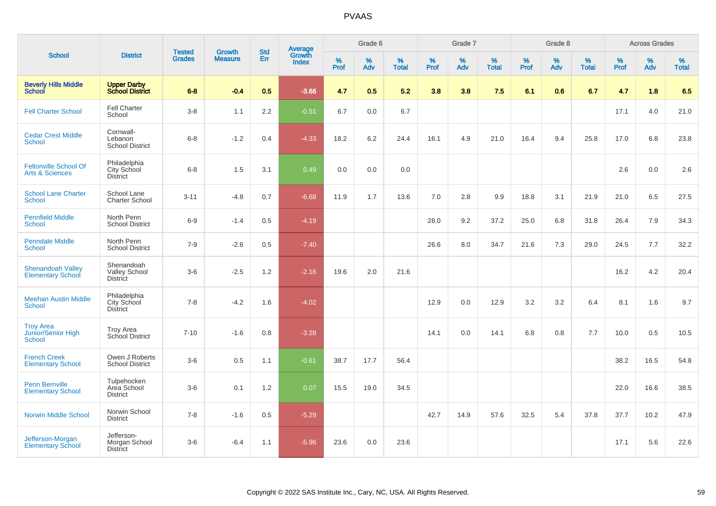|                                                            |                                                |                                |                                 | <b>Std</b> |                                          |           | Grade 6  |                   |           | Grade 7     |                   |           | Grade 8  |                   |              | <b>Across Grades</b> |                   |
|------------------------------------------------------------|------------------------------------------------|--------------------------------|---------------------------------|------------|------------------------------------------|-----------|----------|-------------------|-----------|-------------|-------------------|-----------|----------|-------------------|--------------|----------------------|-------------------|
| <b>School</b>                                              | <b>District</b>                                | <b>Tested</b><br><b>Grades</b> | <b>Growth</b><br><b>Measure</b> | Err        | <b>Average</b><br>Growth<br><b>Index</b> | %<br>Prof | %<br>Adv | %<br><b>Total</b> | %<br>Prof | $\%$<br>Adv | %<br><b>Total</b> | %<br>Prof | %<br>Adv | %<br><b>Total</b> | $\%$<br>Prof | %<br>Adv             | %<br><b>Total</b> |
| <b>Beverly Hills Middle</b><br>School                      | <b>Upper Darby<br/>School District</b>         | $6 - 8$                        | $-0.4$                          | 0.5        | $-3.66$                                  | 4.7       | 0.5      | 5.2               | 3.8       | 3.8         | 7.5               | 6.1       | 0.6      | 6.7               | 4.7          | 1.8                  | 6.5               |
| <b>Fell Charter School</b>                                 | <b>Fell Charter</b><br>School                  | $3-8$                          | 1.1                             | 2.2        | $-0.51$                                  | 6.7       | 0.0      | 6.7               |           |             |                   |           |          |                   | 17.1         | 4.0                  | 21.0              |
| <b>Cedar Crest Middle</b><br><b>School</b>                 | Cornwall-<br>Lebanon<br><b>School District</b> | $6 - 8$                        | $-1.2$                          | 0.4        | $-4.33$                                  | 18.2      | 6.2      | 24.4              | 16.1      | 4.9         | 21.0              | 16.4      | 9.4      | 25.8              | 17.0         | 6.8                  | 23.8              |
| <b>Feltonville School Of</b><br><b>Arts &amp; Sciences</b> | Philadelphia<br>City School<br><b>District</b> | $6 - 8$                        | 1.5                             | 3.1        | 0.49                                     | 0.0       | 0.0      | 0.0               |           |             |                   |           |          |                   | 2.6          | 0.0                  | 2.6               |
| <b>School Lane Charter</b><br><b>School</b>                | School Lane<br><b>Charter School</b>           | $3 - 11$                       | $-4.8$                          | 0.7        | $-6.68$                                  | 11.9      | 1.7      | 13.6              | 7.0       | 2.8         | 9.9               | 18.8      | 3.1      | 21.9              | 21.0         | 6.5                  | 27.5              |
| <b>Pennfield Middle</b><br><b>School</b>                   | North Penn<br><b>School District</b>           | $6-9$                          | $-1.4$                          | 0.5        | $-4.19$                                  |           |          |                   | 28.0      | 9.2         | 37.2              | 25.0      | 6.8      | 31.8              | 26.4         | 7.9                  | 34.3              |
| <b>Penndale Middle</b><br><b>School</b>                    | North Penn<br><b>School District</b>           | $7 - 9$                        | $-2.6$                          | 0.5        | $-7.40$                                  |           |          |                   | 26.6      | 8.0         | 34.7              | 21.6      | 7.3      | 29.0              | 24.5         | 7.7                  | 32.2              |
| <b>Shenandoah Valley</b><br><b>Elementary School</b>       | Shenandoah<br>Valley School<br><b>District</b> | $3-6$                          | $-2.5$                          | 1.2        | $-2.16$                                  | 19.6      | 2.0      | 21.6              |           |             |                   |           |          |                   | 16.2         | 4.2                  | 20.4              |
| <b>Meehan Austin Middle</b><br><b>School</b>               | Philadelphia<br>City School<br><b>District</b> | $7 - 8$                        | $-4.2$                          | 1.6        | $-4.02$                                  |           |          |                   | 12.9      | 0.0         | 12.9              | 3.2       | 3.2      | 6.4               | 8.1          | 1.6                  | 9.7               |
| <b>Troy Area</b><br>Junior/Senior High<br><b>School</b>    | <b>Troy Area</b><br>School District            | $7 - 10$                       | $-1.6$                          | 0.8        | $-3.28$                                  |           |          |                   | 14.1      | 0.0         | 14.1              | 6.8       | 0.8      | 7.7               | 10.0         | 0.5                  | 10.5              |
| <b>French Creek</b><br><b>Elementary School</b>            | Owen J Roberts<br><b>School District</b>       | $3-6$                          | 0.5                             | 1.1        | $-0.61$                                  | 38.7      | 17.7     | 56.4              |           |             |                   |           |          |                   | 38.2         | 16.5                 | 54.8              |
| <b>Penn Bernville</b><br><b>Elementary School</b>          | Tulpehocken<br>Area School<br><b>District</b>  | $3-6$                          | 0.1                             | 1.2        | 0.07                                     | 15.5      | 19.0     | 34.5              |           |             |                   |           |          |                   | 22.0         | 16.6                 | 38.5              |
| <b>Norwin Middle School</b>                                | Norwin School<br><b>District</b>               | $7 - 8$                        | $-1.6$                          | 0.5        | $-5.29$                                  |           |          |                   | 42.7      | 14.9        | 57.6              | 32.5      | 5.4      | 37.8              | 37.7         | 10.2                 | 47.9              |
| Jefferson-Morgan<br><b>Elementary School</b>               | Jefferson-<br>Morgan School<br>District        | $3-6$                          | $-6.4$                          | 1.1        | $-5.96$                                  | 23.6      | 0.0      | 23.6              |           |             |                   |           |          |                   | 17.1         | 5.6                  | 22.6              |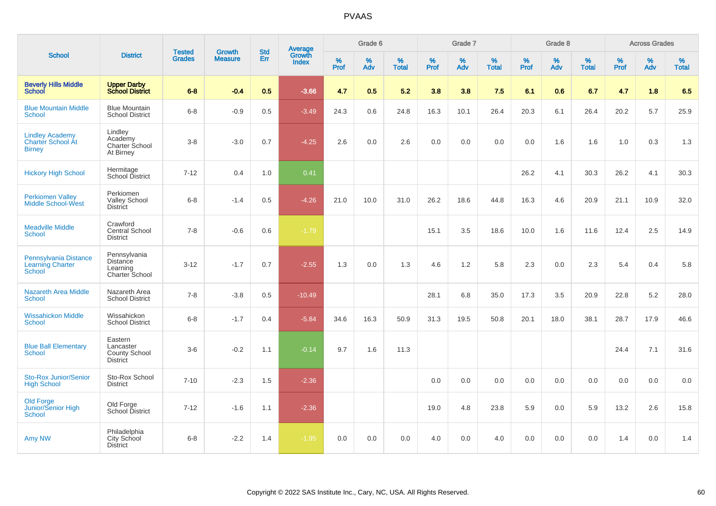| <b>School</b>                                                     |                                                          |                                |                                 | <b>Std</b> |                                          |           | Grade 6  |                   |           | Grade 7  |                   |           | Grade 8  |                   |           | <b>Across Grades</b> |                   |
|-------------------------------------------------------------------|----------------------------------------------------------|--------------------------------|---------------------------------|------------|------------------------------------------|-----------|----------|-------------------|-----------|----------|-------------------|-----------|----------|-------------------|-----------|----------------------|-------------------|
|                                                                   | <b>District</b>                                          | <b>Tested</b><br><b>Grades</b> | <b>Growth</b><br><b>Measure</b> | Err        | <b>Average</b><br>Growth<br><b>Index</b> | %<br>Prof | %<br>Adv | %<br><b>Total</b> | %<br>Prof | %<br>Adv | %<br><b>Total</b> | %<br>Prof | %<br>Adv | %<br><b>Total</b> | %<br>Prof | %<br>Adv             | %<br><b>Total</b> |
| <b>Beverly Hills Middle</b><br><b>School</b>                      | <b>Upper Darby<br/>School District</b>                   | $6 - 8$                        | $-0.4$                          | 0.5        | $-3.66$                                  | 4.7       | 0.5      | 5.2               | 3.8       | 3.8      | 7.5               | 6.1       | 0.6      | 6.7               | 4.7       | 1.8                  | 6.5               |
| <b>Blue Mountain Middle</b><br><b>School</b>                      | <b>Blue Mountain</b><br><b>School District</b>           | $6 - 8$                        | $-0.9$                          | 0.5        | $-3.49$                                  | 24.3      | 0.6      | 24.8              | 16.3      | 10.1     | 26.4              | 20.3      | 6.1      | 26.4              | 20.2      | 5.7                  | 25.9              |
| <b>Lindley Academy</b><br>Charter School At<br><b>Birney</b>      | Lindley<br>Academy<br>Charter School<br>At Birney        | $3 - 8$                        | $-3.0$                          | 0.7        | $-4.25$                                  | 2.6       | 0.0      | 2.6               | 0.0       | 0.0      | 0.0               | 0.0       | 1.6      | 1.6               | 1.0       | 0.3                  | 1.3               |
| <b>Hickory High School</b>                                        | Hermitage<br>School District                             | $7 - 12$                       | 0.4                             | 1.0        | 0.41                                     |           |          |                   |           |          |                   | 26.2      | 4.1      | 30.3              | 26.2      | 4.1                  | 30.3              |
| <b>Perkiomen Valley</b><br><b>Middle School-West</b>              | Perkiomen<br>Valley School<br><b>District</b>            | $6 - 8$                        | $-1.4$                          | 0.5        | $-4.26$                                  | 21.0      | 10.0     | 31.0              | 26.2      | 18.6     | 44.8              | 16.3      | 4.6      | 20.9              | 21.1      | 10.9                 | 32.0              |
| <b>Meadville Middle</b><br><b>School</b>                          | Crawford<br><b>Central School</b><br><b>District</b>     | $7 - 8$                        | $-0.6$                          | 0.6        | $-1.79$                                  |           |          |                   | 15.1      | 3.5      | 18.6              | 10.0      | 1.6      | 11.6              | 12.4      | 2.5                  | 14.9              |
| Pennsylvania Distance<br><b>Learning Charter</b><br><b>School</b> | Pennsylvania<br>Distance<br>Learning<br>Charter School   | $3 - 12$                       | $-1.7$                          | 0.7        | $-2.55$                                  | 1.3       | 0.0      | 1.3               | 4.6       | 1.2      | 5.8               | 2.3       | 0.0      | 2.3               | 5.4       | 0.4                  | 5.8               |
| <b>Nazareth Area Middle</b><br><b>School</b>                      | Nazareth Area<br><b>School District</b>                  | $7 - 8$                        | $-3.8$                          | 0.5        | $-10.49$                                 |           |          |                   | 28.1      | 6.8      | 35.0              | 17.3      | 3.5      | 20.9              | 22.8      | 5.2                  | 28.0              |
| <b>Wissahickon Middle</b><br><b>School</b>                        | Wissahickon<br><b>School District</b>                    | $6-8$                          | $-1.7$                          | 0.4        | $-5.84$                                  | 34.6      | 16.3     | 50.9              | 31.3      | 19.5     | 50.8              | 20.1      | 18.0     | 38.1              | 28.7      | 17.9                 | 46.6              |
| <b>Blue Ball Elementary</b><br><b>School</b>                      | Eastern<br>Lancaster<br>County School<br><b>District</b> | $3-6$                          | $-0.2$                          | 1.1        | $-0.14$                                  | 9.7       | 1.6      | 11.3              |           |          |                   |           |          |                   | 24.4      | 7.1                  | 31.6              |
| <b>Sto-Rox Junior/Senior</b><br><b>High School</b>                | Sto-Rox School<br><b>District</b>                        | $7 - 10$                       | $-2.3$                          | 1.5        | $-2.36$                                  |           |          |                   | 0.0       | 0.0      | 0.0               | 0.0       | 0.0      | 0.0               | 0.0       | 0.0                  | 0.0               |
| <b>Old Forge</b><br>Junior/Senior High<br><b>School</b>           | Old Forge<br>School District                             | $7 - 12$                       | $-1.6$                          | 1.1        | $-2.36$                                  |           |          |                   | 19.0      | 4.8      | 23.8              | 5.9       | 0.0      | 5.9               | 13.2      | 2.6                  | 15.8              |
| Amy NW                                                            | Philadelphia<br><b>City School</b><br><b>District</b>    | $6 - 8$                        | $-2.2$                          | 1.4        | $-1.95$                                  | 0.0       | 0.0      | 0.0               | 4.0       | 0.0      | 4.0               | 0.0       | 0.0      | 0.0               | 1.4       | 0.0                  | 1.4               |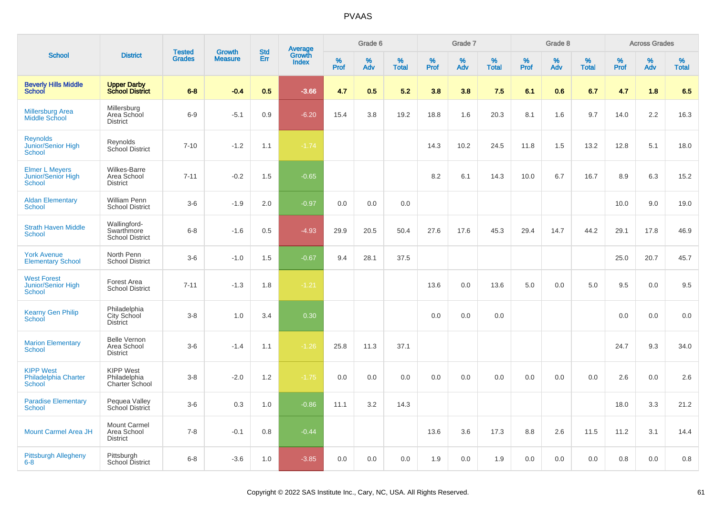|                                                       |                                                       |                                |                                 | <b>Std</b> |                                          |                  | Grade 6  |                   |           | Grade 7  |                   |              | Grade 8  |                   |           | <b>Across Grades</b> |                   |
|-------------------------------------------------------|-------------------------------------------------------|--------------------------------|---------------------------------|------------|------------------------------------------|------------------|----------|-------------------|-----------|----------|-------------------|--------------|----------|-------------------|-----------|----------------------|-------------------|
| <b>School</b>                                         | <b>District</b>                                       | <b>Tested</b><br><b>Grades</b> | <b>Growth</b><br><b>Measure</b> | Err        | <b>Average</b><br>Growth<br><b>Index</b> | %<br><b>Prof</b> | %<br>Adv | %<br><b>Total</b> | %<br>Prof | %<br>Adv | %<br><b>Total</b> | $\%$<br>Prof | %<br>Adv | %<br><b>Total</b> | %<br>Prof | %<br>Adv             | %<br><b>Total</b> |
| <b>Beverly Hills Middle</b><br><b>School</b>          | <b>Upper Darby</b><br><b>School District</b>          | $6 - 8$                        | $-0.4$                          | 0.5        | $-3.66$                                  | 4.7              | 0.5      | 5.2               | 3.8       | 3.8      | 7.5               | 6.1          | 0.6      | 6.7               | 4.7       | 1.8                  | 6.5               |
| <b>Millersburg Area</b><br><b>Middle School</b>       | Millersburg<br>Area School<br><b>District</b>         | $6-9$                          | $-5.1$                          | 0.9        | $-6.20$                                  | 15.4             | 3.8      | 19.2              | 18.8      | 1.6      | 20.3              | 8.1          | 1.6      | 9.7               | 14.0      | 2.2                  | 16.3              |
| <b>Reynolds</b><br>Junior/Senior High<br>School       | Reynolds<br>School District                           | $7 - 10$                       | $-1.2$                          | 1.1        | $-1.74$                                  |                  |          |                   | 14.3      | 10.2     | 24.5              | 11.8         | 1.5      | 13.2              | 12.8      | 5.1                  | 18.0              |
| <b>Elmer L Meyers</b><br>Junior/Senior High<br>School | <b>Wilkes-Barre</b><br>Area School<br><b>District</b> | $7 - 11$                       | $-0.2$                          | 1.5        | $-0.65$                                  |                  |          |                   | 8.2       | 6.1      | 14.3              | 10.0         | 6.7      | 16.7              | 8.9       | 6.3                  | 15.2              |
| <b>Aldan Elementary</b><br><b>School</b>              | <b>William Penn</b><br><b>School District</b>         | $3-6$                          | $-1.9$                          | 2.0        | $-0.97$                                  | 0.0              | 0.0      | 0.0               |           |          |                   |              |          |                   | 10.0      | 9.0                  | 19.0              |
| <b>Strath Haven Middle</b><br>School                  | Wallingford-<br>Swarthmore<br><b>School District</b>  | $6 - 8$                        | $-1.6$                          | 0.5        | $-4.93$                                  | 29.9             | 20.5     | 50.4              | 27.6      | 17.6     | 45.3              | 29.4         | 14.7     | 44.2              | 29.1      | 17.8                 | 46.9              |
| <b>York Avenue</b><br><b>Elementary School</b>        | North Penn<br><b>School District</b>                  | $3-6$                          | $-1.0$                          | 1.5        | $-0.67$                                  | 9.4              | 28.1     | 37.5              |           |          |                   |              |          |                   | 25.0      | 20.7                 | 45.7              |
| <b>West Forest</b><br>Junior/Senior High<br>School    | Forest Area<br><b>School District</b>                 | $7 - 11$                       | $-1.3$                          | 1.8        | $-1.21$                                  |                  |          |                   | 13.6      | 0.0      | 13.6              | 5.0          | 0.0      | 5.0               | 9.5       | 0.0                  | 9.5               |
| <b>Kearny Gen Philip</b><br>School                    | Philadelphia<br>City School<br><b>District</b>        | $3 - 8$                        | 1.0                             | 3.4        | 0.30                                     |                  |          |                   | 0.0       | 0.0      | 0.0               |              |          |                   | 0.0       | 0.0                  | 0.0               |
| <b>Marion Elementary</b><br>School                    | <b>Belle Vernon</b><br>Area School<br><b>District</b> | $3-6$                          | $-1.4$                          | 1.1        | $-1.26$                                  | 25.8             | 11.3     | 37.1              |           |          |                   |              |          |                   | 24.7      | 9.3                  | 34.0              |
| <b>KIPP West</b><br>Philadelphia Charter<br>School    | <b>KIPP West</b><br>Philadelphia<br>Charter School    | $3 - 8$                        | $-2.0$                          | 1.2        | $-1.75$                                  | 0.0              | 0.0      | 0.0               | 0.0       | 0.0      | 0.0               | 0.0          | 0.0      | 0.0               | 2.6       | 0.0                  | 2.6               |
| <b>Paradise Elementary</b><br>School                  | Pequea Valley<br>School District                      | $3-6$                          | 0.3                             | 1.0        | $-0.86$                                  | 11.1             | 3.2      | 14.3              |           |          |                   |              |          |                   | 18.0      | 3.3                  | 21.2              |
| <b>Mount Carmel Area JH</b>                           | <b>Mount Carmel</b><br>Area School<br><b>District</b> | $7 - 8$                        | $-0.1$                          | 0.8        | $-0.44$                                  |                  |          |                   | 13.6      | 3.6      | 17.3              | 8.8          | 2.6      | 11.5              | 11.2      | 3.1                  | 14.4              |
| <b>Pittsburgh Allegheny</b><br>$6 - 8$                | Pittsburgh<br>School District                         | $6 - 8$                        | $-3.6$                          | 1.0        | $-3.85$                                  | 0.0              | 0.0      | 0.0               | 1.9       | 0.0      | 1.9               | 0.0          | 0.0      | 0.0               | 0.8       | 0.0                  | 0.8               |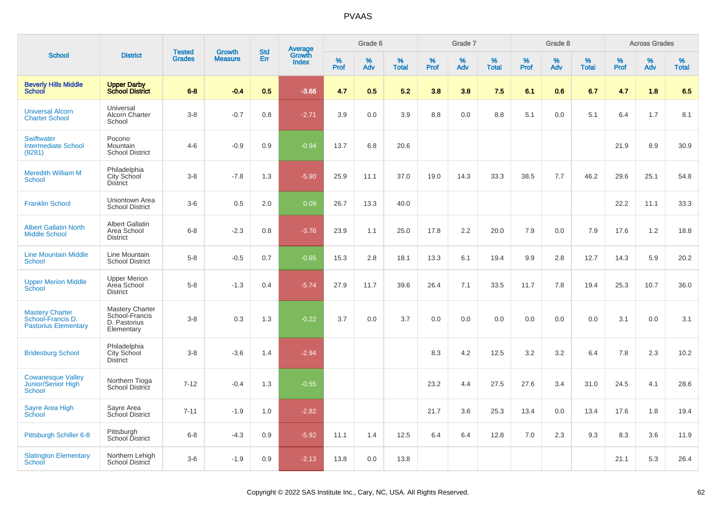|                                                                            |                                                                 |                                |                                 | <b>Std</b> |                                          |           | Grade 6  |                   |           | Grade 7  |                   |           | Grade 8  |                   |           | <b>Across Grades</b> |                   |
|----------------------------------------------------------------------------|-----------------------------------------------------------------|--------------------------------|---------------------------------|------------|------------------------------------------|-----------|----------|-------------------|-----------|----------|-------------------|-----------|----------|-------------------|-----------|----------------------|-------------------|
| <b>School</b>                                                              | <b>District</b>                                                 | <b>Tested</b><br><b>Grades</b> | <b>Growth</b><br><b>Measure</b> | Err        | <b>Average</b><br>Growth<br><b>Index</b> | %<br>Prof | %<br>Adv | %<br><b>Total</b> | %<br>Prof | %<br>Adv | %<br><b>Total</b> | %<br>Prof | %<br>Adv | %<br><b>Total</b> | %<br>Prof | %<br>Adv             | %<br><b>Total</b> |
| <b>Beverly Hills Middle</b><br>School                                      | <b>Upper Darby</b><br><b>School District</b>                    | $6 - 8$                        | $-0.4$                          | 0.5        | $-3.66$                                  | 4.7       | 0.5      | 5.2               | 3.8       | 3.8      | 7.5               | 6.1       | 0.6      | 6.7               | 4.7       | 1.8                  | 6.5               |
| <b>Universal Alcorn</b><br><b>Charter School</b>                           | Universal<br>Alcorn Charter<br>School                           | $3-8$                          | $-0.7$                          | 0.8        | $-2.71$                                  | 3.9       | 0.0      | 3.9               | 8.8       | 0.0      | 8.8               | 5.1       | 0.0      | 5.1               | 6.4       | 1.7                  | 8.1               |
| <b>Swiftwater</b><br><b>Intermediate School</b><br>(8281)                  | Pocono<br><b>Mountain</b><br><b>School District</b>             | $4 - 6$                        | $-0.9$                          | 0.9        | $-0.94$                                  | 13.7      | 6.8      | 20.6              |           |          |                   |           |          |                   | 21.9      | 8.9                  | 30.9              |
| <b>Meredith William M</b><br>School                                        | Philadelphia<br>City School<br>District                         | $3 - 8$                        | $-7.8$                          | 1.3        | $-5.90$                                  | 25.9      | 11.1     | 37.0              | 19.0      | 14.3     | 33.3              | 38.5      | 7.7      | 46.2              | 29.6      | 25.1                 | 54.8              |
| <b>Franklin School</b>                                                     | Uniontown Area<br><b>School District</b>                        | $3-6$                          | 0.5                             | 2.0        | 0.09                                     | 26.7      | 13.3     | 40.0              |           |          |                   |           |          |                   | 22.2      | 11.1                 | 33.3              |
| <b>Albert Gallatin North</b><br><b>Middle School</b>                       | <b>Albert Gallatin</b><br>Area School<br><b>District</b>        | $6 - 8$                        | $-2.3$                          | 0.8        | $-3.76$                                  | 23.9      | 1.1      | 25.0              | 17.8      | 2.2      | 20.0              | 7.9       | 0.0      | 7.9               | 17.6      | 1.2                  | 18.8              |
| <b>Line Mountain Middle</b><br><b>School</b>                               | Line Mountain<br><b>School District</b>                         | $5 - 8$                        | $-0.5$                          | 0.7        | $-0.65$                                  | 15.3      | 2.8      | 18.1              | 13.3      | 6.1      | 19.4              | 9.9       | 2.8      | 12.7              | 14.3      | 5.9                  | 20.2              |
| <b>Upper Merion Middle</b><br>School                                       | <b>Upper Merion</b><br>Area School<br><b>District</b>           | $5-8$                          | $-1.3$                          | 0.4        | $-5.74$                                  | 27.9      | 11.7     | 39.6              | 26.4      | 7.1      | 33.5              | 11.7      | 7.8      | 19.4              | 25.3      | 10.7                 | 36.0              |
| <b>Mastery Charter</b><br>School-Francis D.<br><b>Pastorius Elementary</b> | Mastery Charter<br>School-Francis<br>D. Pastorius<br>Elementary | $3 - 8$                        | 0.3                             | 1.3        | $-0.22$                                  | 3.7       | 0.0      | 3.7               | 0.0       | 0.0      | 0.0               | 0.0       | 0.0      | 0.0               | 3.1       | 0.0                  | 3.1               |
| <b>Bridesburg School</b>                                                   | Philadelphia<br>City School<br><b>District</b>                  | $3 - 8$                        | $-3.6$                          | 1.4        | $-2.94$                                  |           |          |                   | 8.3       | 4.2      | 12.5              | 3.2       | 3.2      | 6.4               | 7.8       | 2.3                  | 10.2              |
| <b>Cowanesque Valley</b><br>Junior/Senior High<br>School                   | Northern Tioga<br>School District                               | $7 - 12$                       | $-0.4$                          | 1.3        | $-0.55$                                  |           |          |                   | 23.2      | 4.4      | 27.5              | 27.6      | 3.4      | 31.0              | 24.5      | 4.1                  | 28.6              |
| Sayre Area High<br>School                                                  | Sayre Area<br>School District                                   | $7 - 11$                       | $-1.9$                          | 1.0        | $-2.82$                                  |           |          |                   | 21.7      | 3.6      | 25.3              | 13.4      | 0.0      | 13.4              | 17.6      | 1.8                  | 19.4              |
| Pittsburgh Schiller 6-8                                                    | Pittsburgh<br>School District                                   | $6 - 8$                        | $-4.3$                          | 0.9        | $-5.92$                                  | 11.1      | 1.4      | 12.5              | 6.4       | 6.4      | 12.8              | 7.0       | 2.3      | 9.3               | 8.3       | 3.6                  | 11.9              |
| <b>Slatington Elementary</b><br>School                                     | Northern Lehigh<br>School District                              | $3-6$                          | $-1.9$                          | 0.9        | $-2.13$                                  | 13.8      | 0.0      | 13.8              |           |          |                   |           |          |                   | 21.1      | 5.3                  | 26.4              |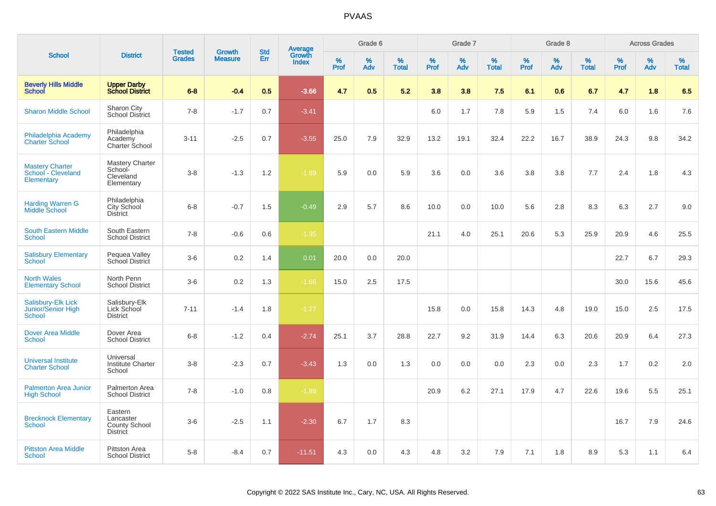|                                                                         |                                                                 | <b>Tested</b> | <b>Growth</b>  | <b>Std</b> |                                          |                     | Grade 6     |                      |              | Grade 7     |                      |              | Grade 8     |                      |                     | <b>Across Grades</b> |                      |
|-------------------------------------------------------------------------|-----------------------------------------------------------------|---------------|----------------|------------|------------------------------------------|---------------------|-------------|----------------------|--------------|-------------|----------------------|--------------|-------------|----------------------|---------------------|----------------------|----------------------|
| <b>School</b>                                                           | <b>District</b>                                                 | <b>Grades</b> | <b>Measure</b> | Err        | <b>Average</b><br>Growth<br><b>Index</b> | $\%$<br><b>Prof</b> | $\%$<br>Adv | $\%$<br><b>Total</b> | $\%$<br>Prof | $\%$<br>Adv | $\%$<br><b>Total</b> | $\%$<br>Prof | $\%$<br>Adv | $\%$<br><b>Total</b> | $\%$<br><b>Prof</b> | $\%$<br>Adv          | $\%$<br><b>Total</b> |
| <b>Beverly Hills Middle</b><br><b>School</b>                            | <b>Upper Darby</b><br><b>School District</b>                    | $6 - 8$       | $-0.4$         | 0.5        | $-3.66$                                  | 4.7                 | 0.5         | 5.2                  | 3.8          | 3.8         | 7.5                  | 6.1          | 0.6         | 6.7                  | 4.7                 | 1.8                  | 6.5                  |
| <b>Sharon Middle School</b>                                             | Sharon City<br><b>School District</b>                           | $7 - 8$       | $-1.7$         | 0.7        | $-3.41$                                  |                     |             |                      | 6.0          | 1.7         | 7.8                  | 5.9          | 1.5         | 7.4                  | 6.0                 | 1.6                  | 7.6                  |
| Philadelphia Academy<br><b>Charter School</b>                           | Philadelphia<br>Academy<br>Charter School                       | $3 - 11$      | $-2.5$         | 0.7        | $-3.55$                                  | 25.0                | 7.9         | 32.9                 | 13.2         | 19.1        | 32.4                 | 22.2         | 16.7        | 38.9                 | 24.3                | 9.8                  | 34.2                 |
| <b>Mastery Charter</b><br>School - Cleveland<br>Elementary              | <b>Mastery Charter</b><br>School-<br>Cleveland<br>Elementary    | $3-8$         | $-1.3$         | 1.2        | $-1.89$                                  | 5.9                 | 0.0         | 5.9                  | 3.6          | 0.0         | 3.6                  | 3.8          | 3.8         | 7.7                  | 2.4                 | 1.8                  | 4.3                  |
| <b>Harding Warren G</b><br><b>Middle School</b>                         | Philadelphia<br>City School<br><b>District</b>                  | $6 - 8$       | $-0.7$         | 1.5        | $-0.49$                                  | 2.9                 | 5.7         | 8.6                  | 10.0         | 0.0         | 10.0                 | 5.6          | 2.8         | 8.3                  | 6.3                 | 2.7                  | 9.0                  |
| <b>South Eastern Middle</b><br><b>School</b>                            | South Eastern<br><b>School District</b>                         | $7 - 8$       | $-0.6$         | 0.6        | $-1.35$                                  |                     |             |                      | 21.1         | 4.0         | 25.1                 | 20.6         | 5.3         | 25.9                 | 20.9                | 4.6                  | 25.5                 |
| <b>Salisbury Elementary</b><br><b>School</b>                            | Pequea Valley<br>School District                                | $3-6$         | 0.2            | 1.4        | 0.01                                     | 20.0                | 0.0         | 20.0                 |              |             |                      |              |             |                      | 22.7                | 6.7                  | 29.3                 |
| <b>North Wales</b><br><b>Elementary School</b>                          | North Penn<br><b>School District</b>                            | $3-6$         | 0.2            | 1.3        | $-1.66$                                  | 15.0                | 2.5         | 17.5                 |              |             |                      |              |             |                      | 30.0                | 15.6                 | 45.6                 |
| <b>Salisbury-Elk Lick</b><br><b>Junior/Senior High</b><br><b>School</b> | Salisbury-Elk<br>Lick School<br><b>District</b>                 | $7 - 11$      | $-1.4$         | 1.8        | $-1.27$                                  |                     |             |                      | 15.8         | 0.0         | 15.8                 | 14.3         | 4.8         | 19.0                 | 15.0                | 2.5                  | 17.5                 |
| <b>Dover Area Middle</b><br><b>School</b>                               | Dover Area<br><b>School District</b>                            | $6 - 8$       | $-1.2$         | 0.4        | $-2.74$                                  | 25.1                | 3.7         | 28.8                 | 22.7         | 9.2         | 31.9                 | 14.4         | 6.3         | 20.6                 | 20.9                | 6.4                  | 27.3                 |
| <b>Universal Institute</b><br><b>Charter School</b>                     | Universal<br><b>Institute Charter</b><br>School                 | $3-8$         | $-2.3$         | 0.7        | $-3.43$                                  | 1.3                 | 0.0         | 1.3                  | 0.0          | 0.0         | 0.0                  | 2.3          | 0.0         | 2.3                  | 1.7                 | 0.2                  | 2.0                  |
| <b>Palmerton Area Junior</b><br><b>High School</b>                      | Palmerton Area<br><b>School District</b>                        | $7 - 8$       | $-1.0$         | 0.8        | $-1.89$                                  |                     |             |                      | 20.9         | 6.2         | 27.1                 | 17.9         | 4.7         | 22.6                 | 19.6                | 5.5                  | 25.1                 |
| <b>Brecknock Elementary</b><br>School                                   | Eastern<br>Lancaster<br><b>County School</b><br><b>District</b> | $3-6$         | $-2.5$         | 1.1        | $-2.30$                                  | 6.7                 | 1.7         | 8.3                  |              |             |                      |              |             |                      | 16.7                | 7.9                  | 24.6                 |
| <b>Pittston Area Middle</b><br><b>School</b>                            | Pittston Area<br><b>School District</b>                         | $5 - 8$       | $-8.4$         | 0.7        | $-11.51$                                 | 4.3                 | 0.0         | 4.3                  | 4.8          | 3.2         | 7.9                  | 7.1          | 1.8         | 8.9                  | 5.3                 | 1.1                  | 6.4                  |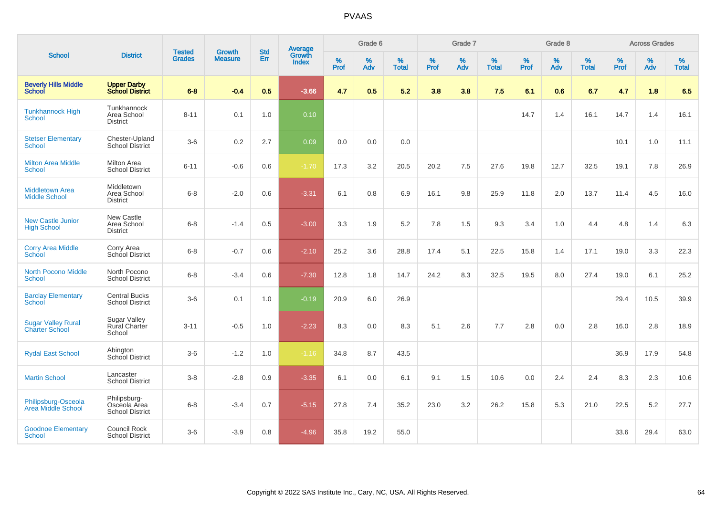|                                                    |                                                        | <b>Tested</b> | Growth         | <b>Std</b> | <b>Average</b><br>Growth |                     | Grade 6  |                      |              | Grade 7     |                      |              | Grade 8  |                   |              | <b>Across Grades</b> |                   |
|----------------------------------------------------|--------------------------------------------------------|---------------|----------------|------------|--------------------------|---------------------|----------|----------------------|--------------|-------------|----------------------|--------------|----------|-------------------|--------------|----------------------|-------------------|
| <b>School</b>                                      | <b>District</b>                                        | <b>Grades</b> | <b>Measure</b> | <b>Err</b> | <b>Index</b>             | $\%$<br><b>Prof</b> | %<br>Adv | $\%$<br><b>Total</b> | $\%$<br>Prof | $\%$<br>Adv | $\%$<br><b>Total</b> | $\%$<br>Prof | %<br>Adv | %<br><b>Total</b> | $\%$<br>Prof | $\%$<br>Adv          | %<br><b>Total</b> |
| <b>Beverly Hills Middle</b><br><b>School</b>       | <b>Upper Darby<br/>School District</b>                 | $6 - 8$       | $-0.4$         | 0.5        | $-3.66$                  | 4.7                 | 0.5      | 5.2                  | 3.8          | 3.8         | 7.5                  | 6.1          | 0.6      | 6.7               | 4.7          | 1.8                  | 6.5               |
| <b>Tunkhannock High</b><br><b>School</b>           | Tunkhannock<br>Area School<br><b>District</b>          | $8 - 11$      | 0.1            | 1.0        | 0.10                     |                     |          |                      |              |             |                      | 14.7         | 1.4      | 16.1              | 14.7         | 1.4                  | 16.1              |
| <b>Stetser Elementary</b><br><b>School</b>         | Chester-Upland<br>School District                      | $3-6$         | 0.2            | 2.7        | 0.09                     | 0.0                 | 0.0      | 0.0                  |              |             |                      |              |          |                   | 10.1         | 1.0                  | 11.1              |
| <b>Milton Area Middle</b><br>School                | <b>Milton Area</b><br><b>School District</b>           | $6 - 11$      | $-0.6$         | 0.6        | $-1.70$                  | 17.3                | 3.2      | 20.5                 | 20.2         | 7.5         | 27.6                 | 19.8         | 12.7     | 32.5              | 19.1         | 7.8                  | 26.9              |
| <b>Middletown Area</b><br><b>Middle School</b>     | Middletown<br>Area School<br><b>District</b>           | $6 - 8$       | $-2.0$         | 0.6        | $-3.31$                  | 6.1                 | 0.8      | 6.9                  | 16.1         | 9.8         | 25.9                 | 11.8         | 2.0      | 13.7              | 11.4         | 4.5                  | 16.0              |
| <b>New Castle Junior</b><br><b>High School</b>     | New Castle<br>Area School<br><b>District</b>           | $6 - 8$       | $-1.4$         | 0.5        | $-3.00$                  | 3.3                 | 1.9      | 5.2                  | 7.8          | 1.5         | 9.3                  | 3.4          | 1.0      | 4.4               | 4.8          | 1.4                  | 6.3               |
| <b>Corry Area Middle</b><br>School                 | Corry Area<br>School District                          | $6 - 8$       | $-0.7$         | 0.6        | $-2.10$                  | 25.2                | 3.6      | 28.8                 | 17.4         | 5.1         | 22.5                 | 15.8         | 1.4      | 17.1              | 19.0         | 3.3                  | 22.3              |
| <b>North Pocono Middle</b><br><b>School</b>        | North Pocono<br><b>School District</b>                 | $6 - 8$       | $-3.4$         | 0.6        | $-7.30$                  | 12.8                | 1.8      | 14.7                 | 24.2         | 8.3         | 32.5                 | 19.5         | 8.0      | 27.4              | 19.0         | 6.1                  | 25.2              |
| <b>Barclay Elementary</b><br>School                | <b>Central Bucks</b><br><b>School District</b>         | $3-6$         | 0.1            | 1.0        | $-0.19$                  | 20.9                | 6.0      | 26.9                 |              |             |                      |              |          |                   | 29.4         | 10.5                 | 39.9              |
| <b>Sugar Valley Rural</b><br><b>Charter School</b> | <b>Sugar Valley</b><br><b>Rural Charter</b><br>School  | $3 - 11$      | $-0.5$         | 1.0        | $-2.23$                  | 8.3                 | 0.0      | 8.3                  | 5.1          | 2.6         | 7.7                  | 2.8          | 0.0      | 2.8               | 16.0         | 2.8                  | 18.9              |
| <b>Rydal East School</b>                           | Abington<br>School District                            | $3-6$         | $-1.2$         | 1.0        | $-1.16$                  | 34.8                | 8.7      | 43.5                 |              |             |                      |              |          |                   | 36.9         | 17.9                 | 54.8              |
| <b>Martin School</b>                               | Lancaster<br><b>School District</b>                    | $3-8$         | $-2.8$         | 0.9        | $-3.35$                  | 6.1                 | 0.0      | 6.1                  | 9.1          | 1.5         | 10.6                 | 0.0          | 2.4      | 2.4               | 8.3          | 2.3                  | 10.6              |
| Philipsburg-Osceola<br>Area Middle School          | Philipsburg-<br>Osceola Area<br><b>School District</b> | $6 - 8$       | $-3.4$         | 0.7        | $-5.15$                  | 27.8                | 7.4      | 35.2                 | 23.0         | 3.2         | 26.2                 | 15.8         | 5.3      | 21.0              | 22.5         | 5.2                  | 27.7              |
| <b>Goodnoe Elementary</b><br>School                | Council Rock<br><b>School District</b>                 | $3-6$         | $-3.9$         | 0.8        | $-4.96$                  | 35.8                | 19.2     | 55.0                 |              |             |                      |              |          |                   | 33.6         | 29.4                 | 63.0              |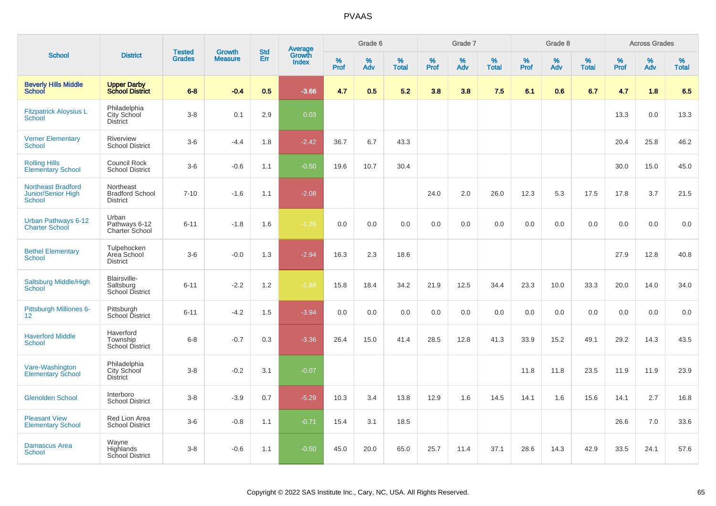|                                                                  |                                                        |                                | <b>Growth</b>  | <b>Std</b> |                                          |                  | Grade 6     |                   |              | Grade 7     |                      |              | Grade 8  |                   |              | <b>Across Grades</b> |                   |
|------------------------------------------------------------------|--------------------------------------------------------|--------------------------------|----------------|------------|------------------------------------------|------------------|-------------|-------------------|--------------|-------------|----------------------|--------------|----------|-------------------|--------------|----------------------|-------------------|
| <b>School</b>                                                    | <b>District</b>                                        | <b>Tested</b><br><b>Grades</b> | <b>Measure</b> | Err        | <b>Average</b><br>Growth<br><b>Index</b> | %<br><b>Prof</b> | $\%$<br>Adv | %<br><b>Total</b> | $\%$<br>Prof | $\%$<br>Adv | $\%$<br><b>Total</b> | $\%$<br>Prof | %<br>Adv | %<br><b>Total</b> | $\%$<br>Prof | $\%$<br>Adv          | %<br><b>Total</b> |
| <b>Beverly Hills Middle</b><br><b>School</b>                     | <b>Upper Darby</b><br><b>School District</b>           | $6 - 8$                        | $-0.4$         | 0.5        | $-3.66$                                  | 4.7              | 0.5         | 5.2               | 3.8          | 3.8         | 7.5                  | 6.1          | 0.6      | 6.7               | 4.7          | 1.8                  | 6.5               |
| <b>Fitzpatrick Aloysius L</b><br>School                          | Philadelphia<br>City School<br><b>District</b>         | $3 - 8$                        | 0.1            | 2.9        | 0.03                                     |                  |             |                   |              |             |                      |              |          |                   | 13.3         | 0.0                  | 13.3              |
| <b>Verner Elementary</b><br><b>School</b>                        | Riverview<br><b>School District</b>                    | $3-6$                          | $-4.4$         | 1.8        | $-2.42$                                  | 36.7             | 6.7         | 43.3              |              |             |                      |              |          |                   | 20.4         | 25.8                 | 46.2              |
| <b>Rolling Hills</b><br><b>Elementary School</b>                 | Council Rock<br><b>School District</b>                 | $3-6$                          | $-0.6$         | 1.1        | $-0.50$                                  | 19.6             | 10.7        | 30.4              |              |             |                      |              |          |                   | 30.0         | 15.0                 | 45.0              |
| <b>Northeast Bradford</b><br><b>Junior/Senior High</b><br>School | Northeast<br><b>Bradford School</b><br><b>District</b> | $7 - 10$                       | $-1.6$         | 1.1        | $-2.08$                                  |                  |             |                   | 24.0         | 2.0         | 26.0                 | 12.3         | 5.3      | 17.5              | 17.8         | 3.7                  | 21.5              |
| Urban Pathways 6-12<br><b>Charter School</b>                     | Urban<br>Pathways 6-12<br>Charter School               | $6 - 11$                       | $-1.8$         | 1.6        | $-1.26$                                  | 0.0              | 0.0         | 0.0               | 0.0          | 0.0         | 0.0                  | 0.0          | 0.0      | 0.0               | 0.0          | 0.0                  | 0.0               |
| <b>Bethel Elementary</b><br>School                               | Tulpehocken<br>Area School<br><b>District</b>          | $3-6$                          | $-0.0$         | 1.3        | $-2.94$                                  | 16.3             | 2.3         | 18.6              |              |             |                      |              |          |                   | 27.9         | 12.8                 | 40.8              |
| Saltsburg Middle/High<br><b>School</b>                           | Blairsville-<br>Saltsburg<br><b>School District</b>    | $6 - 11$                       | $-2.2$         | 1.2        | $-1.88$                                  | 15.8             | 18.4        | 34.2              | 21.9         | 12.5        | 34.4                 | 23.3         | 10.0     | 33.3              | 20.0         | 14.0                 | 34.0              |
| Pittsburgh Milliones 6-<br>12 <sup>2</sup>                       | Pittsburgh<br>School District                          | $6 - 11$                       | $-4.2$         | 1.5        | $-3.94$                                  | 0.0              | 0.0         | 0.0               | 0.0          | 0.0         | 0.0                  | 0.0          | 0.0      | 0.0               | 0.0          | 0.0                  | 0.0               |
| <b>Haverford Middle</b><br>School                                | Haverford<br>Township<br><b>School District</b>        | $6 - 8$                        | $-0.7$         | 0.3        | $-3.36$                                  | 26.4             | 15.0        | 41.4              | 28.5         | 12.8        | 41.3                 | 33.9         | 15.2     | 49.1              | 29.2         | 14.3                 | 43.5              |
| Vare-Washington<br><b>Elementary School</b>                      | Philadelphia<br>City School<br>District                | $3-8$                          | $-0.2$         | 3.1        | $-0.07$                                  |                  |             |                   |              |             |                      | 11.8         | 11.8     | 23.5              | 11.9         | 11.9                 | 23.9              |
| <b>Glenolden School</b>                                          | Interboro<br><b>School District</b>                    | $3 - 8$                        | $-3.9$         | 0.7        | $-5.29$                                  | 10.3             | 3.4         | 13.8              | 12.9         | 1.6         | 14.5                 | 14.1         | 1.6      | 15.6              | 14.1         | 2.7                  | 16.8              |
| <b>Pleasant View</b><br><b>Elementary School</b>                 | Red Lion Area<br><b>School District</b>                | $3-6$                          | $-0.8$         | 1.1        | $-0.71$                                  | 15.4             | 3.1         | 18.5              |              |             |                      |              |          |                   | 26.6         | 7.0                  | 33.6              |
| <b>Damascus Area</b><br><b>School</b>                            | Wayne<br>Highlands<br><b>School District</b>           | $3 - 8$                        | $-0.6$         | 1.1        | $-0.50$                                  | 45.0             | 20.0        | 65.0              | 25.7         | 11.4        | 37.1                 | 28.6         | 14.3     | 42.9              | 33.5         | 24.1                 | 57.6              |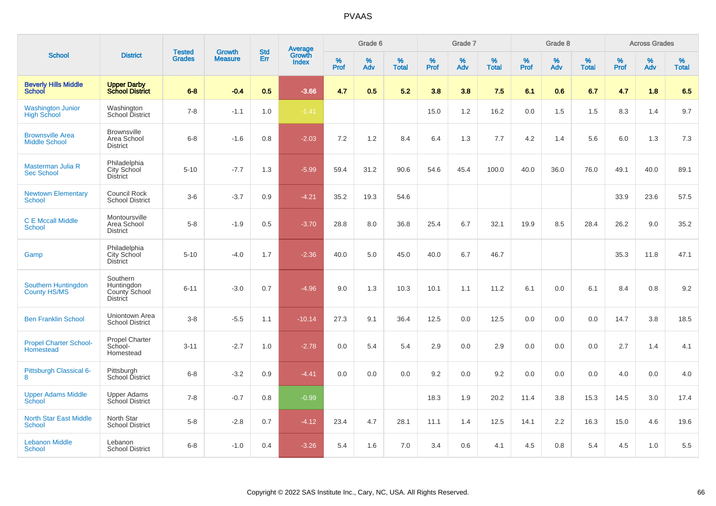|                                                 |                                                            |                                |                                 | <b>Std</b> |                                          |                  | Grade 6     |                   |           | Grade 7  |                   |           | Grade 8     |                   |           | <b>Across Grades</b> |                   |
|-------------------------------------------------|------------------------------------------------------------|--------------------------------|---------------------------------|------------|------------------------------------------|------------------|-------------|-------------------|-----------|----------|-------------------|-----------|-------------|-------------------|-----------|----------------------|-------------------|
| <b>School</b>                                   | <b>District</b>                                            | <b>Tested</b><br><b>Grades</b> | <b>Growth</b><br><b>Measure</b> | Err        | <b>Average</b><br>Growth<br><b>Index</b> | %<br><b>Prof</b> | $\%$<br>Adv | %<br><b>Total</b> | %<br>Prof | %<br>Adv | %<br><b>Total</b> | %<br>Prof | $\%$<br>Adv | %<br><b>Total</b> | %<br>Prof | $\%$<br>Adv          | %<br><b>Total</b> |
| <b>Beverly Hills Middle</b><br>School           | <b>Upper Darby</b><br><b>School District</b>               | $6 - 8$                        | $-0.4$                          | 0.5        | $-3.66$                                  | 4.7              | 0.5         | 5.2               | 3.8       | 3.8      | 7.5               | 6.1       | 0.6         | 6.7               | 4.7       | 1.8                  | 6.5               |
| <b>Washington Junior</b><br><b>High School</b>  | Washington<br>School District                              | $7 - 8$                        | $-1.1$                          | 1.0        | $-1.41$                                  |                  |             |                   | 15.0      | 1.2      | 16.2              | 0.0       | 1.5         | 1.5               | 8.3       | 1.4                  | 9.7               |
| <b>Brownsville Area</b><br><b>Middle School</b> | <b>Brownsville</b><br>Area School<br><b>District</b>       | $6 - 8$                        | $-1.6$                          | 0.8        | $-2.03$                                  | 7.2              | 1.2         | 8.4               | 6.4       | 1.3      | 7.7               | 4.2       | 1.4         | 5.6               | 6.0       | 1.3                  | 7.3               |
| Masterman Julia R<br><b>Sec School</b>          | Philadelphia<br>City School<br><b>District</b>             | $5 - 10$                       | $-7.7$                          | 1.3        | $-5.99$                                  | 59.4             | 31.2        | 90.6              | 54.6      | 45.4     | 100.0             | 40.0      | 36.0        | 76.0              | 49.1      | 40.0                 | 89.1              |
| <b>Newtown Elementary</b><br>School             | <b>Council Rock</b><br><b>School District</b>              | $3-6$                          | $-3.7$                          | 0.9        | $-4.21$                                  | 35.2             | 19.3        | 54.6              |           |          |                   |           |             |                   | 33.9      | 23.6                 | 57.5              |
| <b>C E Mccall Middle</b><br><b>School</b>       | Montoursville<br>Area School<br><b>District</b>            | $5-8$                          | $-1.9$                          | 0.5        | $-3.70$                                  | 28.8             | 8.0         | 36.8              | 25.4      | 6.7      | 32.1              | 19.9      | 8.5         | 28.4              | 26.2      | 9.0                  | 35.2              |
| Gamp                                            | Philadelphia<br><b>City School</b><br><b>District</b>      | $5 - 10$                       | $-4.0$                          | 1.7        | $-2.36$                                  | 40.0             | 5.0         | 45.0              | 40.0      | 6.7      | 46.7              |           |             |                   | 35.3      | 11.8                 | 47.1              |
| Southern Huntingdon<br>County HS/MS             | Southern<br>Huntingdon<br>County School<br><b>District</b> | $6 - 11$                       | $-3.0$                          | 0.7        | $-4.96$                                  | 9.0              | 1.3         | 10.3              | 10.1      | 1.1      | 11.2              | 6.1       | 0.0         | 6.1               | 8.4       | 0.8                  | 9.2               |
| <b>Ben Franklin School</b>                      | Uniontown Area<br><b>School District</b>                   | $3-8$                          | $-5.5$                          | 1.1        | $-10.14$                                 | 27.3             | 9.1         | 36.4              | 12.5      | 0.0      | 12.5              | 0.0       | 0.0         | 0.0               | 14.7      | 3.8                  | 18.5              |
| <b>Propel Charter School-</b><br>Homestead      | Propel Charter<br>School-<br>Homestead                     | $3 - 11$                       | $-2.7$                          | 1.0        | $-2.78$                                  | 0.0              | 5.4         | 5.4               | 2.9       | 0.0      | 2.9               | 0.0       | 0.0         | 0.0               | 2.7       | 1.4                  | 4.1               |
| Pittsburgh Classical 6-<br>8                    | Pittsburgh<br>School District                              | $6 - 8$                        | $-3.2$                          | 0.9        | $-4.41$                                  | 0.0              | 0.0         | 0.0               | 9.2       | 0.0      | 9.2               | 0.0       | 0.0         | 0.0               | 4.0       | 0.0                  | 4.0               |
| <b>Upper Adams Middle</b><br>School             | <b>Upper Adams</b><br>School District                      | $7 - 8$                        | $-0.7$                          | 0.8        | $-0.99$                                  |                  |             |                   | 18.3      | 1.9      | 20.2              | 11.4      | 3.8         | 15.3              | 14.5      | 3.0                  | 17.4              |
| <b>North Star East Middle</b><br><b>School</b>  | North Star<br><b>School District</b>                       | $5-8$                          | $-2.8$                          | 0.7        | $-4.12$                                  | 23.4             | 4.7         | 28.1              | 11.1      | 1.4      | 12.5              | 14.1      | 2.2         | 16.3              | 15.0      | 4.6                  | 19.6              |
| <b>Lebanon Middle</b><br><b>School</b>          | Lebanon<br><b>School District</b>                          | $6 - 8$                        | $-1.0$                          | 0.4        | $-3.26$                                  | 5.4              | 1.6         | 7.0               | 3.4       | 0.6      | 4.1               | 4.5       | 0.8         | 5.4               | 4.5       | 1.0                  | 5.5               |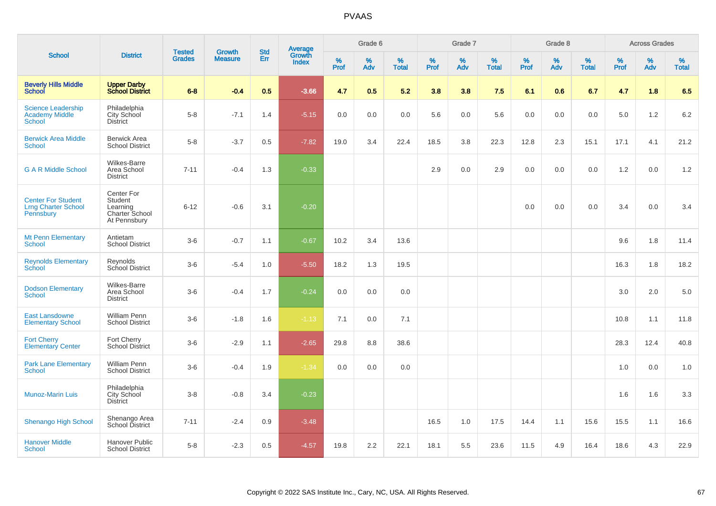|                                                                      |                                                                     | <b>Tested</b> | Growth         | <b>Std</b> |                                          |                  | Grade 6  |                   |           | Grade 7  |                   |              | Grade 8  |                   |           | <b>Across Grades</b> |                   |
|----------------------------------------------------------------------|---------------------------------------------------------------------|---------------|----------------|------------|------------------------------------------|------------------|----------|-------------------|-----------|----------|-------------------|--------------|----------|-------------------|-----------|----------------------|-------------------|
| <b>School</b>                                                        | <b>District</b>                                                     | <b>Grades</b> | <b>Measure</b> | Err        | <b>Average</b><br>Growth<br><b>Index</b> | %<br><b>Prof</b> | %<br>Adv | %<br><b>Total</b> | %<br>Prof | %<br>Adv | %<br><b>Total</b> | $\%$<br>Prof | %<br>Adv | %<br><b>Total</b> | %<br>Prof | %<br>Adv             | %<br><b>Total</b> |
| <b>Beverly Hills Middle</b><br><b>School</b>                         | <b>Upper Darby</b><br><b>School District</b>                        | $6 - 8$       | $-0.4$         | 0.5        | $-3.66$                                  | 4.7              | 0.5      | 5.2               | 3.8       | 3.8      | 7.5               | 6.1          | 0.6      | 6.7               | 4.7       | 1.8                  | 6.5               |
| <b>Science Leadership</b><br><b>Academy Middle</b><br><b>School</b>  | Philadelphia<br>City School<br><b>District</b>                      | $5-8$         | $-7.1$         | 1.4        | $-5.15$                                  | 0.0              | 0.0      | 0.0               | 5.6       | 0.0      | 5.6               | 0.0          | 0.0      | 0.0               | 5.0       | 1.2                  | 6.2               |
| <b>Berwick Area Middle</b><br>School                                 | <b>Berwick Area</b><br><b>School District</b>                       | $5 - 8$       | $-3.7$         | 0.5        | $-7.82$                                  | 19.0             | 3.4      | 22.4              | 18.5      | 3.8      | 22.3              | 12.8         | 2.3      | 15.1              | 17.1      | 4.1                  | 21.2              |
| <b>G A R Middle School</b>                                           | <b>Wilkes-Barre</b><br>Area School<br><b>District</b>               | $7 - 11$      | $-0.4$         | 1.3        | $-0.33$                                  |                  |          |                   | 2.9       | 0.0      | 2.9               | 0.0          | 0.0      | 0.0               | 1.2       | 0.0                  | 1.2               |
| <b>Center For Student</b><br><b>Lrng Charter School</b><br>Pennsbury | Center For<br>Student<br>Learning<br>Charter School<br>At Pennsbury | $6 - 12$      | $-0.6$         | 3.1        | $-0.20$                                  |                  |          |                   |           |          |                   | 0.0          | 0.0      | 0.0               | 3.4       | 0.0                  | 3.4               |
| <b>Mt Penn Elementary</b><br><b>School</b>                           | Antietam<br><b>School District</b>                                  | $3-6$         | $-0.7$         | 1.1        | $-0.67$                                  | 10.2             | 3.4      | 13.6              |           |          |                   |              |          |                   | 9.6       | 1.8                  | 11.4              |
| <b>Reynolds Elementary</b><br>School                                 | Reynolds<br>School District                                         | $3-6$         | $-5.4$         | 1.0        | $-5.50$                                  | 18.2             | 1.3      | 19.5              |           |          |                   |              |          |                   | 16.3      | 1.8                  | 18.2              |
| <b>Dodson Elementary</b><br>School                                   | <b>Wilkes-Barre</b><br>Area School<br><b>District</b>               | $3-6$         | $-0.4$         | 1.7        | $-0.24$                                  | 0.0              | 0.0      | 0.0               |           |          |                   |              |          |                   | 3.0       | 2.0                  | 5.0               |
| <b>East Lansdowne</b><br><b>Elementary School</b>                    | <b>William Penn</b><br><b>School District</b>                       | $3-6$         | $-1.8$         | 1.6        | $-1.13$                                  | 7.1              | 0.0      | 7.1               |           |          |                   |              |          |                   | 10.8      | 1.1                  | 11.8              |
| <b>Fort Cherry</b><br><b>Elementary Center</b>                       | Fort Cherry<br>School District                                      | $3-6$         | $-2.9$         | 1.1        | $-2.65$                                  | 29.8             | 8.8      | 38.6              |           |          |                   |              |          |                   | 28.3      | 12.4                 | 40.8              |
| <b>Park Lane Elementary</b><br>School                                | <b>William Penn</b><br><b>School District</b>                       | $3-6$         | $-0.4$         | 1.9        | $-1.34$                                  | 0.0              | 0.0      | 0.0               |           |          |                   |              |          |                   | 1.0       | 0.0                  | 1.0               |
| <b>Munoz-Marin Luis</b>                                              | Philadelphia<br>City School<br><b>District</b>                      | $3 - 8$       | $-0.8$         | 3.4        | $-0.23$                                  |                  |          |                   |           |          |                   |              |          |                   | 1.6       | 1.6                  | 3.3               |
| <b>Shenango High School</b>                                          | Shenango Area<br>School District                                    | $7 - 11$      | $-2.4$         | 0.9        | $-3.48$                                  |                  |          |                   | 16.5      | 1.0      | 17.5              | 14.4         | 1.1      | 15.6              | 15.5      | 1.1                  | 16.6              |
| <b>Hanover Middle</b><br>School                                      | <b>Hanover Public</b><br><b>School District</b>                     | $5 - 8$       | $-2.3$         | 0.5        | $-4.57$                                  | 19.8             | 2.2      | 22.1              | 18.1      | 5.5      | 23.6              | 11.5         | 4.9      | 16.4              | 18.6      | 4.3                  | 22.9              |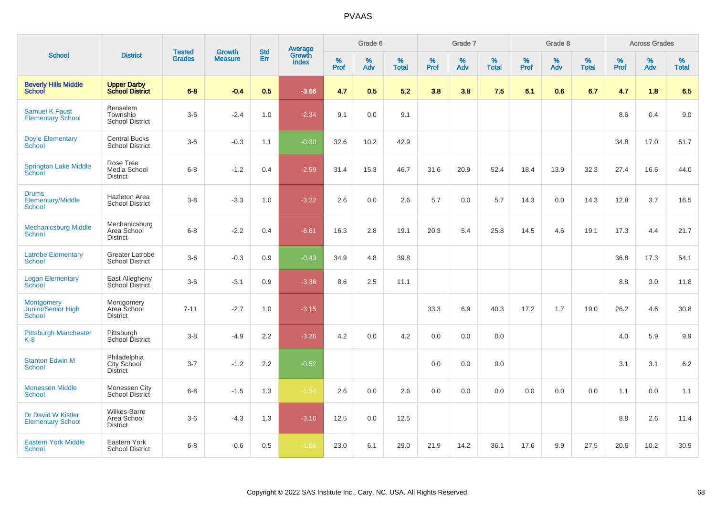|                                                           |                                                       |                                |                                 |                   |                                          |                  | Grade 6  |                   |           | Grade 7  |                   |           | Grade 8  |                   |           | <b>Across Grades</b> |                   |
|-----------------------------------------------------------|-------------------------------------------------------|--------------------------------|---------------------------------|-------------------|------------------------------------------|------------------|----------|-------------------|-----------|----------|-------------------|-----------|----------|-------------------|-----------|----------------------|-------------------|
| <b>School</b>                                             | <b>District</b>                                       | <b>Tested</b><br><b>Grades</b> | <b>Growth</b><br><b>Measure</b> | <b>Std</b><br>Err | <b>Average</b><br>Growth<br><b>Index</b> | %<br><b>Prof</b> | %<br>Adv | %<br><b>Total</b> | %<br>Prof | %<br>Adv | %<br><b>Total</b> | %<br>Prof | %<br>Adv | %<br><b>Total</b> | %<br>Prof | %<br>Adv             | %<br><b>Total</b> |
| <b>Beverly Hills Middle</b><br><b>School</b>              | <b>Upper Darby<br/>School District</b>                | $6 - 8$                        | $-0.4$                          | 0.5               | $-3.66$                                  | 4.7              | 0.5      | 5.2               | 3.8       | 3.8      | 7.5               | 6.1       | 0.6      | 6.7               | 4.7       | 1.8                  | 6.5               |
| <b>Samuel K Faust</b><br><b>Elementary School</b>         | Bensalem<br>Township<br>School District               | $3-6$                          | $-2.4$                          | 1.0               | $-2.34$                                  | 9.1              | 0.0      | 9.1               |           |          |                   |           |          |                   | 8.6       | 0.4                  | 9.0               |
| <b>Doyle Elementary</b><br>School                         | <b>Central Bucks</b><br><b>School District</b>        | $3-6$                          | $-0.3$                          | 1.1               | $-0.30$                                  | 32.6             | 10.2     | 42.9              |           |          |                   |           |          |                   | 34.8      | 17.0                 | 51.7              |
| <b>Springton Lake Middle</b><br>School                    | Rose Tree<br>Media School<br><b>District</b>          | $6 - 8$                        | $-1.2$                          | 0.4               | $-2.59$                                  | 31.4             | 15.3     | 46.7              | 31.6      | 20.9     | 52.4              | 18.4      | 13.9     | 32.3              | 27.4      | 16.6                 | 44.0              |
| <b>Drums</b><br><b>Elementary/Middle</b><br><b>School</b> | <b>Hazleton Area</b><br><b>School District</b>        | $3 - 8$                        | $-3.3$                          | 1.0               | $-3.22$                                  | 2.6              | 0.0      | 2.6               | 5.7       | 0.0      | 5.7               | 14.3      | 0.0      | 14.3              | 12.8      | 3.7                  | 16.5              |
| <b>Mechanicsburg Middle</b><br><b>School</b>              | Mechanicsburg<br>Area School<br><b>District</b>       | $6 - 8$                        | $-2.2$                          | 0.4               | $-6.61$                                  | 16.3             | 2.8      | 19.1              | 20.3      | 5.4      | 25.8              | 14.5      | 4.6      | 19.1              | 17.3      | 4.4                  | 21.7              |
| <b>Latrobe Elementary</b><br><b>School</b>                | <b>Greater Latrobe</b><br><b>School District</b>      | $3-6$                          | $-0.3$                          | 0.9               | $-0.43$                                  | 34.9             | 4.8      | 39.8              |           |          |                   |           |          |                   | 36.8      | 17.3                 | 54.1              |
| <b>Logan Elementary</b><br><b>School</b>                  | East Allegheny<br>School District                     | $3-6$                          | $-3.1$                          | 0.9               | $-3.36$                                  | 8.6              | 2.5      | 11.1              |           |          |                   |           |          |                   | 8.8       | 3.0                  | 11.8              |
| Montgomery<br>Junior/Senior High<br>School                | Montgomery<br>Area School<br><b>District</b>          | $7 - 11$                       | $-2.7$                          | 1.0               | $-3.15$                                  |                  |          |                   | 33.3      | 6.9      | 40.3              | 17.2      | 1.7      | 19.0              | 26.2      | 4.6                  | 30.8              |
| <b>Pittsburgh Manchester</b><br>$K-8$                     | Pittsburgh<br>School District                         | $3 - 8$                        | $-4.9$                          | 2.2               | $-3.26$                                  | 4.2              | 0.0      | 4.2               | 0.0       | 0.0      | 0.0               |           |          |                   | 4.0       | 5.9                  | 9.9               |
| <b>Stanton Edwin M</b><br>School                          | Philadelphia<br>City School<br><b>District</b>        | $3 - 7$                        | $-1.2$                          | 2.2               | $-0.52$                                  |                  |          |                   | 0.0       | 0.0      | 0.0               |           |          |                   | 3.1       | 3.1                  | 6.2               |
| <b>Monessen Middle</b><br><b>School</b>                   | Monessen City<br><b>School District</b>               | $6 - 8$                        | $-1.5$                          | 1.3               | $-1.54$                                  | 2.6              | 0.0      | 2.6               | 0.0       | 0.0      | 0.0               | 0.0       | 0.0      | 0.0               | 1.1       | 0.0                  | 1.1               |
| Dr David W Kistler<br><b>Elementary School</b>            | <b>Wilkes-Barre</b><br>Area School<br><b>District</b> | $3-6$                          | $-4.3$                          | 1.3               | $-3.16$                                  | 12.5             | 0.0      | 12.5              |           |          |                   |           |          |                   | 8.8       | 2.6                  | 11.4              |
| <b>Eastern York Middle</b><br>School                      | Eastern York<br><b>School District</b>                | $6 - 8$                        | $-0.6$                          | 0.5               | $-1.06$                                  | 23.0             | 6.1      | 29.0              | 21.9      | 14.2     | 36.1              | 17.6      | 9.9      | 27.5              | 20.6      | 10.2                 | 30.9              |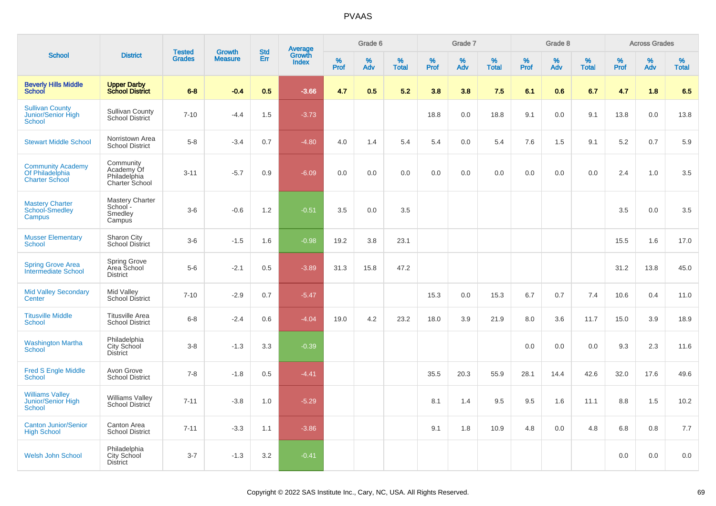|                                                                      |                                                           |                                | <b>Growth</b>  | <b>Std</b> |                                          |                  | Grade 6     |                   |              | Grade 7  |                      |              | Grade 8     |                   |              | <b>Across Grades</b> |                   |
|----------------------------------------------------------------------|-----------------------------------------------------------|--------------------------------|----------------|------------|------------------------------------------|------------------|-------------|-------------------|--------------|----------|----------------------|--------------|-------------|-------------------|--------------|----------------------|-------------------|
| <b>School</b>                                                        | <b>District</b>                                           | <b>Tested</b><br><b>Grades</b> | <b>Measure</b> | Err        | <b>Average</b><br>Growth<br><b>Index</b> | %<br><b>Prof</b> | $\%$<br>Adv | %<br><b>Total</b> | $\%$<br>Prof | %<br>Adv | $\%$<br><b>Total</b> | $\%$<br>Prof | $\%$<br>Adv | %<br><b>Total</b> | $\%$<br>Prof | %<br>Adv             | %<br><b>Total</b> |
| <b>Beverly Hills Middle</b><br><b>School</b>                         | <b>Upper Darby</b><br><b>School District</b>              | $6 - 8$                        | $-0.4$         | 0.5        | $-3.66$                                  | 4.7              | 0.5         | 5.2               | 3.8          | 3.8      | 7.5                  | 6.1          | 0.6         | 6.7               | 4.7          | 1.8                  | 6.5               |
| <b>Sullivan County</b><br>Junior/Senior High<br>School               | <b>Sullivan County</b><br>School District                 | $7 - 10$                       | $-4.4$         | 1.5        | $-3.73$                                  |                  |             |                   | 18.8         | 0.0      | 18.8                 | 9.1          | 0.0         | 9.1               | 13.8         | 0.0                  | 13.8              |
| <b>Stewart Middle School</b>                                         | Norristown Area<br><b>School District</b>                 | $5 - 8$                        | $-3.4$         | 0.7        | $-4.80$                                  | 4.0              | 1.4         | 5.4               | 5.4          | 0.0      | 5.4                  | 7.6          | 1.5         | 9.1               | 5.2          | 0.7                  | 5.9               |
| <b>Community Academy</b><br>Of Philadelphia<br><b>Charter School</b> | Community<br>Academy Of<br>Philadelphia<br>Charter School | $3 - 11$                       | $-5.7$         | 0.9        | $-6.09$                                  | 0.0              | $0.0\,$     | 0.0               | 0.0          | 0.0      | 0.0                  | 0.0          | 0.0         | 0.0               | 2.4          | 1.0                  | 3.5               |
| <b>Mastery Charter</b><br><b>School-Smedley</b><br>Campus            | <b>Mastery Charter</b><br>School -<br>Smedley<br>Campus   | $3-6$                          | $-0.6$         | 1.2        | $-0.51$                                  | 3.5              | 0.0         | 3.5               |              |          |                      |              |             |                   | 3.5          | 0.0                  | 3.5               |
| <b>Musser Elementary</b><br><b>School</b>                            | Sharon City<br>School District                            | $3-6$                          | $-1.5$         | 1.6        | $-0.98$                                  | 19.2             | 3.8         | 23.1              |              |          |                      |              |             |                   | 15.5         | 1.6                  | 17.0              |
| <b>Spring Grove Area</b><br>Intermediate School                      | Spring Grove<br>Area School<br><b>District</b>            | $5-6$                          | $-2.1$         | 0.5        | $-3.89$                                  | 31.3             | 15.8        | 47.2              |              |          |                      |              |             |                   | 31.2         | 13.8                 | 45.0              |
| <b>Mid Valley Secondary</b><br>Center                                | Mid Valley<br>School District                             | $7 - 10$                       | $-2.9$         | 0.7        | $-5.47$                                  |                  |             |                   | 15.3         | 0.0      | 15.3                 | 6.7          | 0.7         | 7.4               | 10.6         | 0.4                  | 11.0              |
| <b>Titusville Middle</b><br><b>School</b>                            | <b>Titusville Area</b><br><b>School District</b>          | $6 - 8$                        | $-2.4$         | 0.6        | $-4.04$                                  | 19.0             | 4.2         | 23.2              | 18.0         | 3.9      | 21.9                 | 8.0          | 3.6         | 11.7              | 15.0         | 3.9                  | 18.9              |
| <b>Washington Martha</b><br><b>School</b>                            | Philadelphia<br>City School<br><b>District</b>            | $3 - 8$                        | $-1.3$         | 3.3        | $-0.39$                                  |                  |             |                   |              |          |                      | 0.0          | 0.0         | 0.0               | 9.3          | 2.3                  | 11.6              |
| <b>Fred S Engle Middle</b><br><b>School</b>                          | Avon Grove<br><b>School District</b>                      | $7 - 8$                        | $-1.8$         | 0.5        | $-4.41$                                  |                  |             |                   | 35.5         | 20.3     | 55.9                 | 28.1         | 14.4        | 42.6              | 32.0         | 17.6                 | 49.6              |
| <b>Williams Valley</b><br>Junior/Senior High<br><b>School</b>        | <b>Williams Valley</b><br>School District                 | $7 - 11$                       | $-3.8$         | 1.0        | $-5.29$                                  |                  |             |                   | 8.1          | 1.4      | 9.5                  | 9.5          | 1.6         | 11.1              | 8.8          | 1.5                  | 10.2              |
| <b>Canton Junior/Senior</b><br><b>High School</b>                    | Canton Area<br><b>School District</b>                     | $7 - 11$                       | $-3.3$         | 1.1        | $-3.86$                                  |                  |             |                   | 9.1          | 1.8      | 10.9                 | 4.8          | 0.0         | 4.8               | 6.8          | 0.8                  | 7.7               |
| Welsh John School                                                    | Philadelphia<br><b>City School</b><br><b>District</b>     | $3 - 7$                        | $-1.3$         | 3.2        | $-0.41$                                  |                  |             |                   |              |          |                      |              |             |                   | 0.0          | 0.0                  | 0.0               |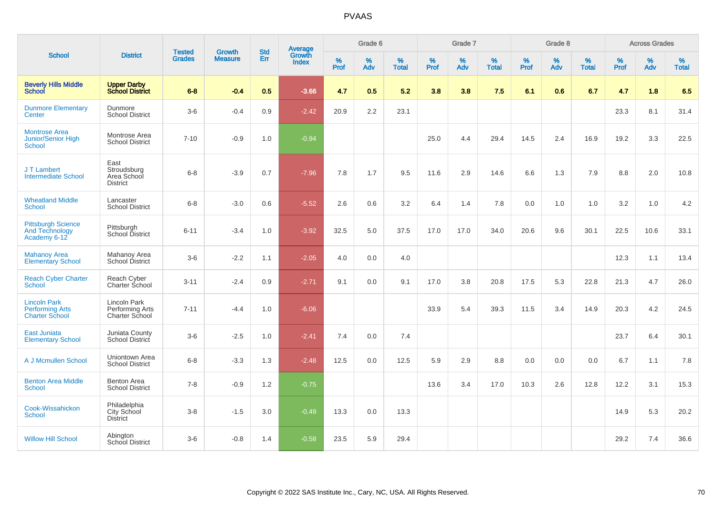|                                                                        |                                                       |                                | <b>Growth</b>  | <b>Std</b> |                                          |           | Grade 6     |                   |           | Grade 7  |                   |           | Grade 8  |                   |           | <b>Across Grades</b> |                   |
|------------------------------------------------------------------------|-------------------------------------------------------|--------------------------------|----------------|------------|------------------------------------------|-----------|-------------|-------------------|-----------|----------|-------------------|-----------|----------|-------------------|-----------|----------------------|-------------------|
| <b>School</b>                                                          | <b>District</b>                                       | <b>Tested</b><br><b>Grades</b> | <b>Measure</b> | Err        | <b>Average</b><br>Growth<br><b>Index</b> | %<br>Prof | $\%$<br>Adv | %<br><b>Total</b> | %<br>Prof | %<br>Adv | %<br><b>Total</b> | %<br>Prof | %<br>Adv | %<br><b>Total</b> | %<br>Prof | %<br>Adv             | %<br><b>Total</b> |
| <b>Beverly Hills Middle</b><br><b>School</b>                           | <b>Upper Darby<br/>School District</b>                | $6 - 8$                        | $-0.4$         | 0.5        | $-3.66$                                  | 4.7       | 0.5         | 5.2               | 3.8       | 3.8      | 7.5               | 6.1       | 0.6      | 6.7               | 4.7       | 1.8                  | 6.5               |
| <b>Dunmore Elementary</b><br>Center                                    | Dunmore<br><b>School District</b>                     | $3-6$                          | $-0.4$         | 0.9        | $-2.42$                                  | 20.9      | 2.2         | 23.1              |           |          |                   |           |          |                   | 23.3      | 8.1                  | 31.4              |
| <b>Montrose Area</b><br>Junior/Senior High<br><b>School</b>            | Montrose Area<br><b>School District</b>               | $7 - 10$                       | $-0.9$         | 1.0        | $-0.94$                                  |           |             |                   | 25.0      | 4.4      | 29.4              | 14.5      | 2.4      | 16.9              | 19.2      | 3.3                  | 22.5              |
| J T Lambert<br><b>Intermediate School</b>                              | East<br>Stroudsburg<br>Area School<br><b>District</b> | $6 - 8$                        | $-3.9$         | 0.7        | $-7.96$                                  | 7.8       | 1.7         | 9.5               | 11.6      | 2.9      | 14.6              | 6.6       | 1.3      | 7.9               | 8.8       | 2.0                  | 10.8              |
| <b>Wheatland Middle</b><br>School                                      | Lancaster<br><b>School District</b>                   | $6 - 8$                        | $-3.0$         | 0.6        | $-5.52$                                  | 2.6       | 0.6         | 3.2               | 6.4       | 1.4      | 7.8               | 0.0       | 1.0      | 1.0               | 3.2       | 1.0                  | 4.2               |
| <b>Pittsburgh Science</b><br><b>And Technology</b><br>Academy 6-12     | Pittsburgh<br>School District                         | $6 - 11$                       | $-3.4$         | 1.0        | $-3.92$                                  | 32.5      | 5.0         | 37.5              | 17.0      | 17.0     | 34.0              | 20.6      | 9.6      | 30.1              | 22.5      | 10.6                 | 33.1              |
| <b>Mahanoy Area</b><br><b>Elementary School</b>                        | Mahanoy Area<br>School District                       | $3-6$                          | $-2.2$         | 1.1        | $-2.05$                                  | 4.0       | 0.0         | 4.0               |           |          |                   |           |          |                   | 12.3      | 1.1                  | 13.4              |
| <b>Reach Cyber Charter</b><br><b>School</b>                            | Reach Cyber<br>Charter School                         | $3 - 11$                       | $-2.4$         | 0.9        | $-2.71$                                  | 9.1       | 0.0         | 9.1               | 17.0      | 3.8      | 20.8              | 17.5      | 5.3      | 22.8              | 21.3      | 4.7                  | 26.0              |
| <b>Lincoln Park</b><br><b>Performing Arts</b><br><b>Charter School</b> | Lincoln Park<br>Performing Arts<br>Charter School     | $7 - 11$                       | $-4.4$         | 1.0        | $-6.06$                                  |           |             |                   | 33.9      | 5.4      | 39.3              | 11.5      | 3.4      | 14.9              | 20.3      | 4.2                  | 24.5              |
| <b>East Juniata</b><br><b>Elementary School</b>                        | Juniata County<br>School District                     | $3-6$                          | $-2.5$         | 1.0        | $-2.41$                                  | 7.4       | 0.0         | 7.4               |           |          |                   |           |          |                   | 23.7      | 6.4                  | 30.1              |
| A J Mcmullen School                                                    | Uniontown Area<br><b>School District</b>              | $6 - 8$                        | $-3.3$         | 1.3        | $-2.48$                                  | 12.5      | 0.0         | 12.5              | 5.9       | 2.9      | 8.8               | 0.0       | 0.0      | 0.0               | 6.7       | 1.1                  | 7.8               |
| <b>Benton Area Middle</b><br><b>School</b>                             | <b>Benton Area</b><br><b>School District</b>          | $7 - 8$                        | $-0.9$         | 1.2        | $-0.75$                                  |           |             |                   | 13.6      | 3.4      | 17.0              | 10.3      | 2.6      | 12.8              | 12.2      | 3.1                  | 15.3              |
| Cook-Wissahickon<br><b>School</b>                                      | Philadelphia<br>City School<br><b>District</b>        | $3-8$                          | $-1.5$         | 3.0        | $-0.49$                                  | 13.3      | 0.0         | 13.3              |           |          |                   |           |          |                   | 14.9      | 5.3                  | 20.2              |
| <b>Willow Hill School</b>                                              | Abington<br><b>School District</b>                    | $3-6$                          | $-0.8$         | 1.4        | $-0.58$                                  | 23.5      | 5.9         | 29.4              |           |          |                   |           |          |                   | 29.2      | 7.4                  | 36.6              |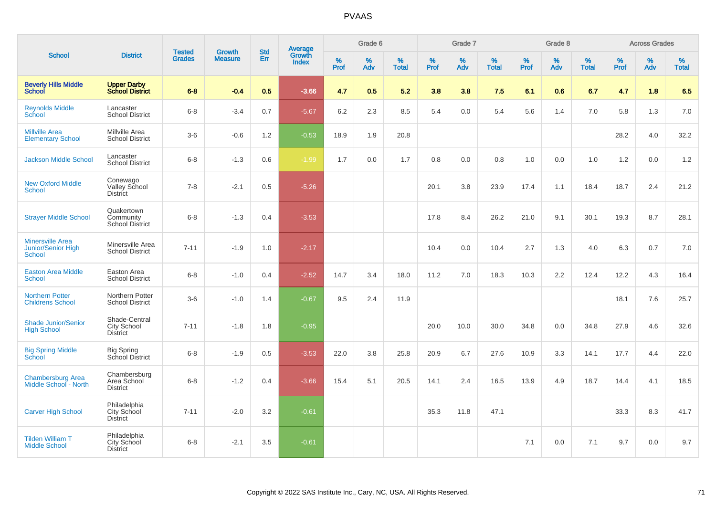|                                                         |                                                        |                                | <b>Growth</b>  | <b>Std</b> |                                          |           | Grade 6     |                   |              | Grade 7     |                      |              | Grade 8  |                   |              | <b>Across Grades</b> |                      |
|---------------------------------------------------------|--------------------------------------------------------|--------------------------------|----------------|------------|------------------------------------------|-----------|-------------|-------------------|--------------|-------------|----------------------|--------------|----------|-------------------|--------------|----------------------|----------------------|
| <b>School</b>                                           | <b>District</b>                                        | <b>Tested</b><br><b>Grades</b> | <b>Measure</b> | <b>Err</b> | <b>Average</b><br>Growth<br><b>Index</b> | %<br>Prof | $\%$<br>Adv | %<br><b>Total</b> | $\%$<br>Prof | $\%$<br>Adv | $\%$<br><b>Total</b> | $\%$<br>Prof | %<br>Adv | %<br><b>Total</b> | $\%$<br>Prof | $\%$<br>Adv          | $\%$<br><b>Total</b> |
| <b>Beverly Hills Middle</b><br>School                   | <b>Upper Darby</b><br><b>School District</b>           | $6 - 8$                        | $-0.4$         | 0.5        | $-3.66$                                  | 4.7       | 0.5         | 5.2               | 3.8          | 3.8         | 7.5                  | 6.1          | 0.6      | 6.7               | 4.7          | 1.8                  | 6.5                  |
| <b>Reynolds Middle</b><br>School                        | Lancaster<br><b>School District</b>                    | $6 - 8$                        | $-3.4$         | 0.7        | $-5.67$                                  | 6.2       | 2.3         | 8.5               | 5.4          | 0.0         | 5.4                  | 5.6          | 1.4      | 7.0               | 5.8          | 1.3                  | 7.0                  |
| <b>Millville Area</b><br><b>Elementary School</b>       | Millville Area<br><b>School District</b>               | $3-6$                          | $-0.6$         | 1.2        | $-0.53$                                  | 18.9      | 1.9         | 20.8              |              |             |                      |              |          |                   | 28.2         | 4.0                  | 32.2                 |
| <b>Jackson Middle School</b>                            | Lancaster<br><b>School District</b>                    | $6 - 8$                        | $-1.3$         | 0.6        | $-1.99$                                  | 1.7       | 0.0         | 1.7               | 0.8          | 0.0         | 0.8                  | 1.0          | 0.0      | 1.0               | 1.2          | 0.0                  | 1.2                  |
| <b>New Oxford Middle</b><br><b>School</b>               | Conewago<br>Valley School<br><b>District</b>           | $7 - 8$                        | $-2.1$         | 0.5        | $-5.26$                                  |           |             |                   | 20.1         | 3.8         | 23.9                 | 17.4         | 1.1      | 18.4              | 18.7         | 2.4                  | 21.2                 |
| <b>Strayer Middle School</b>                            | Quakertown<br>Community<br><b>School District</b>      | $6 - 8$                        | $-1.3$         | 0.4        | $-3.53$                                  |           |             |                   | 17.8         | 8.4         | 26.2                 | 21.0         | 9.1      | 30.1              | 19.3         | 8.7                  | 28.1                 |
| <b>Minersville Area</b><br>Junior/Senior High<br>School | Minersville Area<br><b>School District</b>             | $7 - 11$                       | $-1.9$         | 1.0        | $-2.17$                                  |           |             |                   | 10.4         | 0.0         | 10.4                 | 2.7          | 1.3      | 4.0               | 6.3          | 0.7                  | 7.0                  |
| <b>Easton Area Middle</b><br>School                     | Easton Area<br><b>School District</b>                  | $6 - 8$                        | $-1.0$         | 0.4        | $-2.52$                                  | 14.7      | 3.4         | 18.0              | 11.2         | 7.0         | 18.3                 | 10.3         | 2.2      | 12.4              | 12.2         | 4.3                  | 16.4                 |
| <b>Northern Potter</b><br><b>Childrens School</b>       | Northern Potter<br><b>School District</b>              | $3-6$                          | $-1.0$         | 1.4        | $-0.67$                                  | 9.5       | 2.4         | 11.9              |              |             |                      |              |          |                   | 18.1         | 7.6                  | 25.7                 |
| <b>Shade Junior/Senior</b><br><b>High School</b>        | Shade-Central<br><b>City School</b><br><b>District</b> | $7 - 11$                       | $-1.8$         | 1.8        | $-0.95$                                  |           |             |                   | 20.0         | 10.0        | 30.0                 | 34.8         | 0.0      | 34.8              | 27.9         | 4.6                  | 32.6                 |
| <b>Big Spring Middle</b><br>School                      | <b>Big Spring</b><br>School District                   | $6 - 8$                        | $-1.9$         | 0.5        | $-3.53$                                  | 22.0      | 3.8         | 25.8              | 20.9         | 6.7         | 27.6                 | 10.9         | 3.3      | 14.1              | 17.7         | 4.4                  | 22.0                 |
| <b>Chambersburg Area</b><br>Middle School - North       | Chambersburg<br>Area School<br><b>District</b>         | $6 - 8$                        | $-1.2$         | 0.4        | $-3.66$                                  | 15.4      | 5.1         | 20.5              | 14.1         | 2.4         | 16.5                 | 13.9         | 4.9      | 18.7              | 14.4         | 4.1                  | 18.5                 |
| <b>Carver High School</b>                               | Philadelphia<br>City School<br><b>District</b>         | $7 - 11$                       | $-2.0$         | 3.2        | $-0.61$                                  |           |             |                   | 35.3         | 11.8        | 47.1                 |              |          |                   | 33.3         | 8.3                  | 41.7                 |
| <b>Tilden William T</b><br><b>Middle School</b>         | Philadelphia<br>City School<br><b>District</b>         | $6 - 8$                        | $-2.1$         | 3.5        | $-0.61$                                  |           |             |                   |              |             |                      | 7.1          | 0.0      | 7.1               | 9.7          | 0.0                  | 9.7                  |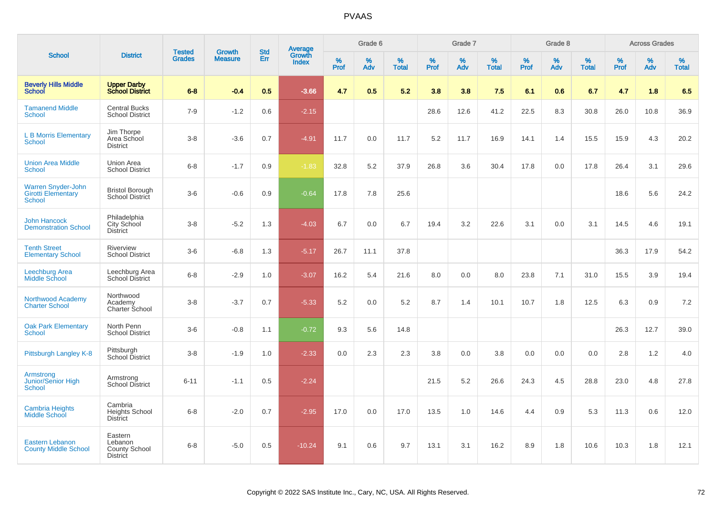|                                                                         |                                                               |                                |                                 |                   |                                          |                  | Grade 6  |                   |           | Grade 7  |                   |           | Grade 8  |                   |              | <b>Across Grades</b> |                   |
|-------------------------------------------------------------------------|---------------------------------------------------------------|--------------------------------|---------------------------------|-------------------|------------------------------------------|------------------|----------|-------------------|-----------|----------|-------------------|-----------|----------|-------------------|--------------|----------------------|-------------------|
| <b>School</b>                                                           | <b>District</b>                                               | <b>Tested</b><br><b>Grades</b> | <b>Growth</b><br><b>Measure</b> | <b>Std</b><br>Err | <b>Average</b><br>Growth<br><b>Index</b> | %<br><b>Prof</b> | %<br>Adv | %<br><b>Total</b> | %<br>Prof | %<br>Adv | %<br><b>Total</b> | %<br>Prof | %<br>Adv | %<br><b>Total</b> | $\%$<br>Prof | $\%$<br>Adv          | %<br><b>Total</b> |
| <b>Beverly Hills Middle</b><br><b>School</b>                            | <b>Upper Darby</b><br><b>School District</b>                  | $6 - 8$                        | $-0.4$                          | 0.5               | $-3.66$                                  | 4.7              | 0.5      | 5.2               | 3.8       | 3.8      | 7.5               | 6.1       | 0.6      | 6.7               | 4.7          | 1.8                  | 6.5               |
| <b>Tamanend Middle</b><br><b>School</b>                                 | <b>Central Bucks</b><br><b>School District</b>                | $7 - 9$                        | $-1.2$                          | 0.6               | $-2.15$                                  |                  |          |                   | 28.6      | 12.6     | 41.2              | 22.5      | 8.3      | 30.8              | 26.0         | 10.8                 | 36.9              |
| <b>L B Morris Elementary</b><br><b>School</b>                           | Jim Thorpe<br>Area School<br><b>District</b>                  | $3 - 8$                        | $-3.6$                          | 0.7               | $-4.91$                                  | 11.7             | 0.0      | 11.7              | 5.2       | 11.7     | 16.9              | 14.1      | 1.4      | 15.5              | 15.9         | 4.3                  | 20.2              |
| <b>Union Area Middle</b><br>School                                      | Union Area<br><b>School District</b>                          | $6 - 8$                        | $-1.7$                          | 0.9               | $-1.83$                                  | 32.8             | 5.2      | 37.9              | 26.8      | 3.6      | 30.4              | 17.8      | 0.0      | 17.8              | 26.4         | 3.1                  | 29.6              |
| <b>Warren Snyder-John</b><br><b>Girotti Elementary</b><br><b>School</b> | <b>Bristol Borough</b><br>School District                     | $3-6$                          | $-0.6$                          | 0.9               | $-0.64$                                  | 17.8             | 7.8      | 25.6              |           |          |                   |           |          |                   | 18.6         | 5.6                  | 24.2              |
| <b>John Hancock</b><br><b>Demonstration School</b>                      | Philadelphia<br>City School<br><b>District</b>                | $3 - 8$                        | $-5.2$                          | 1.3               | $-4.03$                                  | 6.7              | 0.0      | 6.7               | 19.4      | 3.2      | 22.6              | 3.1       | 0.0      | 3.1               | 14.5         | 4.6                  | 19.1              |
| <b>Tenth Street</b><br><b>Elementary School</b>                         | Riverview<br><b>School District</b>                           | $3-6$                          | $-6.8$                          | 1.3               | $-5.17$                                  | 26.7             | 11.1     | 37.8              |           |          |                   |           |          |                   | 36.3         | 17.9                 | 54.2              |
| <b>Leechburg Area</b><br>Middle School                                  | Leechburg Area<br><b>School District</b>                      | $6 - 8$                        | $-2.9$                          | 1.0               | $-3.07$                                  | 16.2             | 5.4      | 21.6              | 8.0       | 0.0      | 8.0               | 23.8      | 7.1      | 31.0              | 15.5         | 3.9                  | 19.4              |
| Northwood Academy<br><b>Charter School</b>                              | Northwood<br>Academy<br>Charter School                        | $3 - 8$                        | $-3.7$                          | 0.7               | $-5.33$                                  | 5.2              | 0.0      | 5.2               | 8.7       | 1.4      | 10.1              | 10.7      | 1.8      | 12.5              | 6.3          | 0.9                  | 7.2               |
| <b>Oak Park Elementary</b><br><b>School</b>                             | North Penn<br><b>School District</b>                          | $3-6$                          | $-0.8$                          | 1.1               | $-0.72$                                  | 9.3              | 5.6      | 14.8              |           |          |                   |           |          |                   | 26.3         | 12.7                 | 39.0              |
| Pittsburgh Langley K-8                                                  | Pittsburgh<br>School District                                 | $3 - 8$                        | $-1.9$                          | 1.0               | $-2.33$                                  | 0.0              | 2.3      | 2.3               | 3.8       | 0.0      | 3.8               | 0.0       | 0.0      | 0.0               | 2.8          | 1.2                  | 4.0               |
| Armstrong<br>Junior/Senior High<br>School                               | Armstrong<br><b>School District</b>                           | $6 - 11$                       | $-1.1$                          | 0.5               | $-2.24$                                  |                  |          |                   | 21.5      | 5.2      | 26.6              | 24.3      | 4.5      | 28.8              | 23.0         | 4.8                  | 27.8              |
| <b>Cambria Heights</b><br><b>Middle School</b>                          | Cambria<br><b>Heights School</b><br><b>District</b>           | $6 - 8$                        | $-2.0$                          | 0.7               | $-2.95$                                  | 17.0             | 0.0      | 17.0              | 13.5      | 1.0      | 14.6              | 4.4       | 0.9      | 5.3               | 11.3         | 0.6                  | 12.0              |
| <b>Eastern Lebanon</b><br><b>County Middle School</b>                   | Eastern<br>Lebanon<br><b>County School</b><br><b>District</b> | $6 - 8$                        | $-5.0$                          | 0.5               | $-10.24$                                 | 9.1              | 0.6      | 9.7               | 13.1      | 3.1      | 16.2              | 8.9       | 1.8      | 10.6              | 10.3         | 1.8                  | 12.1              |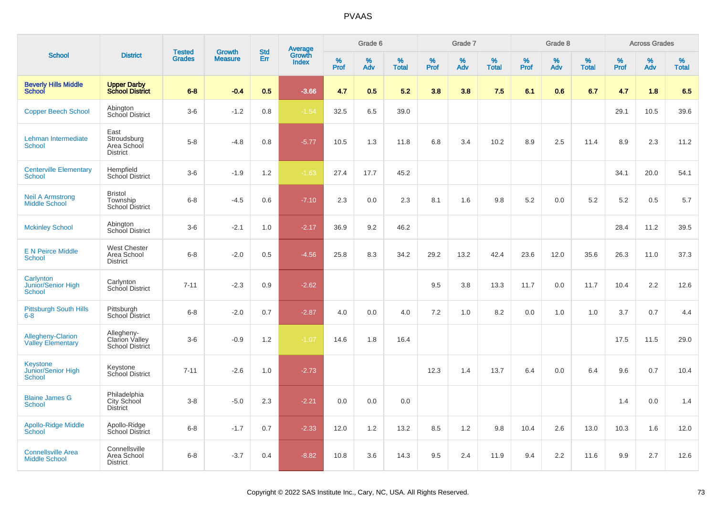| <b>School</b>                                          |                                                        | <b>Tested</b> | <b>Growth</b>  | <b>Std</b> |                                   |           | Grade 6     |                   |           | Grade 7  |                   |                     | Grade 8  |                   |              | <b>Across Grades</b> |                   |
|--------------------------------------------------------|--------------------------------------------------------|---------------|----------------|------------|-----------------------------------|-----------|-------------|-------------------|-----------|----------|-------------------|---------------------|----------|-------------------|--------------|----------------------|-------------------|
|                                                        | <b>District</b>                                        | <b>Grades</b> | <b>Measure</b> | Err        | Average<br>Growth<br><b>Index</b> | %<br>Prof | $\%$<br>Adv | %<br><b>Total</b> | %<br>Prof | %<br>Adv | %<br><b>Total</b> | $\%$<br><b>Prof</b> | %<br>Adv | %<br><b>Total</b> | $\%$<br>Prof | $\%$<br>Adv          | %<br><b>Total</b> |
| <b>Beverly Hills Middle</b><br>School                  | <b>Upper Darby</b><br><b>School District</b>           | $6 - 8$       | $-0.4$         | 0.5        | $-3.66$                           | 4.7       | 0.5         | 5.2               | 3.8       | 3.8      | 7.5               | 6.1                 | 0.6      | 6.7               | 4.7          | 1.8                  | 6.5               |
| <b>Copper Beech School</b>                             | Abington<br>School District                            | $3-6$         | $-1.2$         | 0.8        | $-1.54$                           | 32.5      | 6.5         | 39.0              |           |          |                   |                     |          |                   | 29.1         | 10.5                 | 39.6              |
| Lehman Intermediate<br><b>School</b>                   | East<br>Stroudsburg<br>Area School<br><b>District</b>  | $5-8$         | $-4.8$         | 0.8        | $-5.77$                           | 10.5      | 1.3         | 11.8              | 6.8       | 3.4      | 10.2              | 8.9                 | 2.5      | 11.4              | 8.9          | 2.3                  | 11.2              |
| <b>Centerville Elementary</b><br>School                | Hempfield<br><b>School District</b>                    | $3-6$         | $-1.9$         | 1.2        | $-1.63$                           | 27.4      | 17.7        | 45.2              |           |          |                   |                     |          |                   | 34.1         | 20.0                 | 54.1              |
| <b>Neil A Armstrong</b><br><b>Middle School</b>        | <b>Bristol</b><br>Township<br><b>School District</b>   | $6 - 8$       | $-4.5$         | 0.6        | $-7.10$                           | 2.3       | 0.0         | 2.3               | 8.1       | 1.6      | 9.8               | 5.2                 | 0.0      | 5.2               | 5.2          | 0.5                  | 5.7               |
| <b>Mckinley School</b>                                 | Abington<br>School District                            | $3-6$         | $-2.1$         | 1.0        | $-2.17$                           | 36.9      | 9.2         | 46.2              |           |          |                   |                     |          |                   | 28.4         | 11.2                 | 39.5              |
| <b>E N Peirce Middle</b><br><b>School</b>              | <b>West Chester</b><br>Area School<br><b>District</b>  | $6 - 8$       | $-2.0$         | 0.5        | $-4.56$                           | 25.8      | 8.3         | 34.2              | 29.2      | 13.2     | 42.4              | 23.6                | 12.0     | 35.6              | 26.3         | 11.0                 | 37.3              |
| Carlynton<br>Junior/Senior High<br><b>School</b>       | Carlynton<br>School District                           | $7 - 11$      | $-2.3$         | 0.9        | $-2.62$                           |           |             |                   | 9.5       | 3.8      | 13.3              | 11.7                | 0.0      | 11.7              | 10.4         | 2.2                  | 12.6              |
| <b>Pittsburgh South Hills</b><br>$6-8$                 | Pittsburgh<br>School District                          | $6 - 8$       | $-2.0$         | 0.7        | $-2.87$                           | 4.0       | 0.0         | 4.0               | 7.2       | 1.0      | 8.2               | 0.0                 | 1.0      | 1.0               | 3.7          | 0.7                  | 4.4               |
| <b>Allegheny-Clarion</b><br><b>Valley Elementary</b>   | Allegheny-<br><b>Clarion Valley</b><br>School District | $3-6$         | $-0.9$         | 1.2        | $-1.07$                           | 14.6      | 1.8         | 16.4              |           |          |                   |                     |          |                   | 17.5         | 11.5                 | 29.0              |
| <b>Keystone</b><br>Junior/Senior High<br><b>School</b> | Keystone<br>School District                            | $7 - 11$      | $-2.6$         | 1.0        | $-2.73$                           |           |             |                   | 12.3      | 1.4      | 13.7              | 6.4                 | 0.0      | 6.4               | 9.6          | 0.7                  | 10.4              |
| <b>Blaine James G</b><br><b>School</b>                 | Philadelphia<br>City School<br>District                | $3-8$         | $-5.0$         | 2.3        | $-2.21$                           | 0.0       | 0.0         | 0.0               |           |          |                   |                     |          |                   | 1.4          | 0.0                  | 1.4               |
| <b>Apollo-Ridge Middle</b><br>School                   | Apollo-Ridge<br>School District                        | $6-8$         | $-1.7$         | 0.7        | $-2.33$                           | 12.0      | 1.2         | 13.2              | 8.5       | 1.2      | 9.8               | 10.4                | 2.6      | 13.0              | 10.3         | 1.6                  | 12.0              |
| <b>Connellsville Area</b><br><b>Middle School</b>      | Connellsville<br>Area School<br><b>District</b>        | $6 - 8$       | $-3.7$         | 0.4        | $-8.82$                           | 10.8      | 3.6         | 14.3              | 9.5       | 2.4      | 11.9              | 9.4                 | 2.2      | 11.6              | 9.9          | 2.7                  | 12.6              |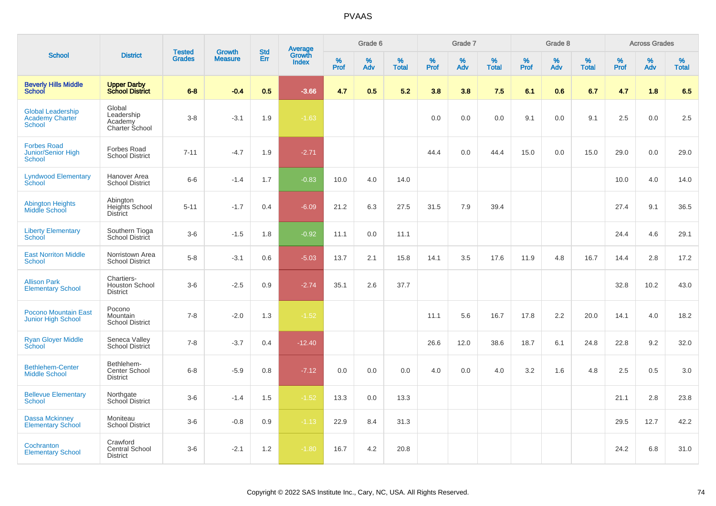|                                                                     |                                                        | <b>Tested</b> | <b>Growth</b>  | <b>Std</b> |                                          |                  | Grade 6     |                   |           | Grade 7     |                   |              | Grade 8  |                   |              | <b>Across Grades</b> |                   |
|---------------------------------------------------------------------|--------------------------------------------------------|---------------|----------------|------------|------------------------------------------|------------------|-------------|-------------------|-----------|-------------|-------------------|--------------|----------|-------------------|--------------|----------------------|-------------------|
| <b>School</b>                                                       | <b>District</b>                                        | <b>Grades</b> | <b>Measure</b> | Err        | <b>Average</b><br>Growth<br><b>Index</b> | %<br><b>Prof</b> | $\%$<br>Adv | %<br><b>Total</b> | %<br>Prof | $\%$<br>Adv | %<br><b>Total</b> | $\%$<br>Prof | %<br>Adv | %<br><b>Total</b> | $\%$<br>Prof | %<br>Adv             | %<br><b>Total</b> |
| <b>Beverly Hills Middle</b><br><b>School</b>                        | <b>Upper Darby</b><br><b>School District</b>           | $6 - 8$       | $-0.4$         | 0.5        | $-3.66$                                  | 4.7              | 0.5         | 5.2               | 3.8       | 3.8         | 7.5               | 6.1          | 0.6      | 6.7               | 4.7          | 1.8                  | 6.5               |
| <b>Global Leadership</b><br><b>Academy Charter</b><br><b>School</b> | Global<br>Leadership<br>Academy<br>Charter School      | $3-8$         | $-3.1$         | 1.9        | $-1.63$                                  |                  |             |                   | 0.0       | 0.0         | 0.0               | 9.1          | 0.0      | 9.1               | 2.5          | 0.0                  | 2.5               |
| <b>Forbes Road</b><br>Junior/Senior High<br><b>School</b>           | Forbes Road<br><b>School District</b>                  | $7 - 11$      | $-4.7$         | 1.9        | $-2.71$                                  |                  |             |                   | 44.4      | 0.0         | 44.4              | 15.0         | 0.0      | 15.0              | 29.0         | 0.0                  | 29.0              |
| <b>Lyndwood Elementary</b><br>School                                | Hanover Area<br><b>School District</b>                 | $6-6$         | $-1.4$         | 1.7        | $-0.83$                                  | 10.0             | 4.0         | 14.0              |           |             |                   |              |          |                   | 10.0         | 4.0                  | 14.0              |
| <b>Abington Heights</b><br>Middle School                            | Abington<br>Heights School<br><b>District</b>          | $5 - 11$      | $-1.7$         | 0.4        | $-6.09$                                  | 21.2             | 6.3         | 27.5              | 31.5      | 7.9         | 39.4              |              |          |                   | 27.4         | 9.1                  | 36.5              |
| <b>Liberty Elementary</b><br>School                                 | Southern Tioga<br>School District                      | $3-6$         | $-1.5$         | 1.8        | $-0.92$                                  | 11.1             | 0.0         | 11.1              |           |             |                   |              |          |                   | 24.4         | 4.6                  | 29.1              |
| <b>East Norriton Middle</b><br><b>School</b>                        | Norristown Area<br><b>School District</b>              | $5-8$         | $-3.1$         | 0.6        | $-5.03$                                  | 13.7             | 2.1         | 15.8              | 14.1      | 3.5         | 17.6              | 11.9         | 4.8      | 16.7              | 14.4         | 2.8                  | 17.2              |
| <b>Allison Park</b><br><b>Elementary School</b>                     | Chartiers-<br><b>Houston School</b><br><b>District</b> | $3-6$         | $-2.5$         | 0.9        | $-2.74$                                  | 35.1             | 2.6         | 37.7              |           |             |                   |              |          |                   | 32.8         | 10.2                 | 43.0              |
| <b>Pocono Mountain East</b><br><b>Junior High School</b>            | Pocono<br><b>Mountain</b><br><b>School District</b>    | $7 - 8$       | $-2.0$         | 1.3        | $-1.52$                                  |                  |             |                   | 11.1      | 5.6         | 16.7              | 17.8         | 2.2      | 20.0              | 14.1         | 4.0                  | 18.2              |
| <b>Ryan Gloyer Middle</b><br>School                                 | Seneca Valley<br>School District                       | $7 - 8$       | $-3.7$         | 0.4        | $-12.40$                                 |                  |             |                   | 26.6      | 12.0        | 38.6              | 18.7         | 6.1      | 24.8              | 22.8         | 9.2                  | 32.0              |
| <b>Bethlehem-Center</b><br><b>Middle School</b>                     | Bethlehem-<br>Center School<br><b>District</b>         | $6 - 8$       | $-5.9$         | 0.8        | $-7.12$                                  | 0.0              | 0.0         | 0.0               | 4.0       | 0.0         | 4.0               | 3.2          | 1.6      | 4.8               | 2.5          | 0.5                  | 3.0               |
| <b>Bellevue Elementary</b><br><b>School</b>                         | Northgate<br>School District                           | $3-6$         | $-1.4$         | 1.5        | $-1.52$                                  | 13.3             | 0.0         | 13.3              |           |             |                   |              |          |                   | 21.1         | 2.8                  | 23.8              |
| Dassa Mckinney<br><b>Elementary School</b>                          | Moniteau<br><b>School District</b>                     | $3-6$         | $-0.8$         | 0.9        | $-1.13$                                  | 22.9             | 8.4         | 31.3              |           |             |                   |              |          |                   | 29.5         | 12.7                 | 42.2              |
| Cochranton<br><b>Elementary School</b>                              | Crawford<br>Central School<br><b>District</b>          | $3-6$         | $-2.1$         | 1.2        | $-1.80$                                  | 16.7             | 4.2         | 20.8              |           |             |                   |              |          |                   | 24.2         | 6.8                  | 31.0              |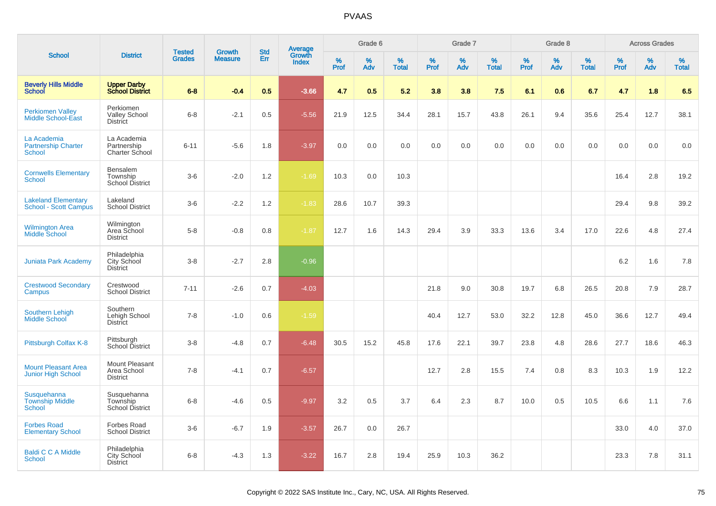|                                                            |                                                      |                                |                                 |                   |                                          |                     | Grade 6     |                      |                     | Grade 7     |                      |              | Grade 8  |                      |                     | <b>Across Grades</b> |                      |
|------------------------------------------------------------|------------------------------------------------------|--------------------------------|---------------------------------|-------------------|------------------------------------------|---------------------|-------------|----------------------|---------------------|-------------|----------------------|--------------|----------|----------------------|---------------------|----------------------|----------------------|
| <b>School</b>                                              | <b>District</b>                                      | <b>Tested</b><br><b>Grades</b> | <b>Growth</b><br><b>Measure</b> | <b>Std</b><br>Err | <b>Average</b><br>Growth<br><b>Index</b> | $\%$<br><b>Prof</b> | $\%$<br>Adv | $\%$<br><b>Total</b> | $\%$<br><b>Prof</b> | $\%$<br>Adv | $\%$<br><b>Total</b> | $\%$<br>Prof | %<br>Adv | $\%$<br><b>Total</b> | $\%$<br><b>Prof</b> | $\%$<br>Adv          | $\%$<br><b>Total</b> |
| <b>Beverly Hills Middle</b><br><b>School</b>               | <b>Upper Darby</b><br><b>School District</b>         | $6 - 8$                        | $-0.4$                          | 0.5               | $-3.66$                                  | 4.7                 | 0.5         | 5.2                  | 3.8                 | 3.8         | 7.5                  | 6.1          | 0.6      | 6.7                  | 4.7                 | 1.8                  | 6.5                  |
| <b>Perkiomen Valley</b><br><b>Middle School-East</b>       | Perkiomen<br><b>Valley School</b><br><b>District</b> | $6 - 8$                        | $-2.1$                          | 0.5               | $-5.56$                                  | 21.9                | 12.5        | 34.4                 | 28.1                | 15.7        | 43.8                 | 26.1         | 9.4      | 35.6                 | 25.4                | 12.7                 | 38.1                 |
| La Academia<br><b>Partnership Charter</b><br>School        | La Academia<br>Partnership<br>Charter School         | $6 - 11$                       | $-5.6$                          | 1.8               | $-3.97$                                  | 0.0                 | $0.0\,$     | 0.0                  | 0.0                 | 0.0         | 0.0                  | 0.0          | 0.0      | 0.0                  | 0.0                 | 0.0                  | 0.0                  |
| <b>Cornwells Elementary</b><br><b>School</b>               | Bensalem<br>Township<br>School District              | $3-6$                          | $-2.0$                          | 1.2               | $-1.69$                                  | 10.3                | 0.0         | 10.3                 |                     |             |                      |              |          |                      | 16.4                | 2.8                  | 19.2                 |
| <b>Lakeland Elementary</b><br><b>School - Scott Campus</b> | Lakeland<br><b>School District</b>                   | $3-6$                          | $-2.2$                          | 1.2               | $-1.83$                                  | 28.6                | 10.7        | 39.3                 |                     |             |                      |              |          |                      | 29.4                | 9.8                  | 39.2                 |
| <b>Wilmington Area</b><br><b>Middle School</b>             | Wilmington<br>Area School<br><b>District</b>         | $5-8$                          | $-0.8$                          | 0.8               | $-1.87$                                  | 12.7                | 1.6         | 14.3                 | 29.4                | 3.9         | 33.3                 | 13.6         | 3.4      | 17.0                 | 22.6                | 4.8                  | 27.4                 |
| Juniata Park Academy                                       | Philadelphia<br>City School<br><b>District</b>       | $3 - 8$                        | $-2.7$                          | 2.8               | $-0.96$                                  |                     |             |                      |                     |             |                      |              |          |                      | 6.2                 | 1.6                  | 7.8                  |
| <b>Crestwood Secondary</b><br>Campus                       | Crestwood<br><b>School District</b>                  | $7 - 11$                       | $-2.6$                          | 0.7               | $-4.03$                                  |                     |             |                      | 21.8                | 9.0         | 30.8                 | 19.7         | 6.8      | 26.5                 | 20.8                | 7.9                  | 28.7                 |
| <b>Southern Lehigh</b><br><b>Middle School</b>             | Southern<br>Lehigh School<br>District                | $7 - 8$                        | $-1.0$                          | 0.6               | $-1.59$                                  |                     |             |                      | 40.4                | 12.7        | 53.0                 | 32.2         | 12.8     | 45.0                 | 36.6                | 12.7                 | 49.4                 |
| Pittsburgh Colfax K-8                                      | Pittsburgh<br>School District                        | $3 - 8$                        | $-4.8$                          | 0.7               | $-6.48$                                  | 30.5                | 15.2        | 45.8                 | 17.6                | 22.1        | 39.7                 | 23.8         | 4.8      | 28.6                 | 27.7                | 18.6                 | 46.3                 |
| <b>Mount Pleasant Area</b><br>Junior High School           | Mount Pleasant<br>Area School<br><b>District</b>     | $7 - 8$                        | $-4.1$                          | 0.7               | $-6.57$                                  |                     |             |                      | 12.7                | 2.8         | 15.5                 | 7.4          | 0.8      | 8.3                  | 10.3                | 1.9                  | 12.2                 |
| Susquehanna<br><b>Township Middle</b><br>School            | Susquehanna<br>Township<br>School District           | $6 - 8$                        | $-4.6$                          | 0.5               | $-9.97$                                  | 3.2                 | 0.5         | 3.7                  | 6.4                 | 2.3         | 8.7                  | 10.0         | 0.5      | 10.5                 | 6.6                 | 1.1                  | 7.6                  |
| <b>Forbes Road</b><br><b>Elementary School</b>             | Forbes Road<br><b>School District</b>                | $3-6$                          | $-6.7$                          | 1.9               | $-3.57$                                  | 26.7                | 0.0         | 26.7                 |                     |             |                      |              |          |                      | 33.0                | 4.0                  | 37.0                 |
| <b>Baldi C C A Middle</b><br><b>School</b>                 | Philadelphia<br>City School<br><b>District</b>       | $6 - 8$                        | $-4.3$                          | 1.3               | $-3.22$                                  | 16.7                | 2.8         | 19.4                 | 25.9                | 10.3        | 36.2                 |              |          |                      | 23.3                | 7.8                  | 31.1                 |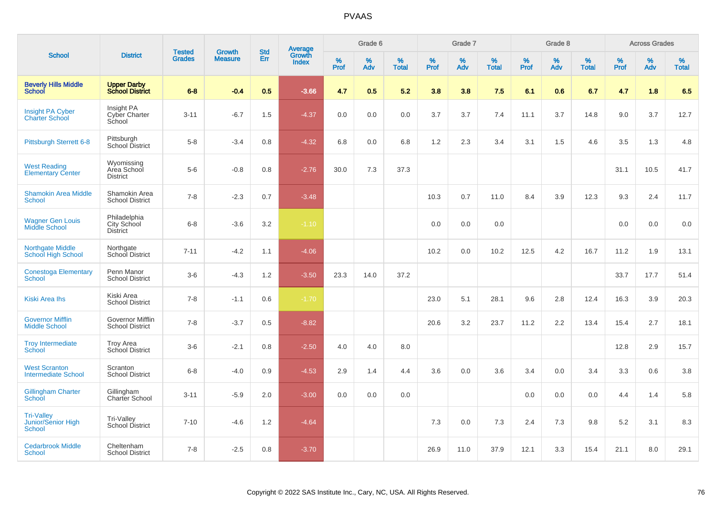|                                                          |                                                   |                                |                                 |                   |                                          |           | Grade 6     |                   |           | Grade 7     |                   |           | Grade 8  |                   |              | <b>Across Grades</b> |                   |
|----------------------------------------------------------|---------------------------------------------------|--------------------------------|---------------------------------|-------------------|------------------------------------------|-----------|-------------|-------------------|-----------|-------------|-------------------|-----------|----------|-------------------|--------------|----------------------|-------------------|
| <b>School</b>                                            | <b>District</b>                                   | <b>Tested</b><br><b>Grades</b> | <b>Growth</b><br><b>Measure</b> | <b>Std</b><br>Err | <b>Average</b><br>Growth<br><b>Index</b> | %<br>Prof | $\%$<br>Adv | %<br><b>Total</b> | %<br>Prof | $\%$<br>Adv | %<br><b>Total</b> | %<br>Prof | %<br>Adv | %<br><b>Total</b> | $\%$<br>Prof | $\%$<br>Adv          | %<br><b>Total</b> |
| <b>Beverly Hills Middle</b><br><b>School</b>             | <b>Upper Darby</b><br><b>School District</b>      | $6 - 8$                        | $-0.4$                          | 0.5               | $-3.66$                                  | 4.7       | 0.5         | 5.2               | 3.8       | 3.8         | 7.5               | 6.1       | 0.6      | 6.7               | 4.7          | 1.8                  | 6.5               |
| <b>Insight PA Cyber</b><br><b>Charter School</b>         | Insight PA<br>Cyber Charter<br>School             | $3 - 11$                       | $-6.7$                          | 1.5               | $-4.37$                                  | 0.0       | 0.0         | 0.0               | 3.7       | 3.7         | 7.4               | 11.1      | 3.7      | 14.8              | 9.0          | 3.7                  | 12.7              |
| <b>Pittsburgh Sterrett 6-8</b>                           | Pittsburgh<br>School District                     | $5 - 8$                        | $-3.4$                          | 0.8               | $-4.32$                                  | 6.8       | 0.0         | 6.8               | 1.2       | 2.3         | 3.4               | 3.1       | 1.5      | 4.6               | 3.5          | 1.3                  | 4.8               |
| <b>West Reading</b><br><b>Elementary Center</b>          | Wyomissing<br>Area School<br><b>District</b>      | $5-6$                          | $-0.8$                          | 0.8               | $-2.76$                                  | 30.0      | 7.3         | 37.3              |           |             |                   |           |          |                   | 31.1         | 10.5                 | 41.7              |
| <b>Shamokin Area Middle</b><br><b>School</b>             | Shamokin Area<br><b>School District</b>           | $7 - 8$                        | $-2.3$                          | 0.7               | $-3.48$                                  |           |             |                   | 10.3      | 0.7         | 11.0              | 8.4       | 3.9      | 12.3              | 9.3          | 2.4                  | 11.7              |
| <b>Wagner Gen Louis</b><br>Middle School                 | Philadelphia<br>City School<br>District           | $6 - 8$                        | $-3.6$                          | 3.2               | $-1.10$                                  |           |             |                   | 0.0       | 0.0         | 0.0               |           |          |                   | 0.0          | 0.0                  | 0.0               |
| <b>Northgate Middle</b><br>School High School            | Northgate<br>School District                      | $7 - 11$                       | $-4.2$                          | 1.1               | $-4.06$                                  |           |             |                   | 10.2      | 0.0         | 10.2              | 12.5      | 4.2      | 16.7              | 11.2         | 1.9                  | 13.1              |
| <b>Conestoga Elementary</b><br><b>School</b>             | Penn Manor<br><b>School District</b>              | $3-6$                          | $-4.3$                          | 1.2               | $-3.50$                                  | 23.3      | 14.0        | 37.2              |           |             |                   |           |          |                   | 33.7         | 17.7                 | 51.4              |
| <b>Kiski Area Ihs</b>                                    | Kiski Area<br><b>School District</b>              | $7 - 8$                        | $-1.1$                          | 0.6               | $-1.70$                                  |           |             |                   | 23.0      | 5.1         | 28.1              | 9.6       | 2.8      | 12.4              | 16.3         | 3.9                  | 20.3              |
| <b>Governor Mifflin</b><br><b>Middle School</b>          | <b>Governor Mifflin</b><br><b>School District</b> | $7 - 8$                        | $-3.7$                          | 0.5               | $-8.82$                                  |           |             |                   | 20.6      | 3.2         | 23.7              | 11.2      | 2.2      | 13.4              | 15.4         | 2.7                  | 18.1              |
| <b>Troy Intermediate</b><br>School                       | <b>Troy Area</b><br>School District               | $3-6$                          | $-2.1$                          | 0.8               | $-2.50$                                  | 4.0       | 4.0         | 8.0               |           |             |                   |           |          |                   | 12.8         | 2.9                  | 15.7              |
| <b>West Scranton</b><br><b>Intermediate School</b>       | Scranton<br><b>School District</b>                | $6 - 8$                        | $-4.0$                          | 0.9               | $-4.53$                                  | 2.9       | 1.4         | 4.4               | 3.6       | 0.0         | 3.6               | 3.4       | 0.0      | 3.4               | 3.3          | 0.6                  | 3.8               |
| <b>Gillingham Charter</b><br>School                      | Gillingham<br>Charter School                      | $3 - 11$                       | $-5.9$                          | 2.0               | $-3.00$                                  | 0.0       | 0.0         | 0.0               |           |             |                   | 0.0       | 0.0      | 0.0               | 4.4          | 1.4                  | 5.8               |
| <b>Tri-Valley</b><br>Junior/Senior High<br><b>School</b> | Tri-Valley<br>School District                     | $7 - 10$                       | $-4.6$                          | 1.2               | $-4.64$                                  |           |             |                   | 7.3       | 0.0         | 7.3               | 2.4       | 7.3      | 9.8               | 5.2          | 3.1                  | 8.3               |
| <b>Cedarbrook Middle</b><br><b>School</b>                | Cheltenham<br><b>School District</b>              | $7 - 8$                        | $-2.5$                          | 0.8               | $-3.70$                                  |           |             |                   | 26.9      | 11.0        | 37.9              | 12.1      | 3.3      | 15.4              | 21.1         | 8.0                  | 29.1              |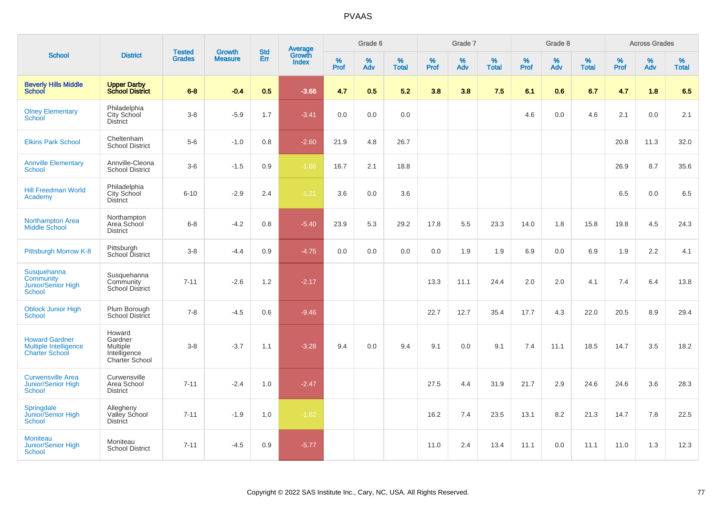| <b>School</b>                                                           |                                                                        |                                |                          | <b>Std</b> |                                          |                  | Grade 6  |                   |           | Grade 7  |                   |           | Grade 8  |                   |           | <b>Across Grades</b> |                   |
|-------------------------------------------------------------------------|------------------------------------------------------------------------|--------------------------------|--------------------------|------------|------------------------------------------|------------------|----------|-------------------|-----------|----------|-------------------|-----------|----------|-------------------|-----------|----------------------|-------------------|
|                                                                         | <b>District</b>                                                        | <b>Tested</b><br><b>Grades</b> | Growth<br><b>Measure</b> | Err        | <b>Average</b><br>Growth<br><b>Index</b> | %<br><b>Prof</b> | %<br>Adv | %<br><b>Total</b> | %<br>Prof | %<br>Adv | %<br><b>Total</b> | %<br>Prof | %<br>Adv | %<br><b>Total</b> | %<br>Prof | %<br>Adv             | %<br><b>Total</b> |
| <b>Beverly Hills Middle</b><br>School                                   | <b>Upper Darby</b><br><b>School District</b>                           | $6 - 8$                        | $-0.4$                   | 0.5        | $-3.66$                                  | 4.7              | 0.5      | 5.2               | 3.8       | 3.8      | 7.5               | 6.1       | 0.6      | 6.7               | 4.7       | 1.8                  | 6.5               |
| <b>Olney Elementary</b><br><b>School</b>                                | Philadelphia<br>City School<br><b>District</b>                         | $3 - 8$                        | $-5.9$                   | 1.7        | $-3.41$                                  | 0.0              | 0.0      | 0.0               |           |          |                   | 4.6       | 0.0      | 4.6               | 2.1       | 0.0                  | 2.1               |
| <b>Elkins Park School</b>                                               | Cheltenham<br>School District                                          | $5-6$                          | $-1.0$                   | 0.8        | $-2.60$                                  | 21.9             | 4.8      | 26.7              |           |          |                   |           |          |                   | 20.8      | 11.3                 | 32.0              |
| <b>Annville Elementary</b><br><b>School</b>                             | Annville-Cleona<br><b>School District</b>                              | $3-6$                          | $-1.5$                   | 0.9        | $-1.66$                                  | 16.7             | 2.1      | 18.8              |           |          |                   |           |          |                   | 26.9      | 8.7                  | 35.6              |
| <b>Hill Freedman World</b><br>Academy                                   | Philadelphia<br>City School<br><b>District</b>                         | $6 - 10$                       | $-2.9$                   | 2.4        | $-1.21$                                  | 3.6              | 0.0      | 3.6               |           |          |                   |           |          |                   | 6.5       | 0.0                  | 6.5               |
| <b>Northampton Area</b><br>Middle School                                | Northampton<br>Area School<br><b>District</b>                          | $6 - 8$                        | $-4.2$                   | 0.8        | $-5.40$                                  | 23.9             | 5.3      | 29.2              | 17.8      | 5.5      | 23.3              | 14.0      | 1.8      | 15.8              | 19.8      | 4.5                  | 24.3              |
| Pittsburgh Morrow K-8                                                   | Pittsburgh<br>School District                                          | $3 - 8$                        | $-4.4$                   | 0.9        | $-4.75$                                  | 0.0              | 0.0      | 0.0               | 0.0       | 1.9      | 1.9               | 6.9       | 0.0      | 6.9               | 1.9       | 2.2                  | 4.1               |
| Susquehanna<br>Community<br><b>Junior/Senior High</b><br><b>School</b>  | Susquehanna<br>Community<br><b>School District</b>                     | $7 - 11$                       | $-2.6$                   | 1.2        | $-2.17$                                  |                  |          |                   | 13.3      | 11.1     | 24.4              | 2.0       | 2.0      | 4.1               | 7.4       | 6.4                  | 13.8              |
| <b>Oblock Junior High</b><br><b>School</b>                              | Plum Borough<br><b>School District</b>                                 | $7 - 8$                        | $-4.5$                   | 0.6        | $-9.46$                                  |                  |          |                   | 22.7      | 12.7     | 35.4              | 17.7      | 4.3      | 22.0              | 20.5      | 8.9                  | 29.4              |
| <b>Howard Gardner</b><br>Multiple Intelligence<br><b>Charter School</b> | Howard<br>Gardner<br><b>Multiple</b><br>Intelligence<br>Charter School | $3 - 8$                        | $-3.7$                   | 1.1        | $-3.28$                                  | 9.4              | 0.0      | 9.4               | 9.1       | 0.0      | 9.1               | 7.4       | 11.1     | 18.5              | 14.7      | 3.5                  | 18.2              |
| <b>Curwensville Area</b><br><b>Junior/Senior High</b><br>School         | Curwensville<br>Area School<br><b>District</b>                         | $7 - 11$                       | $-2.4$                   | 1.0        | $-2.47$                                  |                  |          |                   | 27.5      | 4.4      | 31.9              | 21.7      | 2.9      | 24.6              | 24.6      | 3.6                  | 28.3              |
| Springdale<br>Junior/Senior High<br><b>School</b>                       | Allegheny<br>Valley School<br><b>District</b>                          | $7 - 11$                       | $-1.9$                   | 1.0        | $-1.82$                                  |                  |          |                   | 16.2      | 7.4      | 23.5              | 13.1      | 8.2      | 21.3              | 14.7      | 7.8                  | 22.5              |
| <b>Moniteau</b><br>Junior/Senior High<br><b>School</b>                  | Moniteau<br><b>School District</b>                                     | $7 - 11$                       | $-4.5$                   | 0.9        | $-5.77$                                  |                  |          |                   | 11.0      | 2.4      | 13.4              | 11.1      | 0.0      | 11.1              | 11.0      | 1.3                  | 12.3              |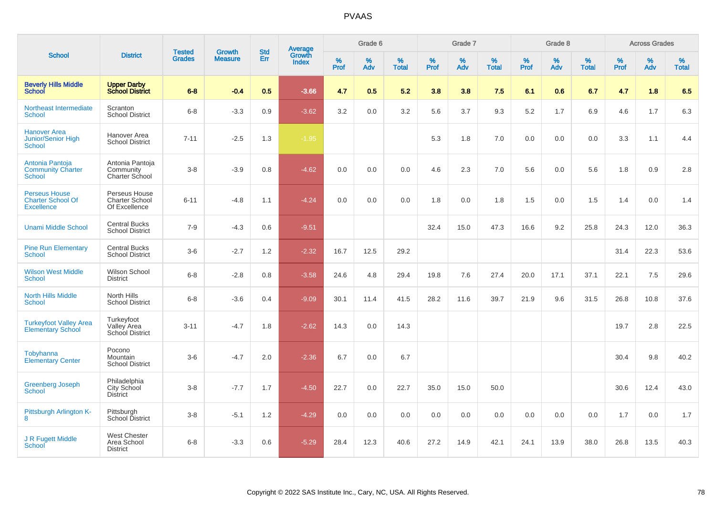|                                                                       |                                                         | <b>Tested</b> | <b>Growth</b>  | <b>Std</b> |                                          |                  | Grade 6     |                   |           | Grade 7  |                   |              | Grade 8  |                   |              | <b>Across Grades</b> |                   |
|-----------------------------------------------------------------------|---------------------------------------------------------|---------------|----------------|------------|------------------------------------------|------------------|-------------|-------------------|-----------|----------|-------------------|--------------|----------|-------------------|--------------|----------------------|-------------------|
| <b>School</b>                                                         | <b>District</b>                                         | <b>Grades</b> | <b>Measure</b> | Err        | <b>Average</b><br>Growth<br><b>Index</b> | %<br><b>Prof</b> | $\%$<br>Adv | %<br><b>Total</b> | %<br>Prof | %<br>Adv | %<br><b>Total</b> | $\%$<br>Prof | %<br>Adv | %<br><b>Total</b> | $\%$<br>Prof | %<br>Adv             | %<br><b>Total</b> |
| <b>Beverly Hills Middle</b><br><b>School</b>                          | <b>Upper Darby</b><br><b>School District</b>            | $6 - 8$       | $-0.4$         | 0.5        | $-3.66$                                  | 4.7              | 0.5         | 5.2               | 3.8       | 3.8      | 7.5               | 6.1          | 0.6      | 6.7               | 4.7          | 1.8                  | 6.5               |
| Northeast Intermediate<br><b>School</b>                               | Scranton<br><b>School District</b>                      | $6 - 8$       | $-3.3$         | 0.9        | $-3.62$                                  | 3.2              | 0.0         | 3.2               | 5.6       | 3.7      | 9.3               | $5.2\,$      | 1.7      | 6.9               | 4.6          | 1.7                  | 6.3               |
| <b>Hanover Area</b><br>Junior/Senior High<br>School                   | Hanover Area<br><b>School District</b>                  | $7 - 11$      | $-2.5$         | 1.3        | $-1.95$                                  |                  |             |                   | 5.3       | 1.8      | 7.0               | 0.0          | 0.0      | 0.0               | 3.3          | 1.1                  | 4.4               |
| Antonia Pantoja<br><b>Community Charter</b><br>School                 | Antonia Pantoja<br>Community<br><b>Charter School</b>   | $3 - 8$       | $-3.9$         | 0.8        | $-4.62$                                  | 0.0              | 0.0         | 0.0               | 4.6       | 2.3      | 7.0               | 5.6          | 0.0      | 5.6               | 1.8          | 0.9                  | 2.8               |
| <b>Perseus House</b><br><b>Charter School Of</b><br><b>Excellence</b> | Perseus House<br><b>Charter School</b><br>Of Excellence | $6 - 11$      | $-4.8$         | 1.1        | $-4.24$                                  | 0.0              | 0.0         | 0.0               | 1.8       | 0.0      | 1.8               | 1.5          | 0.0      | 1.5               | 1.4          | 0.0                  | 1.4               |
| <b>Unami Middle School</b>                                            | <b>Central Bucks</b><br><b>School District</b>          | $7 - 9$       | $-4.3$         | 0.6        | $-9.51$                                  |                  |             |                   | 32.4      | 15.0     | 47.3              | 16.6         | 9.2      | 25.8              | 24.3         | 12.0                 | 36.3              |
| <b>Pine Run Elementary</b><br><b>School</b>                           | <b>Central Bucks</b><br><b>School District</b>          | $3-6$         | $-2.7$         | 1.2        | $-2.32$                                  | 16.7             | 12.5        | 29.2              |           |          |                   |              |          |                   | 31.4         | 22.3                 | 53.6              |
| <b>Wilson West Middle</b><br><b>School</b>                            | Wilson School<br><b>District</b>                        | $6 - 8$       | $-2.8$         | 0.8        | $-3.58$                                  | 24.6             | 4.8         | 29.4              | 19.8      | 7.6      | 27.4              | 20.0         | 17.1     | 37.1              | 22.1         | 7.5                  | 29.6              |
| <b>North Hills Middle</b><br><b>School</b>                            | North Hills<br><b>School District</b>                   | $6 - 8$       | $-3.6$         | 0.4        | $-9.09$                                  | 30.1             | 11.4        | 41.5              | 28.2      | 11.6     | 39.7              | 21.9         | 9.6      | 31.5              | 26.8         | 10.8                 | 37.6              |
| <b>Turkeyfoot Valley Area</b><br><b>Elementary School</b>             | Turkeyfoot<br>Valley Area<br><b>School District</b>     | $3 - 11$      | $-4.7$         | 1.8        | $-2.62$                                  | 14.3             | 0.0         | 14.3              |           |          |                   |              |          |                   | 19.7         | 2.8                  | 22.5              |
| Tobyhanna<br><b>Elementary Center</b>                                 | Pocono<br>Mountain<br><b>School District</b>            | $3-6$         | $-4.7$         | 2.0        | $-2.36$                                  | 6.7              | 0.0         | 6.7               |           |          |                   |              |          |                   | 30.4         | 9.8                  | 40.2              |
| <b>Greenberg Joseph</b><br><b>School</b>                              | Philadelphia<br>City School<br><b>District</b>          | $3 - 8$       | $-7.7$         | 1.7        | $-4.50$                                  | 22.7             | 0.0         | 22.7              | 35.0      | 15.0     | 50.0              |              |          |                   | 30.6         | 12.4                 | 43.0              |
| Pittsburgh Arlington K-<br>8                                          | Pittsburgh<br>School District                           | $3 - 8$       | $-5.1$         | 1.2        | $-4.29$                                  | 0.0              | 0.0         | 0.0               | 0.0       | 0.0      | 0.0               | 0.0          | 0.0      | 0.0               | 1.7          | 0.0                  | 1.7               |
| J R Fugett Middle<br>School                                           | <b>West Chester</b><br>Area School<br><b>District</b>   | $6 - 8$       | $-3.3$         | 0.6        | $-5.29$                                  | 28.4             | 12.3        | 40.6              | 27.2      | 14.9     | 42.1              | 24.1         | 13.9     | 38.0              | 26.8         | 13.5                 | 40.3              |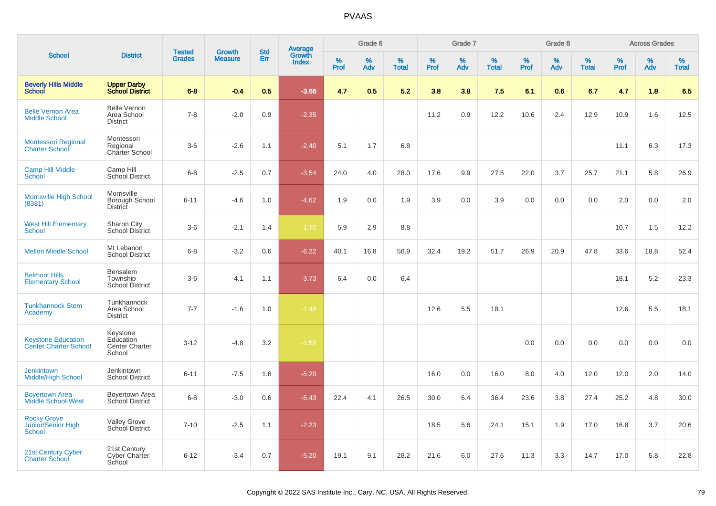| <b>School</b>                                             |                                                          |                                |                                 | <b>Std</b> |                                          |           | Grade 6  |                   |           | Grade 7  |                   |           | Grade 8  |                   |           | <b>Across Grades</b> |                   |
|-----------------------------------------------------------|----------------------------------------------------------|--------------------------------|---------------------------------|------------|------------------------------------------|-----------|----------|-------------------|-----------|----------|-------------------|-----------|----------|-------------------|-----------|----------------------|-------------------|
|                                                           | <b>District</b>                                          | <b>Tested</b><br><b>Grades</b> | <b>Growth</b><br><b>Measure</b> | Err        | <b>Average</b><br>Growth<br><b>Index</b> | %<br>Prof | %<br>Adv | %<br><b>Total</b> | %<br>Prof | %<br>Adv | %<br><b>Total</b> | %<br>Prof | %<br>Adv | %<br><b>Total</b> | %<br>Prof | %<br>Adv             | %<br><b>Total</b> |
| <b>Beverly Hills Middle</b><br>School                     | <b>Upper Darby</b><br><b>School District</b>             | $6 - 8$                        | $-0.4$                          | 0.5        | $-3.66$                                  | 4.7       | 0.5      | 5.2               | 3.8       | 3.8      | 7.5               | 6.1       | 0.6      | 6.7               | 4.7       | 1.8                  | 6.5               |
| <b>Belle Vernon Area</b><br><b>Middle School</b>          | <b>Belle Vernon</b><br>Area School<br><b>District</b>    | $7 - 8$                        | $-2.0$                          | 0.9        | $-2.35$                                  |           |          |                   | 11.2      | 0.9      | 12.2              | 10.6      | 2.4      | 12.9              | 10.9      | 1.6                  | 12.5              |
| <b>Montessori Regional</b><br><b>Charter School</b>       | Montessori<br>Regional<br>Charter School                 | $3-6$                          | $-2.6$                          | 1.1        | $-2.40$                                  | 5.1       | 1.7      | 6.8               |           |          |                   |           |          |                   | 11.1      | 6.3                  | 17.3              |
| <b>Camp Hill Middle</b><br><b>School</b>                  | Camp Hill<br>School District                             | $6 - 8$                        | $-2.5$                          | 0.7        | $-3.54$                                  | 24.0      | 4.0      | 28.0              | 17.6      | 9.9      | 27.5              | 22.0      | 3.7      | 25.7              | 21.1      | 5.8                  | 26.9              |
| Morrisville High School<br>(8381)                         | Morrisville<br>Borough School<br><b>District</b>         | $6 - 11$                       | $-4.6$                          | 1.0        | $-4.62$                                  | 1.9       | 0.0      | 1.9               | 3.9       | 0.0      | 3.9               | 0.0       | 0.0      | 0.0               | 2.0       | 0.0                  | 2.0               |
| <b>West Hill Elementary</b><br><b>School</b>              | Sharon City<br><b>School District</b>                    | $3-6$                          | $-2.1$                          | 1.4        | $-1.70$                                  | 5.9       | 2.9      | 8.8               |           |          |                   |           |          |                   | 10.7      | 1.5                  | 12.2              |
| <b>Mellon Middle School</b>                               | Mt Lebanon<br><b>School District</b>                     | $6 - 8$                        | $-3.2$                          | 0.6        | $-6.22$                                  | 40.1      | 16.8     | 56.9              | 32.4      | 19.2     | 51.7              | 26.9      | 20.9     | 47.8              | 33.6      | 18.8                 | 52.4              |
| <b>Belmont Hills</b><br><b>Elementary School</b>          | Bensalem<br>Township<br><b>School District</b>           | $3-6$                          | $-4.1$                          | 1.1        | $-3.73$                                  | 6.4       | 0.0      | 6.4               |           |          |                   |           |          |                   | 18.1      | 5.2                  | 23.3              |
| <b>Tunkhannock Stem</b><br>Academy                        | Tunkhannock<br>Area School<br><b>District</b>            | $7 - 7$                        | $-1.6$                          | 1.0        | $-1.49$                                  |           |          |                   | 12.6      | 5.5      | 18.1              |           |          |                   | 12.6      | 5.5                  | 18.1              |
| <b>Keystone Education</b><br><b>Center Charter School</b> | Keystone<br>Education<br><b>Center Charter</b><br>School | $3 - 12$                       | $-4.8$                          | 3.2        | $-1.50$                                  |           |          |                   |           |          |                   | $0.0\,$   | 0.0      | 0.0               | 0.0       | 0.0                  | 0.0               |
| <b>Jenkintown</b><br><b>Middle/High School</b>            | Jenkintown<br><b>School District</b>                     | $6 - 11$                       | $-7.5$                          | 1.6        | $-5.20$                                  |           |          |                   | 16.0      | 0.0      | 16.0              | 8.0       | 4.0      | 12.0              | 12.0      | 2.0                  | 14.0              |
| <b>Boyertown Area</b><br><b>Middle School-West</b>        | <b>Boyertown Area</b><br>School District                 | $6 - 8$                        | $-3.0$                          | 0.6        | $-5.43$                                  | 22.4      | 4.1      | 26.5              | 30.0      | 6.4      | 36.4              | 23.6      | 3.8      | 27.4              | 25.2      | 4.8                  | 30.0              |
| <b>Rocky Grove</b><br>Junior/Senior High<br>School        | <b>Valley Grove</b><br>School District                   | $7 - 10$                       | $-2.5$                          | 1.1        | $-2.23$                                  |           |          |                   | 18.5      | 5.6      | 24.1              | 15.1      | 1.9      | 17.0              | 16.8      | 3.7                  | 20.6              |
| 21st Century Cyber<br><b>Charter School</b>               | 21st Century<br>Cyber Charter<br>School                  | $6 - 12$                       | $-3.4$                          | 0.7        | $-5.20$                                  | 19.1      | 9.1      | 28.2              | 21.6      | 6.0      | 27.6              | 11.3      | 3.3      | 14.7              | 17.0      | 5.8                  | 22.8              |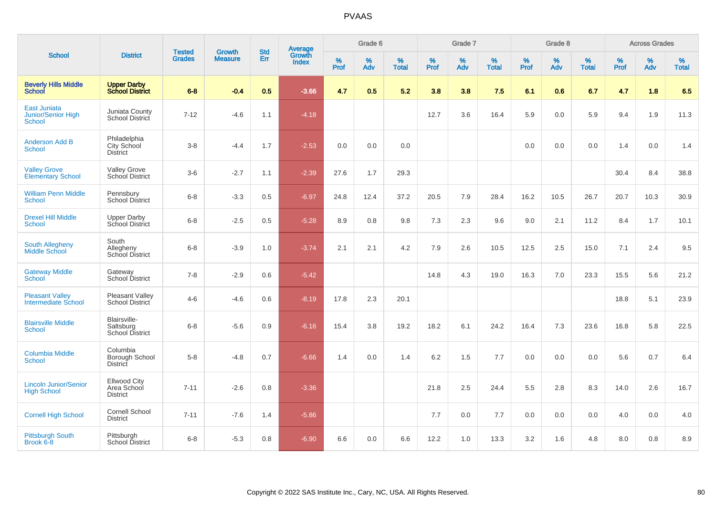| <b>School</b>                                              |                                                       |                                | <b>Growth</b>  | <b>Std</b> |                                          |                  | Grade 6  |                   |           | Grade 7     |                   |           | Grade 8  |                   |           | <b>Across Grades</b> |                   |
|------------------------------------------------------------|-------------------------------------------------------|--------------------------------|----------------|------------|------------------------------------------|------------------|----------|-------------------|-----------|-------------|-------------------|-----------|----------|-------------------|-----------|----------------------|-------------------|
|                                                            | <b>District</b>                                       | <b>Tested</b><br><b>Grades</b> | <b>Measure</b> | Err        | <b>Average</b><br>Growth<br><b>Index</b> | %<br><b>Prof</b> | %<br>Adv | %<br><b>Total</b> | %<br>Prof | $\%$<br>Adv | %<br><b>Total</b> | %<br>Prof | %<br>Adv | %<br><b>Total</b> | %<br>Prof | $\%$<br>Adv          | %<br><b>Total</b> |
| <b>Beverly Hills Middle</b><br><b>School</b>               | <b>Upper Darby<br/>School District</b>                | $6 - 8$                        | $-0.4$         | 0.5        | $-3.66$                                  | 4.7              | 0.5      | 5.2               | 3.8       | 3.8         | 7.5               | 6.1       | 0.6      | 6.7               | 4.7       | 1.8                  | 6.5               |
| <b>East Juniata</b><br><b>Junior/Senior High</b><br>School | Juniata County<br>School District                     | $7 - 12$                       | $-4.6$         | 1.1        | $-4.18$                                  |                  |          |                   | 12.7      | 3.6         | 16.4              | 5.9       | 0.0      | 5.9               | 9.4       | 1.9                  | 11.3              |
| <b>Anderson Add B</b><br><b>School</b>                     | Philadelphia<br>City School<br><b>District</b>        | $3 - 8$                        | $-4.4$         | 1.7        | $-2.53$                                  | 0.0              | 0.0      | 0.0               |           |             |                   | 0.0       | 0.0      | 0.0               | 1.4       | 0.0                  | 1.4               |
| <b>Valley Grove</b><br><b>Elementary School</b>            | <b>Valley Grove</b><br>School District                | $3-6$                          | $-2.7$         | 1.1        | $-2.39$                                  | 27.6             | 1.7      | 29.3              |           |             |                   |           |          |                   | 30.4      | 8.4                  | 38.8              |
| <b>William Penn Middle</b><br>School                       | Pennsbury<br>School District                          | $6 - 8$                        | $-3.3$         | 0.5        | $-6.97$                                  | 24.8             | 12.4     | 37.2              | 20.5      | 7.9         | 28.4              | 16.2      | 10.5     | 26.7              | 20.7      | 10.3                 | 30.9              |
| <b>Drexel Hill Middle</b><br>School                        | <b>Upper Darby</b><br>School District                 | $6 - 8$                        | $-2.5$         | 0.5        | $-5.28$                                  | 8.9              | 0.8      | 9.8               | 7.3       | 2.3         | 9.6               | 9.0       | 2.1      | 11.2              | 8.4       | 1.7                  | 10.1              |
| <b>South Allegheny</b><br>Middle School                    | South<br>Allegheny<br>School District                 | $6 - 8$                        | $-3.9$         | 1.0        | $-3.74$                                  | 2.1              | 2.1      | 4.2               | 7.9       | 2.6         | 10.5              | 12.5      | 2.5      | 15.0              | 7.1       | 2.4                  | 9.5               |
| <b>Gateway Middle</b><br>School                            | Gateway<br>School District                            | $7 - 8$                        | $-2.9$         | 0.6        | $-5.42$                                  |                  |          |                   | 14.8      | 4.3         | 19.0              | 16.3      | 7.0      | 23.3              | 15.5      | 5.6                  | 21.2              |
| <b>Pleasant Valley</b><br><b>Intermediate School</b>       | <b>Pleasant Valley</b><br>School District             | $4 - 6$                        | $-4.6$         | 0.6        | $-8.19$                                  | 17.8             | 2.3      | 20.1              |           |             |                   |           |          |                   | 18.8      | 5.1                  | 23.9              |
| <b>Blairsville Middle</b><br>School                        | Blairsville-<br>Saltsburg<br>School District          | $6 - 8$                        | $-5.6$         | 0.9        | $-6.16$                                  | 15.4             | 3.8      | 19.2              | 18.2      | 6.1         | 24.2              | 16.4      | 7.3      | 23.6              | 16.8      | 5.8                  | 22.5              |
| <b>Columbia Middle</b><br>School                           | Columbia<br>Borough School<br><b>District</b>         | $5-8$                          | $-4.8$         | 0.7        | $-6.66$                                  | 1.4              | 0.0      | 1.4               | 6.2       | 1.5         | 7.7               | 0.0       | 0.0      | 0.0               | 5.6       | 0.7                  | 6.4               |
| <b>Lincoln Junior/Senior</b><br><b>High School</b>         | <b>Ellwood City</b><br>Area School<br><b>District</b> | $7 - 11$                       | $-2.6$         | 0.8        | $-3.36$                                  |                  |          |                   | 21.8      | 2.5         | 24.4              | 5.5       | 2.8      | 8.3               | 14.0      | 2.6                  | 16.7              |
| <b>Cornell High School</b>                                 | Cornell School<br><b>District</b>                     | $7 - 11$                       | $-7.6$         | 1.4        | $-5.86$                                  |                  |          |                   | 7.7       | 0.0         | 7.7               | 0.0       | 0.0      | 0.0               | 4.0       | 0.0                  | 4.0               |
| <b>Pittsburgh South</b><br>Brook 6-8                       | Pittsburgh<br><b>School District</b>                  | $6 - 8$                        | $-5.3$         | 0.8        | $-6.90$                                  | 6.6              | 0.0      | 6.6               | 12.2      | 1.0         | 13.3              | 3.2       | 1.6      | 4.8               | 8.0       | 0.8                  | 8.9               |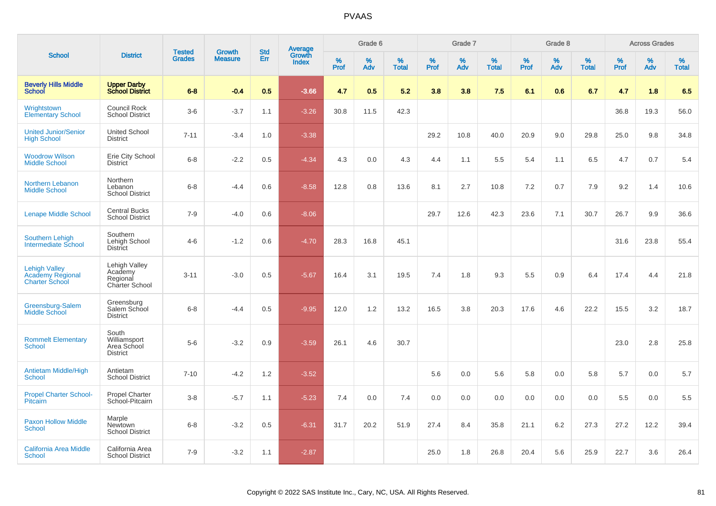|                                                                          |                                                         | <b>Tested</b> | <b>Growth</b>  | <b>Std</b> |                                   |                  | Grade 6     |                   |              | Grade 7  |                   |              | Grade 8  |                   |              | <b>Across Grades</b> |                   |
|--------------------------------------------------------------------------|---------------------------------------------------------|---------------|----------------|------------|-----------------------------------|------------------|-------------|-------------------|--------------|----------|-------------------|--------------|----------|-------------------|--------------|----------------------|-------------------|
| <b>School</b>                                                            | <b>District</b>                                         | <b>Grades</b> | <b>Measure</b> | Err        | Average<br>Growth<br><b>Index</b> | %<br><b>Prof</b> | $\%$<br>Adv | %<br><b>Total</b> | $\%$<br>Prof | %<br>Adv | %<br><b>Total</b> | $\%$<br>Prof | %<br>Adv | %<br><b>Total</b> | $\%$<br>Prof | %<br>Adv             | %<br><b>Total</b> |
| <b>Beverly Hills Middle</b><br><b>School</b>                             | <b>Upper Darby</b><br><b>School District</b>            | $6 - 8$       | $-0.4$         | 0.5        | $-3.66$                           | 4.7              | 0.5         | 5.2               | 3.8          | 3.8      | 7.5               | 6.1          | 0.6      | 6.7               | 4.7          | 1.8                  | 6.5               |
| Wrightstown<br><b>Elementary School</b>                                  | <b>Council Rock</b><br><b>School District</b>           | $3-6$         | $-3.7$         | 1.1        | $-3.26$                           | 30.8             | 11.5        | 42.3              |              |          |                   |              |          |                   | 36.8         | 19.3                 | 56.0              |
| <b>United Junior/Senior</b><br><b>High School</b>                        | <b>United School</b><br><b>District</b>                 | $7 - 11$      | $-3.4$         | 1.0        | $-3.38$                           |                  |             |                   | 29.2         | 10.8     | 40.0              | 20.9         | 9.0      | 29.8              | 25.0         | 9.8                  | 34.8              |
| <b>Woodrow Wilson</b><br><b>Middle School</b>                            | Erie City School<br><b>District</b>                     | $6 - 8$       | $-2.2$         | 0.5        | $-4.34$                           | 4.3              | 0.0         | 4.3               | 4.4          | 1.1      | 5.5               | 5.4          | 1.1      | 6.5               | 4.7          | 0.7                  | 5.4               |
| Northern Lebanon<br><b>Middle School</b>                                 | Northern<br>Lebanon<br><b>School District</b>           | $6 - 8$       | $-4.4$         | 0.6        | $-8.58$                           | 12.8             | 0.8         | 13.6              | 8.1          | 2.7      | 10.8              | $7.2\,$      | 0.7      | 7.9               | 9.2          | 1.4                  | 10.6              |
| <b>Lenape Middle School</b>                                              | <b>Central Bucks</b><br><b>School District</b>          | $7 - 9$       | $-4.0$         | 0.6        | $-8.06$                           |                  |             |                   | 29.7         | 12.6     | 42.3              | 23.6         | 7.1      | 30.7              | 26.7         | 9.9                  | 36.6              |
| <b>Southern Lehigh</b><br>Intermediate School                            | Southern<br>Lehigh School<br><b>District</b>            | $4-6$         | $-1.2$         | 0.6        | $-4.70$                           | 28.3             | 16.8        | 45.1              |              |          |                   |              |          |                   | 31.6         | 23.8                 | 55.4              |
| <b>Lehigh Valley</b><br><b>Academy Regional</b><br><b>Charter School</b> | Lehigh Valley<br>Academy<br>Regional<br>Charter School  | $3 - 11$      | $-3.0$         | 0.5        | $-5.67$                           | 16.4             | 3.1         | 19.5              | 7.4          | 1.8      | 9.3               | 5.5          | 0.9      | 6.4               | 17.4         | 4.4                  | 21.8              |
| Greensburg-Salem<br><b>Middle School</b>                                 | Greensburg<br>Salem School<br><b>District</b>           | $6 - 8$       | $-4.4$         | 0.5        | $-9.95$                           | 12.0             | 1.2         | 13.2              | 16.5         | 3.8      | 20.3              | 17.6         | 4.6      | 22.2              | 15.5         | 3.2                  | 18.7              |
| <b>Rommelt Elementary</b><br>School                                      | South<br>Williamsport<br>Area School<br><b>District</b> | $5-6$         | $-3.2$         | 0.9        | $-3.59$                           | 26.1             | 4.6         | 30.7              |              |          |                   |              |          |                   | 23.0         | 2.8                  | 25.8              |
| <b>Antietam Middle/High</b><br><b>School</b>                             | Antietam<br><b>School District</b>                      | $7 - 10$      | $-4.2$         | 1.2        | $-3.52$                           |                  |             |                   | 5.6          | 0.0      | 5.6               | 5.8          | 0.0      | 5.8               | 5.7          | 0.0                  | 5.7               |
| <b>Propel Charter School-</b><br><b>Pitcairn</b>                         | <b>Propel Charter</b><br>School-Pitcairn                | $3 - 8$       | $-5.7$         | 1.1        | $-5.23$                           | 7.4              | 0.0         | 7.4               | 0.0          | 0.0      | 0.0               | 0.0          | 0.0      | 0.0               | 5.5          | 0.0                  | 5.5               |
| <b>Paxon Hollow Middle</b><br><b>School</b>                              | Marple<br><b>Newtown</b><br><b>School District</b>      | $6-8$         | $-3.2$         | 0.5        | $-6.31$                           | 31.7             | 20.2        | 51.9              | 27.4         | 8.4      | 35.8              | 21.1         | 6.2      | 27.3              | 27.2         | 12.2                 | 39.4              |
| <b>California Area Middle</b><br><b>School</b>                           | California Area<br><b>School District</b>               | $7 - 9$       | $-3.2$         | 1.1        | $-2.87$                           |                  |             |                   | 25.0         | 1.8      | 26.8              | 20.4         | 5.6      | 25.9              | 22.7         | 3.6                  | 26.4              |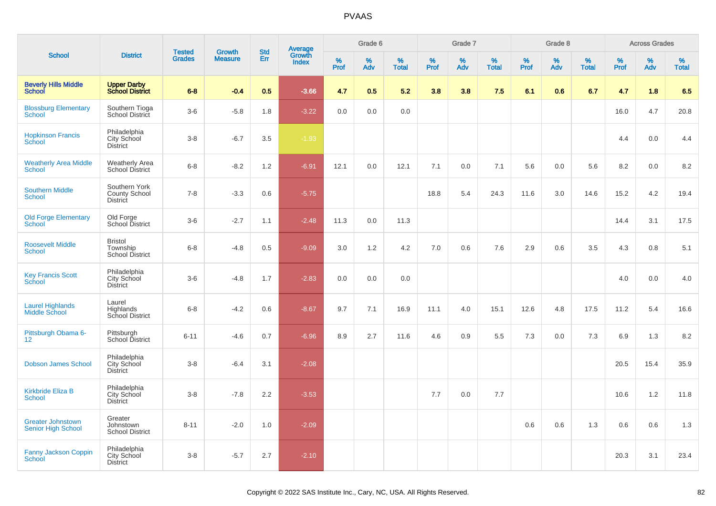| <b>School</b>                                         |                                                       |                                | <b>Growth</b>  | <b>Std</b> |                                          |                     | Grade 6     |                   |           | Grade 7  |                   |              | Grade 8  |                   |              | <b>Across Grades</b> |                   |
|-------------------------------------------------------|-------------------------------------------------------|--------------------------------|----------------|------------|------------------------------------------|---------------------|-------------|-------------------|-----------|----------|-------------------|--------------|----------|-------------------|--------------|----------------------|-------------------|
|                                                       | <b>District</b>                                       | <b>Tested</b><br><b>Grades</b> | <b>Measure</b> | Err        | <b>Average</b><br>Growth<br><b>Index</b> | $\%$<br><b>Prof</b> | $\%$<br>Adv | %<br><b>Total</b> | %<br>Prof | %<br>Adv | %<br><b>Total</b> | $\%$<br>Prof | %<br>Adv | %<br><b>Total</b> | $\%$<br>Prof | %<br>Adv             | %<br><b>Total</b> |
| <b>Beverly Hills Middle</b><br><b>School</b>          | <b>Upper Darby</b><br><b>School District</b>          | $6 - 8$                        | $-0.4$         | 0.5        | $-3.66$                                  | 4.7                 | 0.5         | 5.2               | 3.8       | 3.8      | 7.5               | 6.1          | 0.6      | 6.7               | 4.7          | 1.8                  | 6.5               |
| <b>Blossburg Elementary</b><br><b>School</b>          | Southern Tioga<br>School District                     | $3-6$                          | $-5.8$         | 1.8        | $-3.22$                                  | 0.0                 | 0.0         | 0.0               |           |          |                   |              |          |                   | 16.0         | 4.7                  | 20.8              |
| <b>Hopkinson Francis</b><br>School                    | Philadelphia<br>City School<br><b>District</b>        | $3-8$                          | $-6.7$         | 3.5        | $-1.93$                                  |                     |             |                   |           |          |                   |              |          |                   | 4.4          | 0.0                  | 4.4               |
| <b>Weatherly Area Middle</b><br>School                | <b>Weatherly Area</b><br>School District              | $6 - 8$                        | $-8.2$         | 1.2        | $-6.91$                                  | 12.1                | 0.0         | 12.1              | 7.1       | 0.0      | 7.1               | 5.6          | 0.0      | 5.6               | 8.2          | $0.0\,$              | 8.2               |
| <b>Southern Middle</b><br><b>School</b>               | Southern York<br><b>County School</b><br>District     | $7 - 8$                        | $-3.3$         | 0.6        | $-5.75$                                  |                     |             |                   | 18.8      | 5.4      | 24.3              | 11.6         | 3.0      | 14.6              | 15.2         | 4.2                  | 19.4              |
| <b>Old Forge Elementary</b><br><b>School</b>          | Old Forge<br>School District                          | $3-6$                          | $-2.7$         | 1.1        | $-2.48$                                  | 11.3                | 0.0         | 11.3              |           |          |                   |              |          |                   | 14.4         | 3.1                  | 17.5              |
| <b>Roosevelt Middle</b><br><b>School</b>              | <b>Bristol</b><br>Township<br>School District         | $6 - 8$                        | $-4.8$         | 0.5        | $-9.09$                                  | 3.0                 | 1.2         | 4.2               | 7.0       | 0.6      | 7.6               | 2.9          | 0.6      | 3.5               | 4.3          | 0.8                  | 5.1               |
| <b>Key Francis Scott</b><br>School                    | Philadelphia<br>City School<br><b>District</b>        | $3-6$                          | $-4.8$         | 1.7        | $-2.83$                                  | 0.0                 | 0.0         | 0.0               |           |          |                   |              |          |                   | 4.0          | 0.0                  | 4.0               |
| <b>Laurel Highlands</b><br><b>Middle School</b>       | Laurel<br>Highlands<br>School District                | $6 - 8$                        | $-4.2$         | 0.6        | $-8.67$                                  | 9.7                 | 7.1         | 16.9              | 11.1      | 4.0      | 15.1              | 12.6         | 4.8      | 17.5              | 11.2         | 5.4                  | 16.6              |
| Pittsburgh Obama 6-<br>12 <sup>°</sup>                | Pittsburgh<br>School District                         | $6 - 11$                       | $-4.6$         | 0.7        | $-6.96$                                  | 8.9                 | 2.7         | 11.6              | 4.6       | 0.9      | 5.5               | 7.3          | 0.0      | 7.3               | 6.9          | 1.3                  | 8.2               |
| <b>Dobson James School</b>                            | Philadelphia<br>City School<br><b>District</b>        | $3-8$                          | $-6.4$         | 3.1        | $-2.08$                                  |                     |             |                   |           |          |                   |              |          |                   | 20.5         | 15.4                 | 35.9              |
| <b>Kirkbride Eliza B</b><br>School                    | Philadelphia<br><b>City School</b><br><b>District</b> | $3-8$                          | $-7.8$         | 2.2        | $-3.53$                                  |                     |             |                   | 7.7       | 0.0      | 7.7               |              |          |                   | 10.6         | 1.2                  | 11.8              |
| <b>Greater Johnstown</b><br><b>Senior High School</b> | Greater<br>Johnstown<br><b>School District</b>        | $8 - 11$                       | $-2.0$         | 1.0        | $-2.09$                                  |                     |             |                   |           |          |                   | 0.6          | 0.6      | 1.3               | 0.6          | 0.6                  | 1.3               |
| <b>Fanny Jackson Coppin</b><br><b>School</b>          | Philadelphia<br><b>City School</b><br><b>District</b> | $3-8$                          | $-5.7$         | 2.7        | $-2.10$                                  |                     |             |                   |           |          |                   |              |          |                   | 20.3         | 3.1                  | 23.4              |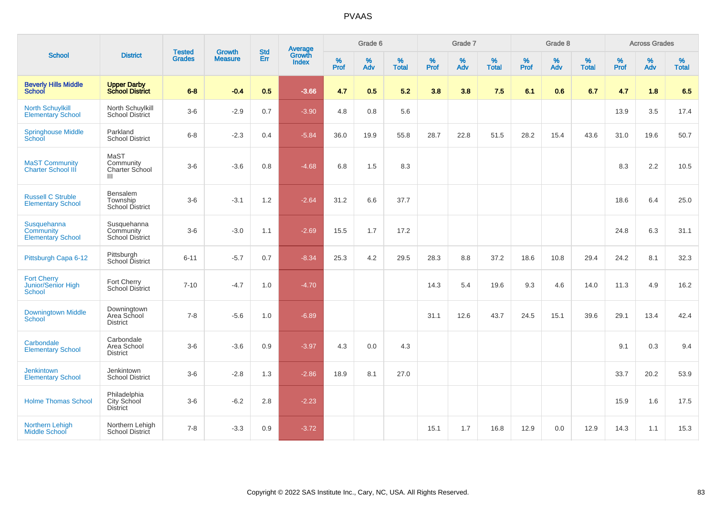| <b>School</b>                                             |                                                    | <b>Tested</b> | <b>Growth</b>  | <b>Std</b> |                                          |                  | Grade 6  |                   |           | Grade 7     |                   |              | Grade 8  |                   |           | <b>Across Grades</b> |                   |
|-----------------------------------------------------------|----------------------------------------------------|---------------|----------------|------------|------------------------------------------|------------------|----------|-------------------|-----------|-------------|-------------------|--------------|----------|-------------------|-----------|----------------------|-------------------|
|                                                           | <b>District</b>                                    | <b>Grades</b> | <b>Measure</b> | Err        | <b>Average</b><br>Growth<br><b>Index</b> | %<br><b>Prof</b> | %<br>Adv | %<br><b>Total</b> | %<br>Prof | $\%$<br>Adv | %<br><b>Total</b> | $\%$<br>Prof | %<br>Adv | %<br><b>Total</b> | %<br>Prof | %<br>Adv             | %<br><b>Total</b> |
| <b>Beverly Hills Middle</b><br><b>School</b>              | <b>Upper Darby<br/>School District</b>             | $6 - 8$       | $-0.4$         | 0.5        | $-3.66$                                  | 4.7              | 0.5      | 5.2               | 3.8       | 3.8         | 7.5               | 6.1          | 0.6      | 6.7               | 4.7       | 1.8                  | 6.5               |
| <b>North Schuylkill</b><br><b>Elementary School</b>       | North Schuylkill<br><b>School District</b>         | $3-6$         | $-2.9$         | 0.7        | $-3.90$                                  | 4.8              | 0.8      | 5.6               |           |             |                   |              |          |                   | 13.9      | 3.5                  | 17.4              |
| <b>Springhouse Middle</b><br>School                       | Parkland<br><b>School District</b>                 | $6 - 8$       | $-2.3$         | 0.4        | $-5.84$                                  | 36.0             | 19.9     | 55.8              | 28.7      | 22.8        | 51.5              | 28.2         | 15.4     | 43.6              | 31.0      | 19.6                 | 50.7              |
| <b>MaST Community</b><br><b>Charter School III</b>        | MaST<br>Community<br>Charter School<br>Ш           | $3-6$         | $-3.6$         | 0.8        | $-4.68$                                  | 6.8              | 1.5      | 8.3               |           |             |                   |              |          |                   | 8.3       | 2.2                  | 10.5              |
| <b>Russell C Struble</b><br><b>Elementary School</b>      | Bensalem<br>Township<br><b>School District</b>     | $3-6$         | $-3.1$         | 1.2        | $-2.64$                                  | 31.2             | 6.6      | 37.7              |           |             |                   |              |          |                   | 18.6      | 6.4                  | 25.0              |
| Susquehanna<br>Community<br><b>Elementary School</b>      | Susquehanna<br>Community<br><b>School District</b> | $3-6$         | $-3.0$         | 1.1        | $-2.69$                                  | 15.5             | 1.7      | 17.2              |           |             |                   |              |          |                   | 24.8      | 6.3                  | 31.1              |
| Pittsburgh Capa 6-12                                      | Pittsburgh<br>School District                      | $6 - 11$      | $-5.7$         | 0.7        | $-8.34$                                  | 25.3             | 4.2      | 29.5              | 28.3      | 8.8         | 37.2              | 18.6         | 10.8     | 29.4              | 24.2      | 8.1                  | 32.3              |
| <b>Fort Cherry</b><br>Junior/Senior High<br><b>School</b> | Fort Cherry<br><b>School District</b>              | $7 - 10$      | $-4.7$         | 1.0        | $-4.70$                                  |                  |          |                   | 14.3      | 5.4         | 19.6              | 9.3          | 4.6      | 14.0              | 11.3      | 4.9                  | 16.2              |
| <b>Downingtown Middle</b><br><b>School</b>                | Downingtown<br>Area School<br><b>District</b>      | $7 - 8$       | $-5.6$         | 1.0        | $-6.89$                                  |                  |          |                   | 31.1      | 12.6        | 43.7              | 24.5         | 15.1     | 39.6              | 29.1      | 13.4                 | 42.4              |
| Carbondale<br><b>Elementary School</b>                    | Carbondale<br>Area School<br><b>District</b>       | $3-6$         | $-3.6$         | 0.9        | $-3.97$                                  | 4.3              | 0.0      | 4.3               |           |             |                   |              |          |                   | 9.1       | 0.3                  | 9.4               |
| <b>Jenkintown</b><br><b>Elementary School</b>             | Jenkintown<br><b>School District</b>               | $3-6$         | $-2.8$         | 1.3        | $-2.86$                                  | 18.9             | 8.1      | 27.0              |           |             |                   |              |          |                   | 33.7      | 20.2                 | 53.9              |
| <b>Holme Thomas School</b>                                | Philadelphia<br>City School<br>District            | $3-6$         | $-6.2$         | 2.8        | $-2.23$                                  |                  |          |                   |           |             |                   |              |          |                   | 15.9      | 1.6                  | 17.5              |
| Northern Lehigh<br><b>Middle School</b>                   | Northern Lehigh<br>School District                 | $7 - 8$       | $-3.3$         | 0.9        | $-3.72$                                  |                  |          |                   | 15.1      | 1.7         | 16.8              | 12.9         | 0.0      | 12.9              | 14.3      | 1.1                  | 15.3              |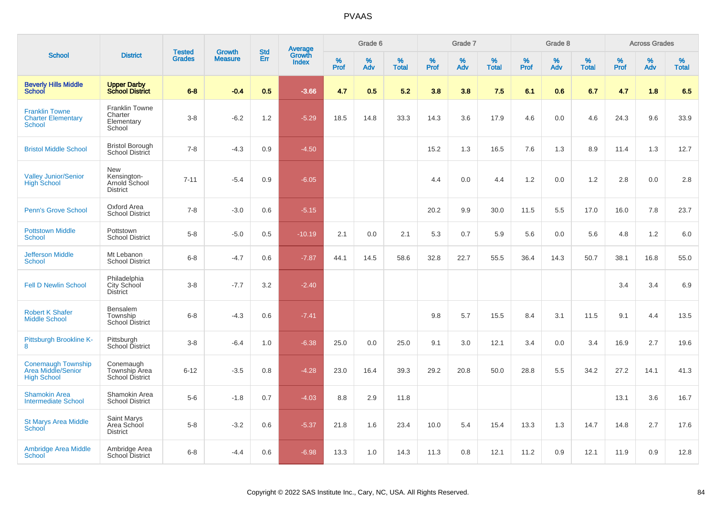|                                                                       |                                                          |                                |                                 | <b>Std</b> |                                          |                  | Grade 6  |                   |           | Grade 7  |                   |           | Grade 8  |                   |              | <b>Across Grades</b> |                   |
|-----------------------------------------------------------------------|----------------------------------------------------------|--------------------------------|---------------------------------|------------|------------------------------------------|------------------|----------|-------------------|-----------|----------|-------------------|-----------|----------|-------------------|--------------|----------------------|-------------------|
| <b>School</b>                                                         | <b>District</b>                                          | <b>Tested</b><br><b>Grades</b> | <b>Growth</b><br><b>Measure</b> | Err        | <b>Average</b><br>Growth<br><b>Index</b> | %<br><b>Prof</b> | %<br>Adv | %<br><b>Total</b> | %<br>Prof | %<br>Adv | %<br><b>Total</b> | %<br>Prof | %<br>Adv | %<br><b>Total</b> | $\%$<br>Prof | %<br>Adv             | %<br><b>Total</b> |
| <b>Beverly Hills Middle</b><br>School                                 | <b>Upper Darby</b><br><b>School District</b>             | $6 - 8$                        | $-0.4$                          | 0.5        | $-3.66$                                  | 4.7              | 0.5      | 5.2               | 3.8       | 3.8      | 7.5               | 6.1       | 0.6      | 6.7               | 4.7          | 1.8                  | 6.5               |
| <b>Franklin Towne</b><br><b>Charter Elementary</b><br><b>School</b>   | <b>Franklin Towne</b><br>Charter<br>Elementary<br>School | $3-8$                          | $-6.2$                          | $1.2$      | $-5.29$                                  | 18.5             | 14.8     | 33.3              | 14.3      | 3.6      | 17.9              | 4.6       | 0.0      | 4.6               | 24.3         | 9.6                  | 33.9              |
| <b>Bristol Middle School</b>                                          | <b>Bristol Borough</b><br>School District                | $7 - 8$                        | $-4.3$                          | 0.9        | $-4.50$                                  |                  |          |                   | 15.2      | 1.3      | 16.5              | 7.6       | 1.3      | 8.9               | 11.4         | 1.3                  | 12.7              |
| <b>Valley Junior/Senior</b><br><b>High School</b>                     | New<br>Kensington-<br>Arnold School<br><b>District</b>   | $7 - 11$                       | $-5.4$                          | 0.9        | $-6.05$                                  |                  |          |                   | 4.4       | 0.0      | 4.4               | 1.2       | 0.0      | 1.2               | 2.8          | 0.0                  | 2.8               |
| <b>Penn's Grove School</b>                                            | Oxford Area<br><b>School District</b>                    | $7 - 8$                        | $-3.0$                          | 0.6        | $-5.15$                                  |                  |          |                   | 20.2      | 9.9      | 30.0              | 11.5      | 5.5      | 17.0              | 16.0         | 7.8                  | 23.7              |
| <b>Pottstown Middle</b><br><b>School</b>                              | Pottstown<br><b>School District</b>                      | $5 - 8$                        | $-5.0$                          | 0.5        | $-10.19$                                 | 2.1              | 0.0      | 2.1               | 5.3       | 0.7      | 5.9               | 5.6       | 0.0      | 5.6               | 4.8          | 1.2                  | 6.0               |
| <b>Jefferson Middle</b><br><b>School</b>                              | Mt Lebanon<br><b>School District</b>                     | $6 - 8$                        | $-4.7$                          | 0.6        | $-7.87$                                  | 44.1             | 14.5     | 58.6              | 32.8      | 22.7     | 55.5              | 36.4      | 14.3     | 50.7              | 38.1         | 16.8                 | 55.0              |
| <b>Fell D Newlin School</b>                                           | Philadelphia<br>City School<br><b>District</b>           | $3-8$                          | $-7.7$                          | 3.2        | $-2.40$                                  |                  |          |                   |           |          |                   |           |          |                   | 3.4          | 3.4                  | 6.9               |
| <b>Robert K Shafer</b><br><b>Middle School</b>                        | Bensalem<br>Township<br><b>School District</b>           | $6-8$                          | $-4.3$                          | 0.6        | $-7.41$                                  |                  |          |                   | 9.8       | 5.7      | 15.5              | 8.4       | 3.1      | 11.5              | 9.1          | 4.4                  | 13.5              |
| Pittsburgh Brookline K-<br>8                                          | Pittsburgh<br>School District                            | $3 - 8$                        | $-6.4$                          | 1.0        | $-6.38$                                  | 25.0             | 0.0      | 25.0              | 9.1       | 3.0      | 12.1              | 3.4       | 0.0      | 3.4               | 16.9         | 2.7                  | 19.6              |
| <b>Conemaugh Township</b><br>Area Middle/Senior<br><b>High School</b> | Conemaugh<br>Township Area<br>School District            | $6 - 12$                       | $-3.5$                          | 0.8        | $-4.28$                                  | 23.0             | 16.4     | 39.3              | 29.2      | 20.8     | 50.0              | 28.8      | 5.5      | 34.2              | 27.2         | 14.1                 | 41.3              |
| <b>Shamokin Area</b><br><b>Intermediate School</b>                    | Shamokin Area<br><b>School District</b>                  | $5-6$                          | $-1.8$                          | 0.7        | $-4.03$                                  | 8.8              | 2.9      | 11.8              |           |          |                   |           |          |                   | 13.1         | 3.6                  | 16.7              |
| <b>St Marys Area Middle</b><br>School                                 | Saint Marys<br>Area School<br><b>District</b>            | $5-8$                          | $-3.2$                          | 0.6        | $-5.37$                                  | 21.8             | 1.6      | 23.4              | 10.0      | 5.4      | 15.4              | 13.3      | 1.3      | 14.7              | 14.8         | 2.7                  | 17.6              |
| <b>Ambridge Area Middle</b><br>School                                 | Ambridge Area<br><b>School District</b>                  | $6 - 8$                        | $-4.4$                          | 0.6        | $-6.98$                                  | 13.3             | 1.0      | 14.3              | 11.3      | 0.8      | 12.1              | 11.2      | 0.9      | 12.1              | 11.9         | 0.9                  | 12.8              |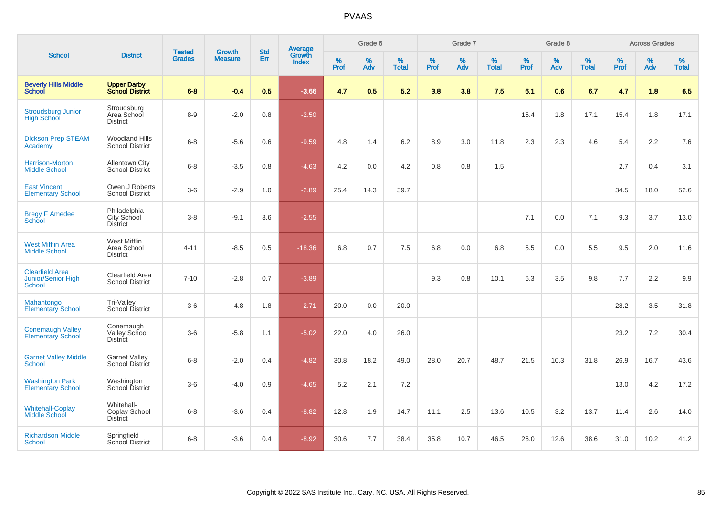| <b>School</b>                                          | <b>District</b>                                 | <b>Tested</b> | <b>Growth</b>  | <b>Std</b>    |                                          |                  | Grade 6  |                      |              | Grade 7  |                   |           | Grade 8  |                   |           | <b>Across Grades</b> |                   |
|--------------------------------------------------------|-------------------------------------------------|---------------|----------------|---------------|------------------------------------------|------------------|----------|----------------------|--------------|----------|-------------------|-----------|----------|-------------------|-----------|----------------------|-------------------|
|                                                        |                                                 | <b>Grades</b> | <b>Measure</b> | <b>Err</b>    | <b>Average</b><br>Growth<br><b>Index</b> | %<br><b>Prof</b> | %<br>Adv | $\%$<br><b>Total</b> | $\%$<br>Prof | %<br>Adv | %<br><b>Total</b> | %<br>Prof | %<br>Adv | %<br><b>Total</b> | %<br>Prof | $\%$<br>Adv          | %<br><b>Total</b> |
| <b>Beverly Hills Middle</b><br><b>School</b>           | <b>Upper Darby</b><br><b>School District</b>    | $6 - 8$       | $-0.4$         | 0.5           | $-3.66$                                  | 4.7              | 0.5      | 5.2                  | 3.8          | 3.8      | 7.5               | 6.1       | 0.6      | 6.7               | 4.7       | 1.8                  | 6.5               |
| <b>Stroudsburg Junior</b><br><b>High School</b>        | Stroudsburg<br>Area School<br><b>District</b>   | $8 - 9$       | $-2.0$         | 0.8           | $-2.50$                                  |                  |          |                      |              |          |                   | 15.4      | 1.8      | 17.1              | 15.4      | 1.8                  | 17.1              |
| <b>Dickson Prep STEAM</b><br>Academy                   | <b>Woodland Hills</b><br><b>School District</b> | $6 - 8$       | $-5.6$         | 0.6           | $-9.59$                                  | 4.8              | 1.4      | 6.2                  | 8.9          | 3.0      | 11.8              | 2.3       | 2.3      | 4.6               | 5.4       | 2.2                  | 7.6               |
| Harrison-Morton<br><b>Middle School</b>                | <b>Allentown City</b><br>School District        | $6 - 8$       | $-3.5$         | 0.8           | $-4.63$                                  | 4.2              | 0.0      | 4.2                  | 0.8          | 0.8      | 1.5               |           |          |                   | 2.7       | 0.4                  | 3.1               |
| <b>East Vincent</b><br><b>Elementary School</b>        | Owen J Roberts<br><b>School District</b>        | $3-6$         | $-2.9$         | 1.0           | $-2.89$                                  | 25.4             | 14.3     | 39.7                 |              |          |                   |           |          |                   | 34.5      | 18.0                 | 52.6              |
| <b>Bregy F Amedee</b><br><b>School</b>                 | Philadelphia<br>City School<br><b>District</b>  | $3-8$         | $-9.1$         | 3.6           | $-2.55$                                  |                  |          |                      |              |          |                   | 7.1       | 0.0      | 7.1               | 9.3       | 3.7                  | 13.0              |
| <b>West Mifflin Area</b><br><b>Middle School</b>       | West Mifflin<br>Area School<br><b>District</b>  | $4 - 11$      | $-8.5$         | 0.5           | $-18.36$                                 | 6.8              | 0.7      | 7.5                  | 6.8          | 0.0      | 6.8               | 5.5       | 0.0      | 5.5               | 9.5       | 2.0                  | 11.6              |
| <b>Clearfield Area</b><br>Junior/Senior High<br>School | Clearfield Area<br><b>School District</b>       | $7 - 10$      | $-2.8$         | 0.7           | $-3.89$                                  |                  |          |                      | 9.3          | 0.8      | 10.1              | 6.3       | 3.5      | 9.8               | 7.7       | 2.2                  | 9.9               |
| Mahantongo<br><b>Elementary School</b>                 | Tri-Valley<br>School District                   | $3-6$         | $-4.8$         | 1.8           | $-2.71$                                  | 20.0             | 0.0      | 20.0                 |              |          |                   |           |          |                   | 28.2      | 3.5                  | 31.8              |
| <b>Conemaugh Valley</b><br><b>Elementary School</b>    | Conemaugh<br>Valley School<br><b>District</b>   | $3-6$         | $-5.8$         | 1.1           | $-5.02$                                  | 22.0             | 4.0      | 26.0                 |              |          |                   |           |          |                   | 23.2      | 7.2                  | 30.4              |
| <b>Garnet Valley Middle</b><br>School                  | <b>Garnet Valley</b><br>School District         | $6 - 8$       | $-2.0$         | 0.4           | $-4.82$                                  | 30.8             | 18.2     | 49.0                 | 28.0         | 20.7     | 48.7              | 21.5      | 10.3     | 31.8              | 26.9      | 16.7                 | 43.6              |
| <b>Washington Park</b><br><b>Elementary School</b>     | Washington<br>School District                   | $3-6$         | $-4.0$         | 0.9           | $-4.65$                                  | 5.2              | 2.1      | 7.2                  |              |          |                   |           |          |                   | 13.0      | 4.2                  | 17.2              |
| <b>Whitehall-Coplay</b><br>Middle School               | Whitehall-<br>Coplay School<br><b>District</b>  | $6 - 8$       | $-3.6$         | 0.4           | $-8.82$                                  | 12.8             | 1.9      | 14.7                 | 11.1         | 2.5      | 13.6              | 10.5      | 3.2      | 13.7              | 11.4      | 2.6                  | 14.0              |
| <b>Richardson Middle</b><br><b>School</b>              | Springfield<br>School District                  | $6 - 8$       | $-3.6$         | $0.4^{\circ}$ | $-8.92$                                  | 30.6             | 7.7      | 38.4                 | 35.8         | 10.7     | 46.5              | 26.0      | 12.6     | 38.6              | 31.0      | 10.2                 | 41.2              |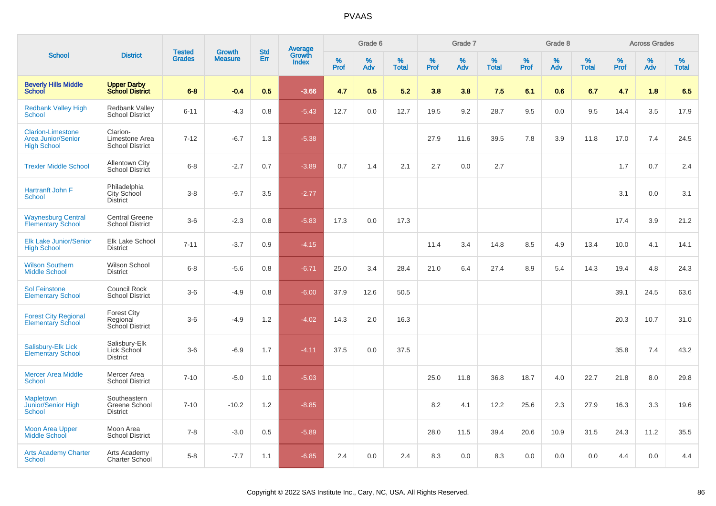| <b>School</b>                                                               | <b>Tested</b><br><b>District</b>                     |               | <b>Growth</b>  | <b>Std</b> | <b>Average</b><br>Growth |           | Grade 6  |                   |           | Grade 7  |                   |           | Grade 8  |                   |           | <b>Across Grades</b> |                   |
|-----------------------------------------------------------------------------|------------------------------------------------------|---------------|----------------|------------|--------------------------|-----------|----------|-------------------|-----------|----------|-------------------|-----------|----------|-------------------|-----------|----------------------|-------------------|
|                                                                             |                                                      | <b>Grades</b> | <b>Measure</b> | Err        | <b>Index</b>             | %<br>Prof | %<br>Adv | %<br><b>Total</b> | %<br>Prof | %<br>Adv | %<br><b>Total</b> | %<br>Prof | %<br>Adv | %<br><b>Total</b> | %<br>Prof | %<br>Adv             | %<br><b>Total</b> |
| <b>Beverly Hills Middle</b><br>School                                       | <b>Upper Darby</b><br><b>School District</b>         | $6 - 8$       | $-0.4$         | 0.5        | $-3.66$                  | 4.7       | 0.5      | 5.2               | 3.8       | 3.8      | 7.5               | 6.1       | 0.6      | 6.7               | 4.7       | 1.8                  | 6.5               |
| <b>Redbank Valley High</b><br><b>School</b>                                 | <b>Redbank Valley</b><br><b>School District</b>      | $6 - 11$      | $-4.3$         | 0.8        | $-5.43$                  | 12.7      | 0.0      | 12.7              | 19.5      | 9.2      | 28.7              | 9.5       | 0.0      | 9.5               | 14.4      | 3.5                  | 17.9              |
| <b>Clarion-Limestone</b><br><b>Area Junior/Senior</b><br><b>High School</b> | Clarion-<br>Limestone Area<br><b>School District</b> | $7 - 12$      | $-6.7$         | 1.3        | $-5.38$                  |           |          |                   | 27.9      | 11.6     | 39.5              | 7.8       | 3.9      | 11.8              | 17.0      | 7.4                  | 24.5              |
| <b>Trexler Middle School</b>                                                | <b>Allentown City</b><br><b>School District</b>      | $6 - 8$       | $-2.7$         | 0.7        | $-3.89$                  | 0.7       | 1.4      | 2.1               | 2.7       | 0.0      | 2.7               |           |          |                   | 1.7       | 0.7                  | 2.4               |
| Hartranft John F<br>School                                                  | Philadelphia<br>City School<br><b>District</b>       | $3 - 8$       | $-9.7$         | 3.5        | $-2.77$                  |           |          |                   |           |          |                   |           |          |                   | 3.1       | 0.0                  | 3.1               |
| <b>Waynesburg Central</b><br><b>Elementary School</b>                       | <b>Central Greene</b><br><b>School District</b>      | $3-6$         | $-2.3$         | 0.8        | $-5.83$                  | 17.3      | 0.0      | 17.3              |           |          |                   |           |          |                   | 17.4      | 3.9                  | 21.2              |
| <b>Elk Lake Junior/Senior</b><br><b>High School</b>                         | <b>Elk Lake School</b><br><b>District</b>            | $7 - 11$      | $-3.7$         | 0.9        | $-4.15$                  |           |          |                   | 11.4      | 3.4      | 14.8              | 8.5       | 4.9      | 13.4              | 10.0      | 4.1                  | 14.1              |
| <b>Wilson Southern</b><br><b>Middle School</b>                              | Wilson School<br><b>District</b>                     | $6 - 8$       | $-5.6$         | 0.8        | $-6.71$                  | 25.0      | 3.4      | 28.4              | 21.0      | 6.4      | 27.4              | 8.9       | 5.4      | 14.3              | 19.4      | 4.8                  | 24.3              |
| <b>Sol Feinstone</b><br><b>Elementary School</b>                            | <b>Council Rock</b><br><b>School District</b>        | $3-6$         | $-4.9$         | 0.8        | $-6.00$                  | 37.9      | 12.6     | 50.5              |           |          |                   |           |          |                   | 39.1      | 24.5                 | 63.6              |
| <b>Forest City Regional</b><br><b>Elementary School</b>                     | <b>Forest City</b><br>Regional<br>School District    | $3-6$         | $-4.9$         | 1.2        | $-4.02$                  | 14.3      | 2.0      | 16.3              |           |          |                   |           |          |                   | 20.3      | 10.7                 | 31.0              |
| Salisbury-Elk Lick<br><b>Elementary School</b>                              | Salisbury-Elk<br>Lick School<br><b>District</b>      | $3-6$         | $-6.9$         | 1.7        | $-4.11$                  | 37.5      | 0.0      | 37.5              |           |          |                   |           |          |                   | 35.8      | 7.4                  | 43.2              |
| <b>Mercer Area Middle</b><br>School                                         | Mercer Area<br><b>School District</b>                | $7 - 10$      | $-5.0$         | 1.0        | $-5.03$                  |           |          |                   | 25.0      | 11.8     | 36.8              | 18.7      | 4.0      | 22.7              | 21.8      | 8.0                  | 29.8              |
| <b>Mapletown</b><br>Junior/Senior High<br><b>School</b>                     | Southeastern<br>Greene School<br><b>District</b>     | $7 - 10$      | $-10.2$        | 1.2        | $-8.85$                  |           |          |                   | 8.2       | 4.1      | 12.2              | 25.6      | 2.3      | 27.9              | 16.3      | 3.3                  | 19.6              |
| <b>Moon Area Upper</b><br><b>Middle School</b>                              | Moon Area<br><b>School District</b>                  | $7 - 8$       | $-3.0$         | 0.5        | $-5.89$                  |           |          |                   | 28.0      | 11.5     | 39.4              | 20.6      | 10.9     | 31.5              | 24.3      | 11.2                 | 35.5              |
| <b>Arts Academy Charter</b><br>School                                       | Arts Academy<br>Charter School                       | $5-8$         | $-7.7$         | 1.1        | $-6.85$                  | 2.4       | 0.0      | 2.4               | 8.3       | 0.0      | 8.3               | 0.0       | 0.0      | 0.0               | 4.4       | 0.0                  | 4.4               |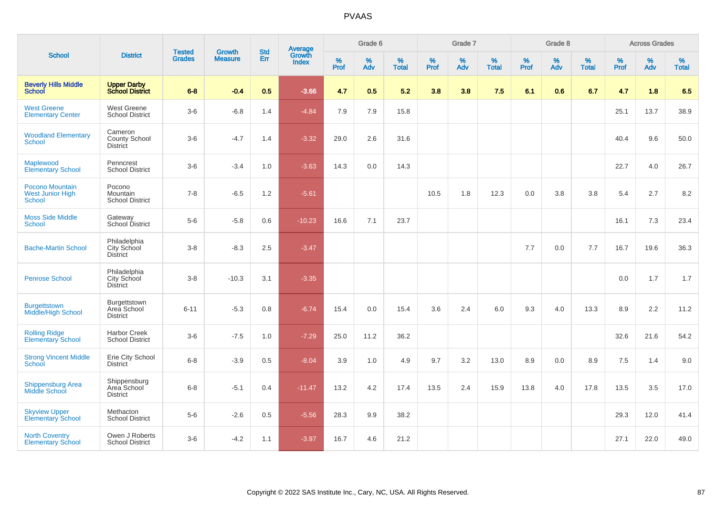| <b>School</b>                                               | <b>District</b>                                       | <b>Tested</b> | <b>Growth</b>  | <b>Std</b> |                                          |                  | Grade 6     |                   |              | Grade 7     |                   |                     | Grade 8  |                   |           | <b>Across Grades</b> |                   |
|-------------------------------------------------------------|-------------------------------------------------------|---------------|----------------|------------|------------------------------------------|------------------|-------------|-------------------|--------------|-------------|-------------------|---------------------|----------|-------------------|-----------|----------------------|-------------------|
|                                                             |                                                       | <b>Grades</b> | <b>Measure</b> | Err        | <b>Average</b><br>Growth<br><b>Index</b> | %<br><b>Prof</b> | $\%$<br>Adv | %<br><b>Total</b> | $\%$<br>Prof | $\%$<br>Adv | %<br><b>Total</b> | $\%$<br><b>Prof</b> | %<br>Adv | %<br><b>Total</b> | %<br>Prof | %<br>Adv             | %<br><b>Total</b> |
| <b>Beverly Hills Middle</b><br><b>School</b>                | <b>Upper Darby</b><br><b>School District</b>          | $6 - 8$       | $-0.4$         | 0.5        | $-3.66$                                  | 4.7              | 0.5         | 5.2               | 3.8          | 3.8         | 7.5               | 6.1                 | 0.6      | 6.7               | 4.7       | 1.8                  | 6.5               |
| <b>West Greene</b><br><b>Elementary Center</b>              | West Greene<br><b>School District</b>                 | $3-6$         | $-6.8$         | 1.4        | $-4.84$                                  | 7.9              | 7.9         | 15.8              |              |             |                   |                     |          |                   | 25.1      | 13.7                 | 38.9              |
| <b>Woodland Elementary</b><br><b>School</b>                 | Cameron<br>County School<br><b>District</b>           | $3-6$         | $-4.7$         | 1.4        | $-3.32$                                  | 29.0             | 2.6         | 31.6              |              |             |                   |                     |          |                   | 40.4      | 9.6                  | 50.0              |
| Maplewood<br><b>Elementary School</b>                       | Penncrest<br><b>School District</b>                   | $3-6$         | $-3.4$         | 1.0        | $-3.63$                                  | 14.3             | 0.0         | 14.3              |              |             |                   |                     |          |                   | 22.7      | 4.0                  | 26.7              |
| Pocono Mountain<br><b>West Junior High</b><br><b>School</b> | Pocono<br>Mountain<br><b>School District</b>          | $7 - 8$       | $-6.5$         | 1.2        | $-5.61$                                  |                  |             |                   | 10.5         | 1.8         | 12.3              | 0.0                 | 3.8      | 3.8               | 5.4       | 2.7                  | 8.2               |
| <b>Moss Side Middle</b><br><b>School</b>                    | Gateway<br>School District                            | $5-6$         | $-5.8$         | 0.6        | $-10.23$                                 | 16.6             | 7.1         | 23.7              |              |             |                   |                     |          |                   | 16.1      | 7.3                  | 23.4              |
| <b>Bache-Martin School</b>                                  | Philadelphia<br>City School<br><b>District</b>        | $3 - 8$       | $-8.3$         | 2.5        | $-3.47$                                  |                  |             |                   |              |             |                   | 7.7                 | 0.0      | 7.7               | 16.7      | 19.6                 | 36.3              |
| <b>Penrose School</b>                                       | Philadelphia<br><b>City School</b><br><b>District</b> | $3-8$         | $-10.3$        | 3.1        | $-3.35$                                  |                  |             |                   |              |             |                   |                     |          |                   | 0.0       | 1.7                  | 1.7               |
| <b>Burgettstown</b><br>Middle/High School                   | Burgettstown<br>Area School<br><b>District</b>        | $6 - 11$      | $-5.3$         | 0.8        | $-6.74$                                  | 15.4             | 0.0         | 15.4              | 3.6          | 2.4         | 6.0               | 9.3                 | 4.0      | 13.3              | 8.9       | 2.2                  | 11.2              |
| <b>Rolling Ridge</b><br><b>Elementary School</b>            | <b>Harbor Creek</b><br><b>School District</b>         | $3-6$         | $-7.5$         | 1.0        | $-7.29$                                  | 25.0             | 11.2        | 36.2              |              |             |                   |                     |          |                   | 32.6      | 21.6                 | 54.2              |
| <b>Strong Vincent Middle</b><br>School                      | Erie City School<br><b>District</b>                   | $6 - 8$       | $-3.9$         | 0.5        | $-8.04$                                  | 3.9              | 1.0         | 4.9               | 9.7          | 3.2         | 13.0              | 8.9                 | 0.0      | 8.9               | 7.5       | 1.4                  | 9.0               |
| <b>Shippensburg Area</b><br><b>Middle School</b>            | Shippensburg<br>Area School<br><b>District</b>        | $6 - 8$       | $-5.1$         | 0.4        | $-11.47$                                 | 13.2             | 4.2         | 17.4              | 13.5         | 2.4         | 15.9              | 13.8                | 4.0      | 17.8              | 13.5      | 3.5                  | 17.0              |
| <b>Skyview Upper</b><br>Elementary School                   | Methacton<br><b>School District</b>                   | $5-6$         | $-2.6$         | 0.5        | $-5.56$                                  | 28.3             | 9.9         | 38.2              |              |             |                   |                     |          |                   | 29.3      | 12.0                 | 41.4              |
| <b>North Coventry</b><br><b>Elementary School</b>           | Owen J Roberts<br><b>School District</b>              | $3-6$         | $-4.2$         | 1.1        | $-3.97$                                  | 16.7             | 4.6         | 21.2              |              |             |                   |                     |          |                   | 27.1      | 22.0                 | 49.0              |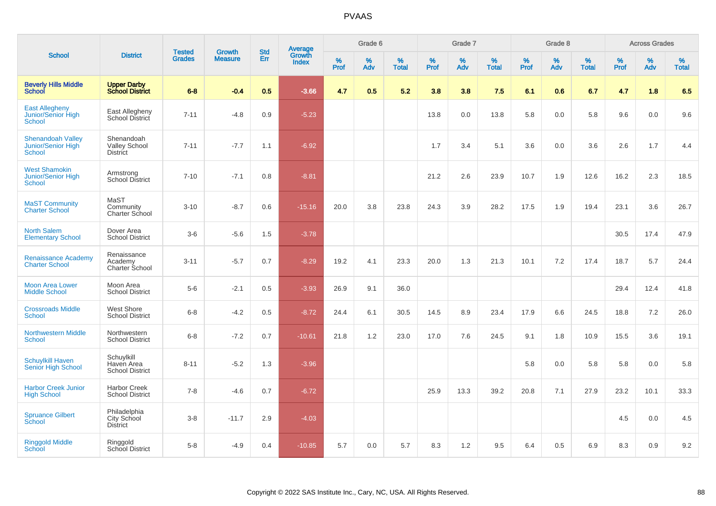| <b>School</b>                                            |                                                       |                                | <b>Growth</b>  | <b>Std</b> |                                          |                  | Grade 6     |                   |              | Grade 7     |                      |              | Grade 8  |                   |              | <b>Across Grades</b> |                      |
|----------------------------------------------------------|-------------------------------------------------------|--------------------------------|----------------|------------|------------------------------------------|------------------|-------------|-------------------|--------------|-------------|----------------------|--------------|----------|-------------------|--------------|----------------------|----------------------|
|                                                          | <b>District</b>                                       | <b>Tested</b><br><b>Grades</b> | <b>Measure</b> | Err        | <b>Average</b><br>Growth<br><b>Index</b> | %<br><b>Prof</b> | $\%$<br>Adv | %<br><b>Total</b> | $\%$<br>Prof | $\%$<br>Adv | $\%$<br><b>Total</b> | $\%$<br>Prof | %<br>Adv | %<br><b>Total</b> | $\%$<br>Prof | $\%$<br>Adv          | $\%$<br><b>Total</b> |
| <b>Beverly Hills Middle</b><br><b>School</b>             | <b>Upper Darby</b><br><b>School District</b>          | $6-8$                          | $-0.4$         | 0.5        | $-3.66$                                  | 4.7              | 0.5         | 5.2               | 3.8          | 3.8         | 7.5                  | 6.1          | 0.6      | 6.7               | 4.7          | 1.8                  | 6.5                  |
| <b>East Allegheny</b><br>Junior/Senior High<br>School    | East Allegheny<br>School District                     | $7 - 11$                       | $-4.8$         | 0.9        | $-5.23$                                  |                  |             |                   | 13.8         | 0.0         | 13.8                 | 5.8          | 0.0      | 5.8               | 9.6          | 0.0                  | 9.6                  |
| <b>Shenandoah Valley</b><br>Junior/Senior High<br>School | Shenandoah<br><b>Valley School</b><br><b>District</b> | $7 - 11$                       | $-7.7$         | 1.1        | $-6.92$                                  |                  |             |                   | 1.7          | 3.4         | 5.1                  | 3.6          | 0.0      | 3.6               | 2.6          | 1.7                  | 4.4                  |
| <b>West Shamokin</b><br>Junior/Senior High<br>School     | Armstrong<br><b>School District</b>                   | $7 - 10$                       | $-7.1$         | 0.8        | $-8.81$                                  |                  |             |                   | 21.2         | 2.6         | 23.9                 | 10.7         | 1.9      | 12.6              | 16.2         | 2.3                  | 18.5                 |
| <b>MaST Community</b><br><b>Charter School</b>           | MaST<br>Community<br>Charter School                   | $3 - 10$                       | $-8.7$         | 0.6        | $-15.16$                                 | 20.0             | 3.8         | 23.8              | 24.3         | 3.9         | 28.2                 | 17.5         | 1.9      | 19.4              | 23.1         | 3.6                  | 26.7                 |
| <b>North Salem</b><br><b>Elementary School</b>           | Dover Area<br><b>School District</b>                  | $3-6$                          | $-5.6$         | 1.5        | $-3.78$                                  |                  |             |                   |              |             |                      |              |          |                   | 30.5         | 17.4                 | 47.9                 |
| <b>Renaissance Academy</b><br><b>Charter School</b>      | Renaissance<br>Academy<br>Charter School              | $3 - 11$                       | $-5.7$         | 0.7        | $-8.29$                                  | 19.2             | 4.1         | 23.3              | 20.0         | 1.3         | 21.3                 | 10.1         | 7.2      | 17.4              | 18.7         | 5.7                  | 24.4                 |
| <b>Moon Area Lower</b><br><b>Middle School</b>           | Moon Area<br><b>School District</b>                   | $5-6$                          | $-2.1$         | 0.5        | $-3.93$                                  | 26.9             | 9.1         | 36.0              |              |             |                      |              |          |                   | 29.4         | 12.4                 | 41.8                 |
| <b>Crossroads Middle</b><br><b>School</b>                | West Shore<br><b>School District</b>                  | $6 - 8$                        | $-4.2$         | 0.5        | $-8.72$                                  | 24.4             | 6.1         | 30.5              | 14.5         | 8.9         | 23.4                 | 17.9         | 6.6      | 24.5              | 18.8         | 7.2                  | 26.0                 |
| <b>Northwestern Middle</b><br><b>School</b>              | Northwestern<br><b>School District</b>                | $6 - 8$                        | $-7.2$         | 0.7        | $-10.61$                                 | 21.8             | 1.2         | 23.0              | 17.0         | 7.6         | 24.5                 | 9.1          | 1.8      | 10.9              | 15.5         | 3.6                  | 19.1                 |
| <b>Schuylkill Haven</b><br>Senior High School            | Schuylkill<br>Haven Area<br><b>School District</b>    | $8 - 11$                       | $-5.2$         | 1.3        | $-3.96$                                  |                  |             |                   |              |             |                      | 5.8          | 0.0      | 5.8               | 5.8          | 0.0                  | 5.8                  |
| <b>Harbor Creek Junior</b><br><b>High School</b>         | <b>Harbor Creek</b><br><b>School District</b>         | $7 - 8$                        | $-4.6$         | 0.7        | $-6.72$                                  |                  |             |                   | 25.9         | 13.3        | 39.2                 | 20.8         | 7.1      | 27.9              | 23.2         | 10.1                 | 33.3                 |
| <b>Spruance Gilbert</b><br>School                        | Philadelphia<br>City School<br><b>District</b>        | $3-8$                          | $-11.7$        | 2.9        | $-4.03$                                  |                  |             |                   |              |             |                      |              |          |                   | 4.5          | 0.0                  | 4.5                  |
| <b>Ringgold Middle</b><br>School                         | Ringgold<br>School District                           | $5-8$                          | $-4.9$         | 0.4        | $-10.85$                                 | 5.7              | 0.0         | 5.7               | 8.3          | 1.2         | 9.5                  | 6.4          | 0.5      | 6.9               | 8.3          | 0.9                  | 9.2                  |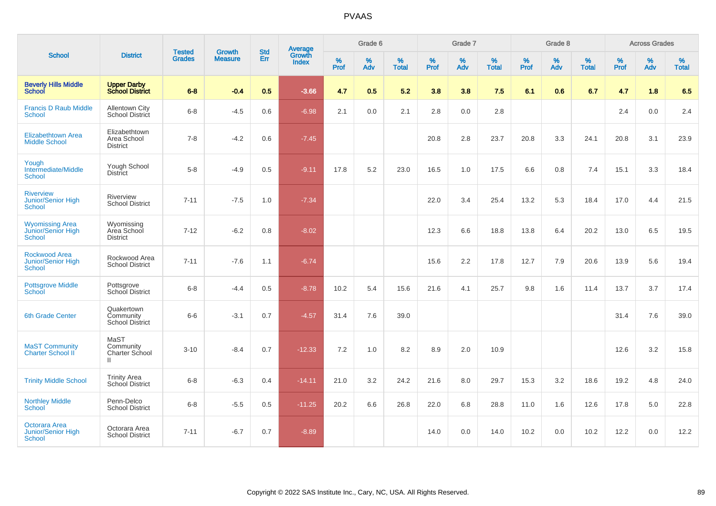|                                                                    | <b>District</b>                                     | <b>Tested</b> | <b>Growth</b>  | <b>Std</b>    | <b>Average</b><br>Growth |                  | Grade 6  |                   |           | Grade 7  |                   |                  | Grade 8  |                   |           | <b>Across Grades</b> |                   |
|--------------------------------------------------------------------|-----------------------------------------------------|---------------|----------------|---------------|--------------------------|------------------|----------|-------------------|-----------|----------|-------------------|------------------|----------|-------------------|-----------|----------------------|-------------------|
| <b>School</b>                                                      |                                                     | <b>Grades</b> | <b>Measure</b> | Err           | <b>Index</b>             | %<br><b>Prof</b> | %<br>Adv | %<br><b>Total</b> | %<br>Prof | %<br>Adv | %<br><b>Total</b> | %<br><b>Prof</b> | %<br>Adv | %<br><b>Total</b> | %<br>Prof | %<br>Adv             | %<br><b>Total</b> |
| <b>Beverly Hills Middle</b><br><b>School</b>                       | <b>Upper Darby</b><br><b>School District</b>        | $6 - 8$       | $-0.4$         | 0.5           | $-3.66$                  | 4.7              | 0.5      | 5.2               | 3.8       | 3.8      | 7.5               | 6.1              | 0.6      | 6.7               | 4.7       | 1.8                  | 6.5               |
| <b>Francis D Raub Middle</b><br>School                             | <b>Allentown City</b><br>School District            | $6 - 8$       | $-4.5$         | 0.6           | $-6.98$                  | 2.1              | 0.0      | 2.1               | 2.8       | 0.0      | 2.8               |                  |          |                   | 2.4       | 0.0                  | 2.4               |
| <b>Elizabethtown Area</b><br><b>Middle School</b>                  | Elizabethtown<br>Area School<br><b>District</b>     | $7 - 8$       | $-4.2$         | 0.6           | $-7.45$                  |                  |          |                   | 20.8      | 2.8      | 23.7              | 20.8             | 3.3      | 24.1              | 20.8      | 3.1                  | 23.9              |
| Yough<br>Intermediate/Middle<br>School                             | Yough School<br><b>District</b>                     | $5-8$         | $-4.9$         | 0.5           | $-9.11$                  | 17.8             | 5.2      | 23.0              | 16.5      | 1.0      | 17.5              | 6.6              | 0.8      | 7.4               | 15.1      | 3.3                  | 18.4              |
| <b>Riverview</b><br>Junior/Senior High<br>School                   | Riverview<br><b>School District</b>                 | $7 - 11$      | $-7.5$         | 1.0           | $-7.34$                  |                  |          |                   | 22.0      | 3.4      | 25.4              | 13.2             | 5.3      | 18.4              | 17.0      | 4.4                  | 21.5              |
| <b>Wyomissing Area</b><br>Junior/Senior High<br><b>School</b>      | Wyomissing<br>Area School<br><b>District</b>        | $7 - 12$      | $-6.2$         | 0.8           | $-8.02$                  |                  |          |                   | 12.3      | 6.6      | 18.8              | 13.8             | 6.4      | 20.2              | 13.0      | 6.5                  | 19.5              |
| <b>Rockwood Area</b><br><b>Junior/Senior High</b><br><b>School</b> | Rockwood Area<br><b>School District</b>             | $7 - 11$      | $-7.6$         | 1.1           | $-6.74$                  |                  |          |                   | 15.6      | 2.2      | 17.8              | 12.7             | 7.9      | 20.6              | 13.9      | 5.6                  | 19.4              |
| <b>Pottsgrove Middle</b><br>School                                 | Pottsgrove<br>School District                       | $6 - 8$       | $-4.4$         | 0.5           | $-8.78$                  | 10.2             | 5.4      | 15.6              | 21.6      | 4.1      | 25.7              | 9.8              | 1.6      | 11.4              | 13.7      | 3.7                  | 17.4              |
| <b>6th Grade Center</b>                                            | Quakertown<br>Community<br>School District          | $6-6$         | $-3.1$         | 0.7           | $-4.57$                  | 31.4             | 7.6      | 39.0              |           |          |                   |                  |          |                   | 31.4      | 7.6                  | 39.0              |
| <b>MaST Community</b><br>Charter School II                         | MaST<br>Community<br>Charter School<br>$\mathbf{H}$ | $3 - 10$      | $-8.4$         | 0.7           | $-12.33$                 | 7.2              | 1.0      | 8.2               | 8.9       | 2.0      | 10.9              |                  |          |                   | 12.6      | 3.2                  | 15.8              |
| <b>Trinity Middle School</b>                                       | <b>Trinity Area</b><br>School District              | $6 - 8$       | $-6.3$         | $0.4^{\circ}$ | $-14.11$                 | 21.0             | 3.2      | 24.2              | 21.6      | 8.0      | 29.7              | 15.3             | 3.2      | 18.6              | 19.2      | 4.8                  | 24.0              |
| <b>Northley Middle</b><br><b>School</b>                            | Penn-Delco<br><b>School District</b>                | $6 - 8$       | $-5.5$         | 0.5           | $-11.25$                 | 20.2             | 6.6      | 26.8              | 22.0      | 6.8      | 28.8              | 11.0             | 1.6      | 12.6              | 17.8      | 5.0                  | 22.8              |
| <b>Octorara Area</b><br>Junior/Senior High<br><b>School</b>        | Octorara Area<br><b>School District</b>             | $7 - 11$      | $-6.7$         | 0.7           | $-8.89$                  |                  |          |                   | 14.0      | 0.0      | 14.0              | 10.2             | 0.0      | 10.2              | 12.2      | 0.0                  | 12.2              |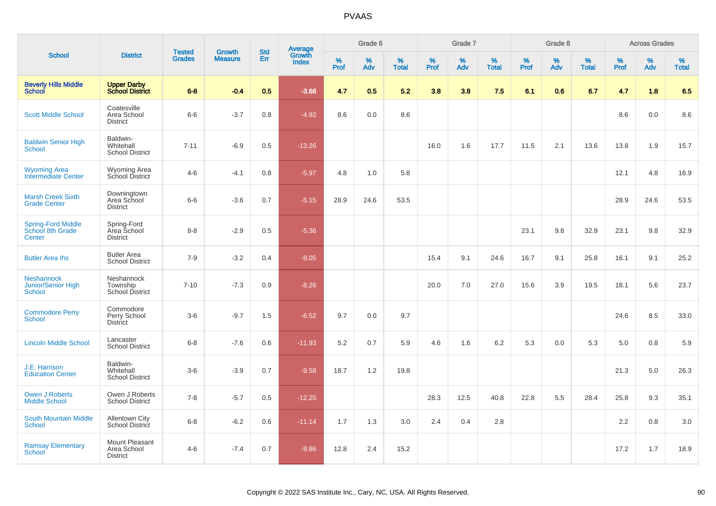| <b>School</b>                                            | <b>Tested</b><br><b>District</b>                 |               | <b>Growth</b>  | <b>Std</b> |                                          |                     | Grade 6     |                   |              | Grade 7     |                   |              | Grade 8  |                   |                     | <b>Across Grades</b> |                   |
|----------------------------------------------------------|--------------------------------------------------|---------------|----------------|------------|------------------------------------------|---------------------|-------------|-------------------|--------------|-------------|-------------------|--------------|----------|-------------------|---------------------|----------------------|-------------------|
|                                                          |                                                  | <b>Grades</b> | <b>Measure</b> | Err        | <b>Average</b><br>Growth<br><b>Index</b> | $\%$<br><b>Prof</b> | $\%$<br>Adv | %<br><b>Total</b> | $\%$<br>Prof | $\%$<br>Adv | %<br><b>Total</b> | $\%$<br>Prof | %<br>Adv | %<br><b>Total</b> | $\%$<br><b>Prof</b> | $\%$<br>Adv          | %<br><b>Total</b> |
| <b>Beverly Hills Middle</b><br><b>School</b>             | <b>Upper Darby<br/>School District</b>           | $6 - 8$       | $-0.4$         | 0.5        | $-3.66$                                  | 4.7                 | 0.5         | 5.2               | 3.8          | 3.8         | 7.5               | 6.1          | 0.6      | 6.7               | 4.7                 | 1.8                  | 6.5               |
| <b>Scott Middle School</b>                               | Coatesville<br>Area School<br><b>District</b>    | $6-6$         | $-3.7$         | 0.8        | $-4.92$                                  | 8.6                 | 0.0         | 8.6               |              |             |                   |              |          |                   | 8.6                 | 0.0                  | 8.6               |
| <b>Baldwin Senior High</b><br>School                     | Baldwin-<br>Whitehall<br><b>School District</b>  | $7 - 11$      | $-6.9$         | 0.5        | $-13.26$                                 |                     |             |                   | 16.0         | 1.6         | 17.7              | 11.5         | 2.1      | 13.6              | 13.8                | 1.9                  | 15.7              |
| <b>Wyoming Area</b><br>Intermediate Center               | <b>Wyoming Area</b><br>School District           | $4 - 6$       | $-4.1$         | 0.8        | $-5.97$                                  | 4.8                 | 1.0         | 5.8               |              |             |                   |              |          |                   | 12.1                | 4.8                  | 16.9              |
| <b>Marsh Creek Sixth</b><br><b>Grade Center</b>          | Downingtown<br>Area School<br><b>District</b>    | $6-6$         | $-3.6$         | 0.7        | $-5.15$                                  | 28.9                | 24.6        | 53.5              |              |             |                   |              |          |                   | 28.9                | 24.6                 | 53.5              |
| <b>Spring-Ford Middle</b><br>School 8th Grade<br>Center  | Spring-Ford<br>Area School<br><b>District</b>    | $8 - 8$       | $-2.9$         | 0.5        | $-5.36$                                  |                     |             |                   |              |             |                   | 23.1         | 9.8      | 32.9              | 23.1                | 9.8                  | 32.9              |
| <b>Butler Area Ihs</b>                                   | <b>Butler Area</b><br><b>School District</b>     | $7 - 9$       | $-3.2$         | 0.4        | $-8.05$                                  |                     |             |                   | 15.4         | 9.1         | 24.6              | 16.7         | 9.1      | 25.8              | 16.1                | 9.1                  | 25.2              |
| <b>Neshannock</b><br>Junior/Senior High<br><b>School</b> | Neshannock<br>Township<br><b>School District</b> | $7 - 10$      | $-7.3$         | 0.9        | $-8.26$                                  |                     |             |                   | 20.0         | 7.0         | 27.0              | 15.6         | 3.9      | 19.5              | 18.1                | 5.6                  | 23.7              |
| <b>Commodore Perry</b><br><b>School</b>                  | Commodore<br>Perry School<br><b>District</b>     | $3-6$         | $-9.7$         | 1.5        | $-6.52$                                  | 9.7                 | 0.0         | 9.7               |              |             |                   |              |          |                   | 24.6                | 8.5                  | 33.0              |
| <b>Lincoln Middle School</b>                             | Lancaster<br><b>School District</b>              | $6 - 8$       | $-7.6$         | 0.6        | $-11.93$                                 | 5.2                 | 0.7         | 5.9               | 4.6          | 1.6         | 6.2               | 5.3          | 0.0      | 5.3               | 5.0                 | 0.8                  | 5.9               |
| J.E. Harrison<br><b>Education Center</b>                 | Baldwin-<br>Whitehall<br><b>School District</b>  | $3-6$         | $-3.9$         | 0.7        | $-9.58$                                  | 18.7                | 1.2         | 19.8              |              |             |                   |              |          |                   | 21.3                | 5.0                  | 26.3              |
| <b>Owen J Roberts</b><br><b>Middle School</b>            | Owen J Roberts<br><b>School District</b>         | $7 - 8$       | $-5.7$         | 0.5        | $-12.25$                                 |                     |             |                   | 28.3         | 12.5        | 40.8              | 22.8         | 5.5      | 28.4              | 25.8                | 9.3                  | 35.1              |
| <b>South Mountain Middle</b><br>School                   | <b>Allentown City</b><br><b>School District</b>  | $6 - 8$       | $-6.2$         | 0.6        | $-11.14$                                 | 1.7                 | 1.3         | 3.0               | 2.4          | 0.4         | 2.8               |              |          |                   | 2.2                 | 0.8                  | 3.0               |
| <b>Ramsay Elementary</b><br>School                       | Mount Pleasant<br>Area School<br><b>District</b> | $4 - 6$       | $-7.4$         | 0.7        | $-9.86$                                  | 12.8                | 2.4         | 15.2              |              |             |                   |              |          |                   | 17.2                | 1.7                  | 18.9              |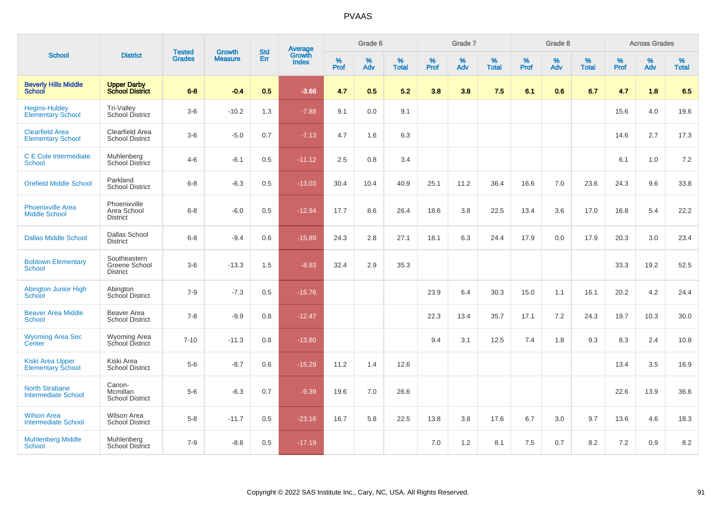| <b>School</b>                                       | <b>District</b>                                  | <b>Tested</b> |                                 | <b>Std</b> |                                          |           | Grade 6  |                   |           | Grade 7  |                   |           | Grade 8  |                   |              | <b>Across Grades</b> |                   |
|-----------------------------------------------------|--------------------------------------------------|---------------|---------------------------------|------------|------------------------------------------|-----------|----------|-------------------|-----------|----------|-------------------|-----------|----------|-------------------|--------------|----------------------|-------------------|
|                                                     |                                                  | <b>Grades</b> | <b>Growth</b><br><b>Measure</b> | Err        | <b>Average</b><br>Growth<br><b>Index</b> | %<br>Prof | %<br>Adv | %<br><b>Total</b> | %<br>Prof | %<br>Adv | %<br><b>Total</b> | %<br>Prof | %<br>Adv | %<br><b>Total</b> | $\%$<br>Prof | $\%$<br>Adv          | %<br><b>Total</b> |
| <b>Beverly Hills Middle</b><br><b>School</b>        | <b>Upper Darby</b><br><b>School District</b>     | $6 - 8$       | $-0.4$                          | 0.5        | $-3.66$                                  | 4.7       | 0.5      | 5.2               | 3.8       | 3.8      | 7.5               | 6.1       | 0.6      | 6.7               | 4.7          | 1.8                  | 6.5               |
| <b>Hegins-Hubley</b><br><b>Elementary School</b>    | Tri-Valley<br>School District                    | $3-6$         | $-10.2$                         | 1.3        | $-7.88$                                  | 9.1       | 0.0      | 9.1               |           |          |                   |           |          |                   | 15.6         | 4.0                  | 19.6              |
| <b>Clearfield Area</b><br><b>Elementary School</b>  | Clearfield Area<br><b>School District</b>        | $3-6$         | $-5.0$                          | 0.7        | $-7.13$                                  | 4.7       | 1.6      | 6.3               |           |          |                   |           |          |                   | 14.6         | 2.7                  | 17.3              |
| C E Cole Intermediate<br><b>School</b>              | Muhlenberg<br>School District                    | $4 - 6$       | $-6.1$                          | 0.5        | $-11.12$                                 | 2.5       | 0.8      | 3.4               |           |          |                   |           |          |                   | 6.1          | 1.0                  | 7.2               |
| <b>Orefield Middle School</b>                       | Parkland<br><b>School District</b>               | $6 - 8$       | $-6.3$                          | 0.5        | $-13.03$                                 | 30.4      | 10.4     | 40.9              | 25.1      | 11.2     | 36.4              | 16.6      | 7.0      | 23.6              | 24.3         | 9.6                  | 33.8              |
| <b>Phoenixville Area</b><br><b>Middle School</b>    | Phoenixville<br>Area School<br><b>District</b>   | $6 - 8$       | $-6.0$                          | 0.5        | $-12.94$                                 | 17.7      | 8.6      | 26.4              | 18.6      | 3.8      | 22.5              | 13.4      | 3.6      | 17.0              | 16.8         | 5.4                  | 22.2              |
| <b>Dallas Middle School</b>                         | Dallas School<br><b>District</b>                 | $6 - 8$       | $-9.4$                          | 0.6        | $-15.89$                                 | 24.3      | 2.8      | 27.1              | 18.1      | 6.3      | 24.4              | 17.9      | 0.0      | 17.9              | 20.3         | 3.0                  | 23.4              |
| <b>Bobtown Elementary</b><br><b>School</b>          | Southeastern<br>Greene School<br><b>District</b> | $3-6$         | $-13.3$                         | 1.5        | $-8.93$                                  | 32.4      | 2.9      | 35.3              |           |          |                   |           |          |                   | 33.3         | 19.2                 | 52.5              |
| <b>Abington Junior High</b><br>School               | Abington<br>School District                      | $7 - 9$       | $-7.3$                          | 0.5        | $-15.76$                                 |           |          |                   | 23.9      | 6.4      | 30.3              | 15.0      | 1.1      | 16.1              | 20.2         | 4.2                  | 24.4              |
| <b>Beaver Area Middle</b><br><b>School</b>          | Beaver Area<br><b>School District</b>            | $7 - 8$       | $-9.9$                          | 0.8        | $-12.47$                                 |           |          |                   | 22.3      | 13.4     | 35.7              | 17.1      | 7.2      | 24.3              | 19.7         | 10.3                 | 30.0              |
| <b>Wyoming Area Sec</b><br>Center                   | Wyoming Area<br>School District                  | $7 - 10$      | $-11.3$                         | 0.8        | $-13.80$                                 |           |          |                   | 9.4       | 3.1      | 12.5              | 7.4       | 1.8      | 9.3               | 8.3          | 2.4                  | 10.8              |
| <b>Kiski Area Upper</b><br><b>Elementary School</b> | Kiski Area<br><b>School District</b>             | $5-6$         | $-8.7$                          | 0.6        | $-15.29$                                 | 11.2      | 1.4      | 12.6              |           |          |                   |           |          |                   | 13.4         | 3.5                  | 16.9              |
| <b>North Strabane</b><br><b>Intermediate School</b> | Canon-<br>Mcmillan<br><b>School District</b>     | $5-6$         | $-6.3$                          | 0.7        | $-9.39$                                  | 19.6      | 7.0      | 26.6              |           |          |                   |           |          |                   | 22.6         | 13.9                 | 36.6              |
| <b>Wilson Area</b><br><b>Intermediate School</b>    | <b>Wilson Area</b><br><b>School District</b>     | $5 - 8$       | $-11.7$                         | 0.5        | $-23.16$                                 | 16.7      | 5.8      | 22.5              | 13.8      | 3.8      | 17.6              | 6.7       | 3.0      | 9.7               | 13.6         | 4.6                  | 18.3              |
| <b>Muhlenberg Middle</b><br>School                  | Muhlenberg<br><b>School District</b>             | $7 - 9$       | $-8.6$                          | 0.5        | $-17.19$                                 |           |          |                   | 7.0       | 1.2      | 8.1               | 7.5       | 0.7      | 8.2               | 7.2          | 0.9                  | 8.2               |